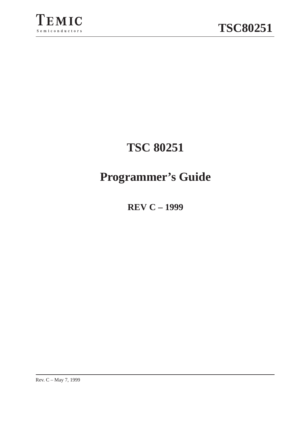



# **TSC 80251**

# **Programmer's Guide**

**REV C – 1999**

Rev. C – May 7, 1999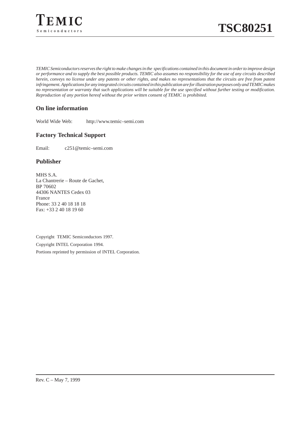

*TEMIC Semiconductors reserves the right to make changes in the specifications contained in this document in order to improve design or performance and to supply the best possible products. TEMIC also assumes no responsibility for the use of any circuits described herein, conveys no license under any patents or other rights, and makes no representations that the circuits are free from patent infringement. Applications for any integrated circuits contained in this publication are for illustration purposes only and TEMIC makes no representation or warranty that such applications will be suitable for the use specified without further testing or modification. Reproduction of any portion hereof without the prior written consent of TEMIC is prohibited.*

#### **On line information**

World Wide Web: http://www.temic–semi.com

#### **Factory Technical Support**

Email: c251@temic–semi.com

#### **Publisher**

MHS S.A. La Chantrerie – Route de Gachet, BP 70602 44306 NANTES Cedex 03 France Phone: 33 2 40 18 18 18 Fax: +33 2 40 18 19 60

Copyright TEMIC Semiconductors 1997. Copyright INTEL Corporation 1994. Portions reprinted by permission of INTEL Corporation.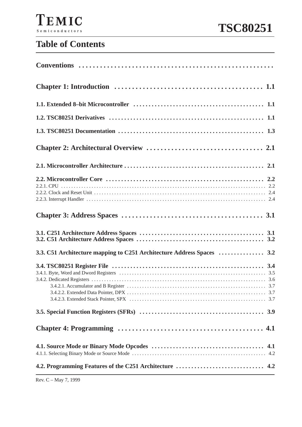# **Table of Contents**

| 3.3. C51 Architecture mapping to C251 Architecture Address Spaces  3.2 |  |
|------------------------------------------------------------------------|--|
|                                                                        |  |
|                                                                        |  |
|                                                                        |  |
|                                                                        |  |
|                                                                        |  |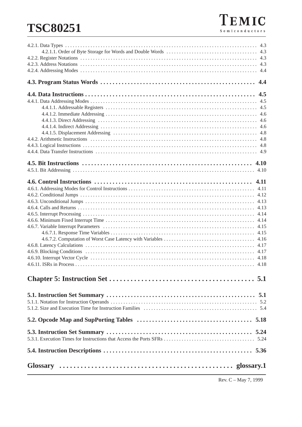# **TSC80251**

Rev. C – May 7, 1999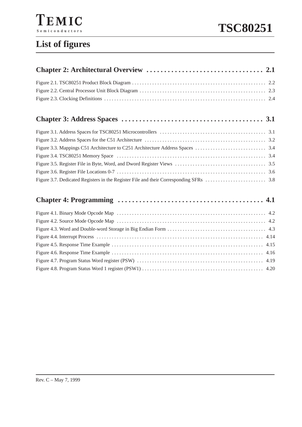

# **TSC80251**

# **List of figures**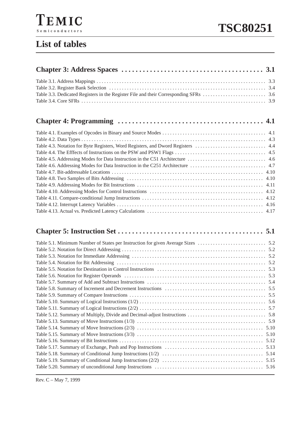# **Chapter 4: Programming 4.1 . . . . . . . . . . . . . . . . . . . . . . . . . . . . . . . . . . . . . . . . .**

## **Chapter 5: Instruction Set 5.1 . . . . . . . . . . . . . . . . . . . . . . . . . . . . . . . . . . . . . . . . .**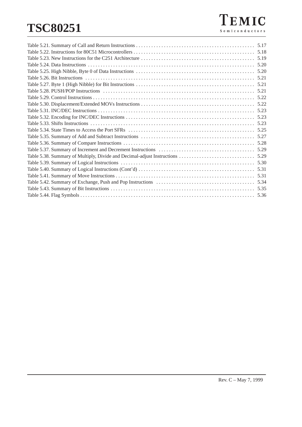# **TSC80251**

| 5.31 |
|------|
|      |
| 5.34 |
|      |
|      |
|      |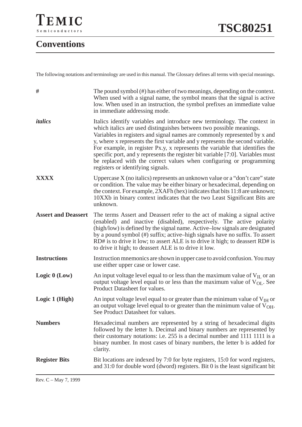# **Conventions**

The following notations and terminology are used in this manual. The Glossary defines all terms with special meanings.

| #                          | The pound symbol (#) has either of two meanings, depending on the context.<br>When used with a signal name, the symbol means that the signal is active<br>low. When used in an instruction, the symbol prefixes an immediate value<br>in immediate addressing mode.                                                                                                                                                                                                                                                                                                                           |  |  |
|----------------------------|-----------------------------------------------------------------------------------------------------------------------------------------------------------------------------------------------------------------------------------------------------------------------------------------------------------------------------------------------------------------------------------------------------------------------------------------------------------------------------------------------------------------------------------------------------------------------------------------------|--|--|
| italics                    | Italics identify variables and introduce new terminology. The context in<br>which italics are used distinguishes between two possible meanings.<br>Variables in registers and signal names are commonly represented by x and<br>y, where x represents the first variable and y represents the second variable.<br>For example, in register Px.y, x represents the variable that identifies the<br>specific port, and y represents the register bit variable [7:0]. Variables must<br>be replaced with the correct values when configuring or programming<br>registers or identifying signals. |  |  |
| <b>XXXX</b>                | Uppercase $X$ (no italics) represents an unknown value or a "don't care" state<br>or condition. The value may be either binary or hexadecimal, depending on<br>the context. For example, 2XAFh (hex) indicates that bits 11:8 are unknown;<br>10XXb in binary context indicates that the two Least Significant Bits are<br>unknown.                                                                                                                                                                                                                                                           |  |  |
| <b>Assert and Deassert</b> | The terms Assert and Deassert refer to the act of making a signal active<br>(enabled) and inactive (disabled), respectively. The active polarity<br>(high/low) is defined by the signal name. Active-low signals are designated<br>by a pound symbol (#) suffix; active-high signals have no suffix. To assert<br>RD# is to drive it low; to assert ALE is to drive it high; to deassert RD# is<br>to drive it high; to deassert ALE is to drive it low.                                                                                                                                      |  |  |
| <b>Instructions</b>        | Instruction mnemonics are shown in upper case to avoid confusion. You may<br>use either upper case or lower case.                                                                                                                                                                                                                                                                                                                                                                                                                                                                             |  |  |
| Logic $0$ (Low)            | An input voltage level equal to or less than the maximum value of $V_{II}$ or an<br>output voltage level equal to or less than the maximum value of V <sub>OL</sub> . See<br>Product Datasheet for values.                                                                                                                                                                                                                                                                                                                                                                                    |  |  |
| Logic 1 (High)             | An input voltage level equal to or greater than the minimum value of $V_{\text{IH}}$ or<br>an output voltage level equal to or greater than the minimum value of $V_{OH}$ .<br>See Product Datasheet for values.                                                                                                                                                                                                                                                                                                                                                                              |  |  |
| <b>Numbers</b>             | Hexadecimal numbers are represented by a string of hexadecimal digits<br>followed by the letter h. Decimal and binary numbers are represented by<br>their customary notations: i.e. 255 is a decimal number and 1111 1111 is a<br>binary number. In most cases of binary numbers, the letter b is added for<br>clarity.                                                                                                                                                                                                                                                                       |  |  |
| <b>Register Bits</b>       | Bit locations are indexed by 7:0 for byte registers, 15:0 for word registers,<br>and 31:0 for double word (dword) registers. Bit 0 is the least significant bit                                                                                                                                                                                                                                                                                                                                                                                                                               |  |  |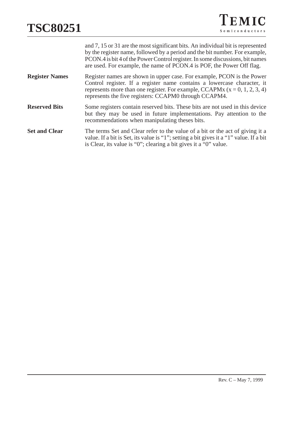|                       | and 7, 15 or 31 are the most significant bits. An individual bit is represented<br>by the register name, followed by a period and the bit number. For example,<br>PCON.4 is bit 4 of the Power Control register. In some discussions, bit names<br>are used. For example, the name of PCON.4 is POF, the Power Off flag. |
|-----------------------|--------------------------------------------------------------------------------------------------------------------------------------------------------------------------------------------------------------------------------------------------------------------------------------------------------------------------|
| <b>Register Names</b> | Register names are shown in upper case. For example, PCON is the Power<br>Control register. If a register name contains a lowercase character, it<br>represents more than one register. For example, CCAPMx $(x = 0, 1, 2, 3, 4)$<br>represents the five registers: CCAPM0 through CCAPM4.                               |
| <b>Reserved Bits</b>  | Some registers contain reserved bits. These bits are not used in this device<br>but they may be used in future implementations. Pay attention to the<br>recommendations when manipulating theses bits.                                                                                                                   |
| <b>Set and Clear</b>  | The terms Set and Clear refer to the value of a bit or the act of giving it a<br>value. If a bit is Set, its value is "1"; setting a bit gives it a "1" value. If a bit<br>is Clear, its value is "0"; clearing a bit gives it a "0" value.                                                                              |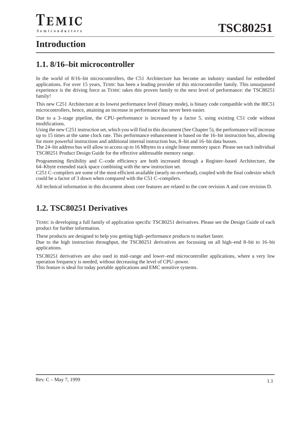## **1.1. 8/16–bit microcontroller**

In the world of 8/16–bit microcontrollers, the C51 Architecture has become an industry standard for embedded applications. For over 15 years, TEMIC has been a leading provider of this microcontroller family. This unsurpassed experience is the driving force as TEMIC takes this proven family to the next level of performance: the TSC80251 family!

This new C251 Architecture at its lowest performance level (binary mode), is binary code compatible with the 80C51 microcontrollers, hence, attaining an increase in performance has never been easier.

Due to a 3–stage pipeline, the CPU–performance is increased by a factor 5, using existing C51 code without modifications.

Using the new C251 instruction set, which you will find in this document (See Chapter 5), the performance will increase up to 15 times at the same clock rate. This performance enhancement is based on the 16–bit instruction bus, allowing for more powerful instructions and additional internal instruction bus, 8–bit and 16–bit data busses.

The 24–bit address bus will allow to access up to 16 Mbytes in a single linear memory space. Please see each individual TSC80251 Product Design Guide for the effective addressable memory range.

Programming flexibility and C–code efficiency are both increased through a Register–based Architecture, the 64–Kbyte extended stack space combining with the new instruction set.

C251 C–compilers are some of the most efficient available (nearly no overhead), coupled with the final codesize which could be a factor of 3 down when compared with the C51 C–compilers.

All technical information in this document about core features are related to the core revision A and core revision D.

### **1.2. TSC80251 Derivatives**

TEMIC is developing a full family of application specific TSC80251 derivatives. Please see the Design Guide of each product for further information.

These products are designed to help you getting high–performance products to market faster.

Due to the high instruction throughput, the TSC80251 derivatives are focussing on all high–end 8–bit to 16–bit applications.

TSC80251 derivatives are also used in mid–range and lower–end microcontroller applications, where a very low operation frequency is needed, without decreasing the level of CPU–power.

This feature is ideal for today portable applications and EMC sensitive systems.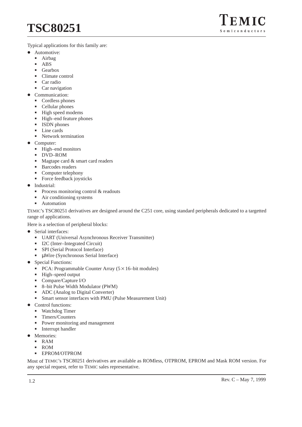Typical applications for this family are:

- Automotive:
	- Airbag
	- -ABS

 $\bullet$ 

- -Gearbox
- -Climate control
- -Car radio
- -Car navigation
- Communication:
	- -Cordless phones
	- Cellular phones
	- High speed modems
	- High–end feature phones
	- **ISDN** phones
	- Line cards
	- Network termination
- $\bullet$  Computer:
	- High–end monitors
	- -DVD–ROM
	- Magtape card & smart card readers
	- Barcodes readers
	- -Computer telephony
	- -Force feedback joysticks
- $\bullet$  Industrial:
	- -Process monitoring control & readouts
	- -Air conditioning systems
	- -Automation

TEMIC's TSC80251 derivatives are designed around the C251 core, using standard peripherals dedicated to a targetted range of applications.

Here is a selection of peripheral blocks:

- $\bullet$  Serial interfaces:
	- UART (Universal Asynchronous Receiver Transmitter)
	- I2C (Inter–Integrated Circuit)<br>■ SPI (Serial Protocol Interface)
	- SPI (Serial Protocol Interface)
	- µWire (Synchronous Serial Interface)
- $\bullet$  Special Functions:
	- $\overline{PCA}$ : Programmable Counter Array (5 × 16–bit modules)
	- High–speed output
	- -Compare/Capture I/O
	- -8–bit Pulse Width Modulator (PWM)
	- ADC (Analog to Digital Converter)
	- Smart sensor interfaces with PMU (Pulse Measurement Unit)
- $\bullet$  Control functions:
	- -Watchdog Timer
	- Timers/Counters
	- Power monitoring and management
	- -Interrupt handler
- Memories:
	- RAM
	- -ROM
	- -EPROM/OTPROM

Most of TEMIC's TSC80251 derivatives are available as ROMless, OTPROM, EPROM and Mask ROM version. For any special request, refer to TEMIC sales representative.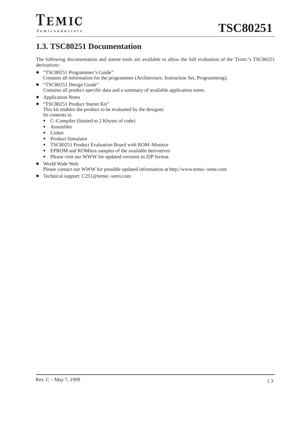# **1.3. TSC80251 Documentation**

The following documentation and starter tools are available to allow the full evaluation of the TEMIC's TSC80251 derivatives:

- "TSC80251 Programmer's Guide" Contains all information for the programmer (Architecture, Instruction Set, Programming).
- $\bullet$  "TSC80251 Design Guide" Contains all product specific data and a summary of available application notes.
- Application Notes
- "TSC80251 Product Starter Kit"

This kit enables the product to be evaluated by the designer. Its contents is:

- C–Compiler (limited to 2 Kbytes of code)
- Assembler
- Linker
- Product Simulator
- -TSC80251 Product Evaluation Board with ROM–Monitor
- -EPROM and ROMless samples of the available derivatives
- Please visit our WWW for updated versions in ZIP format.
- World Wide Web

Please contact our WWW for possible updated information at http://www.temic–semi.com

● Technical support: C251@temic–semi.com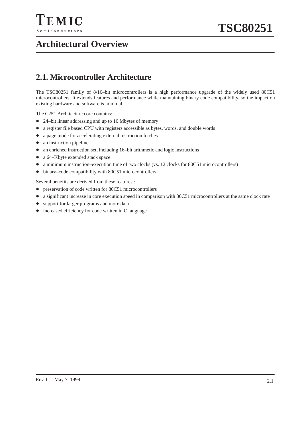

# **Architectural Overview**

## **2.1. Microcontroller Architecture**

The TSC80251 family of 8/16–bit microcontrollers is a high performance upgrade of the widely used 80C51 microcontrollers. It extends features and performance while maintaining binary code compatibility, so the impact on existing hardware and software is minimal.

The C251 Architecture core contains:

- 24–bit linear addressing and up to 16 Mbytes of memory
- a register file based CPU with registers accessible as bytes, words, and double words
- a page mode for accelerating external instruction fetches
- an instruction pipeline
- an enriched instruction set, including 16–bit arithmetic and logic instructions
- a 64–Kbyte extended stack space
- a minimum instruction–execution time of two clocks (vs. 12 clocks for 80C51 microcontrollers)
- binary–code compatibility with 80C51 microcontrollers

Several benefits are derived from these features :

- preservation of code written for 80C51 microcontrollers
- a significant increase in core execution speed in comparison with 80C51 microcontrollers at the same clock rate
- support for larger programs and more data
- increased efficiency for code written in C language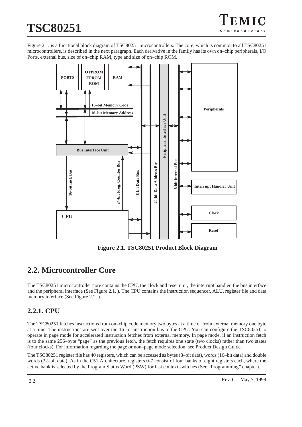# **TSC80251**

Figure 2.1. is a functional block diagram of TSC80251 microcontrollers. The core, which is common to all TSC80251 microcontrollers, is described in the next paragraph. Each derivative in the family has its own on–chip peripherals, I/O Ports, external bus, size of on–chip RAM, type and size of on–chip ROM.



**Figure 2.1. TSC80251 Product Block Diagram**

# **2.2. Microcontroller Core**

The TSC80251 microcontroller core contains the CPU, the clock and reset unit, the interrupt handler, the bus interface and the peripheral interface (See Figure 2.1. ). The CPU contains the instruction sequencer, ALU, register file and data memory interface (See Figure 2.2. ).

### **2.2.1. CPU**

The TSC80251 fetches instructions from on–chip code memory two bytes at a time or from external memory one byte at a time. The instructions are sent over the 16–bit instruction bus to the CPU. You can configure the TSC80251 to operate in page mode for accelerated instruction fetches from external memory. In page mode, if an instruction fetch is to the same 256–byte "page" as the previous fetch, the fetch requires one state (two clocks) rather than two states (four clocks). For information regarding the page or non–page mode selection, see Product Design Guide.

The TSC80251 register file has 40 registers, which can be accessed as bytes (8–bit data), words (16–bit data) and double words (32–bit data). As in the C51 Architecture, registers 0-7 consist of four banks of eight registers each, where the active bank is selected by the Program Status Word (PSW) for fast context switches (See "Programming" chapter).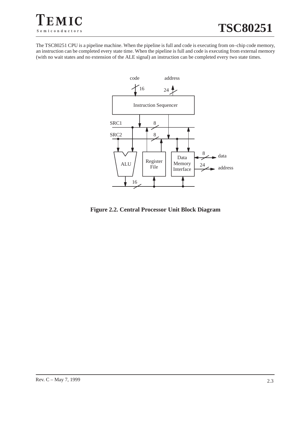

The TSC80251 CPU is a pipeline machine. When the pipeline is full and code is executing from on–chip code memory, an instruction can be completed every state time. When the pipeline is full and code is executing from external memory (with no wait states and no extension of the ALE signal) an instruction can be completed every two state times.



**Figure 2.2. Central Processor Unit Block Diagram**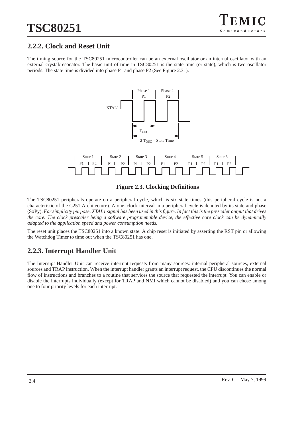### **2.2.2. Clock and Reset Unit**

The timing source for the TSC80251 microcontroller can be an external oscillator or an internal oscillator with an external crystal/resonator. The basic unit of time in TSC80251 is the state time (or state), which is two oscillator periods. The state time is divided into phase P1 and phase P2 (See Figure 2.3. ).



#### **Figure 2.3. Clocking Definitions**

The TSC80251 peripherals operate on a peripheral cycle, which is six state times (this peripheral cycle is not a characteristic of the C251 Architecture). A one–clock interval in a peripheral cycle is denoted by its state and phase (SxPy). *For simplicity purpose, XTAL1 signal has been used in this figure. In fact this is the prescaler output that drives the core. The clock prescaler being a software programmable device, the effective core clock can be dynamically adapted to the application speed and power consumption needs.*

The reset unit places the TSC80251 into a known state. A chip reset is initiated by asserting the RST pin or allowing the Watchdog Timer to time out when the TSC80251 has one.

### **2.2.3. Interrupt Handler Unit**

The Interrupt Handler Unit can receive interrupt requests from many sources: internal peripheral sources, external sources and TRAP instruction. When the interrupt handler grants an interrupt request, the CPU discontinues the normal flow of instructions and branches to a routine that services the source that requested the interrupt. You can enable or disable the interrupts individually (except for TRAP and NMI which cannot be disabled) and you can chose among one to four priority levels for each interrupt.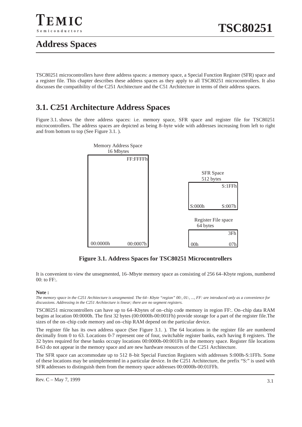

# **Address Spaces**

TSC80251 microcontrollers have three address spaces: a memory space, a Special Function Register (SFR) space and a register file. This chapter describes these address spaces as they apply to all TSC80251 microcontrollers. It also discusses the compatibility of the C251 Architecture and the C51 Architecture in terms of their address spaces.

## **3.1. C251 Architecture Address Spaces**

Figure 3.1. shows the three address spaces: i.e. memory space, SFR space and register file for TSC80251 microcontrollers. The address spaces are depicted as being 8–byte wide with addresses increasing from left to right and from bottom to top (See Figure 3.1. ).



**Figure 3.1. Address Spaces for TSC80251 Microcontrollers**

It is convenient to view the unsegmented, 16–Mbyte memory space as consisting of 256 64–Kbyte regions, numbered 00: to FF:.

#### **Note :**

*The memory space in the C251 Architecture is unsegmented. The 64– Kbyte "region" 00:, 01:, ..., FF: are introduced only as a convenience for discussions. Addressing in the C251 Architecture is linear; there are no segment registers.*

TSC80251 microcontrollers can have up to 64–Kbytes of on–chip code memory in region FF:. On–chip data RAM begins at location 00:0000h. The first 32 bytes (00:0000h-00:001Fh) provide storage for a part of the register file.The sizes of the on–chip code memory and on–chip RAM depend on the particular device.

The register file has its own address space (See Figure 3.1. ). The 64 locations in the register file are numbered decimally from 0 to 63. Locations 0-7 represent one of four, switchable register banks, each having 8 registers. The 32 bytes required for these banks occupy locations 00:0000h-00:001Fh in the memory space. Register file locations 8-63 do not appear in the memory space and are new hardware resources of the C251 Architecture.

The SFR space can accommodate up to 512 8–bit Special Function Registers with addresses S:000h-S:1FFh. Some of these locations may be unimplemented in a particular device. In the C251 Architecture, the prefix "S:" is used with SFR addresses to distinguish them from the memory space addresses 00:0000h-00:01FFh.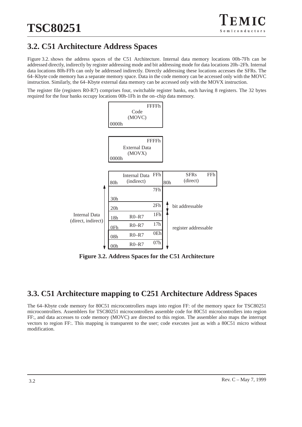# **3.2. C51 Architecture Address Spaces**

Figure 3.2. shows the address spaces of the C51 Architecture. Internal data memory locations 00h-7Fh can be addressed directly, indirectly by register addressing mode and bit addressing mode for data locations 20h–2Fh. Internal data locations 80h-FFh can only be addressed indirectly. Directly addressing these locations accesses the SFRs. The 64–Kbyte code memory has a separate memory space. Data in the code memory can be accessed only with the MOVC instruction. Similarly, the 64–Kbyte external data memory can be accessed only with the MOVX instruction.

The register file (registers R0-R7) comprises four, switchable register banks, each having 8 registers. The 32 bytes required for the four banks occupy locations 00h-1Fh in the on–chip data memory.



**Figure 3.2. Address Spaces for the C51 Architecture**

### **3.3. C51 Architecture mapping to C251 Architecture Address Spaces**

The 64–Kbyte code memory for 80C51 microcontrollers maps into region FF: of the memory space for TSC80251 microcontrollers. Assemblers for TSC80251 microcontrollers assemble code for 80C51 microcontrollers into region FF:, and data accesses to code memory (MOVC) are directed to this region. The assembler also maps the interrupt vectors to region FF:. This mapping is transparent to the user; code executes just as with a 80C51 micro without modification.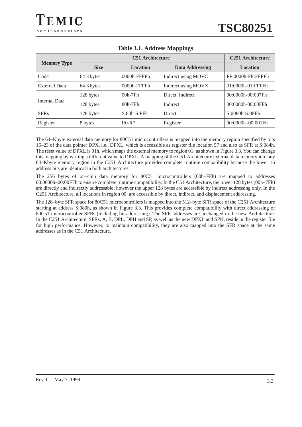|                    | <b>C51</b> Architecture |                 |                        | <b>C251 Architecture</b> |
|--------------------|-------------------------|-----------------|------------------------|--------------------------|
| <b>Memory Type</b> | <b>Size</b>             | <b>Location</b> | <b>Data Addressing</b> | <b>Location</b>          |
| Code               | 64 Kbytes               | 0000h-FFFFh     | Indirect using MOVC    | FF:0000h-FF:FFFFh        |
| External Data      | 64 Kbytes               | $0000h$ -FFFFh  | Indirect using MOVX    | 01:0000h-01:FFFFh        |
| Internal Data      | 128 bytes               | $00h-7Fh$       | Direct, Indirect       | 00:0000h-00:007Fh        |
|                    | 128 bytes               | 80h-FFh         | Indirect               | 00:0080h-00:00FFh        |
| <b>SFRs</b>        | 128 bytes               | $S:80h-S:FFh$   | Direct                 | S:0080h-S:0FFh           |
| Register           | 8 bytes                 | $R0-R7$         | Register               | $00:0000h - 00:001Fh$    |

#### **Table 3.1. Address Mappings**

The 64–Kbyte external data memory for 80C51 microcontrollers is mapped into the memory region specified by bits 16–23 of the data pointer DPX, i.e., DPXL, which is accessible as register file location 57 and also as SFR at S:084h. The reset value of DPXL is 01h, which maps the external memory to region 01: as shown in Figure 3.3. You can change this mapping by writing a different value to DPXL. A mapping of the C51 Architecture external data memory into any 64–Kbyte memory region in the C251 Architecture provides complete runtime compatibility because the lower 16 address bits are identical in both architectures.

The 256 bytes of on–chip data memory for 80C51 microcontrollers (00h–FFh) are mapped to addresses 00:0000h–00:00FFh to ensure complete runtime compatibility. In the C51 Architecture, the lower 128 bytes (00h–7Fh) are directly and indirectly addressable; however the upper 128 bytes are accessible by indirect addressing only. In the C251 Architecture, all locations in region 00: are accessible by direct, indirect, and displacement addressing.

The 128–byte SFR space for 80C51 microcontrollers is mapped into the 512–byte SFR space of the C251 Architecture starting at address S:080h, as shown in Figure 3.3. This provides complete compatibility with direct addressing of 80C51 microcontroller SFRs (including bit addressing). The SFR addresses are unchanged in the new Architecture. In the C251 Architecture, SFRs, A, B, DPL, DPH and SP, as well as the new DPXL and SPH, reside in the register file for high performance. However, to maintain compatibility, they are also mapped into the SFR space at the same addresses as in the C51 Architecture.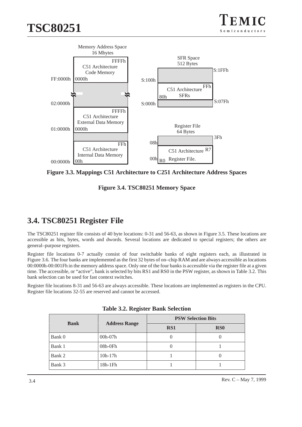

**Figure 3.3. Mappings C51 Architecture to C251 Architecture Address Spaces**

**Figure 3.4. TSC80251 Memory Space**

# **3.4. TSC80251 Register File**

The TSC80251 register file consists of 40 byte locations: 0-31 and 56-63, as shown in Figure 3.5. These locations are accessible as bits, bytes, words and dwords. Several locations are dedicated to special registers; the others are general–purpose registers.

Register file locations 0-7 actually consist of four switchable banks of eight registers each, as illustrated in Figure 3.6. The four banks are implemented as the first 32 bytes of on–chip RAM and are always accessible as locations 00:0000h-00:001Fh in the memory address space. Only one of the four banks is accessible via the register file at a given time. The accessible, or "active", bank is selected by bits RS1 and RS0 in the PSW register, as shown in Table 3.2. This bank selection can be used for fast context switches.

Register file locations 8-31 and 56-63 are always accessible. These locations are implemented as registers in the CPU. Register file locations 32-55 are reserved and cannot be accessed.

| <b>Bank</b> |                      | <b>PSW Selection Bits</b> |                 |  |  |
|-------------|----------------------|---------------------------|-----------------|--|--|
|             | <b>Address Range</b> | RS1                       | RS <sub>0</sub> |  |  |
| Bank 0      | $00h-07h$            |                           |                 |  |  |
| Bank 1      | 08h-0Fh              |                           |                 |  |  |
| Bank 2      | $10h-17h$            |                           |                 |  |  |
| Bank 3      | $18h-1Fh$            |                           |                 |  |  |

|  |  | <b>Table 3.2. Register Bank Selection</b> |
|--|--|-------------------------------------------|
|  |  |                                           |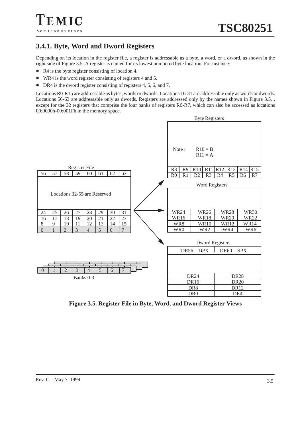### **3.4.1. Byte, Word and Dword Registers**

Depending on its location in the register file, a register is addressable as a byte, a word, or a dword, as shown in the right side of Figure 3.5. A register is named for its lowest numbered byte location. For instance:

• R4 is the byte register consisting of location 4.

EMIC

Semiconductors

- $\bullet$ WR4 is the word register consisting of registers 4 and 5.
- DR4 is the dword register consisting of registers 4, 5, 6, and 7.

Locations R0-R15 are addressable as bytes, words or dwords. Locations 16-31 are addressable only as words or dwords. Locations 56-63 are addressable only as dwords. Registers are addressed only by the names shown in Figure 3.5., except for the 32 registers that comprise the four banks of registers R0-R7, which can also be accessed as locations 00:0000h-00:001Fh in the memory space.



**Figure 3.5. Register File in Byte, Word, and Dword Register Views**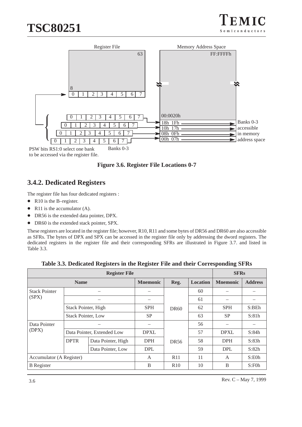



to be accessed via the register file.

**Figure 3.6. Register File Locations 0-7**

### **3.4.2. Dedicated Registers**

The register file has four dedicated registers :

- R10 is the B-register.
- $\bullet$ R11 is the accumulator (A).
- $\bullet$ DR56 is the extended data pointer, DPX.
- $\bullet$ DR60 is the extended stack pointer, SPX.

These registers are located in the register file; however, R10, R11 and some bytes of DR56 and DR60 are also accessible as SFRs. The bytes of DPX and SPX can be accessed in the register file only by addressing the dword registers. The dedicated registers in the register file and their corresponding SFRs are illustrated in Figure 3.7. and listed in Table 3.3.

| <b>Register File</b>                             |             |                            |                 |                  |                 | <b>SFRs</b>         |                |
|--------------------------------------------------|-------------|----------------------------|-----------------|------------------|-----------------|---------------------|----------------|
|                                                  | <b>Name</b> |                            | <b>Mnemonic</b> | Reg.             | <b>Location</b> | <b>Mnemonic</b>     | <b>Address</b> |
| <b>Stack Pointer</b>                             |             |                            |                 |                  | 60              |                     |                |
| (SPX)                                            |             |                            |                 |                  | 61              |                     |                |
| Stack Pointer, High<br><b>Stack Pointer, Low</b> |             |                            |                 | DR <sub>60</sub> | 62              | <b>SPH</b>          | S:BEh          |
|                                                  |             | <b>SP</b>                  |                 | 63               | <b>SP</b>       | S:81h               |                |
| Data Pointer                                     |             |                            |                 |                  | 56              |                     |                |
| (DPX)                                            |             | Data Pointer, Extended Low | <b>DPXL</b>     |                  | 57              | <b>DPXL</b>         | S:84h          |
|                                                  | <b>DPTR</b> | Data Pointer, High         | <b>DPH</b>      | DR56             | 58              | <b>DPH</b>          | S:83h          |
|                                                  |             | Data Pointer, Low          | <b>DPL</b>      |                  |                 | <b>DPL</b>          | S:82h          |
| Accumulator (A Register)                         |             | A                          | R11             | 11               | A               | S: E <sub>0</sub> h |                |
| <b>B</b> Register                                |             |                            | B               | R10              | 10              | B                   | S:FOh          |

**Table 3.3. Dedicated Registers in the Register File and their Corresponding SFRs**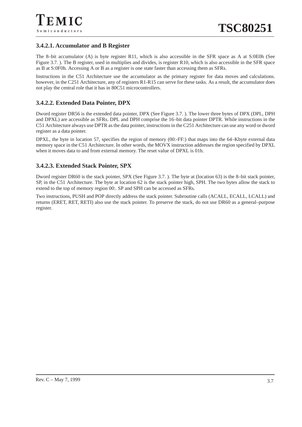#### **3.4.2.1. Accumulator and B Register**

The 8–bit accumulator (A) is byte register R11, which is also accessible in the SFR space as A at S:0E0h (See Figure 3.7. ). The B register, used in multiplies and divides, is register R10, which is also accessible in the SFR space as B at S:0F0h. Accessing A or B as a register is one state faster than accessing them as SFRs.

Instructions in the C51 Architecture use the accumulator as the primary register for data moves and calculations. however, in the C251 Architecture, any of registers R1-R15 can serve for these tasks. As a result, the accumulator does not play the central role that it has in 80C51 microcontrollers.

#### **3.4.2.2. Extended Data Pointer, DPX**

Dword register DR56 is the extended data pointer, DPX (See Figure 3.7. ). The lower three bytes of DPX (DPL, DPH and DPXL) are accessible as SFRs. DPL and DPH comprise the 16–bit data pointer DPTR. While instructions in the C51 Architecture always use DPTR as the data pointer, instructions in the C251 Architecture can use any word or dword register as a data pointer.

DPXL, the byte in location 57, specifies the region of memory (00:-FF:) that maps into the 64–Kbyte external data memory space in the C51 Architecture. In other words, the MOVX instruction addresses the region specified by DPXL when it moves data to and from external memory. The reset value of DPXL is 01h.

#### **3.4.2.3. Extended Stack Pointer, SPX**

Dword register DR60 is the stack pointer, SPX (See Figure 3.7. ). The byte at (location 63) is the 8–bit stack pointer, SP, in the C51 Architecture. The byte at location 62 is the stack pointer high, SPH. The two bytes allow the stack to extend to the top of memory region 00:. SP and SPH can be accessed as SFRs.

Two instructions, PUSH and POP directly address the stack pointer. Subroutine calls (ACALL, ECALL, LCALL) and returns (ERET, RET, RETI) also use the stack pointer. To preserve the stack, do not use DR60 as a general–purpose register.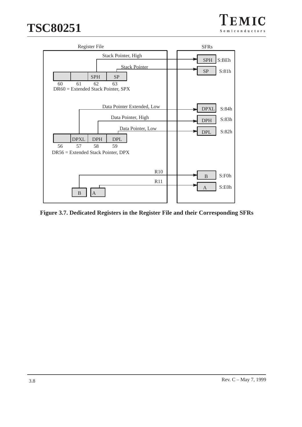

**Figure 3.7. Dedicated Registers in the Register File and their Corresponding SFRs**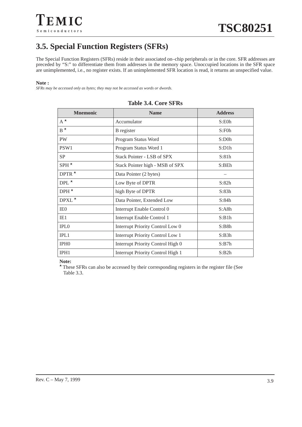# **3.5. Special Function Registers (SFRs)**

The Special Function Registers (SFRs) reside in their associated on–chip peripherals or in the core. SFR addresses are preceded by "S:" to differentiate them from addresses in the memory space. Unoccupied locations in the SFR space are unimplemented, i.e., no register exists. If an unimplemented SFR location is read, it returns an unspecified value.

#### **Note :**

*SFRs may be accessed only as bytes; they may not be accessed as words or dwords.*

| <b>M</b> nemonic | <b>Name</b>                              | <b>Address</b>      |
|------------------|------------------------------------------|---------------------|
| $A^{\star}$      | Accumulator                              | S: E <sub>0</sub> h |
| $B^{\star}$      | B register                               | S:FOh               |
| PW               | Program Status Word                      | $S:$ D $0h$         |
| PSW1             | Program Status Word 1                    | S:D1h               |
| <b>SP</b>        | Stack Pointer - LSB of SPX               | S:81h               |
| $SPH^{\star}$    | Stack Pointer high - MSB of SPX          | S:BEh               |
| DPTR $*$         | Data Pointer (2 bytes)                   |                     |
| $DPL^{\star}$    | Low Byte of DPTR                         | S:82h               |
| $DPH^{\star}$    | high Byte of DPTR                        | S:83h               |
| $DPXL^{\star}$   | Data Pointer, Extended Low               | S:84h               |
| IE <sub>0</sub>  | Interrupt Enable Control 0               | S:ABh               |
| IE1              | Interrupt Enable Control 1               | S:B1h               |
| <b>IPLO</b>      | Interrupt Priority Control Low 0         | S:B8h               |
| IPL1             | <b>Interrupt Priority Control Low 1</b>  | S:B3h               |
| IPH <sub>0</sub> | Interrupt Priority Control High 0        | S:B7h               |
| IPH1             | <b>Interrupt Priority Control High 1</b> | S:B2h               |

#### **Table 3.4. Core SFRs**

**Note:**

\*These SFRs can also be accessed by their corresponding registers in the register file (See Table 3.3.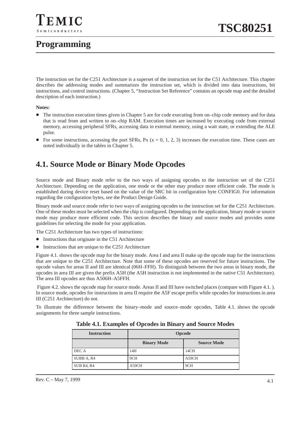# **Programming**

The instruction set for the C251 Architecture is a superset of the instruction set for the C51 Architecture. This chapter describes the addressing modes and summarizes the instruction set, which is divided into data instructions, bit instructions, and control instructions. (Chapter 5, "Instruction Set Reference" contains an opcode map and the detailed description of each instruction.)

#### **Notes:**

- The instruction execution times given in Chapter 5 are for code executing from on–chip code memory and for data that is read from and written to on–chip RAM. Execution times are increased by executing code from external memory, accessing peripheral SFRs, accessing data in external memory, using a wait state, or extending the ALE pulse.
- $\bullet$ For some instructions, accessing the port SFRs, Px  $(x = 0, 1, 2, 3)$  increases the execution time. These cases are noted individually in the tables in Chapter 5.

### **4.1. Source Mode or Binary Mode Opcodes**

Source mode and Binary mode refer to the two ways of assigning opcodes to the instruction set of the C251 Architecture. Depending on the application, one mode or the other may produce more efficient code. The mode is established during device reset based on the value of the SRC bit in configuration byte CONFIG0. For information regarding the configuration bytes, see the Product Design Guide.

Binary mode and source mode refer to two ways of assigning opcodes to the instruction set for the C251 Architecture. One of these modes must be selected when the chip is configured. Depending on the application, binary mode or source mode may produce more efficient code. This section describes the binary and source modes and provides some guidelines for selecting the mode for your application.

The C251 Architecture has two types of instructions:

- Instructions that originate in the C51 Architecture
- Instructions that are unique to the C251 Architecture

Figure 4.1. shows the opcode map for the binary mode. Area I and area II make up the opcode map for the instructions that are unique to the C251 Architecture. Note that some of these opcodes are reserved for future instructions. The opcode values for areas II and III are identical (06H–FFH). To distinguish between the two areas in binary mode, the opcodes in area III are given the prefix A5H (the A5H instruction is not implemented in the native C51 Architecture). The area III opcodes are thus A506H–A5FFH.

Figure 4.2. shows the opcode map for source mode. Areas II and III have switched places (compare with Figure 4.1.). In source mode, opcodes for instructions in area II require the A5F escape prefix while opcodes for instructions in area III (C251 Architecture) do not.

To illustrate the difference between the binary–mode and source–mode opcodes, Table 4.1. shows the opcode assignments for three sample instructions.

| <b>Instruction</b> | <b>Opcode</b>      |                    |  |  |
|--------------------|--------------------|--------------------|--|--|
|                    | <b>Binary Mode</b> | <b>Source Mode</b> |  |  |
| DEC A              | 14H                | 14CH               |  |  |
| SUBB A, R4         | 9CH                | A59CH              |  |  |
| SUB R4, R4         | A59CH              | 9CH                |  |  |

**Table 4.1. Examples of Opcodes in Binary and Source Modes**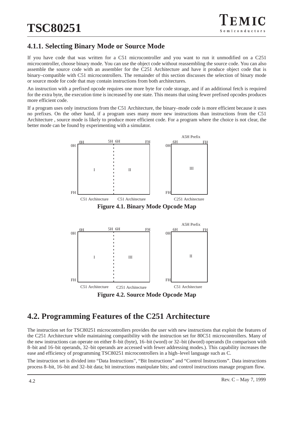### **4.1.1. Selecting Binary Mode or Source Mode**

If you have code that was written for a C51 microcontroller and you want to run it unmodified on a C251 microcontroller, choose binary mode. You can use the object code without reassembling the source code. You can also assemble the source code with an assembler for the C251 Architecture and have it produce object code that is binary–compatible with C51 microcontrollers. The remainder of this section discusses the selection of binary mode or source mode for code that may contain instructions from both architectures.

An instruction with a prefixed opcode requires one more byte for code storage, and if an additional fetch is required for the extra byte, the execution time is increased by one state. This means that using fewer prefixed opcodes produces more efficient code.

If a program uses only instructions from the C51 Architecture, the binary–mode code is more efficient because it uses no prefixes. On the other hand, if a program uses many more new instructions than instructions from the C51 Architecture , source mode is likely to produce more efficient code. For a program where the choice is not clear, the better mode can be found by experimenting with a simulator.





# **4.2. Programming Features of the C251 Architecture**

The instruction set for TSC80251 microcontrollers provides the user with new instructions that exploit the features of the C251 Architecture while maintaining compatibility with the instruction set for 80C51 microcontrollers. Many of the new instructions can operate on either 8–bit (byte), 16–bit (word) or 32–bit (dword) operands (In comparison with 8–bit and 16–bit operands, 32–bit operands are accessed with fewer addressing modes.). This capability increases the ease and efficiency of programming TSC80251 microcontrollers in a high–level language such as C.

The instruction set is divided into "Data Instructions", "Bit Instructions" and "Control Instructions". Data instructions process 8–bit, 16–bit and 32–bit data; bit instructions manipulate bits; and control instructions manage program flow.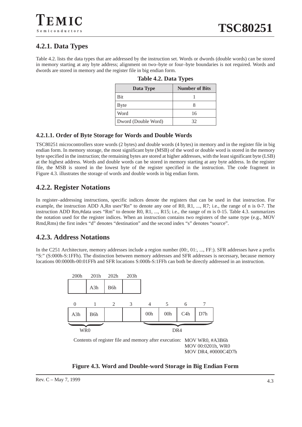### **4.2.1. Data Types**

Semiconductors

Table 4.2. lists the data types that are addressed by the instruction set. Words or dwords (double words) can be stored in memory starting at any byte address; alignment on two–byte or four–byte boundaries is not required. Words and dwords are stored in memory and the register file in big endian form.

| Data Type           | <b>Number of Bits</b> |
|---------------------|-----------------------|
| <b>Bit</b>          |                       |
| Byte                |                       |
| Word                | 16                    |
| Dword (Double Word) | 32                    |

|  | <b>Table 4.2. Data Types</b> |
|--|------------------------------|
|  |                              |

#### **4.2.1.1. Order of Byte Storage for Words and Double Words**

TSC80251 microcontrollers store words (2 bytes) and double words (4 bytes) in memory and in the register file in big endian form. In memory storage, the most significant byte (MSB) of the word or double word is stored in the memory byte specified in the instruction; the remaining bytes are stored at higher addresses, with the least significant byte (LSB) at the highest address. Words and double words can be stored in memory starting at any byte address. In the register file, the MSB is stored in the lowest byte of the register specified in the instruction. The code fragment in Figure 4.3. illustrates the storage of words and double words in big endian form.

#### **4.2.2. Register Notations**

In register–addressing instructions, specific indices denote the registers that can be used in that instruction. For example, the instruction ADD A,Rn uses"Rn" to denote any one of R0, R1, ..., R7; i.e., the range of n is 0-7. The instruction ADD Rm,#data uses "Rm" to denote R0, R1, ..., R15; i.e., the range of m is 0-15. Table 4.3. summarizes the notation used for the register indices. When an instruction contains two registers of the same type (e.g., MOV Rmd,Rms) the first index "d" denotes "destination" and the second index "s" denotes "source".

#### **4.2.3. Address Notations**

In the C251 Architecture, memory addresses include a region number (00:, 01:, ..., FF:). SFR addresses have a prefix "S:" (S:000h-S:1FFh). The distinction between memory addresses and SFR addresses is necessary, because memory locations 00:0000h-00:01FFh and SFR locations S:000h-S:1FFh can both be directly addressed in an instruction.



**Figure 4.3. Word and Double-word Storage in Big Endian Form**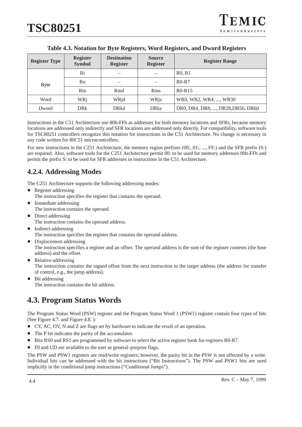| <b>Register Type</b> | <b>Register</b><br><b>Symbol</b> | <b>Destination</b><br><b>Register</b> | <b>Source</b><br><b>Register</b> | <b>Register Range</b>             |
|----------------------|----------------------------------|---------------------------------------|----------------------------------|-----------------------------------|
|                      | Ri                               |                                       |                                  | R <sub>0</sub> , R <sub>1</sub>   |
| <b>Byte</b>          | Rn                               |                                       |                                  | $R0-R7$                           |
|                      | Rm                               | Rmd                                   | <b>Rms</b>                       | $R0-R15$                          |
| Word                 | WRi                              | WRjd                                  | WRjs                             | WR0, WR2, WR4, , WR30             |
| Dword                | <b>DR</b> k                      | <b>DRkd</b>                           | <b>DR</b> ks                     | DR0, DR4, DR8, , DR28, DR56, DR60 |

#### **Table 4.3. Notation for Byte Registers, Word Registers, and Dword Registers**

Instructions in the C51 Architecture use 80h-FFh as addresses for both memory locations and SFRs, because memory locations are addressed only indirectly and SFR locations are addressed only directly. For compatibility, software tools for TSC80251 controllers recognize this notation for instructions in the C51 Architecture. No change is necessary in any code written for 80C51 microcontrollers.

For new instructions in the C251 Architecture, the memory region prefixes (00:, 01:, ..., FF:) and the SFR prefix (S:) are required. Also, software tools for the C251 Architecture permit 00: to be used for memory addresses 00h-FFh and permit the prefix S: to be used for SFR addresses in instructions in the C51 Architecture.

### **4.2.4. Addressing Modes**

The C251 Architecture supports the following addressing modes:

- Register addressing The instruction specifies the register that contains the operand.
- $\bullet$  Immediate addressing The instruction contains the operand.
- $\bullet$ Direct addressing
- The instruction contains the operand address.
- $\bullet$  Indirect addressing The instruction specifies the register that contains the operand address.
- Displacement addressing The instruction specifies a register and an offset. The operand address is the sum of the register contents (the base address) and the offset.
- $\bullet$ Relative addressing

The instruction contains the signed offset from the next instruction to the target address (the address for transfer of control, e.g., the jump address).

 $\bullet$  Bit addressing The instruction contains the bit address.

# **4.3. Program Status Words**

The Program Status Word (PSW) register and the Program Status Word 1 (PSW1) register contain four types of bits (See Figure 4.7. and Figure 4.8. ):

- CY, AC, OV, N and Z are flags set by hardware to indicate the result of an operation.
- The P bit indicates the parity of the accumulator.
- $\bullet$ Bits RS0 and RS1 are programmed by software to select the active register bank for registers R0-R7.
- $\bullet$ F0 and UD are available to the user as general–purpose flags.

The PSW and PSW1 registers are read/write registers; however, the parity bit in the PSW is not affected by a write. Individual bits can be addressed with the bit instructions ("Bit Instructions"). The PSW and PSW1 bits are used implicitly in the conditional jump instructions ("Conditional Jumps").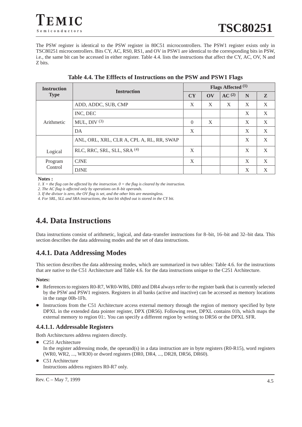EMIC Semiconductors

The PSW register is identical to the PSW register in 80C51 microcontrollers. The PSW1 register exists only in TSC80251 microcontrollers. Bits CY, AC, RS0, RS1, and OV in PSW1 are identical to the corresponding bits in PSW, i.e., the same bit can be accessed in either register. Table 4.4. lists the instructions that affect the CY, AC, OV, N and Z bits.

| <b>Instruction</b> | <b>Instruction</b>                        |          | Flags Affected <sup>(1)</sup> |                   |   |              |  |
|--------------------|-------------------------------------------|----------|-------------------------------|-------------------|---|--------------|--|
| <b>Type</b>        |                                           |          | $\mathbf{O}$                  | AC <sup>(2)</sup> | N | $\mathbf{z}$ |  |
|                    | ADD, ADDC, SUB, CMP                       | X        | X                             | X                 | X | X            |  |
|                    | INC, DEC                                  |          |                               |                   | X | X            |  |
| Arithmetic         | MUL, DIV $(3)$                            | $\Omega$ | X                             |                   | X | X            |  |
|                    | DA                                        | X        |                               |                   | X | X            |  |
|                    | ANL, ORL, XRL, CLR A, CPL A, RL, RR, SWAP |          |                               |                   | X | X            |  |
| Logical            | RLC, RRC, SRL, SLL, SRA <sup>(4)</sup>    | X        |                               |                   | X | X            |  |
| Program            | <b>CJNE</b>                               | X        |                               |                   | X | X            |  |
| Control            | <b>DJNE</b>                               |          |                               |                   | X | X            |  |

**Table 4.4. The Efffects of Instructions on the PSW and PSW1 Flags**

#### **Notes :**

*1. X = the flag can be affected by the instruction. 0 = the flag is cleared by the instruction.*

*2. The AC flag is affected only by operations on 8–bit operands.*

*3. If the divisor is zero, the OV flag is set, and the other bits are meaningless.*

*4. For SRL, SLL and SRA instructions, the last bit shifted out is stored in the CY bit.*

## **4.4. Data Instructions**

Data instructions consist of arithmetic, logical, and data–transfer instructions for 8–bit, 16–bit and 32–bit data. This section describes the data addressing modes and the set of data instructions.

### **4.4.1. Data Addressing Modes**

This section describes the data addressing modes, which are summarized in two tables: Table 4.6. for the instructions that are native to the C51 Architecture and Table 4.6. for the data instructions unique to the C251 Architecture.

#### **Notes:**

- $\bullet$  References to registers R0-R7, WR0-WR6, DR0 and DR4 always refer to the register bank that is currently selected by the PSW and PSW1 registers. Registers in all banks (active and inactive) can be accessed as memory locations in the range 00h-1Fh.
- $\bullet$  Instructions from the C51 Architecture access external memory through the region of memory specified by byte DPXL in the extended data pointer register, DPX (DR56). Following reset, DPXL contains 01h, which maps the external memory to region 01:. You can specify a different region by writing to DR56 or the DPXL SFR.

#### **4.4.1.1. Addressable Registers**

Both Architectures address registers directly.

- C251 Architecture In the register addressing mode, the operand(s) in a data instruction are in byte registers  $(RO-R15)$ , word registers (WR0, WR2, ..., WR30) or dword registers (DR0, DR4, ..., DR28, DR56, DR60).
- $\bullet$  C51 Architecture Instructions address registers R0-R7 only.

Rev. C – May 7, 1999 4.5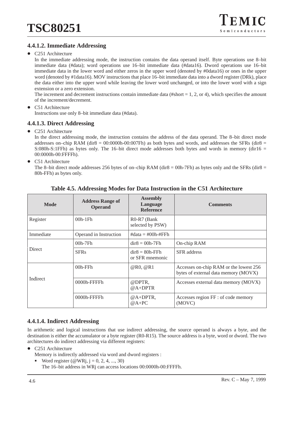#### **4.4.1.2. Immediate Addressing**

• C251 Architecture

In the immediate addressing mode, the instruction contains the data operand itself. Byte operations use 8–bit immediate data (#data); word operations use 16–bit immediate data (#data16). Dword operations use 16–bit immediate data in the lower word and either zeros in the upper word (denoted by #0data16) or ones in the upper word (denoted by #1data16). MOV instructions that place 16–bit immediate data into a dword register (DRk), place the data either into the upper word while leaving the lower word unchanged, or into the lower word with a sign extension or a zero extension.

The increment and decrement instructions contain immediate data (#short  $= 1, 2,$  or 4), which specifies the amount of the increment/decrement.

 $\bullet$  C51 Architecture Instructions use only 8–bit immediate data (#data).

#### **4.4.1.3. Direct Addressing**

 $\bullet$ C251 Architecture

In the direct addressing mode, the instruction contains the address of the data operand. The 8–bit direct mode addresses on–chip RAM (dir $8 = 00:0000h-00:007Fh$ ) as both bytes and words, and addresses the SFRs (dir $8 =$ S:080h-S:1FFh) as bytes only. The 16–bit direct mode addresses both bytes and words in memory (dir16 = 00:0000h-00:FFFFh).

 $\bullet$ C51 Architecture

The 8–bit direct mode addresses 256 bytes of on–chip RAM (dir8 = 00h-7Fh) as bytes only and the SFRs (dir8 = 80h-FFh) as bytes only.

| <b>Mode</b>   | <b>Address Range of</b><br><b>Operand</b> | <b>Assembly</b><br>Language<br><b>Reference</b> | <b>Comments</b>                                                                |
|---------------|-------------------------------------------|-------------------------------------------------|--------------------------------------------------------------------------------|
| Register      | $00h-1Fh$                                 | R0-R7 (Bank)<br>selected by PSW)                |                                                                                |
| Immediate     | Operand in Instruction                    | $\#data = \#00h - \#FFh$                        |                                                                                |
|               | $00h-7Fh$                                 | $dir8 = 00h-7Fh$                                | On-chip RAM                                                                    |
| <b>Direct</b> | <b>SFR<sub>s</sub></b>                    | $dir8 = 80h$ -FFh<br>or SFR mnemonic            | <b>SFR</b> address                                                             |
|               | $00h$ -FF $h$                             | @R0, @R1                                        | Accesses on-chip RAM or the lowest 256<br>bytes of external data memory (MOVX) |
| Indirect      | $0000h$ -FFFFh                            | @DPTR.<br>$@A+DPTR$                             | Accesses external data memory (MOVX)                                           |
|               | $0000h$ -FFFFh                            | $@A+DPTR,$<br>$@A+PC$                           | Accesses region FF : of code memory<br>(MOVC)                                  |

**Table 4.5. Addressing Modes for Data Instruction in the C51 Architecture**

#### **4.4.1.4. Indirect Addressing**

In arithmetic and logical instructions that use indirect addressing, the source operand is always a byte, and the destination is either the accumulator or a byte register (R0-R15). The source address is a byte, word or dword. The two architectures do indirect addressing via different registers:

- $\bullet$  C251 Architecture
	- Memory is indirectly addressed via word and dword registers :
	- -Word register ( $@$ WRj, j = 0, 2, 4, ..., 30) The 16–bit address in WRj can access locations 00:0000h-00:FFFFh.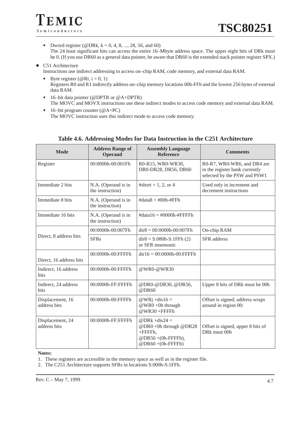- Dword register (@DRk,  $k = 0, 4, 8, ..., 28, 56,$  and 60) The 24 least significant bits can access the entire 16–Mbyte address space. The upper eight bits of DRk must be 0. (If you use DR60 as a general data pointer, be aware that DR60 is the extended stack pointer register SPX.)
- C51 Architecture Instructions use indirect addressing to access on–chip RAM, code memory, and external data RAM.
	- -Byte register ( $@Ri, i = 0, 1)$ Registers R0 and R1 indirectly address on–chip memory locations 00h-FFh and the lowest 256 bytes of external data RAM.
	- - 16–bit data pointer (@DPTR or @A+DPTR) The MOVC and MOVX instructions use these indirect modes to access code memory and external data RAM.
	- - 16–bit program counter (@A+PC) The MOVC instruction uses this indirect mode to access code memory.

| <b>Mode</b>                      | <b>Address Range of</b><br><b>Operand</b> | <b>Assembly Language</b><br><b>Reference</b>                                                     | <b>Comments</b>                                                                               |
|----------------------------------|-------------------------------------------|--------------------------------------------------------------------------------------------------|-----------------------------------------------------------------------------------------------|
| Register                         | 00:0000h-00:001Fh                         | R0-R15, WR0-WR30,<br>DR0-DR28, DR56, DR60                                                        | R0-R7, WR0-WR6, and DR4 are<br>in the register bank currently<br>selected by the PSW and PSW1 |
| Immediate 2 bits                 | N.A. (Operand is in<br>the instruction)   | #short = $1, 2$ , or 4                                                                           | Used only in increment and<br>decrement instructions                                          |
| Immediate 8 bits                 | N.A. (Operand is in<br>the instruction)   | $\text{\#data8} = \text{\#00h-}\text{\#FFh}$                                                     |                                                                                               |
| Immediate 16 bits                | N.A. (Operand is in<br>the instruction)   | $\#data16 = \#0000h - \#FFFF$ FFFh                                                               |                                                                                               |
|                                  | 00:0000h-00:007Fh                         | $dir8 = 00:0000h-00:007Fh$                                                                       | On-chip RAM                                                                                   |
| Direct, 8 address bits           | <b>SFRs</b>                               | $dir8 = S:080h-S:1FFh(2)$<br>or SFR mnemonic                                                     | <b>SFR</b> address                                                                            |
| Direct, 16 address bits          | 00:0000h-00:FFFFh                         | $dir16 = 00:0000h - 00:FFFF$ Fh                                                                  |                                                                                               |
| Indirect, 16 address<br>bits     | 00:0000h-00:FFFFh                         | @WR0-@WR30                                                                                       |                                                                                               |
| Indirect, 24 address<br>bits     | 00:0000h-FF:FFFFh                         | @DR0-@DR30, @DR56,<br>@DR60                                                                      | Upper 8 bits of DRk must be 00h                                                               |
| Displacement, 16<br>address bits | 00:0000h-00:FFFFh                         | @WRj +dis16 =<br>@WR0+0h through<br>@WR30+FFFFh                                                  | Offset is signed; address wraps<br>around in region 00:                                       |
| Displacement, 24<br>address bits | 00:0000h-FF:FFFFh                         | @DRk +dis24 =<br>@DR0 +0h through @DR28<br>$+$ FFFFh.<br>@DR56+(0h-FFFFh),<br>$@DR60+(0h-FFFFh)$ | Offset is signed, upper 8 bits of<br>DRk must 00h                                             |

#### **Table 4.6. Addressing Modes for Data Instruction in the C251 Architecture**

#### **Notes:**

1. These registers are accessible in the memory space as well as in the register file.

2. The C251 Architecture supports SFRs in locations S:000h-S:1FFh.

TEMIC

Semiconductors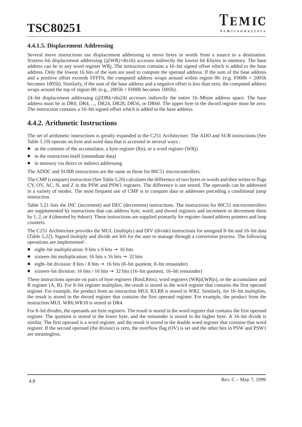#### **4.4.1.5. Displacement Addressing**

Several move instructions use displacement addressing to move bytes or words from a source to a destination. Sixteen–bit displacement addressing (@WRj+dis16) accesses indirectly the lowest 64 Kbytes in memory. The base address can be in any word register WRj. The instruction contains a 16–bit signed offset which is added to the base address. Only the lowest 16 bits of the sum are used to compute the operand address. If the sum of the base address and a positive offset exceeds FFFFh, the computed address wraps around within region 00: (e.g. F000h + 2005h becomes 1005h). Similarly, if the sum of the base address and a negative offset is less than zero, the computed address wraps around the top of region 00: (e.g., 2005h + F000h becomes 1005h).

24–bit displacement addressing (@DRk+dis24) accesses indirectly the entire 16–Mbyte address space. The base address must be in DR0, DR4, ..., DR24, DR28, DR56, or DR60. The upper byte in the dword register must be zero. The instruction contains a 16–bit signed offset which is added to the base address.

### **4.4.2. Arithmetic Instructions**

The set of arithmetic instructions is greatly expanded in the C251 Architecture. The ADD and SUB instructions (See Table 5.19) operate on byte and word data that is accessed in several ways :

- $\bullet$ as the contents of the accumulator, a byte register (Rn), or a word register (WRj)
- $\bullet$ in the instruction itself (immediate data)
- $\bullet$ in memory via direct or indirect addressing

The ADDC and SUBB instructions are the same as those for 80C51 microcontrollers.

The CMP (compare) instruction (See Table 5.20) calculates the difference of two bytes or words and then writes to flags CY, OV, AC, N, and Z in the PSW and PSW1 registers. The difference is not stored. The operands can be addressed in a variety of modes. The most frequent use of CMP is to compare data or addresses preceding a conditional jump instruction.

Table 5.21 lists the INC (increment) and DEC (decrement) instructions. The instructions for 80C51 microcontrollers are supplemented by instructions that can address byte, word, and dword registers and increment or decrement them by 1, 2, or 4 (denoted by #short). These instructions are supplied primarily for register–based address pointers and loop counters.

The C251 Architecture provides the MUL (multiply) and DIV (divide) instructions for unsigned 8–bit and 16–bit data (Table 5.22). Signed multiply and divide are left for the user to manage through a conversion process. The following operations are implemented :

- $\bullet$ eight–bit multiplication: 8 bits  $x$  8 bits  $\rightarrow$  16 bits
- $\bullet$ sixteen–bit multiplication: 16 bits x 16 bits  $\rightarrow$  32 bits
- $\bullet$ eight–bit division: 8 bits / 8 bits  $\rightarrow$  16 bits (8–bit quotient, 8–bit remainder)
- $\bullet$ sixteen–bit division: 16 bits / 16 bits  $\rightarrow$  32 bits (16–bit quotient, 16–bit remainder)

These instructions operate on pairs of byte registers (Rmd,Rms), word registers (WRjd,WRjs), or the accumulator and B register (A, B). For 8–bit register multiplies, the result is stored in the word register that contains the first operand register. For example, the product from an instruction MUL R3,R8 is stored in WR2. Similarly, for 16–bit multiplies, the result is stored in the dword register that contains the first operand register. For example, the product from the instruction MUL WR6,WR18 is stored in DR4.

For 8–bit divides, the operands are byte registers. The result is stored in the word register that contains the first operand register. The quotient is stored in the lower byte, and the remainder is stored in the higher byte. A 16–bit divide is similar. The first operand is a word register, and the result is stored in the double word register that contains that word register. If the second operand (the divisor) is zero, the overflow flag (OV) is set and the other bits in PSW and PSW1 are meaningless.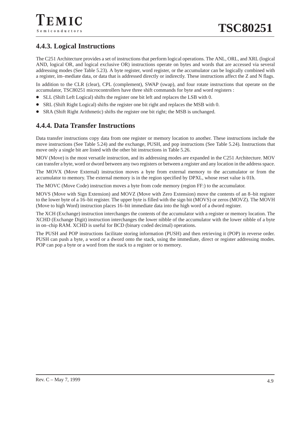### **4.4.3. Logical Instructions**

The C251 Architecture provides a set of instructions that perform logical operations. The ANL, ORL, and XRL (logical AND, logical OR, and logical exclusive OR) instructions operate on bytes and words that are accessed via several addressing modes (See Table 5.23). A byte register, word register, or the accumulator can be logically combined with a register, im–mediate data, or data that is addressed directly or indirectly. These instructions affect the Z and N flags.

In addition to the CLR (clear), CPL (complement), SWAP (swap), and four rotate instructions that operate on the accumulator, TSC80251 microcontrollers have three shift commands for byte and word registers :

- SLL (Shift Left Logical) shifts the register one bit left and replaces the LSB with 0.
- $\bullet$ SRL (Shift Right Logical) shifts the register one bit right and replaces the MSB with 0.
- $\bullet$ SRA (Shift Right Arithmetic) shifts the register one bit right; the MSB is unchanged.

### **4.4.4. Data Transfer Instructions**

Data transfer instructions copy data from one register or memory location to another. These instructions include the move instructions (See Table 5.24) and the exchange, PUSH, and pop instructions (See Table 5.24). Instructions that move only a single bit are listed with the other bit instructions in Table 5.26.

MOV (Move) is the most versatile instruction, and its addressing modes are expanded in the C251 Architecture. MOV can transfer a byte, word or dword between any two registers or between a register and any location in the address space.

The MOVX (Move External) instruction moves a byte from external memory to the accumulator or from the accumulator to memory. The external memory is in the region specified by DPXL, whose reset value is 01h.

The MOVC (Move Code) instruction moves a byte from code memory (region FF:) to the accumulator.

MOVS (Move with Sign Extension) and MOVZ (Move with Zero Extension) move the contents of an 8–bit register to the lower byte of a 16–bit register. The upper byte is filled with the sign bit (MOVS) or zeros (MOVZ). The MOVH (Move to high Word) instruction places 16–bit immediate data into the high word of a dword register.

The XCH (Exchange) instruction interchanges the contents of the accumulator with a register or memory location. The XCHD (Exchange Digit) instruction interchanges the lower nibble of the accumulator with the lower nibble of a byte in on–chip RAM. XCHD is useful for BCD (binary coded decimal) operations.

The PUSH and POP instructions facilitate storing information (PUSH) and then retrieving it (POP) in reverse order. PUSH can push a byte, a word or a dword onto the stack, using the immediate, direct or register addressing modes. POP can pop a byte or a word from the stack to a register or to memory.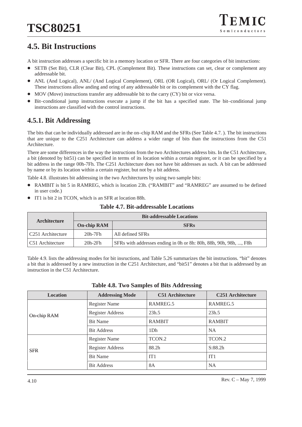# **4.5. Bit Instructions**

A bit instruction addresses a specific bit in a memory location or SFR. There are four categories of bit instructions:

- $\bullet$  SETB (Set Bit), CLR (Clear Bit), CPL (Complement Bit). These instructions can set, clear or complement any addressable bit.
- $\bullet$  ANL (And Logical), ANL/ (And Logical Complement), ORL (OR Logical), ORL/ (Or Logical Complement). These instructions allow anding and oring of any addressable bit or its complement with the CY flag.
- $\bullet$ MOV (Move) instructions transfer any addressable bit to the carry (CY) bit or vice versa.
- $\bullet$  Bit–conditional jump instructions execute a jump if the bit has a specified state. The bit–conditional jump instructions are classified with the control instructions.

### **4.5.1. Bit Addressing**

The bits that can be individually addressed are in the on–chip RAM and the SFRs (See Table 4.7. ). The bit instructions that are unique to the C251 Architecture can address a wider range of bits than the instructions from the C51 Architecture.

There are some differences in the way the instructions from the two Architectures address bits. In the C51 Architecture, a bit (denoted by bit51) can be specified in terms of its location within a certain register, or it can be specified by a bit address in the range 00h-7Fh. The C251 Architecture does not have bit addresses as such. A bit can be addressed by name or by its location within a certain register, but not by a bit address.

Table 4.8. illustrates bit addressing in the two Architectures by using two sample bits:

- $\bullet$  RAMBIT is bit 5 in RAMREG, which is location 23h. ("RAMBIT" and "RAMREG" are assumed to be defined in user code.)
- $\bullet$ IT1 is bit 2 in TCON, which is an SFR at location 88h.

| Architecture       |           | <b>Bit-addressable Locations</b>                                  |
|--------------------|-----------|-------------------------------------------------------------------|
| <b>On-chip RAM</b> |           | <b>SFRs</b>                                                       |
| C251 Architecture  | 20h-7Fh   | All defined SFRs                                                  |
| C51 Architecture   | $20h-2Fh$ | SFRs with addresses ending in 0h or 8h: 80h, 88h, 90h, 98h, , F8h |

#### **Table 4.7. Bit-addressable Locations**

Table 4.9. lists the addressing modes for bit insructions, and Table 5.26 summarizes the bit instructions. "bit" denotes a bit that is addressed by a new instruction in the C251 Architecture, and "bit51" denotes a bit that is addressed by an instruction in the C51 Architecture.

| <b>Location</b> | <b>Addressing Mode</b>  | <b>C51 Architecture</b> | <b>C251 Architecture</b> |
|-----------------|-------------------------|-------------------------|--------------------------|
| On-chip RAM     | <b>Register Name</b>    | RAMREG.5                | RAMREG.5                 |
|                 | <b>Register Address</b> | 23h.5                   | 23h.5                    |
|                 | <b>Bit Name</b>         | <b>RAMBIT</b>           | <b>RAMBIT</b>            |
|                 | <b>Bit Address</b>      | 1D <sub>h</sub>         | <b>NA</b>                |
| <b>SFR</b>      | <b>Register Name</b>    | TCON.2                  | TCON.2                   |
|                 | Register Address        | 88.2h                   | S:88.2h                  |
|                 | <b>Bit Name</b>         | IT <sub>1</sub>         | IT1                      |
|                 | <b>Bit Address</b>      | <b>8A</b>               | <b>NA</b>                |

|  |  |  |  | <b>Table 4.8. Two Samples of Bits Addressing</b> |
|--|--|--|--|--------------------------------------------------|
|--|--|--|--|--------------------------------------------------|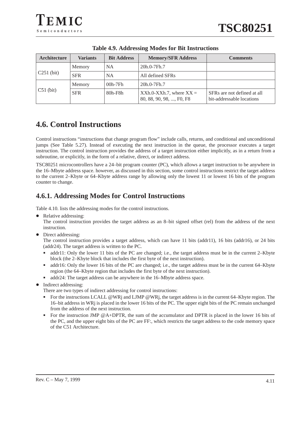| Architecture | <b>Variants</b> | <b>Bit Address</b> | <b>Memory/SFR Address</b>                                | <b>Comments</b>                                          |  |  |
|--------------|-----------------|--------------------|----------------------------------------------------------|----------------------------------------------------------|--|--|
| $C251$ (bit) | Memory          | <b>NA</b>          | 20h.0-7Fh.7                                              |                                                          |  |  |
|              | <b>SFR</b>      | <b>NA</b>          | All defined SFRs                                         |                                                          |  |  |
| $C51$ (bit)  | Memory          | $00h-7Fh$          | 20h.0-7Fh.7                                              |                                                          |  |  |
|              | <b>SFR</b>      | $80h$ - $F8h$      | $XXh.0-XXh.7$ , where $XX =$<br>80, 88, 90, 98, , F0, F8 | SFRs are not defined at all<br>bit-addressable locations |  |  |

**Table 4.9. Addressing Modes for Bit Instructions**

# **4.6. Control Instructions**

Control instructions "instructions that change program flow" include calls, returns, and conditional and unconditional jumps (See Table 5.27). Instead of executing the next instruction in the queue, the processor executes a target instruction. The control instruction provides the address of a target instruction either implicitly, as in a return from a subroutine, or explicitly, in the form of a relative, direct, or indirect address.

TSC80251 microcontrollers have a 24–bit program counter (PC), which allows a target instruction to be anywhere in the 16–Mbyte address space. however, as discussed in this section, some control instructions restrict the target address to the current 2–Kbyte or 64–Kbyte address range by allowing only the lowest 11 or lowest 16 bits of the program counter to change.

### **4.6.1. Addressing Modes for Control Instructions**

Table 4.10. lists the addressing modes for the control instructions.

 $\bullet$ Relative addressing:

The control instruction provides the target address as an 8–bit signed offset (rel) from the address of the next instruction.

• Direct addressing:

The control instruction provides a target address, which can have 11 bits (addr11), 16 bits (addr16), or 24 bits (addr24). The target address is written to the PC.

- addr11: Only the lower 11 bits of the PC are changed; i.e., the target address must be in the current 2–Kbyte block (the 2–Kbyte block that includes the first byte of the next instruction).
- addr16: Only the lower 16 bits of the PC are changed; i.e., the target address must be in the current 64–Kbyte region (the 64–Kbyte region that includes the first byte of the next instruction).
- addr24: The target address can be anywhere in the 16–Mbyte address space.
- Indirect addressing:

There are two types of indirect addressing for control instructions:

- -For the instructions LCALL @WRj and LJMP @WRj, the target address is in the current 64–Kbyte region. The 16–bit address in WRj is placed in the lower 16 bits of the PC. The upper eight bits of the PC remain unchanged from the address of the next instruction.
- - For the instruction JMP @A+DPTR, the sum of the accumulator and DPTR is placed in the lower 16 bits of the PC, and the upper eight bits of the PC are FF:, which restricts the target address to the code memory space of the C51 Architecture.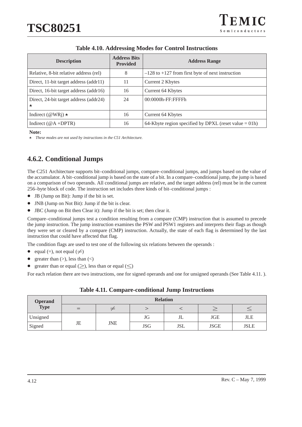| <b>Description</b>                                | <b>Address Bits</b><br><b>Provided</b> | <b>Address Range</b>                                     |
|---------------------------------------------------|----------------------------------------|----------------------------------------------------------|
| Relative, 8-bit relative address (rel)            | 8                                      | $-128$ to $+127$ from first byte of next instruction     |
| Direct, 11-bit target address (addr11)            | 11                                     | Current 2 Kbytes                                         |
| Direct, 16-bit target address (addr16)            | 16                                     | Current 64 Kbytes                                        |
| Direct, 24-bit target address (addr24)<br>$\star$ | 24                                     | 00:0000h-FF:FFFFh                                        |
| Indirect ( $@WRj$ ) $\star$                       | 16                                     | Current 64 Kbytes                                        |
| Indirect $(\textcircled{a}$ +DPTR)                | 16                                     | 64-Kbyte region specified by DPXL (reset value $= 01h$ ) |

## **Table 4.10. Addressing Modes for Control Instructions**

**Note:**

*These modes are not used by instructions in the C51 Architecture.*

# **4.6.2. Conditional Jumps**

The C251 Architecture supports bit–conditional jumps, compare–conditional jumps, and jumps based on the value of the accumulator. A bit–conditional jump is based on the state of a bit. In a compare–conditional jump, the jump is based on a comparison of two operands. All conditional jumps are relative, and the target address (rel) must be in the current 256–byte block of code. The instruction set includes three kinds of bit–conditional jumps :

- -JB (Jump on Bit): Jump if the bit is set.
- $\bullet$ JNB (Jump on Not Bit): Jump if the bit is clear.
- $\bullet$ JBC (Jump on Bit then Clear it): Jump if the bit is set; then clear it.

Compare–conditional jumps test a condition resulting from a compare (CMP) instruction that is assumed to precede the jump instruction. The jump instruction examines the PSW and PSW1 registers and interprets their flags as though they were set or cleared by a compare (CMP) instruction. Actually, the state of each flag is determined by the last instruction that could have affected that flag.

The condition flags are used to test one of the following six relations between the operands :

- $\bullet$ equal (=), not equal ( $\neq$ )
- $\bullet$ greater than  $(>)$ , less than  $($
- $\bullet$ • greater than or equal  $(\ge)$ , less than or equal  $(\le)$

For each relation there are two instructions, one for signed operands and one for unsigned operands (See Table 4.11.).

| <b>Operand</b> | <b>Relation</b> |            |            |            |             |             |  |  |
|----------------|-----------------|------------|------------|------------|-------------|-------------|--|--|
| <b>Type</b>    |                 |            |            |            |             |             |  |  |
| Unsigned       |                 |            | JG         | JL         | <b>JGE</b>  | JLE         |  |  |
| Signed         | JE              | <b>JNE</b> | <b>JSG</b> | <b>JSL</b> | <b>JSGE</b> | <b>JSLE</b> |  |  |

| <b>Table 4.11. Compare-conditional Jump Instructions</b> |  |  |
|----------------------------------------------------------|--|--|
|                                                          |  |  |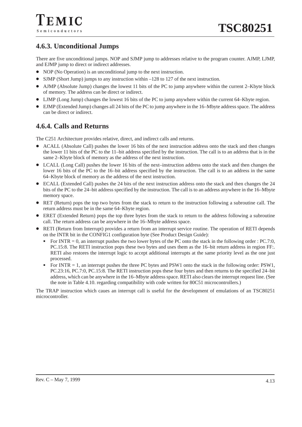# **4.6.3. Unconditional Jumps**

There are five unconditional jumps. NOP and SJMP jump to addresses relative to the program counter. AJMP, LJMP, and EJMP jump to direct or indirect addresses.

- NOP (No Operation) is an unconditional jump to the next instruction.
- SJMP (Short Jump) jumps to any instruction within –128 to 127 of the next instruction.
- AJMP (Absolute Jump) changes the lowest 11 bits of the PC to jump anywhere within the current 2–Kbyte block of memory. The address can be direct or indirect.
- LJMP (Long Jump) changes the lowest 16 bits of the PC to jump anywhere within the current 64–Kbyte region.
- $\bullet$  EJMP (Extended Jump) changes all 24 bits of the PC to jump anywhere in the 16–Mbyte address space. The address can be direct or indirect.

# **4.6.4. Calls and Returns**

The C251 Architecture provides relative, direct, and indirect calls and returns.

- ACALL (Absolute Call) pushes the lower 16 bits of the next instruction address onto the stack and then changes the lower 11 bits of the PC to the 11–bit address specified by the instruction. The call is to an address that is in the same 2–Kbyte block of memory as the address of the next instruction.
- LCALL (Long Call) pushes the lower 16 bits of the next–instruction address onto the stack and then changes the lower 16 bits of the PC to the 16–bit address specified by the instruction. The call is to an address in the same 64–Kbyte block of memory as the address of the next instruction.
- ECALL (Extended Call) pushes the 24 bits of the next instruction address onto the stack and then changes the 24 bits of the PC to the 24–bit address specified by the instruction. The call is to an address anywhere in the 16–Mbyte memory space.
- RET (Return) pops the top two bytes from the stack to return to the instruction following a subroutine call. The return address must be in the same 64–Kbyte region.
- ERET (Extended Return) pops the top three bytes from the stack to return to the address following a subroutine call. The return address can be anywhere in the 16–Mbyte address space.
- RETI (Return from Interrupt) provides a return from an interrupt service routine. The operation of RETI depends on the INTR bit in the CONFIG1 configuration byte (See Product Design Guide):
	- - For INTR = 0, an interrupt pushes the two lower bytes of the PC onto the stack in the following order : PC.7:0, PC.15:8. The RETI instruction pops these two bytes and uses them as the 16–bit return address in region FF:. RETI also restores the interrupt logic to accept additional interrupts at the same priority level as the one just processed.
	- - For INTR = 1, an interrupt pushes the three PC bytes and PSW1 onto the stack in the following order: PSW1, PC.23:16, PC.7:0, PC.15:8. The RETI instruction pops these four bytes and then returns to the specified 24–bit address, which can be anywhere in the 16–Mbyte address space. RETI also clears the interrupt request line. (See the note in Table 4.10. regarding compatibility with code written for 80C51 microcontrollers.)

The TRAP instruction which caues an interrupt call is useful for the development of emulations of an TSC80251 microcontroller.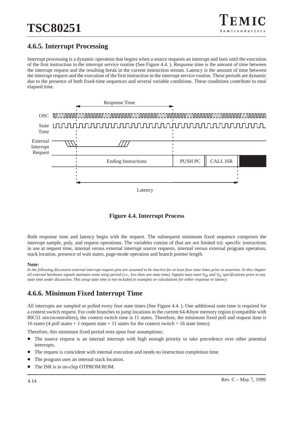# **4.6.5. Interrupt Processing**

Interrupt processing is a dynamic operation that begins when a source requests an interrupt and lasts until the execution of the first instruction in the interrupt service routine (See Figure 4.4. ). Response time is the amount of time between the interrupt request and the resulting break in the current instruction stream. Latency is the amount of time between the interrupt request and the execution of the first instruction in the interrupt service routine. These periods are dynamic due to the presence of both fixed-time sequences and several variable conditions. These conditions contribute to total elapsed time.



**Figure 4.4. Interrupt Process**

Both response time and latency begin with the request. The subsequent minimum fixed sequence comprises the interrupt sample, poly, and request operations. The variables consist of (but are not limited to): specific instructions in use at request time, internal versus external interrupt source requests, internal versus external program operation, stack location, presence of wait states, page-mode operation and branch pointer length.

### **Note:**

*In the following discussion external interrupt request pins are assumed to be inactive for at least four state times prior to assertion. In this chapter all external hardware signals maintain some setup period (i.e., less than one state time). Signals must meet VIH and VIL specifications prior to any state time under discussion. This setup state time is not included in examples or calculations for either response or latency.*

# **4.6.6. Minimum Fixed Interrupt Time**

All interrupts are sampled or polled every four state times (See Figure 4.4. ). One additional state time is required for a context switch request. For code branches to jump locations in the current 64-Kbyte memory region (compatible with 80C51 microcontrollers), the context switch time is 11 states. Therefore, the minimum fixed poll and request time is 16 states (4 poll states + 1 request state + 11 states for the context switch = 16 state times).

Therefore, this minimum fixed period rests upon four assumptions:

- $\bullet$  The source request is an internal interrupt with high enough priority to take precedence over other potential interrupts.
- $\bullet$ The request is coincident with internal execution and needs no instruction completion time.
- $\bullet$ The program uses an internal stack location.
- $\bullet$ The ISR is in on-chip OTPROM/ROM.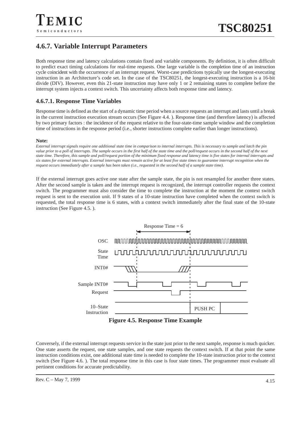# **4.6.7. Variable Interrupt Parameters**

Both response time and latency calculations contain fixed and variable components. By definition, it is often difficult to predict exact timing calculations for real-time requests. One large variable is the completion time of an instruction cycle coincident with the occurrence of an interrupt request. Worst-case predictions typically use the longest-executing instruction in an Architecture's code set. In the case of the TSC80251, the longest-executing instruction is a 16-bit divide (DIV). However, even this 21-state instruction may have only 1 or 2 remaining states to complete before the interrupt system injects a context switch. This uncertainty affects both response time and latency.

## **4.6.7.1. Response Time Variables**

Response time is defined as the start of a dynamic time period when a source requests an interrupt and lasts until a break in the current instruction execution stream occurs (See Figure 4.4. ). Response time (and therefore latency) is affected by two primary factors : the incidence of the request relative to the four-state-time sample window and the completion time of instructions in the response period (i.e., shorter instructions complete earlier than longer instructions).

#### **Note:**

*External interrupt signals require one additional state time in comparison to internal interrupts. This is necessary to sample and latch the pin value prior to a poll of interrupts. The sample occurs in the first half of the state time and the poll/request occurs in the second half of the next state time. Therefore, this sample and poll/request portion of the minimum fixed response and latency time is five states for internal interrupts and six states for external interrupts. External interrupts must remain active for at least five state times to guarantee interrupt recognition when the request occurs immediately after a sample has been taken (i.e., requested in the second half of a sample state time).*

If the external interrupt goes active one state after the sample state, the pin is not resampled for another three states. After the second sample is taken and the interrupt request is recognized, the interrupt controller requests the context switch. The programmer must also consider the time to complete the instruction at the moment the context switch request is sent to the execution unit. If 9 states of a 10-state instruction have completed when the context switch is requested, the total response time is 6 states, with a context switch immediately after the final state of the 10-state instruction (See Figure 4.5. ).





Conversely, if the external interrupt requests service in the state just prior to the next sample, response is much quicker. One state asserts the request, one state samples, and one state requests the context switch. If at that point the same instruction conditions exist, one additional state time is needed to complete the 10-state instruction prior to the context switch (See Figure 4.6. ). The total response time in this case is four state times. The programmer must evaluate all pertinent conditions for accurate predictability.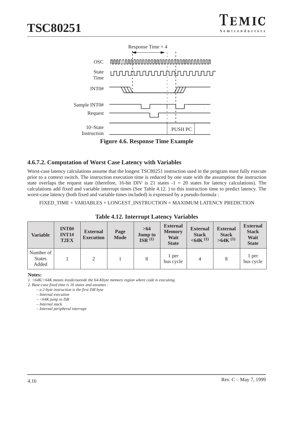

**Figure 4.6. Response Time Example**

## **4.6.7.2. Computation of Worst Case Latency with Variables**

Worst-case latency calculations assume that the longest TSC80251 instruction used in the program must fully execute prior to a context switch. The instruction execution time is reduced by one state with the assumption the instruction state overlaps the request state (therefore, 16-bit DIV is 21 states  $-1 = 20$  states for latency calculations). The calculations add fixed and variable interrupt times (See Table 4.12. ) to this instruction time to predict latency. The worst-case latency (both fixed and variable times included) is expressed by a pseudo-formula :

FIXED\_TIME + VARIABLES + LONGEST\_INSTRUCTION = MAXIMUM LATENCY PREDICTION

| Variable                            | <b>INT0#</b><br><b>INT1#</b><br>T <sub>2</sub> EX | <b>External</b><br><b>Execution</b> | Page<br><b>Mode</b> | >64<br><b>Jump to</b><br>ISR <sup>(1)</sup> | <b>External</b><br><b>Memory</b><br>Wait<br><b>State</b> | <b>External</b><br><b>Stack</b><br>$<$ 64K $(1)$ | <b>External</b><br><b>Stack</b><br>$>64K$ <sup>(1)</sup> | <b>External</b><br><b>Stack</b><br>Wait<br><b>State</b> |
|-------------------------------------|---------------------------------------------------|-------------------------------------|---------------------|---------------------------------------------|----------------------------------------------------------|--------------------------------------------------|----------------------------------------------------------|---------------------------------------------------------|
| Number of<br><b>States</b><br>Added |                                                   | 2                                   |                     | 8                                           | 1 per<br>bus cycle                                       | 4                                                | 8                                                        | 1 per<br>bus cycle                                      |

## **Table 4.12. Interrupt Latency Variables**

#### **Notes:**

*1. <64K/>64K means inside/outside the 64-Kbyte memory region where code is executing.*

*2. Base-case fixed time is 16 states and assumes :*

*– a 2-byte instruction is the first ISR byte*

*– Internal execution*

*– <64K jump to ISR*

*– Internal stack*

*– Internal peripheral interrupt*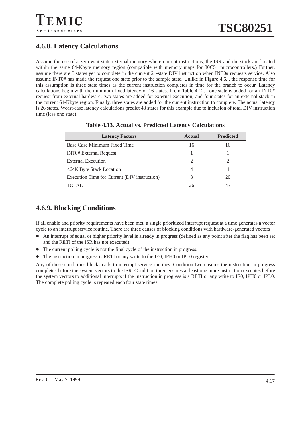# **4.6.8. Latency Calculations**

Assume the use of a zero-wait-state external memory where current instructions, the ISR and the stack are located within the same 64-Kbyte memory region (compatible with memory maps for 80C51 microcontrollers.) Further, assume there are 3 states yet to complete in the current 21-state DIV instruction when INT0# requests service. Also assume INT0# has made the request one state prior to the sample state. Unlike in Figure 4.6. , the response time for this assumption is three state times as the current instruction completes in time for the branch to occur. Latency calculations begin with the minimum fixed latency of 16 states. From Table 4.12. , one state is added for an INT0# request from external hardware; two states are added for external execution; and four states for an external stack in the current 64-Kbyte region. Finally, three states are added for the current instruction to complete. The actual latency is 26 states. Worst-case latency calculations predict 43 states for this example due to inclusion of total DIV instruction time (less one state).

| <b>Latency Factors</b>                       | <b>Actual</b> | <b>Predicted</b> |
|----------------------------------------------|---------------|------------------|
| Base Case Minimum Fixed Time                 | 16            | 16               |
| <b>INTO# External Request</b>                |               |                  |
| <b>External Execution</b>                    |               |                  |
| <64K Byte Stack Location                     |               |                  |
| Execution Time for Current (DIV instruction) |               | 20               |
| <b>TOTAL</b>                                 | 26            |                  |

## **Table 4.13. Actual vs. Predicted Latency Calculations**

# **4.6.9. Blocking Conditions**

If all enable and priority requirements have been met, a single prioritized interrupt request at a time generates a vector cycle to an interrupt service routine. There are three causes of blocking conditions with hardware-generated vectors :

- An interrupt of equal or higher priority level is already in progress (defined as any point after the flag has been set and the RETI of the ISR has not executed).
- $\bullet$ The current polling cycle is not the final cycle of the instruction in progress.
- $\bullet$ The instruction in progress is RETI or any write to the IE0, IPH0 or IPL0 registers.

Any of these conditions blocks calls to interrupt service routines. Condition two ensures the instruction in progress completes before the system vectors to the ISR. Condition three ensures at least one more instruction executes before the system vectors to additional interrupts if the instruction in progress is a RETI or any write to IE0, IPH0 or IPL0. The complete polling cycle is repeated each four state times.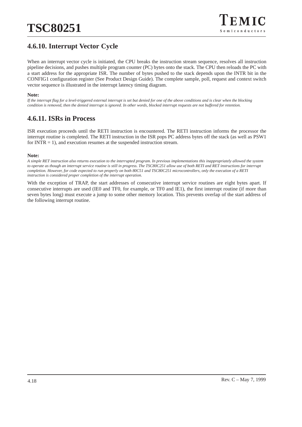# **4.6.10. Interrupt Vector Cycle**

When an interrupt vector cycle is initiated, the CPU breaks the instruction stream sequence, resolves all instruction pipeline decisions, and pushes multiple program counter (PC) bytes onto the stack. The CPU then reloads the PC with a start address for the appropriate ISR. The number of bytes pushed to the stack depends upon the INTR bit in the CONFIG1 configuration register (See Product Design Guide). The complete sample, poll, request and context switch vector sequence is illustrated in the interrupt latency timing diagram.

#### **Note:**

*If the interrupt flag for a level-triggered external interrupt is set but denied for one of the above conditions and is clear when the blocking condition is removed, then the denied interrupt is ignored. In other words, blocked interrupt requests are not buffered for retention.*

# **4.6.11. ISRs in Process**

ISR execution proceeds until the RETI instruction is encountered. The RETI instruction informs the processor the interrupt routine is completed. The RETI instruction in the ISR pops PC address bytes off the stack (as well as PSW1 for  $INTER = 1$ , and execution resumes at the suspended instruction stream.

#### **Note:**

*A simple RET instruction also returns execution to the interrupted program. In previous implementations this inappropriately allowed the system to operate as though an interrupt service routine is still in progress. The TSC80C251 allow use of both RETI and RET instructions for interrupt completion. However, for code expected to run properly on both 80C51 and TSC80C251 microcontrollers, only the execution of a RETI instruction is considered proper completion of the interrupt operation.*

With the exception of TRAP, the start addresses of consecutive interrupt service routines are eight bytes apart. If consecutive interrupts are used (IE0 and TF0, for example, or TF0 and IE1), the first interrupt routine (if more than seven bytes long) must execute a jump to some other memory location. This prevents overlap of the start address of the following interrupt routine.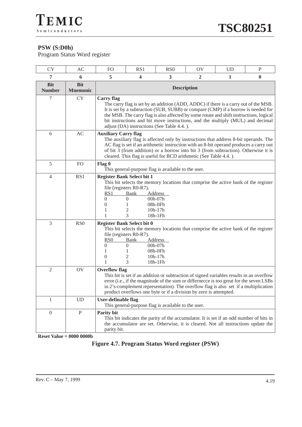# **PSW (S:D0h)**

Program Status Word register

| <b>CY</b>                   | AC                            | F <sub>O</sub>                                                                                                                                                                                                                                                                                                                                                           | RS1                                                                                                                                                                                                                                                                                                                                                                                                  | R <sub>S</sub> <sub>0</sub>                                                                                                                                                   | OV | <b>UD</b> | $\mathbf{P}$ |  |  |
|-----------------------------|-------------------------------|--------------------------------------------------------------------------------------------------------------------------------------------------------------------------------------------------------------------------------------------------------------------------------------------------------------------------------------------------------------------------|------------------------------------------------------------------------------------------------------------------------------------------------------------------------------------------------------------------------------------------------------------------------------------------------------------------------------------------------------------------------------------------------------|-------------------------------------------------------------------------------------------------------------------------------------------------------------------------------|----|-----------|--------------|--|--|
| 7                           | 6                             | 5                                                                                                                                                                                                                                                                                                                                                                        | 4                                                                                                                                                                                                                                                                                                                                                                                                    | 3                                                                                                                                                                             | 2  | 1         | $\bf{0}$     |  |  |
| <b>Bit</b><br><b>Number</b> | <b>Bit</b><br><b>Mnemonic</b> |                                                                                                                                                                                                                                                                                                                                                                          |                                                                                                                                                                                                                                                                                                                                                                                                      | <b>Description</b>                                                                                                                                                            |    |           |              |  |  |
| 7                           | <b>CY</b>                     | <b>Carry</b> flag                                                                                                                                                                                                                                                                                                                                                        | The carry flag is set by an addition (ADD, ADDC) if there is a carry out of the MSB.<br>It is set by a subtraction (SUB, SUBB) or compare (CMP) if a borrow is needed for<br>the MSB. The carry flag is also affected by some rotate and shift instructions, logical<br>bit instructions and bit move instructions, and the multiply (MUL) and decimal<br>adjust (DA) instructions (See Table 4.4.). |                                                                                                                                                                               |    |           |              |  |  |
| 6                           | AC                            |                                                                                                                                                                                                                                                                                                                                                                          | <b>Auxiliary Carry flag</b><br>The auxiliary flag is affected only by instructions that address 8-bit operands. The<br>AC flag is set if an arithmetic instruction with an 8-bit operand produces a carry out<br>of bit 3 (from addition) or a borrow into bit 3 (from subtraction). Otherwise it is<br>cleared. This flag is useful for BCD arithmetic (See Table 4.4.).                            |                                                                                                                                                                               |    |           |              |  |  |
| 5                           | FO                            | Flag 0                                                                                                                                                                                                                                                                                                                                                                   |                                                                                                                                                                                                                                                                                                                                                                                                      | This general-purpose flag is available to the user.                                                                                                                           |    |           |              |  |  |
| $\overline{4}$              | RS1                           | <b>Register Bank Select bit 1</b><br><u>RS1</u><br>0<br>$\overline{0}$<br>1                                                                                                                                                                                                                                                                                              | file (registers R0-R7).<br><u>Bank</u><br>$\theta$<br>2<br>3                                                                                                                                                                                                                                                                                                                                         | This bit selects the memory locations that comprise the active bank of the register<br><b>Address</b><br>00h-07h<br>08h-0Fh<br>$10h-17h$<br>18h-1Fh                           |    |           |              |  |  |
| 3                           | RS <sub>0</sub>               | <b>Register Bank Select bit 0</b><br>RS <sub>0</sub><br>0<br>1<br>$\theta$<br>1                                                                                                                                                                                                                                                                                          | file (registers R0-R7).<br>Bank<br>$\overline{0}$<br>2<br>3                                                                                                                                                                                                                                                                                                                                          | This bit selects the memory locations that comprise the active bank of the register<br>Address<br>00h-07h<br>08h-0Fh<br>$10h-17h$<br>18h-1Fh                                  |    |           |              |  |  |
| $\overline{2}$              | OV                            | <b>Overflow flag</b><br>This bit is set if an addition or subtraction of signed variables results in an overflow<br>error (i.e., if the magnitude of the sum or differnecce is too great for the seven LSBs<br>in 2's-complement representation). The overflow flag is also set if a multiplication<br>product overflows one byte or if a division by zero is attempted. |                                                                                                                                                                                                                                                                                                                                                                                                      |                                                                                                                                                                               |    |           |              |  |  |
| 1                           | UD                            | <b>User-definable flag</b>                                                                                                                                                                                                                                                                                                                                               |                                                                                                                                                                                                                                                                                                                                                                                                      | This general-purpose flag is available to the user.                                                                                                                           |    |           |              |  |  |
| $\mathbf{0}$                | $\, {\bf P}$                  | Parity bit<br>parity bit.                                                                                                                                                                                                                                                                                                                                                |                                                                                                                                                                                                                                                                                                                                                                                                      | This bit indicates the parity of the accumulator. It is set if an odd number of bits in<br>the accumulator are set. Otherwise, it is cleared. Not all instructions update the |    |           |              |  |  |

**Reset Value = 0000 0000b**

**Figure 4.7. Program Status Word register (PSW)**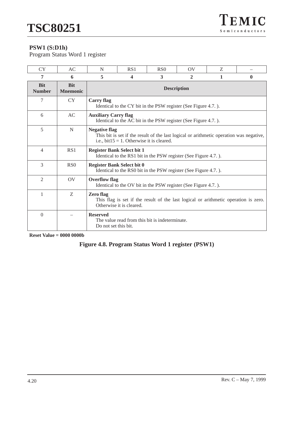# **PSW1 (S:D1h)**

Program Status Word 1 register

| <b>CY</b>                   | AC                            | N                                       | RS1                                                                                                                                                          | RS <sub>0</sub>                                                 | $\overline{O}V$ | Z |   |  |
|-----------------------------|-------------------------------|-----------------------------------------|--------------------------------------------------------------------------------------------------------------------------------------------------------------|-----------------------------------------------------------------|-----------------|---|---|--|
| 7                           | 6                             | 5                                       | 4                                                                                                                                                            | 3                                                               | $\mathbf{2}$    | 1 | 0 |  |
| <b>Bit</b><br><b>Number</b> | <b>Bit</b><br><b>Mnemonic</b> |                                         |                                                                                                                                                              | <b>Description</b>                                              |                 |   |   |  |
| 7                           | <b>CY</b>                     | <b>Carry flag</b>                       |                                                                                                                                                              | Identical to the CY bit in the PSW register (See Figure 4.7.).  |                 |   |   |  |
| 6                           | AC                            | <b>Auxiliary Carry flag</b>             |                                                                                                                                                              | Identical to the AC bit in the PSW register (See Figure 4.7.).  |                 |   |   |  |
| 5                           | N                             |                                         | <b>Negative flag</b><br>This bit is set if the result of the last logical or arithmetic operation was negative,<br>i.e., bit15 = 1. Otherwise it is cleared. |                                                                 |                 |   |   |  |
| $\overline{4}$              | RS1                           |                                         | <b>Register Bank Select bit 1</b>                                                                                                                            | Identical to the RS1 bit in the PSW register (See Figure 4.7.). |                 |   |   |  |
| 3                           | R <sub>S</sub> <sub>0</sub>   |                                         | <b>Register Bank Select bit 0</b>                                                                                                                            | Identical to the RS0 bit in the PSW register (See Figure 4.7.). |                 |   |   |  |
| $\overline{2}$              | $\overline{O}V$               | <b>Overflow flag</b>                    |                                                                                                                                                              | Identical to the OV bit in the PSW register (See Figure 4.7.).  |                 |   |   |  |
| 1                           | Z                             | Zero flag                               | This flag is set if the result of the last logical or arithmetic operation is zero.<br>Otherwise it is cleared.                                              |                                                                 |                 |   |   |  |
| $\Omega$                    |                               | <b>Reserved</b><br>Do not set this bit. |                                                                                                                                                              | The value read from this bit is indeterminate.                  |                 |   |   |  |

**Reset Value = 0000 0000b**

# **Figure 4.8. Program Status Word 1 register (PSW1)**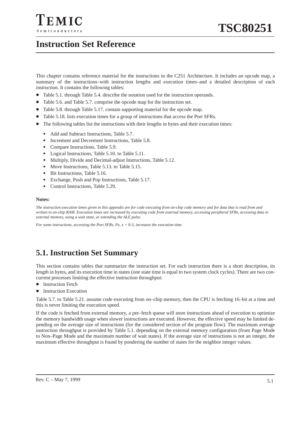# **Instruction Set Reference**

This chapter contains reference material for the instructions in the C251 Architecture. It includes an opcode map, a summary of the instructions–with instruction lengths and execution times–and a detailed description of each instruction. It contains the following tables:

- $\bullet$ Table 5.1. through Table 5.4. describe the notation used for the instruction operands.
- $\bullet$ Table 5.6. and Table 5.7. comprise the opcode map for the instruction set.
- Table 5.8. through Table 5.17. contain supporting material for the opcode map.
- $\bullet$ Table 5.18. lists execution times for a group of instructions that access the Port SFRs.
- $\bullet$  The following tables list the instructions with their lengths in bytes and their execution times:
	- -Add and Subtract Instructions, Table 5.7.
	- -Increment and Decrement Instructions, Table 5.8.
	- -Compare Instructions, Table 5.9.
	- Logical Instructions, Table 5.10. to Table 5.11.
	- -Multiply, Divide and Decimal-adjust Instructions, Table 5.12.
	- -Move Instructions, Table 5.13. to Table 5.15.
	- -Bit Instructions, Table 5.16.
	- -Exchange, Push and Pop Instructions, Table 5.17.
	- -Control Instructions, Table 5.29.

#### **Notes:**

*The instruction execution times given in this appendix are for code executing from on-chip code memory and for data that is read from and written to on-chip RAM. Execution times are increased by executing code from external memory, accessing peripheral SFRs, accessing data in external memory, using a wait state, or extending the ALE pulse.*

*For some instructions, accessing the Port SFRs, Px, x = 0-3, increases the execution time.*

# **5.1. Instruction Set Summary**

This section contains tables that summarize the instruction set. For each instruction there is a short description, its length in bytes, and its execution time in states (one state time is equal to two system clock cycles). There are two concurrent processes limiting the effective instruction throughput:

- $\bullet$  Instruction Fetch
- Instruction Execution

Table 5.7. to Table 5.21. assume code executing from on–chip memory, then the CPU is fetching 16–bit at a time and this is never limiting the execution speed.

If the code is fetched from external memory, a pre–fetch queue will store instructions ahead of execution to optimize the memory bandwidth usage when slower instructions are executed. However, the effective speed may be limited depending on the average size of instructions (for the considered section of the program flow). The maximum average instruction throughput is provided by Table 5.1. depending on the external memory configuration (from Page Mode to Non–Page Mode and the maximum number of wait states). If the average size of instructions is not an integer, the maximum effective throughput is found by pondering the number of states for the neighbor integer values.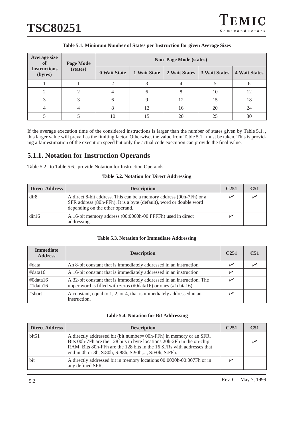| <b>Average size</b><br>0Ì                  | Page Mode    |              |               | <b>Non-Page Mode (states)</b> |                      |    |
|--------------------------------------------|--------------|--------------|---------------|-------------------------------|----------------------|----|
| <b>Instructions</b><br>(states)<br>(bytes) | 0 Wait State | 1 Wait State | 2 Wait States | <b>3 Wait States</b>          | <b>4 Wait States</b> |    |
|                                            |              | ∍            |               |                               |                      |    |
|                                            |              |              |               |                               | 10                   | 12 |
|                                            |              | h            |               | 12                            | 15                   | 18 |
|                                            |              | 8            | 12            | 16                            | 20                   | 24 |
|                                            |              | 10           | 15            | 20                            | 25                   | 30 |

### **Table 5.1. Minimum Number of States per Instruction for given Average Sizes**

If the average execution time of the considered instructions is larger than the number of states given by Table 5.1. , this larger value will prevail as the limiting factor. Otherwise, the value from Table 5.1. must be taken. This is providing a fair estimation of the execution speed but only the actual code execution can provide the final value.

# **5.1.1. Notation for Instruction Operands**

Table 5.2. to Table 5.6. provide Notation for Instruction Operands.

#### **Table 5.2. Notation for Direct Addressing**

| <b>Direct Address</b> | <b>Description</b>                                                                                                                                                           | C <sub>251</sub> | C <sub>51</sub> |
|-----------------------|------------------------------------------------------------------------------------------------------------------------------------------------------------------------------|------------------|-----------------|
| dir8                  | A direct 8-bit address. This can be a memory address (00h-7Fh) or a<br>SFR address (80h-FFh). It is a byte (default), word or double word<br>depending on the other operand. |                  |                 |
| dir16                 | A 16-bit memory address (00:0000h-00:FFFFh) used in direct<br>addressing.                                                                                                    |                  |                 |

### **Table 5.3. Notation for Immediate Addressing**

| <b>Immediate</b><br><b>Address</b> | <b>Description</b>                                                                                                                       | C <sub>251</sub> | C <sub>51</sub> |
|------------------------------------|------------------------------------------------------------------------------------------------------------------------------------------|------------------|-----------------|
| #data                              | An 8-bit constant that is immediately addressed in an instruction                                                                        | سما              |                 |
| #data16                            | A 16-bit constant that is immediately addressed in an instruction                                                                        |                  |                 |
| $\#0$ data16<br>$\#1$ data16       | A 32-bit constant that is immediately addressed in an instruction. The<br>upper word is filled with zeros (#0data16) or ones (#1data16). |                  |                 |
| #short                             | A constant, equal to 1, 2, or 4, that is immediately addressed in an<br>instruction.                                                     |                  |                 |

#### **Table 5.4. Notation for Bit Addressing**

| <b>Direct Address</b> | <b>Description</b>                                                                                                                                                                                                                                                             | C <sub>251</sub> | C <sub>51</sub> |
|-----------------------|--------------------------------------------------------------------------------------------------------------------------------------------------------------------------------------------------------------------------------------------------------------------------------|------------------|-----------------|
| bit51                 | A directly addressed bit (bit number= 00h-FFh) in memory or an SFR.<br>Bits 00h-7Fh are the 128 bits in byte locations 20h-2Fh in the on-chip<br>RAM. Bits 80h-FFh are the 128 bits in the 16 SFRs with addresses that<br>end in 0h or 8h, S:80h, S:88h, S:90h,, S:F0h, S:F8h. |                  |                 |
| bit                   | A directly addressed bit in memory locations 00:0020h-00:007Fh or in<br>any defined SFR.                                                                                                                                                                                       |                  |                 |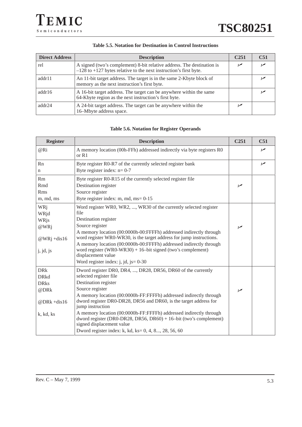| <b>Direct Address</b> | <b>Description</b>                                                                                                                              | C <sub>251</sub> | C <sub>51</sub> |
|-----------------------|-------------------------------------------------------------------------------------------------------------------------------------------------|------------------|-----------------|
| rel                   | A signed (two's complement) 8-bit relative address. The destination is<br>$-128$ to $+127$ bytes relative to the next instruction's first byte. |                  |                 |
| addr11                | An 11-bit target address. The target is in the same 2-Kbyte block of<br>memory as the next instruction's first byte.                            |                  |                 |
| addr16                | A 16-bit target address. The target can be anywhere within the same<br>64-Kbyte region as the next instruction's first byte.                    |                  |                 |
| addr24                | A 24-bit target address. The target can be anywhere within the<br>16-Mbyte address space.                                                       |                  |                 |

### **Table 5.5. Notation for Destination in Control Instructions**

### **Table 5.6. Notation for Register Operands**

| <b>Register</b>   | <b>Description</b>                                                                                                                                                      | C <sub>251</sub> | C <sub>51</sub> |
|-------------------|-------------------------------------------------------------------------------------------------------------------------------------------------------------------------|------------------|-----------------|
| @Ri               | A memory location (00h-FFh) addressed indirectly via byte registers R0<br>or R1                                                                                         |                  | سما             |
| Rn                | Byte register R0-R7 of the currently selected register bank                                                                                                             |                  | $\sqrt{}$       |
| n                 | Byte register index: $n=0-7$                                                                                                                                            |                  |                 |
| <b>Rm</b>         | Byte register R0-R15 of the currently selected register file                                                                                                            |                  |                 |
| Rmd               | Destination register                                                                                                                                                    | سما              |                 |
| <b>Rms</b>        | Source register                                                                                                                                                         |                  |                 |
| m, md, ms         | Byte register index: m, md, ms= 0-15                                                                                                                                    |                  |                 |
| WRj               | Word register WR0, WR2, , WR30 of the currently selected register                                                                                                       |                  |                 |
| WRjd              | file                                                                                                                                                                    |                  |                 |
| WRjs              | Destination register                                                                                                                                                    |                  |                 |
| $@WR$ j           | Source register                                                                                                                                                         | مھرا             |                 |
|                   | A memory location (00:0000h-00:FFFFh) addressed indirectly through                                                                                                      |                  |                 |
| @WRj +dis16       | word register WR0-WR30, is the target address for jump instructions.                                                                                                    |                  |                 |
|                   | A memory location (00:0000h-00:FFFFh) addressed indirectly through<br>word register (WR0-WR30) + $16$ -bit signed (two's complement)                                    |                  |                 |
| $j$ , $jd$ , $js$ | displacement value                                                                                                                                                      |                  |                 |
|                   | Word register index: $\mathbf{i}$ , $\mathbf{j}$ , $\mathbf{k}$ = 0-30                                                                                                  |                  |                 |
| <b>DR</b> k       | Dword register DR0, DR4, , DR28, DR56, DR60 of the currently                                                                                                            |                  |                 |
| <b>DRkd</b>       | selected register file                                                                                                                                                  |                  |                 |
| <b>DRks</b>       | Destination register                                                                                                                                                    |                  |                 |
| @DRk              | Source register                                                                                                                                                         | $\overline{v}$   |                 |
| @DRk +dis16       | A memory location (00:0000h-FF:FFFFh) addressed indirectly through<br>dword register DR0-DR28, DR56 and DR60, is the target address for<br>jump instruction             |                  |                 |
| k, kd, ks         | A memory location (00:0000h-FF:FFFFh) addressed indirectly through<br>dword register (DR0-DR28, DR56, DR60) + $16$ -bit (two's complement)<br>signed displacement value |                  |                 |
|                   | Dword register index: k, kd, ks= 0, 4, 8, 28, 56, 60                                                                                                                    |                  |                 |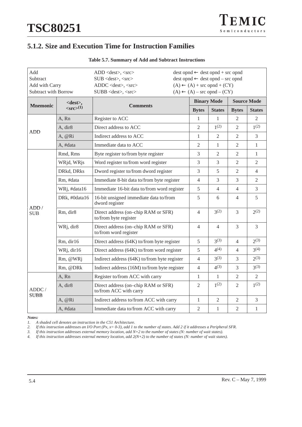# **5.1.2. Size and Execution Time for Instruction Families**

| Add<br>Subtract             |                                    | $ADD <$ dest>, $<$ src>                                       |                                            |                | $dest opnd \leftarrow dest opnd + src opnd$<br>$dest opnd \leftarrow dest opnd - src opnd$<br><b>Source Mode</b><br><b>States</b><br><b>Bytes</b><br><b>States</b><br>$\overline{2}$<br>1<br>2<br>$1^{(2)}$<br>1 <sup>(2)</sup><br>$\overline{2}$<br>$\overline{2}$<br>$\overline{2}$<br>3<br>1<br>$\mathfrak{2}$<br>1<br>2<br>$\mathbf{1}$<br>$\overline{2}$<br>3<br>$\overline{2}$<br>$\overline{2}$<br>5<br>$\mathfrak{2}$<br>$\overline{4}$<br>$\overline{4}$<br>3<br>3<br>$\overline{2}$ |                |                             |  |  |
|-----------------------------|------------------------------------|---------------------------------------------------------------|--------------------------------------------|----------------|-----------------------------------------------------------------------------------------------------------------------------------------------------------------------------------------------------------------------------------------------------------------------------------------------------------------------------------------------------------------------------------------------------------------------------------------------------------------------------------------------|----------------|-----------------------------|--|--|
|                             |                                    | $SUB <$ dest>, <src></src>                                    |                                            |                |                                                                                                                                                                                                                                                                                                                                                                                                                                                                                               |                |                             |  |  |
| Add with Carry              |                                    | $ADDC <$ dest>, $<$ src>                                      |                                            |                | $(A) \leftarrow (A) + \text{src opnd} + (CY)$<br>$(A) \leftarrow (A)$ – src opnd – $(CY)$<br><b>Binary Mode</b><br>1<br>$\overline{2}$<br>1<br>$\mathfrak{2}$<br>3                                                                                                                                                                                                                                                                                                                            |                |                             |  |  |
| <b>Subtract with Borrow</b> |                                    | SUBB <dest>, <src></src></dest>                               |                                            |                |                                                                                                                                                                                                                                                                                                                                                                                                                                                                                               |                |                             |  |  |
|                             | <dest>,</dest>                     |                                                               |                                            |                |                                                                                                                                                                                                                                                                                                                                                                                                                                                                                               |                |                             |  |  |
| <b>Mnemonic</b>             | $\langle \text{src} \rangle^{(1)}$ | <b>Comments</b>                                               |                                            | <b>Bytes</b>   |                                                                                                                                                                                                                                                                                                                                                                                                                                                                                               |                |                             |  |  |
|                             | A, Rn                              | Register to ACC                                               |                                            |                |                                                                                                                                                                                                                                                                                                                                                                                                                                                                                               |                |                             |  |  |
|                             | A, dir8                            | Direct address to ACC                                         |                                            |                |                                                                                                                                                                                                                                                                                                                                                                                                                                                                                               |                |                             |  |  |
| <b>ADD</b>                  | A, @Ri                             | Indirect address to ACC                                       |                                            |                |                                                                                                                                                                                                                                                                                                                                                                                                                                                                                               |                |                             |  |  |
|                             | A, #data                           | Immediate data to ACC                                         |                                            |                |                                                                                                                                                                                                                                                                                                                                                                                                                                                                                               |                |                             |  |  |
|                             | Rmd, Rms                           | Byte register to/from byte register                           |                                            |                |                                                                                                                                                                                                                                                                                                                                                                                                                                                                                               |                |                             |  |  |
|                             | WRjd, WRjs                         | Word register to/from word register                           |                                            | 3              |                                                                                                                                                                                                                                                                                                                                                                                                                                                                                               |                |                             |  |  |
|                             | DRkd, DRks                         | Dword register to/from dword register                         |                                            | 3              |                                                                                                                                                                                                                                                                                                                                                                                                                                                                                               |                |                             |  |  |
|                             | Rm, #data                          |                                                               | Immediate 8-bit data to/from byte register |                |                                                                                                                                                                                                                                                                                                                                                                                                                                                                                               |                |                             |  |  |
|                             | WRj, #data16                       | Immediate 16-bit data to/from word register                   |                                            | 5              | $\overline{4}$                                                                                                                                                                                                                                                                                                                                                                                                                                                                                | $\overline{4}$ | 3                           |  |  |
|                             | DRk, #0data16                      | 16-bit unsigned immediate data to/from<br>dword register      |                                            | 5              | 6                                                                                                                                                                                                                                                                                                                                                                                                                                                                                             | 4              | 5                           |  |  |
| ADD /<br><b>SUB</b>         | Rm, dir8                           | Direct address (on-chip RAM or SFR)<br>to/from byte register  |                                            | $\overline{4}$ | $3^{(2)}$                                                                                                                                                                                                                                                                                                                                                                                                                                                                                     | 3              | $2^{(2)}$                   |  |  |
|                             | WRj, dir8                          | Direct address (on-chip RAM or SFR)<br>to/from word register  |                                            | $\overline{4}$ | $\overline{4}$                                                                                                                                                                                                                                                                                                                                                                                                                                                                                | 3              | 3                           |  |  |
|                             | Rm, dir16                          | Direct address (64K) to/from byte register                    |                                            | 5              | $3^{(3)}$                                                                                                                                                                                                                                                                                                                                                                                                                                                                                     | $\overline{4}$ | $2^{(3)}$                   |  |  |
|                             | WRj, dir16                         | Direct address (64K) to/from word register                    |                                            | 5              | $4^{(4)}$                                                                                                                                                                                                                                                                                                                                                                                                                                                                                     | $\overline{4}$ | 3(4)                        |  |  |
|                             | Rm, @WRj                           | Indirect address (64K) to/from byte register                  |                                            | $\overline{4}$ | $3^{(3)}$                                                                                                                                                                                                                                                                                                                                                                                                                                                                                     | 3              | $2^{(3)}$                   |  |  |
|                             | Rm, @DRk                           | Indirect address (16M) to/from byte register                  |                                            | $\overline{4}$ | $4^{(3)}$                                                                                                                                                                                                                                                                                                                                                                                                                                                                                     | 3              | $3^{(3)}$                   |  |  |
|                             | A, Rn                              | Register to/from ACC with carry                               |                                            | 1              | 1                                                                                                                                                                                                                                                                                                                                                                                                                                                                                             | $\sqrt{2}$     | $\mathfrak{2}$              |  |  |
| ADDC /<br><b>SUBB</b>       | A, dir8                            | Direct address (on-chip RAM or SFR)<br>to/from ACC with carry |                                            | $\overline{2}$ | $1^{(2)}$                                                                                                                                                                                                                                                                                                                                                                                                                                                                                     | $\overline{2}$ | $1^{(2)}$                   |  |  |
|                             | A, @Ri                             | Indirect address to/from ACC with carry                       |                                            | $\mathbf{1}$   | $\overline{2}$                                                                                                                                                                                                                                                                                                                                                                                                                                                                                | $\mathfrak{2}$ | $\ensuremath{\mathfrak{Z}}$ |  |  |
|                             | A, #data                           | Immediate data to/from ACC with carry                         |                                            | $\overline{2}$ | $\mathbf{1}$                                                                                                                                                                                                                                                                                                                                                                                                                                                                                  | $\overline{2}$ | $\mathbf{1}$                |  |  |

## **Table 5.7. Summary of Add and Subtract Instructions**

*Notes:*

*1. A shaded cell denotes an instruction in the C51 Architecture.*

*2. If this instruction addresses an I/O Port (Px, x= 0-3), add 1 to the number of states. Add 2 if it addresses a Peripheral SFR.*

*3. If this instruction addresses external memory location, add N+2 to the number of states (N: number of wait states).*

*4. If this instruction addresses external memory location, add 2(N+2) to the number of states (N: number of wait states).*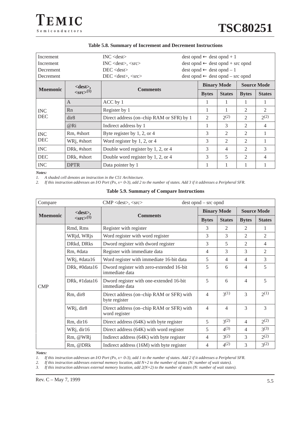| <b>Increment</b><br>Increment<br>Decrement<br><b>Decrement</b> |                                    | $INC <$ dest $>$<br>$INC <$ dest $\ge$ , $<$ src $>$<br>$DEC <$ dest $>$<br>DEC <dest>, <src></src></dest> | $dest opnd \leftarrow dest opnd + 1$<br>$dest opnd \leftarrow dest opnd + src opnd$<br>$dest opnd \leftarrow dest opnd - 1$<br>$dest opnd \leftarrow dest opnd - src opnd$ |                |                    |                |                    |
|----------------------------------------------------------------|------------------------------------|------------------------------------------------------------------------------------------------------------|----------------------------------------------------------------------------------------------------------------------------------------------------------------------------|----------------|--------------------|----------------|--------------------|
|                                                                | <dest>,</dest>                     |                                                                                                            |                                                                                                                                                                            |                | <b>Binary Mode</b> |                | <b>Source Mode</b> |
| <b>Mnemonic</b>                                                | $\langle \text{src} \rangle^{(1)}$ | <b>Comments</b>                                                                                            |                                                                                                                                                                            | <b>Bytes</b>   | <b>States</b>      | <b>Bytes</b>   | <b>States</b>      |
| <b>INC</b>                                                     | $\mathsf{A}$                       | ACC by 1                                                                                                   |                                                                                                                                                                            | 1              | 1                  | 1              | 1                  |
|                                                                | Rn                                 | Register by 1                                                                                              |                                                                                                                                                                            | 1              | 1                  | $\mathfrak{D}$ | $\mathfrak{D}$     |
| <b>DEC</b>                                                     | dir8                               | Direct address (on-chip RAM or SFR) by 1                                                                   |                                                                                                                                                                            | $\mathfrak{D}$ | 2(2)               | $\mathfrak{D}$ | $2^{(2)}$          |
|                                                                | @R <sub>i</sub>                    | Indirect address by 1                                                                                      |                                                                                                                                                                            | 1              | 3                  | $\mathfrak{D}$ | $\overline{4}$     |
| <b>INC</b>                                                     | Rm, #short                         | Byte register by $1, 2$ , or $4$                                                                           |                                                                                                                                                                            | 3              | 2                  | $\mathfrak{D}$ | 1                  |
| <b>DEC</b>                                                     | WRj, #short                        | Word register by $1, 2$ , or $4$                                                                           |                                                                                                                                                                            | 3              | $\overline{2}$     | $\overline{2}$ | 1                  |
| <b>INC</b>                                                     | DRk, #short                        | Double word register by 1, 2, or 4                                                                         |                                                                                                                                                                            | 3              | 4                  | $\overline{c}$ | 3                  |
| <b>DEC</b>                                                     | DRk, #short                        | Double word register by 1, 2, or 4                                                                         |                                                                                                                                                                            | 3              | 5                  | $\overline{c}$ | $\overline{4}$     |
| <b>INC</b>                                                     | <b>DPTR</b>                        | Data pointer by 1                                                                                          |                                                                                                                                                                            | 1              | 1                  |                | 1                  |

#### **Table 5.8. Summary of Increment and Decrement Instructions**

*Notes:*

*1. A shaded cell denotes an instruction in the C51 Architecture.*

*2. If this instruction addresses an I/O Port (Px, x= 0-3), add 2 to the number of states. Add 3 if it addresses a Peripheral SFR.*

#### **Table 5.9. Summary of Compare Instructions**

| Compare         | $CMP <$ dest>, $\langle$ src><br>$dest opnd - src opnd$ |                                                            |                                                             |                |                |                |
|-----------------|---------------------------------------------------------|------------------------------------------------------------|-------------------------------------------------------------|----------------|----------------|----------------|
|                 | $<dest>$ ,                                              |                                                            | <b>Source Mode</b><br><b>Binary Mode</b><br><b>Comments</b> |                |                |                |
| <b>Mnemonic</b> | $\langle \text{src} \rangle^{(1)}$                      |                                                            | <b>Bytes</b>                                                | <b>States</b>  | <b>Bytes</b>   | <b>States</b>  |
|                 | Rmd, Rms                                                | Register with register                                     | 3                                                           | 2              | 2              | 1              |
|                 | WRjd, WRjs                                              | Word register with word register                           | 3                                                           | 3              | 2              | $\overline{2}$ |
|                 | DRkd, DRks                                              | Dword register with dword register                         | 3                                                           | 5              | 2              | $\overline{4}$ |
|                 | Rm, #data                                               | Register with immediate data                               | 4                                                           | 3              | 3              | 2              |
|                 | WRj, #data16                                            | Word register with immediate 16-bit data                   | 5                                                           | $\overline{4}$ | $\overline{4}$ | 3              |
|                 | DRk, #0data16                                           | Dword register with zero-extended 16-bit<br>immediate data | 5                                                           | 6              | $\overline{4}$ | 5              |
| <b>CMP</b>      | DRk, #1data16                                           | Dword register with one-extended 16-bit<br>immediate data  | 5                                                           | 6              | $\overline{4}$ | 5              |
|                 | Rm, dir8                                                | Direct address (on-chip RAM or SFR) with<br>byte register  | 4                                                           | $3^{(1)}$      | 3              | $2^{(1)}$      |
|                 | WRj, dir8                                               | Direct address (on-chip RAM or SFR) with<br>word register  | 4                                                           | $\overline{4}$ | 3              | 3              |
|                 | Rm, dir16                                               | Direct address (64K) with byte register                    | 5                                                           | $3^{(2)}$      | $\overline{4}$ | $2^{(2)}$      |
|                 | WRj, dir16                                              | Direct address (64K) with word register                    | 5                                                           | $4^{(3)}$      | $\overline{4}$ | $3^{(3)}$      |
|                 | Rm, @WRj                                                | Indirect address (64K) with byte register                  | $\overline{4}$                                              | $3^{(2)}$      | 3              | $2^{(2)}$      |
|                 | Rm, @DRk                                                | Indirect address (16M) with byte register                  | 4                                                           | $4^{(2)}$      | 3              | $3^{(2)}$      |

*Notes:*

*1. If this instruction addresses an I/O Port (Px, x= 0-3), add 1 to the number of states. Add 2 if it addresses a Peripheral SFR.*

*2. If this instruction addresses external memory location, add N+2 to the number of states (N: number of wait states).*

*3. If this instruction addresses external memory location, add 2(N+2) to the number of states (N: number of wait states).*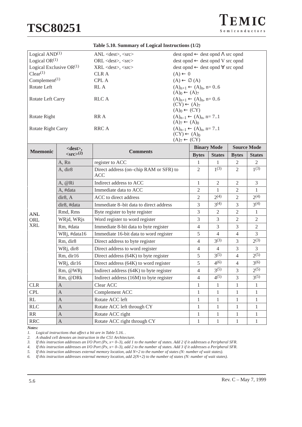TEMIC  $S$ e miconductors

| <b>Mnemonic</b>                        | $\mathcal{L}_{\text{cmo}\sim}(2)$ | <b>Comments</b>                |                                                  |                                                   | ni louil | $\mathbf{B}$ $\mathbf{A}$ $\mathbf{B}$ |  |
|----------------------------------------|-----------------------------------|--------------------------------|--------------------------------------------------|---------------------------------------------------|----------|----------------------------------------|--|
|                                        | $<$ dest $>$ ,                    |                                |                                                  | <b>Binary Mode</b>                                |          | <b>Source Mode</b>                     |  |
| $(A)7 \leftarrow (CY)$                 |                                   |                                |                                                  |                                                   |          |                                        |  |
|                                        |                                   |                                | $(CY) \leftarrow (A)_0$                          |                                                   |          |                                        |  |
| RRC A<br>Rotate Right Carry            |                                   |                                |                                                  | $(A)_{n-1} \leftarrow (A)_n$ , n= 71              |          |                                        |  |
|                                        |                                   |                                | $(A)_{7} \leftarrow (A)_{0}$                     |                                                   |          |                                        |  |
| Rotate Right                           |                                   | RR A                           |                                                  | $(A)_{n-1} \leftarrow (A)_n$ , n= 71              |          |                                        |  |
|                                        |                                   |                                | $(A)_0 \leftarrow (CY)$                          |                                                   |          |                                        |  |
|                                        |                                   |                                | $(CY) \leftarrow (A)_{7}$                        |                                                   |          |                                        |  |
| Rotate Left Carry                      |                                   | RLC A                          |                                                  | $(A)_{n+1} \leftarrow (A)_n$ , n= 06              |          |                                        |  |
|                                        |                                   |                                | $(A)0 \leftarrow (A)7$                           |                                                   |          |                                        |  |
| Rotate Left<br>RL A                    |                                   |                                |                                                  | $(A)_{n+1} \leftarrow (A)_n$ , n= 06              |          |                                        |  |
| Complement <sup><math>(1)</math></sup> |                                   | <b>CPL A</b>                   | $(A) \leftarrow \emptyset$ $(A)$                 |                                                   |          |                                        |  |
| Clear <sup>(1)</sup>                   |                                   | <b>CLRA</b>                    | $(A) \leftarrow 0$                               |                                                   |          |                                        |  |
| Logical Exclusive $OR(1)$              |                                   | XRL <dest>, <src></src></dest> | $dest opnd \leftarrow dest opnd \nabla src opnd$ |                                                   |          |                                        |  |
| Logical $OR(1)$                        |                                   | $ORL <$ dest $>$ , $<$ src $>$ |                                                  | $dest opnd \leftarrow dest opnd V src opnd$       |          |                                        |  |
| Logical $AND(1)$                       |                                   | ANL <dest>, <src></src></dest> |                                                  | $dest opnd \leftarrow dest opnd \Lambda src opnd$ |          |                                        |  |
|                                        |                                   |                                |                                                  |                                                   |          |                                        |  |

#### **Table 5.10. Summary of Logical Instructions (1/2)**

|                 | $<$ dest>,                 | <b>Binary Mode</b><br><b>Source Mode</b>             |                |                |                |                |
|-----------------|----------------------------|------------------------------------------------------|----------------|----------------|----------------|----------------|
| <b>Mnemonic</b> | $<$ src $>$ <sup>(2)</sup> | <b>Comments</b>                                      | <b>Bytes</b>   | <b>States</b>  | <b>Bytes</b>   | <b>States</b>  |
|                 | A, Rn                      | register to ACC                                      | 1              | 1              | $\overline{2}$ | 2              |
|                 | A, dir8                    | Direct address (on-chip RAM or SFR) to<br><b>ACC</b> | $\overline{2}$ | $1^{(3)}$      | $\overline{2}$ | $1^{(3)}$      |
|                 | A, @Ri                     | Indirect address to ACC                              | 1              | $\overline{2}$ | $\overline{2}$ | $\overline{3}$ |
|                 | A, #data                   | Immediate data to ACC                                | $\overline{2}$ | 1              | $\overline{2}$ | $\mathbf{1}$   |
|                 | dir8, A                    | ACC to direct address                                | $\overline{2}$ | $2^{(4)}$      | $\overline{2}$ | $2^{(4)}$      |
|                 | dir8, #data                | Immediate 8-bit data to direct address               | 3              | $3^{(4)}$      | $\overline{3}$ | $3^{(4)}$      |
| <b>ANL</b>      | Rmd, Rms                   | Byte register to byte register                       | 3              | $\overline{2}$ | $\overline{2}$ | $\mathbf{1}$   |
| ORL             | WRjd, WRjs                 | Word register to word register                       | 3              | $\overline{3}$ | $\overline{2}$ | $\overline{2}$ |
| <b>XRL</b>      | Rm, #data                  | Immediate 8-bit data to byte register                | 4              | $\overline{3}$ | 3              | $\overline{2}$ |
|                 | WRj, #data16               | Immediate 16-bit data to word register               | 5              | $\overline{4}$ | $\overline{4}$ | $\mathfrak{Z}$ |
|                 | Rm, dir8                   | Direct address to byte register                      | $\overline{4}$ | $3^{(3)}$      | $\overline{3}$ | $2^{(3)}$      |
|                 | WRj, dir8                  | Direct address to word register                      | 4              | $\overline{4}$ | 3              | $\overline{3}$ |
|                 | Rm, dir16                  | Direct address (64K) to byte register                | 5              | $3^{(5)}$      | $\overline{4}$ | $2^{(5)}$      |
|                 | WRj, dir16                 | Direct address (64K) to word register                | 5              | 4(6)           | $\overline{4}$ | 3(6)           |
|                 | Rm, @WRj                   | Indirect address (64K) to byte register              | 4              | $3^{(5)}$      | 3              | $2^{(5)}$      |
|                 | Rm, @DRk                   | Indirect address (16M) to byte register              | $\overline{4}$ | $4^{(5)}$      | 3              | $3^{(5)}$      |
| <b>CLR</b>      | $\mathsf{A}$               | Clear ACC                                            | 1              | 1              | 1              | 1              |
| <b>CPL</b>      | $\overline{A}$             | Complement ACC                                       | 1              | 1              | 1              | 1              |
| RL              | $\overline{A}$             | Rotate ACC left                                      | 1              | 1              | 1              | $\mathbf{1}$   |
| <b>RLC</b>      | $\mathbf{A}$               | Rotate ACC left through CY                           | 1              | 1              | 1              | 1              |
| RR              | $\mathbf{A}$               | Rotate ACC right                                     | 1              | 1              | 1              | 1              |
| <b>RRC</b>      | $\mathbf{A}$               | Rotate ACC right through CY                          | 1              | $\mathbf{1}$   | 1              | $\mathbf{1}$   |

*Notes:*

*1. Logical instructions that affect a bit are in Table 5.16. .*

*2. A shaded cell denotes an instruction in the C51 Architecture.*

*3. If this instruction addresses an I/O Port (Px, x= 0–3), add 1 to the number of states. Add 2 if it addresses a Peripheral SFR.*

*4. If this instruction addresses an I/O Port (Px, x= 0–3), add 2 to the number of states. Add 3 if it addresses a Peripheral SFR.*

*5. If this instruction addresses external memory location, add N+2 to the number of states (N: number of wait states).*

*6. If this instruction addresses external memory location, add 2(N+2) to the number of states (N: number of wait states).*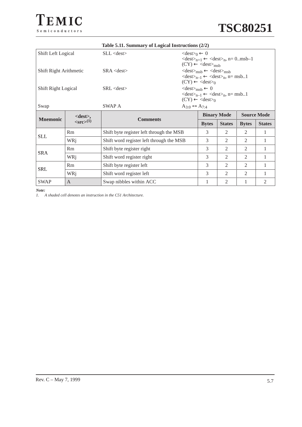

|                        | Table 5.11. Summary of Logical Instructions (2/2) |                                          |                                                                                                                                                                                         |                                          |                |                |               |
|------------------------|---------------------------------------------------|------------------------------------------|-----------------------------------------------------------------------------------------------------------------------------------------------------------------------------------------|------------------------------------------|----------------|----------------|---------------|
| Shift Left Logical     |                                                   | $SLL <$ dest $>$                         | $\langle dest \rangle_0 \leftarrow 0$<br>$\langle dest \rangle_{n+1} \langle \langle dest \rangle_n$ , n= 0.msb-1<br>$(CY) \leftarrow \langle dest \rangle_{msh}$                       |                                          |                |                |               |
| Shift Right Arithmetic |                                                   | $SRA <$ dest $>$                         | $\langle dest \rangle_{msh} \langle \langle dest \rangle_{msh}$<br>$\langle dest \rangle_{n-1} \leftarrow \langle dest \rangle_n$ , n= msb1<br>$(CY) \leftarrow \langle dest \rangle_0$ |                                          |                |                |               |
| Shift Right Logical    |                                                   | $SRL <$ dest $>$                         | $<dest>_{msb} \leftarrow 0$<br>$\langle dest \rangle_{n-1} \leftarrow \langle dest \rangle_n$ , n= msb1<br>$(CY) \leftarrow \langle dest \rangle_0$                                     |                                          |                |                |               |
| Swap                   |                                                   | SWAP A                                   | $A_{3:0} \leftrightarrow A_{7:4}$                                                                                                                                                       |                                          |                |                |               |
|                        | $<$ dest $>$ ,                                    | <b>Comments</b>                          |                                                                                                                                                                                         | <b>Binary Mode</b><br><b>Source Mode</b> |                |                |               |
| <b>Mnemonic</b>        | $\langle src \rangle^{(1)}$                       |                                          |                                                                                                                                                                                         | <b>Bytes</b>                             | <b>States</b>  | <b>Bytes</b>   | <b>States</b> |
| <b>SLL</b>             | <b>Rm</b>                                         | Shift byte register left through the MSB |                                                                                                                                                                                         | 3                                        | $\mathfrak{D}$ | $\mathfrak{D}$ | 1             |
|                        | WRi                                               | Shift word register left through the MSB |                                                                                                                                                                                         | 3                                        | 2              | 2              | 1             |
| <b>SRA</b>             | Rm                                                | Shift byte register right                |                                                                                                                                                                                         | 3                                        | 2              | 2              | 1             |
|                        | WRi                                               | Shift word register right                |                                                                                                                                                                                         | 3                                        | $\overline{2}$ | 2              | 1             |
| <b>SRL</b>             | Rm                                                | Shift byte register left                 |                                                                                                                                                                                         | 3                                        | $\overline{2}$ | $\overline{2}$ | 1             |
|                        | WRi                                               | Shift word register left                 |                                                                                                                                                                                         | 3                                        | $\overline{c}$ | 2              | 1             |
| <b>SWAP</b>            | A                                                 | Swap nibbles within ACC                  |                                                                                                                                                                                         | 1                                        | 2              | 1              | 2             |

*Note:*

*1. A shaded cell denotes an instruction in the C51 Architecture.*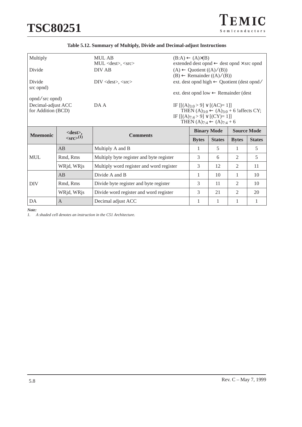| TEMIC          |  |
|----------------|--|
| Semiconductors |  |

| Multiply                                                                                                                                                                                                                    | <b>MUL AB</b><br>$(B:A) \leftarrow (A) \times (B)$<br>MUL <dest>, <src><br/>extended dest opnd <math>\leftarrow</math> dest opnd <math>\times</math> src opnd</src></dest> |                                          |                    |                                                                                   |                                                       |                |               |
|-----------------------------------------------------------------------------------------------------------------------------------------------------------------------------------------------------------------------------|----------------------------------------------------------------------------------------------------------------------------------------------------------------------------|------------------------------------------|--------------------|-----------------------------------------------------------------------------------|-------------------------------------------------------|----------------|---------------|
| Divide                                                                                                                                                                                                                      |                                                                                                                                                                            | DIV AB                                   |                    | $(A) \leftarrow$ Quotient $((A) / (B))$<br>$(B) \leftarrow$ Remainder $((A)/(B))$ |                                                       |                |               |
| Divide<br>src opnd)                                                                                                                                                                                                         |                                                                                                                                                                            | DIV < dest>, < src>                      |                    |                                                                                   | ext. dest opnd high $\leftarrow$ Quotient (dest opnd/ |                |               |
| opnd/src opnd)                                                                                                                                                                                                              |                                                                                                                                                                            |                                          |                    |                                                                                   | ext. dest opnd low $\leftarrow$ Remainder (dest       |                |               |
| Decimal-adjust ACC<br>DA A<br>IF $[(A)_{3:0} > 9] \vee [(AC)=1]$<br>THEN $(A)_{3:0}$ ← $(A)_{3:0}$ + 6 !affects CY;<br>for Addition (BCD)<br>IF $[[(A)7:4 > 9] \vee [(CY)=1]]$<br>THEN $(A)_{7:4} \leftarrow (A)_{7:4} + 6$ |                                                                                                                                                                            |                                          |                    |                                                                                   |                                                       |                |               |
| $<$ dest $>$ ,<br><b>Mnemonic</b><br><b>Comments</b>                                                                                                                                                                        |                                                                                                                                                                            |                                          | <b>Binary Mode</b> |                                                                                   | <b>Source Mode</b>                                    |                |               |
|                                                                                                                                                                                                                             | $\langle \text{src} \rangle^{(1)}$                                                                                                                                         |                                          |                    | <b>Bytes</b>                                                                      | <b>States</b>                                         | <b>Bytes</b>   | <b>States</b> |
|                                                                                                                                                                                                                             | AB                                                                                                                                                                         | Multiply A and B                         |                    | 1                                                                                 | 5                                                     | 1              | 5             |
| <b>MUL</b>                                                                                                                                                                                                                  | Rmd, Rms                                                                                                                                                                   | Multiply byte register and byte register |                    | 3                                                                                 | 6                                                     | 2              | 5             |
|                                                                                                                                                                                                                             | WRjd, WRjs                                                                                                                                                                 | Multiply word register and word register |                    | 3                                                                                 | 12                                                    | 2              | 11            |
|                                                                                                                                                                                                                             | AB                                                                                                                                                                         | Divide A and B                           |                    | 1                                                                                 | 10                                                    | 1              | 10            |
| <b>DIV</b>                                                                                                                                                                                                                  | Rmd, Rms                                                                                                                                                                   | Divide byte register and byte register   |                    | 3                                                                                 | 11                                                    | $\mathfrak{D}$ | 10            |
|                                                                                                                                                                                                                             | WRjd, WRjs                                                                                                                                                                 | Divide word register and word register   |                    | 3                                                                                 | 21                                                    | $\overline{2}$ | 20            |
| DA                                                                                                                                                                                                                          | $\mathsf{A}$                                                                                                                                                               | Decimal adjust ACC                       |                    | 1                                                                                 | 1                                                     | 1              | 1             |

# **Table 5.12. Summary of Multiply, Divide and Decimal-adjust Instructions**

*Note:*

*1. A shaded cell denotes an instruction in the C51 Architecture.*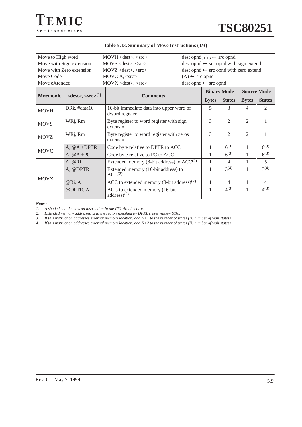| Move to High word |                                                   | MOVH <dest>, <src></src></dest>                           |                                          |              | $dest opnd_{31:16} \leftarrow src opnd$                                                                                                                                                                                                                                                                                                                                                             |   |                |  |
|-------------------|---------------------------------------------------|-----------------------------------------------------------|------------------------------------------|--------------|-----------------------------------------------------------------------------------------------------------------------------------------------------------------------------------------------------------------------------------------------------------------------------------------------------------------------------------------------------------------------------------------------------|---|----------------|--|
|                   | Move with Sign extension                          | $MOVS <$ dest>, $\langle$ src>                            |                                          |              | $dest opnd \leftarrow src opnd with sign extend$<br>dest opnd $\leftarrow$ src opnd with zero extend<br><b>Source Mode</b><br><b>Binary Mode</b><br><b>States</b><br><b>Bytes</b><br><b>States</b><br>5<br>3<br>$\mathcal{D}_{\mathcal{L}}$<br>4<br>$\overline{2}$<br>$\overline{2}$<br>1<br>$\mathfrak{D}$<br>$\mathcal{D}_{\mathcal{L}}$<br>1<br>$6^{(3)}$<br>$6^{(3)}$<br>$6^{(3)}$<br>$6^{(3)}$ |   |                |  |
|                   | Move with Zero extension                          | $MOVZ \leq dest>, \leq src$                               |                                          |              |                                                                                                                                                                                                                                                                                                                                                                                                     |   |                |  |
| Move Code         |                                                   | MOVC A, $\langle$ src $\rangle$                           | $(A) \leftarrow$ src opnd                |              |                                                                                                                                                                                                                                                                                                                                                                                                     |   |                |  |
| Move eXtended     |                                                   | $MOVX \leq dest>, \leq src$                               | $dest opnd \leftarrow src opnd$          |              |                                                                                                                                                                                                                                                                                                                                                                                                     |   |                |  |
|                   |                                                   |                                                           |                                          |              |                                                                                                                                                                                                                                                                                                                                                                                                     |   |                |  |
| <b>Mnemonic</b>   | $\langle dest \rangle, \langle src \rangle^{(1)}$ | <b>Comments</b>                                           |                                          | <b>Bytes</b> |                                                                                                                                                                                                                                                                                                                                                                                                     |   |                |  |
| <b>MOVH</b>       | DRk, #data16                                      | dword register                                            | 16-bit immediate data into upper word of |              |                                                                                                                                                                                                                                                                                                                                                                                                     |   |                |  |
| <b>MOVS</b>       | WRj, Rm                                           | Byte register to word register with sign<br>extension     |                                          | 3            |                                                                                                                                                                                                                                                                                                                                                                                                     |   |                |  |
| <b>MOVZ</b>       | WRj, Rm                                           | Byte register to word register with zeros<br>extension    |                                          | 3            |                                                                                                                                                                                                                                                                                                                                                                                                     |   |                |  |
| <b>MOVC</b>       | A, $@A + DPTR$                                    | Code byte relative to DPTR to ACC                         |                                          | 1            |                                                                                                                                                                                                                                                                                                                                                                                                     |   |                |  |
|                   | $A, @A + PC$                                      | Code byte relative to PC to ACC                           |                                          | 1            |                                                                                                                                                                                                                                                                                                                                                                                                     |   |                |  |
|                   | A, @Ri                                            | Extended memory (8-bit address) to $ACC(2)$               |                                          | 1            | 4                                                                                                                                                                                                                                                                                                                                                                                                   |   | 5              |  |
|                   | A, @DPTR                                          | Extended memory (16-bit address) to<br>ACC <sup>(2)</sup> |                                          | 1            | $3^{(4)}$                                                                                                                                                                                                                                                                                                                                                                                           |   | 3(4)           |  |
| <b>MOVX</b>       | @Ri, A                                            | ACC to extended memory $(8-bit address)^{(2)}$            |                                          | 1            | 4                                                                                                                                                                                                                                                                                                                                                                                                   | 1 | $\overline{4}$ |  |
|                   | @DPTR, A                                          | ACC to extended memory (16-bit<br>address(2)              |                                          | 1            | $4^{(3)}$                                                                                                                                                                                                                                                                                                                                                                                           |   | $4^{(3)}$      |  |

#### **Table 5.13. Summary of Move Instructions (1/3)**

*Notes:*

*1. A shaded cell denotes an instruction in the C51 Architecture.*

*2. Extended memory addressed is in the region specified by DPXL (reset value= 01h).*

*3. If this instruction addresses external memory location, add N+1 to the number of states (N: number of wait states).*

*4. If this instruction addresses external memory location, add N+2 to the number of states (N: number of wait states).*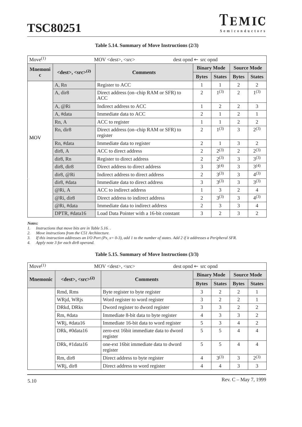

| $Move^{(1)}$   | MOV <dest>, <src><br/><math>dest opnd \leftarrow src opnd</math></src></dest> |                                                      |                |                    |                                                                                                                                                                                                                                                                                                                                                            |                |
|----------------|-------------------------------------------------------------------------------|------------------------------------------------------|----------------|--------------------|------------------------------------------------------------------------------------------------------------------------------------------------------------------------------------------------------------------------------------------------------------------------------------------------------------------------------------------------------------|----------------|
| <b>Mnemoni</b> |                                                                               |                                                      |                | <b>Binary Mode</b> | <b>Source Mode</b><br><b>Bytes</b><br><b>States</b><br>2<br>2<br>$1^{(3)}$<br>$\overline{c}$<br>3<br>$\overline{c}$<br>2<br>1<br>$\overline{2}$<br>$\overline{c}$<br>$2^{(3)}$<br>3<br>3<br>2<br>$2^{(3)}$<br>$\overline{c}$<br>$3^{(3)}$<br>3<br>$3^{(4)}$<br>3<br>$4^{(3)}$<br>3<br>$3^{(3)}$<br>3<br>$\overline{c}$<br>$\overline{4}$<br>$4^{(3)}$<br>3 |                |
| $\mathbf c$    | $\langle dest \rangle, \langle src \rangle^{(2)}$                             | <b>Comments</b>                                      | <b>Bytes</b>   | <b>States</b>      |                                                                                                                                                                                                                                                                                                                                                            |                |
|                | A, Rn                                                                         | Register to ACC                                      | 1              | 1                  |                                                                                                                                                                                                                                                                                                                                                            |                |
|                | A, dir8                                                                       | Direct address (on-chip RAM or SFR) to<br><b>ACC</b> | $\mathfrak{2}$ | $1^{(3)}$          |                                                                                                                                                                                                                                                                                                                                                            |                |
|                | A, @Ri                                                                        | Indirect address to ACC                              | 1              | $\overline{2}$     |                                                                                                                                                                                                                                                                                                                                                            |                |
|                | A, #data                                                                      | Immediate data to ACC                                | $\overline{2}$ | 1                  |                                                                                                                                                                                                                                                                                                                                                            |                |
|                | Rn, A                                                                         | ACC to register                                      | 1              | 1                  |                                                                                                                                                                                                                                                                                                                                                            |                |
| <b>MOV</b>     | Rn, dir8                                                                      | Direct address (on-chip RAM or SFR) to<br>register   | $\mathfrak{2}$ | $1^{(3)}$          |                                                                                                                                                                                                                                                                                                                                                            |                |
|                | Rn, #data                                                                     | Immediate data to register                           | 2              | 1                  |                                                                                                                                                                                                                                                                                                                                                            |                |
|                | dir8. A                                                                       | ACC to direct address                                | $\overline{2}$ | $2^{(3)}$          |                                                                                                                                                                                                                                                                                                                                                            |                |
|                | dir <sub>8</sub> , Rn                                                         | Register to direct address                           | $\overline{2}$ | $2^{(3)}$          |                                                                                                                                                                                                                                                                                                                                                            |                |
|                | dir8, dir8                                                                    | Direct address to direct address                     | 3              | $3^{(4)}$          |                                                                                                                                                                                                                                                                                                                                                            |                |
|                | dir8, @Ri                                                                     | Indirect address to direct address                   | $\overline{2}$ | $3^{(3)}$          |                                                                                                                                                                                                                                                                                                                                                            |                |
|                | dir8, #data                                                                   | Immediate data to direct address                     | 3              | $3^{(3)}$          |                                                                                                                                                                                                                                                                                                                                                            |                |
|                | @Ri, A                                                                        | ACC to indirect address                              | 1              | 3                  |                                                                                                                                                                                                                                                                                                                                                            |                |
|                | @Ri, dir8                                                                     | Direct address to indirect address                   | $\overline{2}$ | $3^{(3)}$          |                                                                                                                                                                                                                                                                                                                                                            |                |
|                | @Ri, #data                                                                    | Immediate data to indirect address                   | 2              | 3                  | 3                                                                                                                                                                                                                                                                                                                                                          | $\overline{4}$ |
|                | DPTR, #data16                                                                 | Load Data Pointer with a 16-bit constant             | 3              | 2                  | 3                                                                                                                                                                                                                                                                                                                                                          | $\mathfrak{2}$ |

#### **Table 5.14. Summary of Move Instructions (2/3)**

*Notes:*

*1. Instructions that move bits are in Table 5.16. .*

*2. Move instructions from the C51 Architecture.*

*3. If this instruction addresses an I/O Port (Px, x= 0-3), add 1 to the number of states. Add 2 if it addresses a Peripheral SFR.*

*4. Apply note 3 for each dir8 operand.*

|  | Table 5.15. Summary of Move Instructions (3/3) |  |
|--|------------------------------------------------|--|
|--|------------------------------------------------|--|

| $Move^{(1)}$    |                                                   | $MOV <$ dest>, $<<$ src><br>$dest opnd \leftarrow src opnd$ |                    |               |                    |                |
|-----------------|---------------------------------------------------|-------------------------------------------------------------|--------------------|---------------|--------------------|----------------|
| <b>Mnemonic</b> |                                                   |                                                             | <b>Binary Mode</b> |               | <b>Source Mode</b> |                |
|                 | $\langle dest \rangle, \langle src \rangle^{(2)}$ | <b>Comments</b>                                             | <b>Bytes</b>       | <b>States</b> | <b>Bytes</b>       | <b>States</b>  |
|                 | Rmd, Rms                                          | Byte register to byte register                              | 3                  | 2             | 2                  |                |
|                 | WRjd, WRjs                                        | Word register to word register                              | 3                  | 2             | $\mathfrak{D}$     |                |
|                 | DRkd, DRks                                        | Dword register to dword register                            | 3                  | 3             | $\mathfrak{2}$     | 2              |
|                 | Rm, #data                                         | Immediate 8-bit data to byte register                       | 4                  | 3             | 3                  | $\mathfrak{D}$ |
|                 | WRj, #data16                                      | Immediate 16-bit data to word register                      | 5                  | 3             | 4                  | 2              |
|                 | DRk, #0data16                                     | zero-ext 16 bit immediate data to dword<br>register         | 5                  | 5             | 4                  | 4              |
|                 | DRk, #1data16                                     | one-ext 16 bit immediate data to dword<br>register          | 5                  | 5             | 4                  | 4              |
|                 | Rm, dir <sub>8</sub>                              | Direct address to byte register                             | 4                  | $3^{(3)}$     | 3                  | $2^{(3)}$      |
|                 | WRj, dir8                                         | Direct address to word register                             | 4                  | 4             | 3                  | 3              |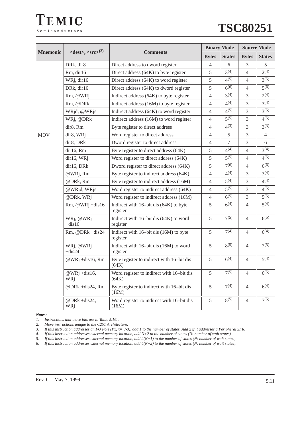



|                 |                                                   |                                                    |                | <b>Binary Mode</b> | <b>Source Mode</b> |                |
|-----------------|---------------------------------------------------|----------------------------------------------------|----------------|--------------------|--------------------|----------------|
| <b>Mnemonic</b> | $\langle dest \rangle, \langle src \rangle^{(2)}$ | <b>Comments</b><br><b>Bytes</b>                    |                | <b>States</b>      | <b>Bytes</b>       | <b>States</b>  |
|                 | DRk, dir8                                         | Direct address to dword register                   | $\overline{4}$ | 6                  | 3                  | 5              |
|                 | Rm, dir16                                         | Direct address (64K) to byte register              | 5              | $3^{(4)}$          | 4                  | $2^{(4)}$      |
|                 | WRj, dir16                                        | Direct address (64K) to word register              | 5              | $4^{(5)}$          | $\overline{4}$     | $3^{(5)}$      |
|                 | DRk, dir16                                        | Direct address (64K) to dword register             | 5              | $6^{(6)}$          | 4                  | $5^{(6)}$      |
|                 | Rm, @WRj                                          | Indirect address (64K) to byte register            | $\overline{4}$ | $3^{(4)}$          | 3                  | $2^{(4)}$      |
|                 | Rm, @DRk                                          | Indirect address (16M) to byte register            | $\overline{4}$ | $4^{(4)}$          | 3                  | $3^{(4)}$      |
|                 | WRjd, @WRjs                                       | Indirect address (64K) to word register            | 4              | $4^{(5)}$          | 3                  | $3^{(5)}$      |
|                 | WRj, @DRk                                         | Indirect address (16M) to word register            | $\overline{4}$ | $5^{(5)}$          | 3                  | $4^{(5)}$      |
|                 | dir8, Rm                                          | Byte register to direct address                    | $\overline{4}$ | $4^{(3)}$          | 3                  | $3^{(3)}$      |
| <b>MOV</b>      | dir8, WRj                                         | Word register to direct address                    | $\overline{4}$ | 5                  | 3                  | $\overline{4}$ |
|                 | dir8, DRk                                         | Dword register to direct address                   | 4              | 7                  | 3                  | 6              |
|                 | dir16, Rm                                         | Byte register to direct address (64K)              | 5              | $4^{(4)}$          | $\overline{4}$     | $3^{(4)}$      |
|                 | dir16, WRj                                        | Word register to direct address (64K)              | 5              | $5^{(5)}$          | $\overline{4}$     | $4^{(5)}$      |
|                 | dir16, DRk                                        | Dword register to direct address (64K)             | 5              | 7(6)               | $\overline{4}$     | $6^{(6)}$      |
|                 | @WRj, Rm                                          | Byte register to indirect address (64K)            | 4              | $4^{(4)}$          | 3                  | $3^{(4)}$      |
|                 | @DRk, Rm                                          | Byte register to indirect address (16M)            | $\overline{4}$ | $5^{(4)}$          | 3                  | $4^{(4)}$      |
|                 | @WRjd, WRjs                                       | Word register to indirect address (64K)            | $\overline{4}$ | $5^{(5)}$          | 3                  | $4^{(5)}$      |
|                 | @DRk, WRj                                         | Word register to indirect address (16M)            | $\overline{4}$ | $6^{(5)}$          | 3                  | $5^{(5)}$      |
|                 | Rm, @WRj +dis16                                   | Indirect with 16-bit dis (64K) to byte<br>register | 5              | $6^{(4)}$          | $\overline{4}$     | $5^{(4)}$      |
|                 | WRj, @WRj<br>$+dis16$                             | Indirect with 16-bit dis (64K) to word<br>register | 5              | $7^{(5)}$          | 4                  | $6^{(5)}$      |
|                 | Rm, @DRk +dis24                                   | Indirect with 16-bit dis (16M) to byte<br>register | 5              | $7^{(4)}$          | $\overline{4}$     | $6^{(4)}$      |
|                 | WRj, @WRj<br>$+dis24$                             | Indirect with 16-bit dis (16M) to word<br>register | 5              | $8^{(5)}$          | $\overline{4}$     | $7^{(5)}$      |
|                 | @WRj +dis16, Rm                                   | Byte register to indirect with 16-bit dis<br>(64K) | 5              | $6^{(4)}$          | $\overline{4}$     | $5^{(4)}$      |
|                 | @WRj +dis16,<br>WRj                               | Word register to indirect with 16-bit dis<br>(64K) | 5              | $7^{(5)}$          | 4                  | $6^{(5)}$      |
|                 | @DRk +dis24, Rm                                   | Byte register to indirect with 16-bit dis<br>(16M) | 5              | $7^{(4)}$          | $\overline{4}$     | $6^{(4)}$      |
|                 | @DRk +dis24,<br>WRj                               | Word register to indirect with 16-bit dis<br>(16M) | $\sqrt{5}$     | $8^{(5)}$          | $\overline{4}$     | $7^{(5)}$      |

*Notes:*

*1. Instructions that move bits are in Table 5.16. .*

*2. Move instructions unique to the C251 Architecture.*

*3. If this instruction addresses an I/O Port (Px, x= 0-3), add 1 to the number of states. Add 2 if it addresses a Peripheral SFR.*

*4. If this instruction addresses external memory location, add N+2 to the number of states (N: number of wait states).*

*5. If this instruction addresses external memory location, add 2(N+1) to the number of states (N: number of wait states).*

*6. If this instruction addresses external memory location, add 4(N+2) to the number of states (N: number of wait states).*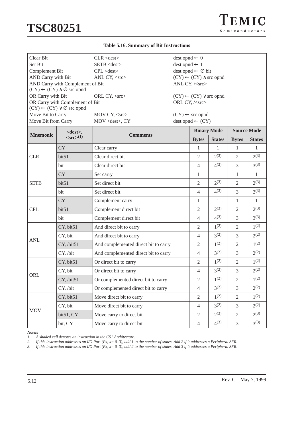**TSC80251**

#### **Table 5.16. Summary of Bit Instructions**

| Clear Bit             |                                                                                      | $CLR <$ dest $>$                     | $dest opnd \leftarrow 0$ |                                               |                  |                    |                  |
|-----------------------|--------------------------------------------------------------------------------------|--------------------------------------|--------------------------|-----------------------------------------------|------------------|--------------------|------------------|
| Set Bit               |                                                                                      | SETB <dest></dest>                   | $dest opnd \leftarrow 1$ |                                               |                  |                    |                  |
| <b>Complement Bit</b> |                                                                                      | $CPL <$ dest $>$                     |                          | $dest opnd \leftarrow \emptyset bit$          |                  |                    |                  |
| AND Carry with Bit    |                                                                                      | ANL CY, <src></src>                  |                          | $(CY) \leftarrow (CY) \wedge \text{src opnd}$ |                  |                    |                  |
|                       | AND Carry with Complement of Bit<br>$(CY) \leftarrow (CY) \wedge \emptyset$ src opnd |                                      |                          | ANL CY, / <src></src>                         |                  |                    |                  |
| OR Carry with Bit     |                                                                                      | ORL CY, <src></src>                  |                          | $(CY) \leftarrow (CY) \vee$ src opnd          |                  |                    |                  |
|                       | OR Carry with Complement of Bit                                                      |                                      |                          | ORL CY, / <src></src>                         |                  |                    |                  |
|                       | $(CY) \leftarrow (CY) \vee \emptyset$ src opnd                                       |                                      |                          |                                               |                  |                    |                  |
| Move Bit to Carry     |                                                                                      | MOV CY, <src></src>                  |                          | $(CY) \leftarrow$ src opnd                    |                  |                    |                  |
| Move Bit from Carry   |                                                                                      | MOV <dest>, CY</dest>                |                          | $dest opnd \leftarrow (CY)$                   |                  |                    |                  |
| <b>Mnemonic</b>       | <dest>,</dest>                                                                       | <b>Comments</b>                      |                          | <b>Binary Mode</b>                            |                  | <b>Source Mode</b> |                  |
|                       | $\langle \text{src} \rangle^{(1)}$                                                   |                                      |                          | <b>Bytes</b>                                  | <b>States</b>    | <b>Bytes</b>       | <b>States</b>    |
|                       | <b>CY</b>                                                                            | Clear carry                          |                          | $\mathbf{1}$                                  | 1                | 1                  | $\mathbf{1}$     |
| <b>CLR</b>            | bit51                                                                                | Clear direct bit                     |                          | $\overline{2}$                                | $2^{(3)}$        | 2                  | $2^{(3)}$        |
|                       | bit                                                                                  | Clear direct bit                     |                          | $\overline{4}$                                | $4^{(3)}$        | 3                  | $3^{(3)}$        |
|                       | <b>CY</b>                                                                            | Set carry                            |                          | 1                                             | $\mathbf{1}$     | 1                  | $\mathbf{1}$     |
| <b>SETB</b>           | bit51                                                                                | Set direct bit                       |                          | $\overline{2}$                                | $2^{(3)}$        | $\overline{2}$     | $2^{(3)}$        |
|                       | bit                                                                                  | Set direct bit                       |                          | $\overline{4}$                                | $4^{(3)}$        | 3                  | $3^{(3)}$        |
|                       | <b>CY</b>                                                                            | Complement carry                     |                          | 1                                             | 1                | 1                  | 1                |
| <b>CPL</b>            | bit51                                                                                | Complement direct bit                |                          | $\overline{2}$                                | $2^{(3)}$        | $\mathfrak{2}$     | $2^{(3)}$        |
|                       | bit                                                                                  | Complement direct bit                |                          | $\overline{4}$                                | $4^{(3)}$        | 3                  | $3^{(3)}$        |
|                       | CY, bit51                                                                            | And direct bit to carry              |                          | 2                                             | $1^{(2)}$        | 2                  | $1^{(2)}$        |
| <b>ANL</b>            | CY, bit                                                                              | And direct bit to carry              |                          | $\overline{4}$                                | $3^{(2)}$        | 3                  | $2^{(2)}$        |
|                       | CY, /bit51                                                                           | And complemented direct bit to carry |                          | $\overline{2}$                                | $1^{(2)}$        | $\overline{2}$     | $1^{(2)}$        |
|                       | CY, /bit                                                                             | And complemented direct bit to carry |                          | $\overline{4}$                                | $3^{(2)}$        | 3                  | $2^{(2)}$        |
|                       | CY, bit51                                                                            | Or direct bit to carry               |                          | $\overline{2}$                                | $1^{(2)}$        | $\overline{2}$     | $1^{(2)}$        |
| ORL                   | CY, bit                                                                              | Or direct bit to carry               |                          | $\overline{4}$                                | $3^{(2)}$        | 3                  | $2^{(2)}$        |
|                       | CY, /bit51                                                                           | Or complemented direct bit to carry  |                          | $\mathbf{2}$                                  | 1 <sup>(2)</sup> | $\mathbf{2}$       | 1 <sup>(2)</sup> |
|                       | CY, /bit                                                                             | Or complemented direct bit to carry  |                          | $\overline{4}$                                | $3^{(2)}$        | $\overline{3}$     | $2^{(2)}$        |
|                       | CY, bit51                                                                            | Move direct bit to carry             |                          | $\overline{2}$                                | $1^{(2)}$        | $\sqrt{2}$         | $1^{(2)}$        |
| <b>MOV</b>            | CY, bit                                                                              | Move direct bit to carry             |                          | $\overline{4}$                                | $3^{(2)}$        | 3                  | $2^{(2)}$        |
|                       | bit51, CY                                                                            | Move carry to direct bit             |                          | $\mathbf{2}$                                  | $2^{(3)}$        | $\mathfrak{2}$     | $2^{(3)}$        |
|                       | bit, CY                                                                              | Move carry to direct bit             |                          | $\overline{4}$                                | $4^{(3)}$        | 3                  | $3^{(3)}$        |

*Notes:*

*1.* A shaded cell denotes an instruction in the C51 Architecture.<br>2. If this instruction addresses an I/O Port (Px,  $x = 0-3$ ), add 1 t

*2. If this instruction addresses an I/O Port (Px, x= 0–3), add 1 to the number of states. Add 2 if it addresses a Peripheral SFR.*

*3. If this instruction addresses an I/O Port (Px, x= 0–3), add 2 to the number of states. Add 3 if it addresses a Peripheral SFR.*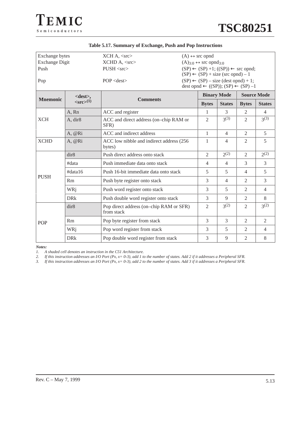| Exchange bytes                                         |                             | $XCH A, <$ src $>$                                    | $(A) \leftrightarrow$ src opnd                             |                |                    |                  |
|--------------------------------------------------------|-----------------------------|-------------------------------------------------------|------------------------------------------------------------|----------------|--------------------|------------------|
| <b>Exchange Digit</b>                                  |                             | XCHD A, <src></src>                                   | $(A)_{3:0} \leftrightarrow$ src opnd <sub>3:0</sub>        |                |                    |                  |
| Push                                                   |                             | $PUSH <$ src $>$                                      | $(SP) \leftarrow (SP) + 1$ ; $((SP)) \leftarrow$ src opnd; |                |                    |                  |
|                                                        |                             |                                                       | $(SP) \leftarrow (SP) + size (src opnd) - 1$               |                |                    |                  |
| Pop                                                    |                             | $POP <$ dest $>$                                      | $(SP) \leftarrow (SP) - size (dest opnd) + 1;$             |                |                    |                  |
|                                                        |                             |                                                       | dest opnd $\leftarrow ((SP))$ ; $(SP) \leftarrow (SP) -1$  |                |                    |                  |
| <dest>,<br/><b>Mnemonic</b><br/><b>Comments</b></dest> |                             |                                                       | <b>Binary Mode</b>                                         |                | <b>Source Mode</b> |                  |
|                                                        | $\langle src \rangle^{(1)}$ |                                                       | <b>Bytes</b>                                               | <b>States</b>  | <b>Bytes</b>       | <b>States</b>    |
|                                                        | A, Rn                       | ACC and register                                      | $\mathbf{1}$                                               | 3              | $\mathfrak{D}$     | $\overline{4}$   |
| <b>XCH</b>                                             | A, dir8                     | ACC and direct address (on-chip RAM or<br>SFR)        | $\mathfrak{D}$                                             | 3(3)           | $\mathfrak{D}$     | 3 <sup>(3)</sup> |
|                                                        | A, @Ri                      | ACC and indirect address                              | $\mathbf{1}$                                               | $\overline{4}$ | 2                  | 5                |
| <b>XCHD</b>                                            | A, @Ri                      | ACC low nibble and indirect address (256<br>bytes)    | 1                                                          | $\overline{4}$ | $\overline{2}$     | 5                |
|                                                        | dir8                        | Push direct address onto stack                        | $\overline{2}$                                             | $2^{(2)}$      | $\overline{2}$     | $2^{(2)}$        |
|                                                        | #data                       | Push immediate data onto stack                        | $\overline{4}$                                             | $\overline{4}$ | 3                  | 3                |
|                                                        | #data16                     | Push 16-bit immediate data onto stack                 | 5                                                          | 5              | 4                  | 5                |
| <b>PUSH</b>                                            | Rm                          | Push byte register onto stack                         | 3                                                          | $\overline{4}$ | $\overline{2}$     | 3                |
|                                                        | WRi                         | Push word register onto stack                         | 3                                                          | 5              | $\mathfrak{D}$     | $\overline{4}$   |
|                                                        | <b>DRk</b>                  | Push double word register onto stack                  | 3                                                          | 9              | $\overline{2}$     | 8                |
|                                                        | dir8                        | Pop direct address (on-chip RAM or SFR)<br>from stack | $\overline{2}$                                             | $3^{(2)}$      | $\overline{2}$     | $3^{(2)}$        |
| <b>POP</b>                                             | Rm                          | Pop byte register from stack                          | 3                                                          | 3              | 2                  | 2                |
|                                                        | WRi                         | Pop word register from stack                          | 3                                                          | 5              | $\overline{2}$     | $\overline{4}$   |
|                                                        | <b>DR</b> k                 | Pop double word register from stack                   | 3                                                          | 9              | $\mathfrak{2}$     | 8                |

#### **Table 5.17. Summary of Exchange, Push and Pop Instructions**

*Notes:*

*1.* A shaded cell denotes an instruction in the C51 Architecture.<br>2. If this instruction addresses an I/O Port (Px, x= 0-3), add 1 to<br>3. If this instruction addresses an I/O Port (Px, x= 0-3), add 2 to *2. If this instruction addresses an I/O Port (Px, x= 0-3), add 1 to the number of states. Add 2 if it addresses a Peripheral SFR.*

*3. If this instruction addresses an I/O Port (Px, x= 0-3), add 2 to the number of states. Add 3 if it addresses a Peripheral SFR.*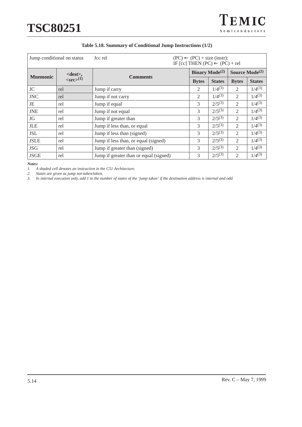

|                 | Jump conditional on status         | $(PC) \leftarrow (PC) + size (instr);$<br>Jcc rel<br>IF [cc] THEN $(PC) \leftarrow (PC) + rel$ |                             |               |                  |               |
|-----------------|------------------------------------|------------------------------------------------------------------------------------------------|-----------------------------|---------------|------------------|---------------|
|                 | $<$ dest $>$ ,                     |                                                                                                | <b>Binary Mode</b> $^{(2)}$ |               | Source $Mode(2)$ |               |
| <b>Mnemonic</b> | $\langle \text{src} \rangle^{(1)}$ | <b>Comments</b>                                                                                | <b>Bytes</b>                | <b>States</b> | <b>Bytes</b>     | <b>States</b> |
| JC              | rel                                | Jump if carry                                                                                  | 2                           | $1/4^{(3)}$   | $\overline{2}$   | $1/4^{(3)}$   |
| <b>JNC</b>      | rel                                | Jump if not carry                                                                              | 2                           | $1/4^{(3)}$   | 2                | $1/4^{(3)}$   |
| JE              | rel                                | Jump if equal                                                                                  | 3                           | $2/5^{(3)}$   | 2                | $1/4^{(3)}$   |
| <b>JNE</b>      | rel                                | Jump if not equal                                                                              | 3                           | $2/5^{(3)}$   | 2                | $1/4^{(3)}$   |
| JG              | rel                                | Jump if greater than                                                                           | 3                           | $2/5^{(3)}$   | $\mathfrak{D}$   | $1/4^{(3)}$   |
| <b>JLE</b>      | rel                                | Jump if less than, or equal                                                                    | 3                           | $2/5^{(3)}$   | $\overline{2}$   | $1/4^{(3)}$   |
| <b>JSL</b>      | rel                                | Jump if less than (signed)                                                                     | 3                           | $2/5^{(3)}$   | $\overline{2}$   | $1/4^{(3)}$   |
| <b>JSLE</b>     | rel                                | Jump if less than, or equal (signed)                                                           | 3                           | $2/5^{(3)}$   | $\overline{2}$   | $1/4^{(3)}$   |
| <b>JSG</b>      | rel                                | Jump if greater than (signed)                                                                  | 3                           | $2/5^{(3)}$   | $\overline{2}$   | $1/4^{(3)}$   |
| <b>JSGE</b>     | rel                                | Jump if greater than or equal (signed)                                                         | 3                           | $2/5^{(3)}$   | $\overline{2}$   | $1/4^{(3)}$   |

### **Table 5.18. Summary of Conditional Jump Instructions (1/2)**

*Notes:*<br>*1. A* 

*1. A shaded cell denotes an instruction in the C51 Architecture.*

*2. States are given as jump not-taken/taken.*

*3. In internal execution only, add 1 to the number of states of the 'jump taken' if the destination address is internal and odd.*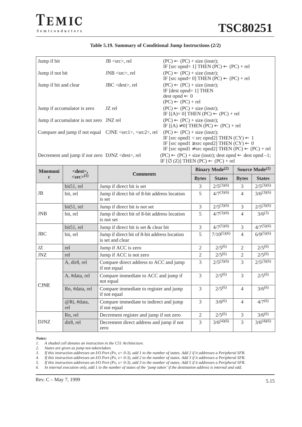#### **Table 5.19. Summary of Conditional Jump Instructions (2/2)**

| Jump if bit                                                          | $JB <$ src $>$ , rel   | $(PC) \leftarrow (PC) + size (instr);$<br>IF [src opnd= 1] THEN (PC) $\leftarrow$ (PC) + rel                                                                                                                                   |
|----------------------------------------------------------------------|------------------------|--------------------------------------------------------------------------------------------------------------------------------------------------------------------------------------------------------------------------------|
| Jump if not bit                                                      | $JNB \ll src$ , rel    | $(PC) \leftarrow (PC) + size (instr);$<br>IF [src opnd= 0] THEN (PC) $\leftarrow$ (PC) + rel                                                                                                                                   |
| Jump if bit and clear                                                | $JBC <$ dest $>$ , rel | $(PC) \leftarrow (PC) + size (instr);$<br>IF $[dest opnd=1]$ THEN<br>$dest opnd \leftarrow 0$<br>$(PC) \leftarrow (PC) + rel$                                                                                                  |
| Jump if accumulator is zero                                          | JZ rel                 | $(PC) \leftarrow (PC) + size (instr);$<br>IF $[(A)=0]$ THEN $(PC) \leftarrow (PC) + rel$                                                                                                                                       |
| Jump if accumulator is not zero JNZ rel                              |                        | $(PC) \leftarrow (PC) + size (instr);$<br>IF $[(A) \neq 0]$ THEN $(PC) \leftarrow (PC) + rel$                                                                                                                                  |
| Compare and jump if not equal CJNE <src1>, <src2>, rel</src2></src1> |                        | $(PC) \leftarrow (PC) + size (instr);$<br>IF [src opnd1 < src opnd2] THEN $(CY) \leftarrow 1$<br>IF [src opnd1 $\geq$ src opnd2] THEN (CY) $\leftarrow$ 0<br>IF [src opnd1 $\neq$ src opnd2] THEN (PC) $\leftarrow$ (PC) + rel |
| Decrement and jump if not zero DJNZ <dest>, rel</dest>               |                        | $(PC) \leftarrow (PC) + size (instr); dest opnd \leftarrow dest opnd - 1;$<br>IF $[\emptyset (Z)]$ THEN $(PC) \leftarrow (PC) + rel$                                                                                           |

|                |                             | IF $[\emptyset (Z)]$ THEN $(PC) \leftarrow (PC) + rel$           |                |                            |                  |                |  |
|----------------|-----------------------------|------------------------------------------------------------------|----------------|----------------------------|------------------|----------------|--|
| <b>Mnemoni</b> | $<$ dest $>$ ,              |                                                                  |                | Binary Mode <sup>(2)</sup> | Source $Mode(2)$ |                |  |
| $\mathbf c$    | $\langle src \rangle^{(1)}$ | <b>Comments</b>                                                  | <b>Bytes</b>   | <b>States</b>              | <b>Bytes</b>     | <b>States</b>  |  |
|                | bit51, rel                  | Jump if direct bit is set                                        | 3              | $2/5^{(3)(6)}$             | 3                | $2/5^{(3)(6)}$ |  |
| JB             | bit, rel                    | Jump if direct bit of 8-bit address location<br>is set           | 5              | $4/7^{(3)(6)}$             | $\overline{4}$   | $3/6^{(3)(6)}$ |  |
|                | $bit51$ , rel               | Jump if direct bit is not set                                    | $\overline{3}$ | $2/5^{(3)(6)}$             | 3                | $2/5^{(3)(6)}$ |  |
| <b>JNB</b>     | bit, rel                    | Jump if direct bit of 8-bit address location<br>is not set       | 5              | $4/7^{(3)(6)}$             | $\overline{4}$   | $3/6^{(3)}$    |  |
|                | bit51, rel                  | Jump if direct bit is set & clear bit                            | $\overline{3}$ | $4/7^{(5)(6)}$             | 3                | $4/7^{(5)(6)}$ |  |
| <b>JBC</b>     | bit, rel                    | Jump if direct bit of 8-bit address location<br>is set and clear | 5              | $7/10^{(5)(6)}$            | $\overline{4}$   | $6/9^{(5)(6)}$ |  |
| JZ             | rel                         | Jump if ACC is zero                                              | 2              | $2/5^{(6)}$                | $\overline{2}$   | $2/5^{(6)}$    |  |
| $J\mathrm{N}Z$ | rel                         | Jump if ACC is not zero                                          | $\overline{2}$ | $2/5^{(6)}$                | 2                | $2/5^{(6)}$    |  |
|                | A, dir8, rel                | Compare direct address to ACC and jump<br>if not equal           | 3              | $2/5^{(3)(6)}$             | 3                | $2/5^{(3)(6)}$ |  |
|                | A, #data, rel               | Compare immediate to ACC and jump if<br>not equal                | 3              | $2/5^{(6)}$                | 3                | $2/5^{(6)}$    |  |
| <b>CJNE</b>    | Rn, #data, rel              | Compare immediate to register and jump<br>if not equal           | 3              | $2/5^{(6)}$                | $\overline{4}$   | $3/6^{(6)}$    |  |
|                | @Ri, #data,<br>rel          | Compare immediate to indirect and jump<br>if not equal           | 3              | $3/6^{(6)}$                | $\overline{4}$   | $4/7^{(6)}$    |  |
|                | Rn, rel                     | Decrement register and jump if not zero                          | $\overline{2}$ | $2/5^{(6)}$                | 3                | $3/6^{(6)}$    |  |
| <b>DJNZ</b>    | dir8, rel                   | Decrement direct address and jump if not<br>zero                 | 3              | $3/6^{(4)(6)}$             | 3                | $3/6^{(4)(6)}$ |  |

*Notes:*

*1. A shaded cell denotes an instruction in the C51 Architecture.*

*2. States are given as jump not-taken/taken.*

*3. If this instruction addresses an I/O Port (Px, x= 0-3), add 1 to the number of states. Add 2 if it addresses a Peripheral SFR.*

*4. If this instruction addresses an I/O Port (Px, x= 0-3), add 2 to the number of states. Add 3 if it addresses a Peripheral SFR.*

*5. If this instruction addresses an I/O Port (Px, x= 0-3), add 3 to the number of states. Add 5 if it addresses a Peripheral SFR.*

*6. In internal execution only, add 1 to the number of states of the 'jump taken' if the destination address is internal and odd.*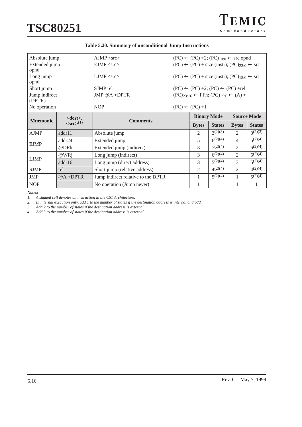EJMP

| Absolute jump           |                                    | $A$ JMP $\langle$ src $\rangle$ | $(PC) \leftarrow (PC) +2$ ; $(PC)_{10:0} \leftarrow$ src opnd |                            |                                                                   |                    |               |
|-------------------------|------------------------------------|---------------------------------|---------------------------------------------------------------|----------------------------|-------------------------------------------------------------------|--------------------|---------------|
| Extended jump<br>opnd   |                                    | $EIMP <$ src $>$                |                                                               |                            | $(PC) \leftarrow (PC) + size (instr); (PC)23:0 \leftarrow src$    |                    |               |
| Long jump<br>opnd       |                                    | $LIMP <$ src $>$                |                                                               |                            | $(PC) \leftarrow (PC) + size (instr); (PC)_{15:0} \leftarrow src$ |                    |               |
| Short jump              |                                    | SJMP rel                        |                                                               |                            | $(PC) \leftarrow (PC) +2$ ; $(PC) \leftarrow (PC) + rel$          |                    |               |
| Jump indirect<br>(DPTR) |                                    | JMP $@A + DPTR$                 |                                                               |                            | $(PC)_{23:16} \leftarrow$ FFh; $(PC)_{15:0} \leftarrow (A) +$     |                    |               |
| No operation            |                                    | <b>NOP</b>                      |                                                               | $(PC) \leftarrow (PC) + 1$ |                                                                   |                    |               |
| <b>Mnemonic</b>         | $<$ dest $>$ ,                     | <b>Comments</b>                 |                                                               |                            | <b>Binary Mode</b>                                                | <b>Source Mode</b> |               |
|                         | $\langle \text{src} \rangle^{(1)}$ |                                 |                                                               |                            | <b>States</b>                                                     | <b>Bytes</b>       | <b>States</b> |
| <b>AJMP</b>             | addr11                             | Absolute jump                   |                                                               | 2                          | 2(2)(3)                                                           | 2                  | 2(2)(3)       |

LJMP @WRj Long jump (indirect) 3 6<sup>(2)(4)</sup> 2 5<sup>(2)(4)</sup> addr16 Long jump (direct address) 3 5<sup>(2)(4)</sup> 3 5<sup>(2)(4)</sup>

SJMP rel Short jump (relative address) 2  $\left(4^{(2)(4)}\right)$  2  $\left(4^{(2)(4)}\right)$  2  $\left(4^{(2)(4)}\right)$ JMP  $\bigotimes A + DPTR$  Jump indirect relative to the DPTR 1 5(2)(4) 1 5(2)(4) NOP No operation (Jump never) 1 1 1 1 1

addr24 Extended jump  $5 \t 5^{(2)(4)}$  4  $5^{(2)(4)}$ @DRk Extended jump (indirect) 3  $7^{(2)(4)}$  2  $6^{(2)(4)}$ 

*Notes:*

*1. A shaded cell denotes an instruction in the C51 Architecture. 2. In internal execution only, add 1 to the number of states if the destination address is internal and odd.*

Long jump (direct address)

*3. Add 2 to the number of states if the destination address is external.*

*4. Add 3 to the number of states if the destination address is external.*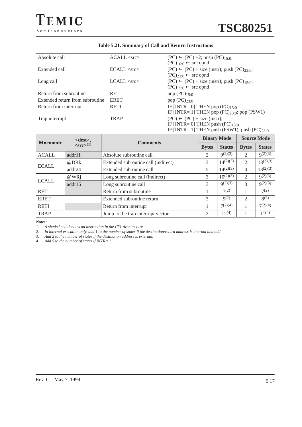### **Table 5.21. Summary of Call and Return Instructions**

| Absolute call                   | $ACALL <$ src $>$ | $(PC) \leftarrow (PC) +2$ ; push $(PC)_{15:0}$ ;<br>$(PC)_{10:0} \leftarrow$ src opnd                                               |
|---------------------------------|-------------------|-------------------------------------------------------------------------------------------------------------------------------------|
| Extended call                   | $ECALL <$ src $>$ | $(PC) \leftarrow (PC) + size (instr); push (PC)_{23.0};$<br>$(PC)_{23:0} \leftarrow$ src opnd                                       |
| Long call                       | $LCALL <$ src $>$ | $(PC) \leftarrow (PC) + size (instr); push (PC)15:0;$<br>$(PC)_{15:0} \leftarrow$ src opnd                                          |
| Return from subroutine          | <b>RET</b>        | pop $(PC)_{15:0}$                                                                                                                   |
| Extended return from subroutine | <b>ERET</b>       | pop $(PC)_{23:0}$                                                                                                                   |
| Return from interrupt           | <b>RETI</b>       | IF [INTR= 0] THEN pop $(PC)_{15:0}$<br>IF [INTR= 1] THEN pop $(PC)_{23:0}$ ; pop $(PSW1)$                                           |
| Trap interrupt                  | <b>TRAP</b>       | $(PC) \leftarrow (PC) + size (instr);$<br>IF [INTR= 0] THEN push $(PC)_{15:0}$<br>IF [INTR= 1] THEN push (PSW1); push $(PC)_{23:0}$ |

| <b>Mnemonic</b> | $<dest>$ ,                         | <b>Comments</b>                     | <b>Binary Mode</b> |               | <b>Source Mode</b> |               |
|-----------------|------------------------------------|-------------------------------------|--------------------|---------------|--------------------|---------------|
|                 | $\langle \text{src} \rangle^{(1)}$ |                                     | <b>Bytes</b>       | <b>States</b> | <b>Bytes</b>       | <b>States</b> |
| <b>ACALL</b>    | addr11                             | Absolute subroutine call            | $\overline{2}$     | q(2)(3)       | 2                  | 9(2)(3)       |
| <b>ECALL</b>    | @DRk                               | Extended subroutine call (indirect) | 3                  | $14^{(2)(3)}$ | $\overline{2}$     | $13^{(2)(3)}$ |
|                 | addr24                             | Extended subroutine call            | 5                  | $14^{(2)(3)}$ | $\overline{4}$     | $13^{(2)(3)}$ |
| <b>LCALL</b>    | $@WR$ j                            | Long subroutine call (indirect)     | 3                  | $10^{(2)(3)}$ | $\mathfrak{D}$     | q(2)(3)       |
|                 | addr16                             | Long subroutine call                | 3                  | q(2)(3)       | 3                  | q(2)(3)       |
| <b>RET</b>      |                                    | Return from subroutine              |                    | $7^{(2)}$     |                    | 7(2)          |
| <b>ERET</b>     |                                    | Extended subroutine return          | 3                  | q(2)          | 2                  | $8^{(2)}$     |
| <b>RETI</b>     |                                    | Return from interrupt               |                    | 7(2)(4)       |                    | 7(2)(4)       |
| <b>TRAP</b>     |                                    | Jump to the trap interrupt vector   | $\overline{2}$     | $12^{(4)}$    |                    | $11^{(4)}$    |

*Notes:*

*2. In internal execution only, add 1 to the number of states if the destination/return address is internal and odd.*

*3. Add 2 to the number of states if the destination address is external.*

*4. Add 5 to the number of states if INTR= 1.*

*<sup>1.</sup> A shaded cell denotes an instruction in the C51 Architecture.*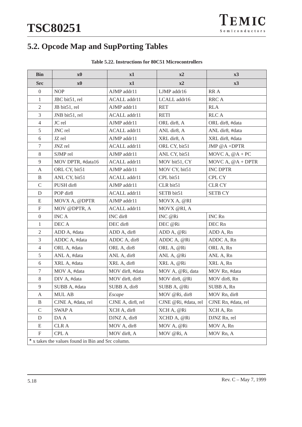# **5.2. Opcode Map and SupPorting Tables**

| <b>Table 5.22. Instructions for 80C51 Microcontrollers</b> |
|------------------------------------------------------------|
|------------------------------------------------------------|

| <b>Bin</b>                | $\mathbf{x}$ <sup>0</sup>                               | x1                | x2                   | x3                  |
|---------------------------|---------------------------------------------------------|-------------------|----------------------|---------------------|
| <b>Src</b>                | $\mathbf{x}$ <sup>0</sup>                               | x1                | x2                   | x3                  |
| $\mathbf{0}$              | <b>NOP</b>                                              | AJMP addr11       | LJMP addr16          | RR A                |
| $\mathbf{1}$              | JBC bit51, rel                                          | ACALL addr11      | LCALL addr16         | RRC A               |
| $\overline{2}$            | JB bit51, rel                                           | AJMP addr11       | <b>RET</b>           | <b>RLA</b>          |
| 3                         | JNB bit51, rel                                          | ACALL addr11      | <b>RETI</b>          | <b>RLCA</b>         |
| $\overline{4}$            | JC rel                                                  | AJMP addr11       | ORL dir8, A          | ORL dir8, #data     |
| 5                         | JNC rel                                                 | ACALL addr11      | ANL dir8, A          | ANL dir8, #data     |
| 6                         | JZ rel                                                  | AJMP addr11       | XRL dir8, A          | XRL dir8, #data     |
| 7                         | JNZ rel                                                 | ACALL addr11      | ORL CY, bit51        | JMP $@A + DPTR$     |
| 8                         | SJMP rel                                                | AJMP addr11       | ANL CY, bit51        | MOVC A, $@A + PC$   |
| 9                         | MOV DPTR, #data16                                       | ACALL addr11      | MOV bit51, CY        | MOVC A, $@A + DPTR$ |
| A                         | ORL CY, bit51                                           | AJMP addr11       | MOV CY, bit51        | <b>INC DPTR</b>     |
| B                         | ANL CY, bit51                                           | ACALL addr11      | CPL bit51            | CPL CY              |
| $\mathbf C$               | PUSH dir8                                               | AJMP addr11       | CLR bit51            | <b>CLR CY</b>       |
| D                         | POP dir8                                                | ACALL addr11      | SETB bit51           | <b>SETB CY</b>      |
| E                         | MOVX A, @DPTR                                           | AJMP addr11       | MOVX A, @RI          |                     |
| $\boldsymbol{\mathrm{F}}$ | MOV @DPTR, A                                            | ACALL addr11      | MOVX @RI, A          |                     |
| $\boldsymbol{0}$          | <b>INCA</b>                                             | INC dir8          | INC @Ri              | <b>INC Rn</b>       |
| 1                         | DEC A                                                   | DEC dir8          | DEC @Ri              | DEC Rn              |
| $\overline{2}$            | ADD A, #data                                            | ADD A, dir8       | ADD A, @Ri           | ADD A, Rn           |
| $\mathfrak{Z}$            | ADDC A, #data                                           | ADDC A, dir8      | ADDC A, @Ri          | ADDC A, Rn          |
| $\overline{4}$            | ORL A, #data                                            | ORL A, dir8       | ORL A, @Ri           | ORL A, Rn           |
| 5                         | ANL A, #data                                            | ANL A, dir8       | ANL A, @Ri           | ANL A, Rn           |
| 6                         | XRL A, #data                                            | XRL A, dir8       | XRL A, @Ri           | XRL A, Rn           |
| $\tau$                    | MOV A, #data                                            | MOV dir8, #data   | MOV A, @Ri, data     | MOV Rn, #data       |
| 8                         | DIV A, #data                                            | MOV dir8, dir8    | MOV dir8, @Ri        | MOV dir8, Rn        |
| 9                         | SUBB A, #data                                           | SUBB A, dir8      | SUBB A, @Ri          | SUBB A, Rn          |
| $\boldsymbol{\mathsf{A}}$ | MUL AB                                                  | $\emph{Escape}$   | MOV @Ri, dir8        | MOV Rn, dir8        |
| B                         | CJNE A, #data, rel                                      | CJNE A, dir8, rel | CJNE @Ri, #data, rel | CJNE Rn, #data, rel |
| $\mathsf C$               | <b>SWAP A</b>                                           | XCH A, dir8       | XCH A, @Ri           | XCH A, Rn           |
| D                         | DA A                                                    | DJNZ A, dir8      | XCHD A, @Ri          | DJNZ Rn, rel        |
| E                         | <b>CLR A</b>                                            | MOV A, dir8       | MOV A, @Ri           | MOV A, Rn           |
| F                         | CPL A                                                   | MOV dir8, A       | MOV @Ri, A           | MOV Rn, A           |
|                           | $\star$ x takes the values found in Bin and Src column. |                   |                      |                     |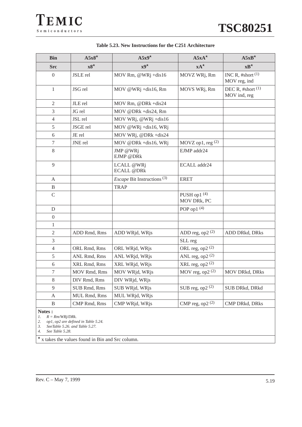| <b>Bin</b>       | $A5x8$ *     | $A5x9$ *                                      | $A5xA^{\star}$              | $A5xB^{\star}$                      |
|------------------|--------------|-----------------------------------------------|-----------------------------|-------------------------------------|
| <b>Src</b>       | $x8^{\star}$ | $x^{0^{\star}}$                               | $xA^{\star}$                | $xB^{\star}$                        |
| $\boldsymbol{0}$ | JSLE rel     | MOV Rm, @WRj +dis16                           | MOVZ WRj, Rm                | INC R, $#short(1)$<br>MOV reg, ind  |
| $\mathbf{1}$     | JSG rel      | MOV @WRj +dis16, Rm                           | MOVS WRj, Rm                | DEC R, #short $(1)$<br>MOV ind, reg |
| 2                | JLE rel      | MOV Rm, @DRk +dis24                           |                             |                                     |
| 3                | JG rel       | MOV @DRk +dis24, Rm                           |                             |                                     |
| 4                | JSL rel      | MOV WRj, @WRj +dis16                          |                             |                                     |
| 5                | JSGE rel     | MOV @WRj +dis16, WRj                          |                             |                                     |
| 6                | JE rel       | MOV WRj, @DRk +dis24                          |                             |                                     |
| $\overline{7}$   | JNE rel      | MOV @DRk +dis16, WRj                          | MOVZ op1, reg (2)           |                                     |
| 8                |              | JMP @WRj<br>EJMP @DRk                         | EJMP addr24                 |                                     |
| 9                |              | LCALL @WRj<br><b>ECALL @DRk</b>               | ECALL addr24                |                                     |
| A                |              | <i>Escape</i> Bit Instructions <sup>(3)</sup> | <b>ERET</b>                 |                                     |
| $\, {\bf B}$     |              | <b>TRAP</b>                                   |                             |                                     |
| $\mathsf{C}$     |              |                                               | PUSH op1 (4)<br>MOV DRk, PC |                                     |
| D                |              |                                               | POP op1 $(4)$               |                                     |
| $\overline{0}$   |              |                                               |                             |                                     |
| $\mathbf{1}$     |              |                                               |                             |                                     |
| $\sqrt{2}$       | ADD Rmd, Rms | ADD WRjd, WRjs                                | ADD reg, op2 $(2)$          | <b>ADD DRkd, DRks</b>               |
| 3                |              |                                               | SLL reg                     |                                     |
| $\overline{4}$   | ORL Rmd, Rms | ORL WRjd, WRjs                                | ORL reg, op2 $(2)$          |                                     |
| 5                | ANL Rmd, Rms | ANL WRjd, WRjs                                | ANL reg, op2 $(2)$          |                                     |
| 6                | XRL Rmd, Rms | XRL WRjd, WRjs                                | XRL reg, op2 $(2)$          |                                     |
| $\boldsymbol{7}$ | MOV Rmd, Rms | MOV WRjd, WRjs                                | MOV reg, op2 $(2)$          | <b>MOV DRkd, DRks</b>               |
| $\,8\,$          | DIV Rmd, Rms | DIV WRjd, WRjs                                |                             |                                     |
| 9                | SUB Rmd, Rms | SUB WRjd, WRjs                                | SUB reg, op2 $(2)$          | SUB DRkd, DRkd                      |
| A                | MUL Rmd, Rms | MUL WRjd, WRjs                                |                             |                                     |
| B                | CMP Rmd, Rms | CMP WRjd, WRjs                                | CMP reg, op2 $(2)$          | <b>CMP DRkd, DRks</b>               |
| $N$ otos $\cdot$ |              |                                               |                             |                                     |

## **Table 5.23. New Instructions for the C251 Architecture**

**Notes :**

*1. R = Rm/WRj/DRk.*

*2. op1, op2 are defined in Table 5.24.* 

*3. SeeTable 5.26. and Table 5.27.* 

*4. See Table 5.28.* 

 $\star$  x takes the values found in Bin and Src column.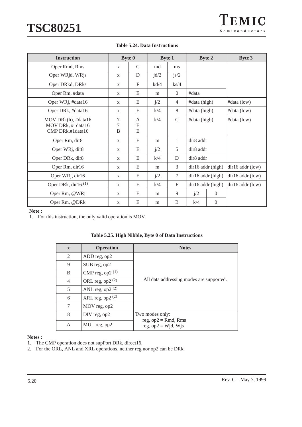| <b>Instruction</b>                                           |              | <b>Byte 0</b> | <b>Byte 1</b> |                |                       | <b>Byte 2</b>     | <b>Byte 3</b>        |
|--------------------------------------------------------------|--------------|---------------|---------------|----------------|-----------------------|-------------------|----------------------|
| Oper Rmd, Rms                                                | X            | $\mathcal{C}$ | md            | ms             |                       |                   |                      |
| Oper WRjd, WRjs                                              | X            | D             | $\text{jd}/2$ | j s/2          |                       |                   |                      |
| Oper DRkd, DRks                                              | $\mathbf{X}$ | $\mathbf{F}$  | kd/4          | $\text{ks}/4$  |                       |                   |                      |
| Oper Rm, #data                                               | $\mathbf{X}$ | E             | m             | $\theta$       | #data                 |                   |                      |
| Oper WRj, #data16                                            | $\mathbf{X}$ | E             | j/2           | $\overline{4}$ | #data (high)          |                   | #data (low)          |
| Oper DRk, #data16                                            | $\mathbf{X}$ | E             | k/4           | 8              | #data (high)          |                   | $\#data$ (low)       |
| MOV DRk(h), #data16<br>MOV DRk, #1data16<br>CMP DRk,#1data16 | 7<br>7<br>B  | A<br>E<br>E   | k/4           | $\mathcal{C}$  | #data (high)          |                   | #data (low)          |
| Oper Rm, dir8                                                | X            | E             | m             | 1              | dir <sub>8</sub> addr |                   |                      |
| Oper WRj, dir8                                               | $\mathbf{X}$ | E             | j/2           | 5              | dir8 addr             |                   |                      |
| Oper DRk, dir8                                               | $\mathbf{X}$ | E             | k/4           | D              | dir <sub>8</sub> addr |                   |                      |
| Oper Rm, dir16                                               | $\mathbf{X}$ | E             | m             | 3              |                       | dir16 addr (high) | $dir16$ addr $(low)$ |
| Oper WRj, dir16                                              | $\mathbf{X}$ | E             | j/2           | 7              | dir16 addr (high)     |                   | $dir16$ addr $(low)$ |
| Oper DRk, dir16 $(1)$                                        | $\mathbf{X}$ | E             | k/4           | $\mathbf{F}$   | dir16 addr (high)     |                   | $dir16$ addr $(low)$ |
| Oper Rm, @WRj                                                | $\mathbf{x}$ | E             | m             | 9              | j/2                   | $\Omega$          |                      |
| Oper Rm, @DRk                                                | $\mathbf X$  | E             | m             | B              | k/4                   | $\Omega$          |                      |

### **Table 5.24. Data Instructions**

#### **Note :**

1. For this instruction, the only valid operation is MOV.

| $\mathbf{x}$   | <b>Operation</b>   | <b>Notes</b>                              |  |  |  |  |  |  |
|----------------|--------------------|-------------------------------------------|--|--|--|--|--|--|
| 2              | ADD reg, op2       |                                           |  |  |  |  |  |  |
| 9              | SUB reg, op2       |                                           |  |  |  |  |  |  |
| B              | CMP reg, op2 $(1)$ |                                           |  |  |  |  |  |  |
| $\overline{4}$ | ORL reg, op2 $(2)$ | All data addressing modes are supported.  |  |  |  |  |  |  |
| 5              | ANL reg, op2 $(2)$ |                                           |  |  |  |  |  |  |
| 6              | XRL reg, op2 $(2)$ |                                           |  |  |  |  |  |  |
| $\tau$         | MOV reg, op2       |                                           |  |  |  |  |  |  |
| 8              | DIV reg, op2       | Two modes only:<br>reg, $op2 = Rmd$ , Rms |  |  |  |  |  |  |
| A              | MUL reg, op2       | reg, $op2 = Wjd$ , Wjs                    |  |  |  |  |  |  |

### **Table 5.25. High Nibble, Byte 0 of Data Instructions**

#### **Notes :**

1. The CMP operation does not supPort DRk, direct16.

2. For the ORL, ANL and XRL operations, neither reg nor op2 can be DRk.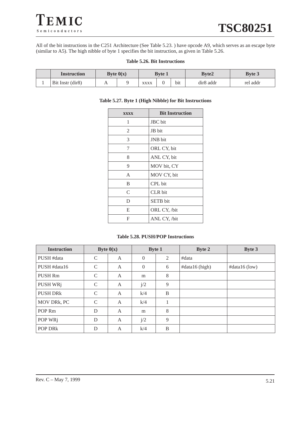

All of the bit instructions in the C251 Architecture (See Table 5.23. ) have opcode A9, which serves as an escape byte (similar to A5). The high nibble of byte 1 specifies the bit instruction, as given in Table 5.26.

#### **Table 5.26. Bit Instructions**

| <b>Instruction</b> |   | Byte $0(x)$ | <b>Byte 1</b> |  | <b>Byte2</b>     |                       | <b>Byte 3</b> |
|--------------------|---|-------------|---------------|--|------------------|-----------------------|---------------|
| Bit Instr (dir8)   | n |             | XXXX          |  | b <sub>1</sub> t | dir <sub>8</sub> addr | rel addr      |

#### **Table 5.27. Byte 1 (High Nibble) for Bit Instructions**

| <b>XXXX</b> | <b>Bit Instruction</b> |
|-------------|------------------------|
| 1           | JBC bit                |
| 2           | JB bit                 |
| 3           | JNB bit                |
| 7           | ORL CY, bit            |
| 8           | ANL CY, bit            |
| 9           | MOV bit, CY            |
| A           | MOV CY, bit            |
| B           | CPL bit                |
| C           | <b>CLR</b> bit         |
| D           | <b>SETB</b> bit        |
| E           | ORL CY, /bit           |
| F           | ANL CY, /bit           |

### **Table 5.28. PUSH/POP Instructions**

| <b>Instruction</b>  | Byte $0(x)$   |                | <b>Byte 1</b> |   | <b>Byte 2</b>  | Byte 3        |
|---------------------|---------------|----------------|---------------|---|----------------|---------------|
| PUSH #data          | $\mathcal{C}$ | A              | $\theta$      | 2 | #data          |               |
| PUSH #data16        | $\mathcal{C}$ | A              | $\Omega$      | 6 | #data16 (high) | #data16 (low) |
| <b>PUSH Rm</b>      | $\mathcal{C}$ | A              | m             | 8 |                |               |
| PUSH WRj            | $\mathcal{C}$ | $\mathsf{A}$   | j/2           | 9 |                |               |
| PUSH DRk            | $\mathcal{C}$ | $\mathsf{A}$   | k/4           | B |                |               |
| MOV DRk, PC         | $\mathcal{C}$ | A              | k/4           |   |                |               |
| POP <sub>Rm</sub>   | D             | A              | m             | 8 |                |               |
| POP WRj             | D             | $\overline{A}$ | j/2           | 9 |                |               |
| POP DR <sub>k</sub> | D             | A              | k/4           | B |                |               |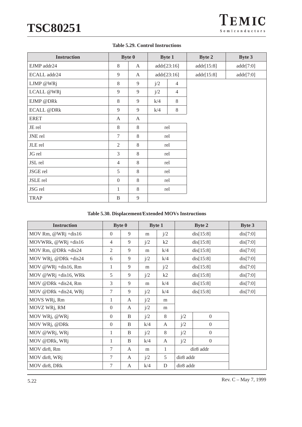|  |  |  | <b>Table 5.29. Control Instructions</b> |
|--|--|--|-----------------------------------------|
|--|--|--|-----------------------------------------|

| <b>Instruction</b> |                  | <b>Byte 0</b> | <b>Byte 1</b> |                | <b>Byte 2</b> | <b>Byte 3</b> |
|--------------------|------------------|---------------|---------------|----------------|---------------|---------------|
| EJMP addr24        | 8                | $\mathbf{A}$  | addr[23:16]   |                | addr[15:8]    | addr[7:0]     |
| ECALL addr24       | 9                | A             |               | addr[23:16]    | addr[15:8]    | addr[7:0]     |
| LJMP @WRj          | 8                | 9             | j/2           | $\overline{4}$ |               |               |
| LCALL @WRj         | 9                | 9             | j/2           | $\overline{4}$ |               |               |
| EJMP @DRk          | 8                | 9             | k/4           | 8              |               |               |
| <b>ECALL @DRk</b>  | 9                | 9             | k/4           | 8              |               |               |
| <b>ERET</b>        | A                | A             |               |                |               |               |
| JE rel             | 8                | 8             |               | rel            |               |               |
| JNE rel            | $\tau$           | 8             |               | rel            |               |               |
| JLE rel            | 2                | 8             |               | rel            |               |               |
| JG rel             | 3                | 8             |               | rel            |               |               |
| JSL rel            | $\overline{4}$   | 8             |               | rel            |               |               |
| JSGE rel           | 5                | 8             |               | rel            |               |               |
| JSLE rel           | $\boldsymbol{0}$ | 8             | rel           |                |               |               |
| JSG rel            | 1                | 8             | rel           |                |               |               |
| <b>TRAP</b>        | B                | 9             |               |                |               |               |

#### **Table 5.30. Displacement/Extended MOVs Instructions**

| <b>Instruction</b>    | <b>Byte 0</b>  |   | <b>Byte 1</b> |     |                       | <b>Byte 2</b>    | <b>Byte 3</b> |
|-----------------------|----------------|---|---------------|-----|-----------------------|------------------|---------------|
| MOV Rm, $@WRj +dis16$ | $\Omega$       | 9 | m             | j/2 |                       | dis[15:8]        | dis[7:0]      |
| MOVWRk, @WRj +dis16   | $\overline{4}$ | 9 | j/2           | k2  |                       | dis[15:8]        | dis[7:0]      |
| MOV Rm, @DRk +dis24   | $\overline{2}$ | 9 | m             | k/4 |                       | dis[15:8]        | dis[7:0]      |
| MOV WRj, @DRk +dis24  | 6              | 9 | j/2           | k/4 |                       | dis[15:8]        | dis[7:0]      |
| MOV @WRj +dis16, Rm   | 1              | 9 | m             | j/2 |                       | dis[15:8]        | dis[7:0]      |
| MOV @WRj +dis16, WRk  | 5              | 9 | j/2           | k2  |                       | dis[15:8]        | dis[7:0]      |
| MOV @DRk +dis24, Rm   | 3              | 9 | m             | k/4 |                       | dis[15:8]        | dis[7:0]      |
| MOV @DRk +dis24, WRj  | 7              | 9 | j/2           | k/4 |                       | dis[15:8]        | dis[7:0]      |
| MOVS WRj, Rm          | 1              | A | j/2           | m   |                       |                  |               |
| MOVZ WRj, RM          | $\theta$       | A | j/2           | m   |                       |                  |               |
| MOV WRj, @WRj         | $\theta$       | B | j/2           | 8   | j/2                   | $\overline{0}$   |               |
| MOV WRj, @DRk         | $\theta$       | B | k/4           | A   | j/2                   | $\boldsymbol{0}$ |               |
| MOV @WRj, WRj         | 1              | B | j/2           | 8   | j/2                   | $\Omega$         |               |
| MOV @DRk, WRj         | 1              | B | k/4           | A   | $\overline{0}$<br>j/2 |                  |               |
| MOV dir8, Rm          | 7              | A | m             | 1   | dir8 addr             |                  |               |
| MOV dir8, WRj         | 7              | A | j/2           | 5   | dir8 addr             |                  |               |
| MOV dir8, DRk         | 7              | A | k/4           | D   | dir8 addr             |                  |               |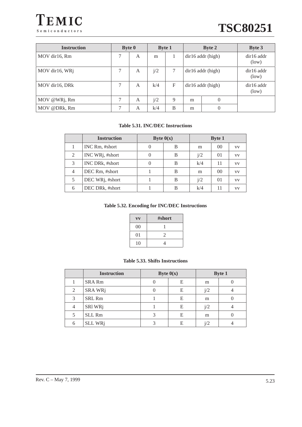



| <b>Instruction</b> |   | <b>Byte 0</b> | <b>Byte 1</b> |   | <b>Byte 2</b>     |                   | <b>Byte 3</b>         |  |                       |
|--------------------|---|---------------|---------------|---|-------------------|-------------------|-----------------------|--|-----------------------|
| MOV dir16, Rm      | 7 | A             | m             |   | dir16 addr (high) |                   |                       |  | $dir16$ addr<br>(low) |
| MOV dir16, WRj     | 7 | A             | j/2           | 7 |                   | dir16 addr (high) | $dir16$ addr<br>(low) |  |                       |
| MOV dir16, DRk     |   | A             | k/4           | F | dir16 addr (high) |                   | $dir16$ addr<br>(low) |  |                       |
| MOV @WRj, Rm       |   | A             | i/2           | 9 | 0<br>m            |                   |                       |  |                       |
| MOV @DRk, Rm       |   | A             | k/4           | B | m                 |                   |                       |  |                       |

### **Table 5.31. INC/DEC Instructions**

|   | <b>Instruction</b>           | Byte $0(x)$ |   | <b>Byte 1</b> |                |           |
|---|------------------------------|-------------|---|---------------|----------------|-----------|
|   | INC Rm, #short               |             | В | m             | $00\,$         | <b>VV</b> |
| 2 | INC WRj, #short              |             | В | j/2           | 0 <sub>1</sub> | VV        |
| 3 | INC DRk, #short              |             | В | k/4           | 11             | VV.       |
| 4 | DEC Rm, #short               |             | B | m             | 0 <sup>0</sup> | VV        |
| 5 | DEC WR <sub>j</sub> , #short |             | B | i/2           | 0 <sub>1</sub> | <b>VV</b> |
| 6 | DEC DRk, #short              |             | В | k/4           | 11             | VV        |

## **Table 5.32. Encoding for INC/DEC Instructions**

|    | #short |
|----|--------|
| 00 |        |
| 01 | 2      |
| 10 | 4      |

### **Table 5.33. Shifts Instructions**

|   | <b>Instruction</b> | Byte $0(x)$ |   | <b>Byte 1</b> |  |
|---|--------------------|-------------|---|---------------|--|
|   | <b>SRA Rm</b>      |             | E | m             |  |
| 2 | SRA WRj            |             | E | j/2           |  |
| 3 | SRL Rm             |             | E | m             |  |
| 4 | SRI WRj            |             | E | j/2           |  |
|   | SLL Rm             | 2           | E | m             |  |
| 6 | <b>SLL WRj</b>     | ⌒           | E |               |  |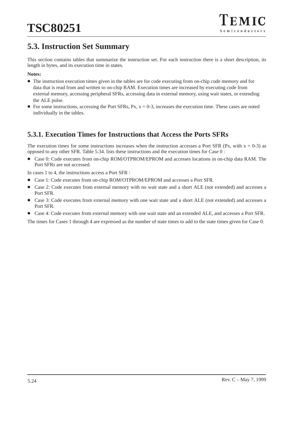# **5.3. Instruction Set Summary**

This section contains tables that summarize the instruction set. For each instruction there is a short description, its length in bytes, and its execution time in states.

### **Notes:**

- The instruction execution times given in the tables are for code executing from on-chip code memory and for data that is read from and written to on-chip RAM. Execution times are increased by executing code from external memory, accessing peripheral SFRs, accessing data in external memory, using wait states, or extending the ALE pulse.
- For some instructions, accessing the Port SFRs, Px,  $x = 0-3$ , increases the execution time. These cases are noted individually in the tables.

# **5.3.1. Execution Times for Instructions that Access the Ports SFRs**

The execution times for some instructions increases when the instruction accesses a Port SFR (Px, with  $x = 0-3$ ) as opposed to any other SFR. Table 5.34. lists these instructions and the execution times for Case 0 :

 $\bullet$  Case 0: Code executes from on-chip ROM/OTPROM/EPROM and accesses locations in on-chip data RAM. The Port SFRs are not accessed.

In cases 1 to 4, the instructions access a Port SFR :

- $\bullet$ Case 1: Code executes from on-chip ROM/OTPROM/EPROM and accesses a Port SFR.
- $\bullet$  Case 2: Code executes from external memory with no wait state and a short ALE (not extended) and accesses a Port SFR.
- $\bullet$  Case 3: Code executes from external memory with one wait state and a short ALE (not extended) and accesses a Port SFR.
- Case 4: Code executes from external memory with one wait state and an extended ALE, and accesses a Port SFR.

The times for Cases 1 through 4 are expressed as the number of state times to add to the state times given for Case 0.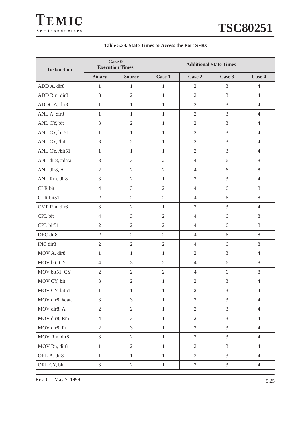| <b>Instruction</b> | Case 0<br><b>Execution Times</b> |                | <b>Additional State Times</b> |                |                |                |  |
|--------------------|----------------------------------|----------------|-------------------------------|----------------|----------------|----------------|--|
|                    | <b>Binary</b>                    | <b>Source</b>  | Case 1                        | Case 2         | Case 3         | Case 4         |  |
| ADD A, dir8        | $\mathbf{1}$                     | $\mathbf{1}$   | $\mathbf{1}$                  | $\overline{2}$ | $\mathfrak{Z}$ | $\overline{4}$ |  |
| ADD Rm, dir8       | $\mathfrak{Z}$                   | $\overline{2}$ | $\mathbf{1}$                  | $\overline{2}$ | $\overline{3}$ | $\overline{4}$ |  |
| ADDC A, dir8       | $\mathbf{1}$                     | $\mathbf{1}$   | $\mathbf{1}$                  | $\overline{2}$ | $\overline{3}$ | $\overline{4}$ |  |
| ANL A, dir8        | $\mathbf{1}$                     | $\mathbf{1}$   | $\mathbf{1}$                  | $\overline{2}$ | 3              | $\overline{4}$ |  |
| ANL CY, bit        | 3                                | $\overline{2}$ | $\mathbf{1}$                  | $\overline{2}$ | 3              | $\overline{4}$ |  |
| ANL CY, bit51      | $\mathbf{1}$                     | $\mathbf{1}$   | $\,1$                         | $\overline{2}$ | 3              | $\overline{4}$ |  |
| ANL CY, /bit       | 3                                | $\overline{2}$ | $\,1$                         | $\overline{2}$ | 3              | $\overline{4}$ |  |
| ANL CY, /bit51     | $\mathbf{1}$                     | $\mathbf{1}$   | $\mathbf{1}$                  | $\overline{2}$ | 3              | $\overline{4}$ |  |
| ANL dir8, #data    | 3                                | $\overline{3}$ | $\mathfrak{2}$                | $\overline{4}$ | 6              | $\,8\,$        |  |
| ANL dir8, A        | $\overline{2}$                   | $\overline{2}$ | $\overline{2}$                | $\overline{4}$ | 6              | $8\,$          |  |
| ANL Rm, dir8       | 3                                | $\sqrt{2}$     | $\,1$                         | $\overline{2}$ | 3              | $\overline{4}$ |  |
| CLR bit            | $\overline{4}$                   | 3              | $\overline{2}$                | $\overline{4}$ | $6\,$          | $8\,$          |  |
| CLR bit51          | $\overline{2}$                   | $\overline{2}$ | $\mathfrak{2}$                | $\overline{4}$ | 6              | 8              |  |
| CMP Rm, dir8       | $\mathfrak{Z}$                   | $\overline{2}$ | $\mathbf{1}$                  | $\overline{2}$ | $\overline{3}$ | $\overline{4}$ |  |
| CPL bit            | $\overline{4}$                   | 3              | $\mathfrak{2}$                | $\overline{4}$ | 6              | $8\,$          |  |
| CPL bit51          | $\sqrt{2}$                       | $\overline{2}$ | $\sqrt{2}$                    | $\overline{4}$ | 6              | $8\,$          |  |
| DEC dir8           | $\overline{2}$                   | $\overline{2}$ | $\mathbf{2}$                  | $\overline{4}$ | 6              | 8              |  |
| INC dir8           | $\sqrt{2}$                       | $\overline{2}$ | $\sqrt{2}$                    | $\overline{4}$ | 6              | $8\,$          |  |
| MOV A, dir8        | $\mathbf{1}$                     | $\mathbf{1}$   | $\mathbf{1}$                  | $\overline{2}$ | $\overline{3}$ | $\overline{4}$ |  |
| MOV bit, CY        | $\overline{4}$                   | 3              | $\sqrt{2}$                    | $\overline{4}$ | $6\,$          | $\,8\,$        |  |
| MOV bit51, CY      | $\overline{2}$                   | $\overline{2}$ | $\sqrt{2}$                    | $\overline{4}$ | $6\,$          | $8\,$          |  |
| MOV CY, bit        | 3                                | $\overline{2}$ | $\mathbf{1}$                  | $\overline{2}$ | 3              | $\overline{4}$ |  |
| MOV CY, bit51      | $\mathbf{1}$                     | $\mathbf{1}$   | $\,1\,$                       | $\sqrt{2}$     | 3              | $\overline{4}$ |  |
| MOV dir8, #data    | 3                                | 3              | $\,1$                         | $\sqrt{2}$     | $\mathfrak{Z}$ | $\overline{4}$ |  |
| MOV dir8, A        | $\sqrt{2}$                       | $\overline{2}$ | $\,1$                         | $\sqrt{2}$     | $\overline{3}$ | $\overline{4}$ |  |
| MOV dir8, Rm       | $\overline{4}$                   | 3              | $\,1$                         | $\sqrt{2}$     | 3              | $\overline{4}$ |  |
| MOV dir8, Rn       | $\sqrt{2}$                       | 3              | $\,1\,$                       | $\mathbf{2}$   | $\overline{3}$ | $\overline{4}$ |  |
| MOV Rm, dir8       | $\mathfrak{Z}$                   | $\overline{2}$ | $\mathbf{1}$                  | $\sqrt{2}$     | $\overline{3}$ | $\overline{4}$ |  |
| MOV Rn, dir8       | $\mathbf{1}$                     | $\mathbf{2}$   | $\mathbf{1}$                  | $\sqrt{2}$     | $\mathfrak{Z}$ | $\overline{4}$ |  |
| ORL A, dir8        | $\mathbf{1}$                     | $\mathbf{1}$   | $\,1$                         | $\mathbf{2}$   | $\overline{3}$ | $\overline{4}$ |  |
| ORL CY, bit        | $\mathfrak{Z}$                   | $\mathbf{2}$   | $\mathbf{1}$                  | $\sqrt{2}$     | 3              | $\overline{4}$ |  |

## **Table 5.34. State Times to Access the Port SFRs**

Rev. C – May 7, 1999  $5.25$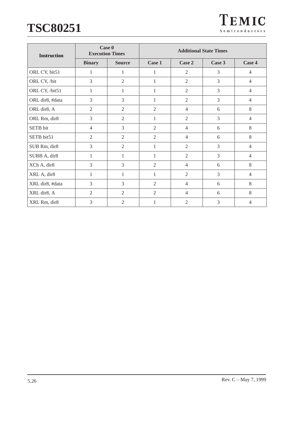| <b>Instruction</b> | Case 0<br><b>Execution Times</b> |                | <b>Additional State Times</b> |                |                |                |  |
|--------------------|----------------------------------|----------------|-------------------------------|----------------|----------------|----------------|--|
|                    | <b>Binary</b>                    | <b>Source</b>  | Case 1                        | Case 2         | Case 3         | Case 4         |  |
| ORL CY, bit51      | 1                                | 1              | 1                             | $\overline{2}$ | 3              | $\overline{4}$ |  |
| ORL CY, /bit       | 3                                | $\overline{2}$ | 1                             | $\overline{2}$ | 3              | $\overline{4}$ |  |
| ORL CY, /bit51     | 1                                | 1              | 1                             | $\overline{2}$ | $\overline{3}$ | $\overline{4}$ |  |
| ORL dir8, #data    | 3                                | 3              | 1                             | $\overline{2}$ | 3              | $\overline{4}$ |  |
| ORL dir8, A        | $\overline{2}$                   | $\mathbf{2}$   | $\overline{2}$                | $\overline{4}$ | 6              | 8              |  |
| ORL Rm, dir8       | 3                                | $\overline{2}$ | $\mathbf{1}$                  | $\overline{2}$ | 3              | $\overline{4}$ |  |
| SETB bit           | $\overline{4}$                   | 3              | $\overline{2}$                | $\overline{4}$ | 6              | 8              |  |
| SETB bit51         | $\overline{2}$                   | 2              | $\overline{2}$                | $\overline{4}$ | 6              | 8              |  |
| SUB Rm, dir8       | 3                                | $\overline{2}$ | 1                             | $\overline{2}$ | 3              | $\overline{4}$ |  |
| SUBB A, dir8       | 1                                | 1              | 1                             | $\overline{2}$ | 3              | $\overline{4}$ |  |
| XCh A, dir8        | 3                                | 3              | $\mathfrak{2}$                | $\overline{4}$ | 6              | $\,8\,$        |  |
| XRL A, dir8        | $\mathbf{1}$                     | 1              | 1                             | $\overline{2}$ | $\overline{3}$ | $\overline{4}$ |  |
| XRL dir8, #data    | $\overline{3}$                   | $\overline{3}$ | $\overline{2}$                | $\overline{4}$ | 6              | 8              |  |
| XRL dir8, A        | $\overline{2}$                   | $\overline{2}$ | $\overline{2}$                | $\overline{4}$ | 6              | 8              |  |
| XRL Rm, dir8       | 3                                | $\overline{2}$ | 1                             | $\overline{2}$ | 3              | $\overline{4}$ |  |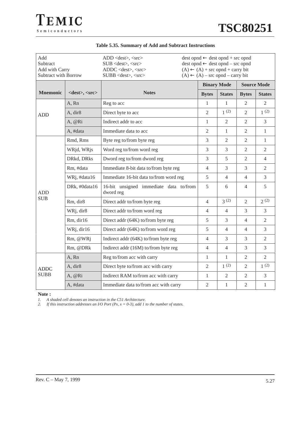| Add<br>Subtract<br>Add with Carry<br>Subtract with Borrow |                            | $dest opnd \leftarrow dest opnd + src opnd$<br>$ADD <$ dest>, $<$ src><br>$dest opnd \leftarrow dest opnd - src opnd$<br>$SUB <$ dest>, <src><br/>ADDC <dest>, <src><br/><math>(A) \leftarrow (A) +</math> src opnd + carry bit<br/><math>(A) \leftarrow (A)</math> – src opnd – carry bit<br/><math>SUBB &lt;</math> dest&gt;, <math>&lt;</math>src&gt;</src></dest></src> |                    |                |                    |                |  |
|-----------------------------------------------------------|----------------------------|-----------------------------------------------------------------------------------------------------------------------------------------------------------------------------------------------------------------------------------------------------------------------------------------------------------------------------------------------------------------------------|--------------------|----------------|--------------------|----------------|--|
|                                                           |                            |                                                                                                                                                                                                                                                                                                                                                                             | <b>Binary Mode</b> |                | <b>Source Mode</b> |                |  |
| <b>Mnemonic</b>                                           | <dest>, <src></src></dest> | <b>Notes</b>                                                                                                                                                                                                                                                                                                                                                                | <b>Bytes</b>       | <b>States</b>  | <b>Bytes</b>       | <b>States</b>  |  |
|                                                           | A, Rn                      | Reg to acc                                                                                                                                                                                                                                                                                                                                                                  | $\mathbf{1}$       | $\mathbf{1}$   | $\overline{2}$     | $\overline{2}$ |  |
| <b>ADD</b>                                                | A, dir8                    | Direct byte to acc                                                                                                                                                                                                                                                                                                                                                          | $\overline{2}$     | 1(2)           | $\overline{2}$     | 1(2)           |  |
|                                                           | A, @Ri                     | Indirect addr to acc                                                                                                                                                                                                                                                                                                                                                        | $\mathbf{1}$       | 2              | 2                  | 3              |  |
|                                                           | A, #data                   | Immediate data to acc                                                                                                                                                                                                                                                                                                                                                       | $\overline{2}$     | $\mathbf{1}$   | $\overline{2}$     | $\mathbf{1}$   |  |
|                                                           | Rmd, Rms                   | Byte reg to/from byte reg                                                                                                                                                                                                                                                                                                                                                   | 3                  | $\overline{2}$ | $\overline{2}$     | $\mathbf{1}$   |  |
|                                                           | WRjd, WRjs                 | Word reg to/from word reg                                                                                                                                                                                                                                                                                                                                                   | 3                  | 3              | $\overline{2}$     | $\overline{2}$ |  |
|                                                           | DRkd, DRks                 | Dword reg to/from dword reg                                                                                                                                                                                                                                                                                                                                                 | $\overline{3}$     | 5              | $\mathfrak{D}$     | $\overline{4}$ |  |
|                                                           | Rm, #data                  | Immediate 8-bit data to/from byte reg                                                                                                                                                                                                                                                                                                                                       | $\overline{4}$     | 3              | 3                  | 2              |  |
| <b>ADD</b>                                                | WRj, #data16               | Immediate 16-bit data to/from word reg                                                                                                                                                                                                                                                                                                                                      | 5                  | $\overline{4}$ | $\overline{4}$     | 3              |  |
|                                                           | DRk, #0data16              | 16-bit unsigned immediate data to/from<br>dword reg                                                                                                                                                                                                                                                                                                                         | 5                  | 6              | $\overline{4}$     | 5              |  |
| <b>SUB</b>                                                | Rm, dir8                   | Direct addr to/from byte reg                                                                                                                                                                                                                                                                                                                                                | $\overline{4}$     | 3(2)           | $\overline{2}$     | 2(2)           |  |
|                                                           | WRj, dir8                  | Direct addr to/from word reg                                                                                                                                                                                                                                                                                                                                                | $\overline{4}$     | $\overline{4}$ | 3                  | 3              |  |
|                                                           | Rm, dir16                  | Direct addr (64K) to/from byte reg                                                                                                                                                                                                                                                                                                                                          | 5                  | 3              | $\overline{4}$     | $\overline{2}$ |  |
|                                                           | WRj, dir16                 | Direct addr (64K) to/from word reg                                                                                                                                                                                                                                                                                                                                          | 5                  | $\overline{4}$ | $\overline{4}$     | $\overline{3}$ |  |
|                                                           | Rm, @WRj                   | Indirect addr (64K) to/from byte reg                                                                                                                                                                                                                                                                                                                                        | $\overline{4}$     | 3              | 3                  | $\overline{2}$ |  |
|                                                           | Rm, @DRk                   | Indirect addr (16M) to/from byte reg                                                                                                                                                                                                                                                                                                                                        | $\overline{4}$     | $\overline{4}$ | 3                  | 3              |  |
| <b>ADDC</b><br><b>SUBB</b>                                | A, Rn                      | Reg to/from acc with carry                                                                                                                                                                                                                                                                                                                                                  | $\mathbf{1}$       | $\mathbf{1}$   | $\overline{2}$     | $\overline{2}$ |  |
|                                                           | A, dir8                    | Direct byte to/from acc with carry                                                                                                                                                                                                                                                                                                                                          | $\overline{2}$     | 1(2)           | $\overline{2}$     | 1(2)           |  |
|                                                           | A, @Ri                     | Indirect RAM to/from acc with carry                                                                                                                                                                                                                                                                                                                                         | $\mathbf{1}$       | $\overline{2}$ | $\overline{2}$     | $\overline{3}$ |  |
|                                                           | A, #data                   | Immediate data to/from acc with carry                                                                                                                                                                                                                                                                                                                                       | $\overline{2}$     | $\mathbf{1}$   | $\overline{2}$     | $\mathbf{1}$   |  |

### **Table 5.35. Summary of Add and Subtract Instructions**

**Note :**

*1. A shaded cell denotes an instruction in the C51 Architecture.*

*2. If this instruction addresses an I/O Port (Px, x = 0-3), add 1 to the number of states.*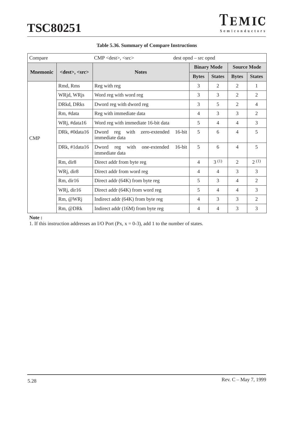| Compare         |                            | CMP <dest>, <src></src></dest>                                 | $dest opnd - src opnd$ |                |                |                    |
|-----------------|----------------------------|----------------------------------------------------------------|------------------------|----------------|----------------|--------------------|
|                 |                            | <b>Binary Mode</b>                                             |                        |                |                | <b>Source Mode</b> |
| <b>Mnemonic</b> | <dest>, <src></src></dest> | <b>Notes</b>                                                   | <b>Bytes</b>           | <b>States</b>  | <b>Bytes</b>   | <b>States</b>      |
|                 | Rmd, Rms                   | Reg with reg                                                   | 3                      | 2              | 2              | 1                  |
|                 | WRjd, WRjs                 | Word reg with word reg                                         | 3                      | 3              | $\overline{2}$ | 2                  |
|                 | DRkd, DRks                 | Dword reg with dword reg                                       | 3                      | 5              | 2              | $\overline{4}$     |
|                 | Rm, #data                  | Reg with immediate data                                        | 4                      | 3              | 3              | 2                  |
|                 | WRj, #data16               | Word reg with immediate 16-bit data                            | 5                      | $\overline{4}$ | $\overline{4}$ | 3                  |
| CMP             | DRk, #0data16              | Dword reg with<br>zero-extended<br>$16$ -bit<br>immediate data | 5                      | 6              | $\overline{4}$ | 5                  |
|                 | DRk, #1data16              | Dword reg with<br>$16$ -bit<br>one-extended<br>immediate data  | 5                      | 6              | $\overline{4}$ | 5                  |
|                 | Rm, dir8                   | Direct addr from byte reg                                      | 4                      | 3(1)           | $\overline{2}$ | 2(1)               |
|                 | WRj, dir8                  | Direct addr from word reg                                      | $\overline{4}$         | $\overline{4}$ | 3              | 3                  |
|                 | Rm, dir16                  | Direct addr (64K) from byte reg                                | 5                      | 3              | $\overline{4}$ | $\overline{2}$     |
|                 | WRj, dir16                 | Direct addr (64K) from word reg                                | 5                      | 4              | $\overline{4}$ | 3                  |
|                 | Rm, @WRj                   | Indirect addr (64K) from byte reg                              | $\overline{4}$         | 3              | 3              | $\mathfrak{2}$     |
|                 | Rm, @DRk                   | Indirect addr (16M) from byte reg                              | $\overline{4}$         | $\overline{4}$ | 3              | 3                  |

#### **Table 5.36. Summary of Compare Instructions**

**Note :**

1. If this instruction addresses an I/O Port (Px,  $x = 0-3$ ), add 1 to the number of states.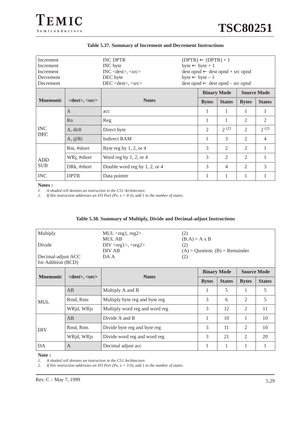| Increment<br>Increment<br>Increment<br>Decrement<br>Decrement |                     | <b>INC DPTR</b><br>INC byte<br>INC <dest>, <src><br/>DEC byte<br/>DEC <dest>, <src></src></dest></src></dest> | $(DPTR) \leftarrow (DPTR) + 1$<br>$byte \leftarrow byte + 1$<br>$dest opnd \leftarrow dest opnd + src opnd$<br>$byte \leftarrow byte - 1$<br>$dest opnd \leftarrow dest opnd - src opnd$ |                |                |                |
|---------------------------------------------------------------|---------------------|---------------------------------------------------------------------------------------------------------------|------------------------------------------------------------------------------------------------------------------------------------------------------------------------------------------|----------------|----------------|----------------|
|                                                               |                     |                                                                                                               | <b>Source Mode</b><br><b>Binary Mode</b>                                                                                                                                                 |                |                |                |
| <b>Mnemonic</b>                                               | $<$ dest>, $<$ src> | <b>Notes</b>                                                                                                  | <b>Bytes</b>                                                                                                                                                                             | <b>States</b>  | <b>Bytes</b>   | <b>States</b>  |
|                                                               | A                   | acc                                                                                                           | 1                                                                                                                                                                                        | 1              | 1              | 1              |
|                                                               | Rn                  | Reg                                                                                                           | 1                                                                                                                                                                                        | 1              | $\overline{2}$ | 2              |
| <b>INC</b><br><b>DEC</b>                                      | A, dir8             | Direct byte                                                                                                   | $\overline{2}$                                                                                                                                                                           | 2(2)           | $\mathfrak{D}$ | 2(2)           |
|                                                               | A, @Ri              | <b>Indirect RAM</b>                                                                                           | 1                                                                                                                                                                                        | 3              | $\overline{2}$ | $\overline{4}$ |
|                                                               | Rm, #short          | Byte reg by $1, 2$ , or $4$                                                                                   | 3                                                                                                                                                                                        | $\mathfrak{D}$ | 2              | 1              |
| <b>ADD</b>                                                    | WRj, #short         | Word reg by $1, 2$ , or $4$                                                                                   | 3                                                                                                                                                                                        | 2              | $\overline{2}$ | 1              |
| <b>SUB</b>                                                    | DRk, #short         | Double word reg by 1, 2, or 4                                                                                 | 3                                                                                                                                                                                        | $\overline{4}$ | 2              | 3              |
| <b>INC</b>                                                    | <b>DPTR</b>         | Data pointer                                                                                                  | 1                                                                                                                                                                                        | 1              | 1              |                |

#### **Table 5.37. Summary of Increment and Decrement Instructions**

## **Notes :**<br>*1. A sh*

*1. A shaded cell denotes an instruction in the C51 Architecture.*

*2. If this instruction addresses an I/O Port (Px, x = 0-3), add 1 to the number of states.*

| Multiply<br>Divide<br>Decimal-adjust ACC<br>for Addition (BCD) |                            | $MUL <$ reg1, reg2><br><b>MUL AB</b><br>$DIV < \text{reg1} >, < \text{reg2} >$<br>DIV AB<br>DA A | (2)<br>(2)<br>(2) | $(B:A) = A \times B$<br>$(A) = Quotient$ ; $(B) = Remainder$ |               |                |               |
|----------------------------------------------------------------|----------------------------|--------------------------------------------------------------------------------------------------|-------------------|--------------------------------------------------------------|---------------|----------------|---------------|
|                                                                |                            |                                                                                                  |                   | <b>Source Mode</b><br><b>Binary Mode</b>                     |               |                |               |
| <b>Mnemonic</b>                                                | $<$ dest $>$ , $<$ src $>$ | <b>Notes</b>                                                                                     |                   | <b>Bytes</b>                                                 | <b>States</b> | <b>Bytes</b>   | <b>States</b> |
|                                                                | AB                         | Multiply A and B                                                                                 |                   | 1                                                            | 5             | 1              | 5             |
| <b>MUL</b>                                                     | Rmd, Rms                   | Multiply byte reg and byte reg                                                                   |                   | 3                                                            | 6             | $\overline{2}$ | 5             |
|                                                                | WRjd, WRjs                 | Multiply word reg and word reg                                                                   |                   | 3                                                            | 12            | 2              | 11            |
|                                                                | AB                         | Divide A and B                                                                                   |                   | 1                                                            | 10            | 1              | 10            |
| <b>DIV</b>                                                     | Rmd, Rms                   | Divide byte reg and byte reg                                                                     |                   | 3                                                            | 11            | $\mathfrak{D}$ | 10            |
|                                                                | WRjd, WRjs                 | Divide word reg and word reg                                                                     |                   | 3                                                            | 21            | $\overline{2}$ | 20            |
| DA                                                             | $\overline{A}$             | Decimal adjust acc                                                                               |                   | 1                                                            | 1             | 1              | 1             |

#### **Table 5.38. Summary of Multiply, Divide and Decimal-adjust Instructions**

#### **Note :**

*1. A shaded cell denotes an instruction in the C51 Architecture.*

*2. If this instruction addresses an I/O Port (Px, x = 3:0), add 1 to the number of states.*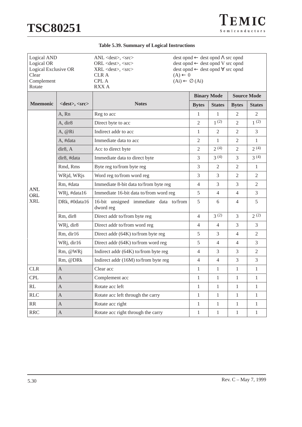|  |  |  | <b>Table 5.39. Summary of Logical Instructions</b> |
|--|--|--|----------------------------------------------------|
|--|--|--|----------------------------------------------------|

| Logical AND<br>Logical OR<br>Logical Exclusive OR<br>Clear<br>Complement<br>Rotate |                     | ANL <dest>, <src><br/><math>ORL &lt;</math> dest<math>&gt;</math>, <math>&lt;</math>src<math>&gt;</math><br/><math>XRL &lt;</math>dest&gt;, <math>\langle</math>src&gt;<br/><b>CLRA</b><br/><math>(A) \leftarrow 0</math><br/><b>CPL A</b><br/><math>(Ai) \leftarrow \emptyset</math> (Ai)<br/><b>RXXA</b></src></dest> | $dest opnd \leftarrow dest opnd \Lambda src opnd$<br>dest opnd ← dest opnd V src opnd<br>$dest opnd \leftarrow dest opnd \forall src opnd$ |                |                |                    |
|------------------------------------------------------------------------------------|---------------------|-------------------------------------------------------------------------------------------------------------------------------------------------------------------------------------------------------------------------------------------------------------------------------------------------------------------------|--------------------------------------------------------------------------------------------------------------------------------------------|----------------|----------------|--------------------|
|                                                                                    |                     |                                                                                                                                                                                                                                                                                                                         | <b>Binary Mode</b>                                                                                                                         |                |                | <b>Source Mode</b> |
| <b>Mnemonic</b>                                                                    | $<$ dest>, $<$ src> | <b>Notes</b>                                                                                                                                                                                                                                                                                                            | <b>Bytes</b>                                                                                                                               | <b>States</b>  | <b>Bytes</b>   | <b>States</b>      |
|                                                                                    | A, Rn               | Reg to acc                                                                                                                                                                                                                                                                                                              | 1                                                                                                                                          | 1              | 2              | 2                  |
|                                                                                    | A, dir8             | Direct byte to acc                                                                                                                                                                                                                                                                                                      | $\overline{c}$                                                                                                                             | 1(2)           | 2              | 1(2)               |
|                                                                                    | A, @Ri              | Indirect addr to acc                                                                                                                                                                                                                                                                                                    | 1                                                                                                                                          | $\overline{2}$ | 2              | 3                  |
|                                                                                    | A, #data            | Immediate data to acc                                                                                                                                                                                                                                                                                                   | $\overline{2}$                                                                                                                             | $\mathbf{1}$   | $\overline{2}$ | $\mathbf{1}$       |
|                                                                                    | dir8, A             | Acc to direct byte                                                                                                                                                                                                                                                                                                      | $\overline{2}$                                                                                                                             | 2(4)           | $\overline{2}$ | 2(4)               |
|                                                                                    | dir8, #data         | Immediate data to direct byte                                                                                                                                                                                                                                                                                           | 3                                                                                                                                          | 3(4)           | 3              | 3(4)               |
|                                                                                    | Rmd, Rms            | Byte reg to/from byte reg                                                                                                                                                                                                                                                                                               | 3                                                                                                                                          | 2              | 2              | 1                  |
|                                                                                    | WRjd, WRjs          | Word reg to/from word reg                                                                                                                                                                                                                                                                                               | 3                                                                                                                                          | 3              | $\overline{2}$ | 2                  |
|                                                                                    | Rm, #data           | Immediate 8-bit data to/from byte reg                                                                                                                                                                                                                                                                                   | $\overline{4}$                                                                                                                             | 3              | 3              | $\overline{2}$     |
| <b>ANL</b><br><b>ORL</b>                                                           | WRj, #data16        | Immediate 16-bit data to/from word reg                                                                                                                                                                                                                                                                                  | 5                                                                                                                                          | $\overline{4}$ | 4              | 3                  |
| <b>XRL</b>                                                                         | DRk, #0data16       | 16-bit unsigned immediate data to/from<br>dword reg                                                                                                                                                                                                                                                                     | 5                                                                                                                                          | 6              | 4              | 5                  |
|                                                                                    | Rm, dir8            | Direct addr to/from byte reg                                                                                                                                                                                                                                                                                            | $\overline{4}$                                                                                                                             | 3(2)           | 3              | 2(2)               |
|                                                                                    | WRj, dir8           | Direct addr to/from word reg                                                                                                                                                                                                                                                                                            | $\overline{4}$                                                                                                                             | $\overline{4}$ | 3              | 3                  |
|                                                                                    | Rm, dir16           | Direct addr (64K) to/from byte reg                                                                                                                                                                                                                                                                                      | 5                                                                                                                                          | 3              | $\overline{4}$ | $\overline{2}$     |
|                                                                                    | WRj, dir16          | Direct addr (64K) to/from word reg                                                                                                                                                                                                                                                                                      | 5                                                                                                                                          | $\overline{4}$ | 4              | 3                  |
|                                                                                    | Rm, @WRj            | Indirect addr (64K) to/from byte reg                                                                                                                                                                                                                                                                                    | $\overline{4}$                                                                                                                             | 3              | 3              | $\overline{2}$     |
|                                                                                    | Rm, @DRk            | Indirect addr (16M) to/from byte reg                                                                                                                                                                                                                                                                                    | $\overline{4}$                                                                                                                             | $\overline{4}$ | 3              | 3                  |
| CLR                                                                                | A                   | Clear acc                                                                                                                                                                                                                                                                                                               | $\mathbf{1}$                                                                                                                               | $\mathbf{1}$   | 1              | $\mathbf{1}$       |
| <b>CPL</b>                                                                         | A                   | Complement acc                                                                                                                                                                                                                                                                                                          | $\mathbf{1}$                                                                                                                               | $\mathbf{1}$   | $\mathbf{1}$   | $\mathbf{1}$       |
| RL                                                                                 | A                   | Rotate acc left                                                                                                                                                                                                                                                                                                         | $\mathbf{1}$                                                                                                                               | $\mathbf{1}$   | $\mathbf{1}$   | $\mathbf{1}$       |
| RLC                                                                                | A                   | Rotate acc left through the carry                                                                                                                                                                                                                                                                                       | $\mathbf{1}$                                                                                                                               | $\mathbf{1}$   | $\mathbf{1}$   | $\mathbf{1}$       |
| RR                                                                                 | $\overline{A}$      | Rotate acc right                                                                                                                                                                                                                                                                                                        | $\mathbf{1}$                                                                                                                               | $\mathbf{1}$   | $\mathbf{1}$   | $\mathbf{1}$       |
| <b>RRC</b>                                                                         | $\overline{A}$      | Rotate acc right through the carry                                                                                                                                                                                                                                                                                      | $\mathbf{1}$                                                                                                                               | $\mathbf{1}$   | 1              | $\mathbf{1}$       |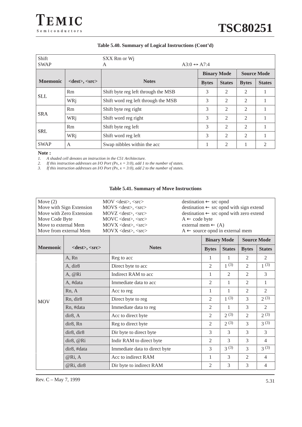#### **Table 5.40. Summary of Logical Instructions (Cont'd)**

| Shift           |                     | SXX Rm or Wi                        |              |                    |                |                    |
|-----------------|---------------------|-------------------------------------|--------------|--------------------|----------------|--------------------|
| <b>SWAP</b>     |                     | $A3:0 \leftrightarrow A7:4$<br>A    |              |                    |                |                    |
|                 |                     |                                     |              | <b>Binary Mode</b> |                | <b>Source Mode</b> |
| <b>Mnemonic</b> | $<$ dest>, $<$ src> | <b>Notes</b>                        | <b>Bytes</b> | <b>States</b>      | <b>Bytes</b>   | <b>States</b>      |
| <b>SLL</b>      | Rm                  | Shift byte reg left through the MSB | 3            | $\overline{2}$     | $\overline{2}$ |                    |
|                 | WRi                 | Shift word reg left through the MSB | 3            | $\overline{2}$     | $\overline{2}$ |                    |
|                 | Rm                  | Shift byte reg right                | 3            | $\overline{2}$     | $\overline{2}$ |                    |
| <b>SRA</b>      | WRj                 | Shift word reg right                | 3            | $\overline{2}$     | $\overline{2}$ |                    |
|                 | Rm                  | Shift byte reg left                 | 3            | $\overline{2}$     | $\overline{2}$ |                    |
| <b>SRL</b>      | WRj                 | Shift word reg left                 | 3            | 2                  | $\overline{2}$ |                    |
| <b>SWAP</b>     | A                   | Swap nibbles within the acc         |              | 2                  |                | $\overline{c}$     |

#### **Note :**

*1. A shaded cell denotes an instruction in the C51 Architecture.*

*2. If this instruction addresses an I/O Port (Px,*  $x = 3:0$ *), add 1 to the number of states.*<br>*3. If this instruction addresses an I/O Port (Px,*  $x = 3:0$ *), add 2 to the number of states.* 

*If this instruction addresses an I/O Port (Px,*  $x = 3:0$ *), add 2 to the number of states.* 

#### **Table 5.41. Summary of Move Instructions**

| Move $(2)$               | $\text{destination} \leftarrow \text{src opnd}$<br>$MOV \le dest$ , $\le src$ |                                                                  |
|--------------------------|-------------------------------------------------------------------------------|------------------------------------------------------------------|
| Move with Sign Extension | $MOVS \leq dest$ , $\leq src$                                                 | $\text{destination} \leftarrow \text{src opnd with sign extend}$ |
| Move with Zero Extension | $MOVZ <$ dest>, $<<$ src>                                                     | $\text{destination} \leftarrow \text{src opnd with zero extend}$ |
| Move Code Byte           | MOVC <dest>, <src></src></dest>                                               | $A \leftarrow$ code byte                                         |
| Move to external Mem     | $MOVX <$ dest $>$ , $<$ src $>$<br>external mem $\leftarrow$ (A)              |                                                                  |
| Move from external Mem   | $MOVX <$ dest>, $<<$ src><br>$A \leftarrow$ source opnd in external mem       |                                                                  |
|                          |                                                                               |                                                                  |

|                 |                            |                               | <b>Binary Mode</b> |               |                | <b>Source Mode</b> |
|-----------------|----------------------------|-------------------------------|--------------------|---------------|----------------|--------------------|
| <b>Mnemonic</b> | $<$ dest $>$ , $<$ src $>$ | <b>Notes</b>                  | <b>Bytes</b>       | <b>States</b> | <b>Bytes</b>   | <b>States</b>      |
|                 | A, Rn                      | Reg to acc                    | 1                  | 1             | 2              | 2                  |
|                 | A, dir8                    | Direct byte to acc            | $\overline{2}$     | 1(3)          | 2              | 1(3)               |
|                 | A, @Ri                     | Indirect RAM to acc           | 1                  | 2             | $\mathfrak{2}$ | 3                  |
|                 | A, #data                   | Immediate data to acc.        | 2                  | 1             | 2              |                    |
|                 | Rn, A                      | Acc to reg                    | 1                  | 1             | 2              | 2                  |
| <b>MOV</b>      | Rn, dir <sub>8</sub>       | Direct byte to reg            | $\overline{2}$     | 1(3)          | 3              | 2(3)               |
|                 | Rn, #data                  | Immediate data to reg         | 2                  | 1             | 3              | 2                  |
|                 | dir8, A                    | Acc to direct byte            | 2                  | 2(3)          | 2              | 2(3)               |
|                 | dir8, Rn                   | Reg to direct byte            | $\overline{c}$     | 2(3)          | 3              | 3(3)               |
|                 | dir8, dir8                 | Dir byte to direct byte       | 3                  | 3             | 3              | 3                  |
|                 | dir8, @Ri                  | Indir RAM to direct byte      | $\overline{2}$     | 3             | 3              | $\overline{4}$     |
|                 | dir8, #data                | Immediate data to direct byte | 3                  | $3^{(3)}$     | 3              | $3^{(3)}$          |
|                 | @Ri, A                     | Acc to indirect RAM           | 1                  | 3             | $\overline{2}$ | $\overline{4}$     |
|                 | @Ri, dir8                  | Dir byte to indirect RAM      | 2                  | 3             | 3              | $\overline{4}$     |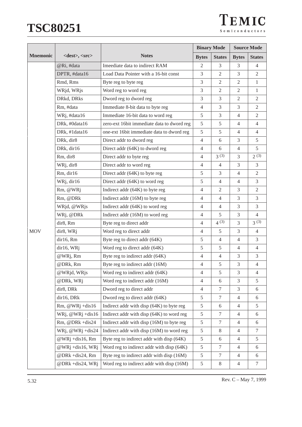| TEMIC          |  |
|----------------|--|
| Semiconductors |  |

|                 |                            | <b>Binary Mode</b>                         |                |                  |                | <b>Source Mode</b> |  |  |
|-----------------|----------------------------|--------------------------------------------|----------------|------------------|----------------|--------------------|--|--|
| <b>Mnemonic</b> | <dest>, <src></src></dest> | <b>Notes</b>                               | <b>Bytes</b>   | <b>States</b>    | <b>Bytes</b>   | <b>States</b>      |  |  |
|                 | @Ri, #data                 | Imeediate data to indirect RAM             | $\overline{2}$ | 3                | 3              | $\overline{4}$     |  |  |
|                 | DPTR, #data16              | Load Data Pointer with a 16-bit const      | 3              | $\overline{2}$   | 3              | 2                  |  |  |
|                 | Rmd, Rms                   | Byte reg to byte reg                       | 3              | $\overline{2}$   | $\overline{2}$ | $\mathbf{1}$       |  |  |
|                 | WRjd, WRjs                 | Word reg to word reg                       | 3              | $\overline{2}$   | $\overline{2}$ | $\mathbf{1}$       |  |  |
|                 | DRkd, DRks                 | Dword reg to dword reg                     | 3              | 3                | $\mathbf{2}$   | $\overline{2}$     |  |  |
|                 | Rm, #data                  | Immediate 8-bit data to byte reg           | $\overline{4}$ | 3                | 3              | $\overline{2}$     |  |  |
|                 | WRj, #data16               | Immediate 16-bit data to word reg          | 5              | 3                | $\overline{4}$ | $\overline{2}$     |  |  |
|                 | DRk, #0data16              | zero-ext 16bit immediate data to dword reg | 5              | 5                | $\overline{4}$ | $\overline{4}$     |  |  |
|                 | DRk, #1data16              | one-ext 16bit immediate data to dword reg  | 5              | 5                | $\overline{4}$ | $\overline{4}$     |  |  |
|                 | DRk, dir8                  | Direct addr to dword reg                   | $\overline{4}$ | 6                | 3              | 5                  |  |  |
|                 | DRk, dir16                 | Direct addr (64K) to dword reg             | $\overline{4}$ | 6                | $\overline{4}$ | 5                  |  |  |
|                 | Rm, dir8                   | Direct addr to byte reg                    | 4              | 3(3)             | 3              | 2(3)               |  |  |
|                 | WRj, dir8                  | Direct addr to word reg                    | $\overline{4}$ | $\overline{4}$   | 3              | 3                  |  |  |
|                 | Rm, dir16                  | Direct addr (64K) to byte reg              | 5              | 3                | $\overline{4}$ | $\overline{2}$     |  |  |
|                 | WRj, dir16                 | Direct addr (64K) to word reg              | 5              | $\overline{4}$   | $\overline{4}$ | $\overline{3}$     |  |  |
|                 | Rm, @WRj                   | Indirect addr (64K) to byte reg            | $\overline{4}$ | $\mathfrak{2}$   | 3              | $\overline{2}$     |  |  |
|                 | Rm, @DRk                   | Indirect addr (16M) to byte reg            | $\overline{4}$ | $\overline{4}$   | 3              | 3                  |  |  |
|                 | WRjd, @WRjs                | Indirect addr (64K) to word reg            | $\overline{4}$ | $\overline{4}$   | 3              | 3                  |  |  |
|                 | WRj, @DRk                  | Indirect addr (16M) to word reg            | $\overline{4}$ | 5                | 3              | $\overline{4}$     |  |  |
|                 | dir8, Rm                   | Byte reg to direct addr                    | $\overline{4}$ | $4^{(3)}$        | 3              | 3(3)               |  |  |
| <b>MOV</b>      | dir8, WRj                  | Word reg to direct addr                    | $\overline{4}$ | 5                | 3              | $\overline{4}$     |  |  |
|                 | dir16, Rm                  | Byte reg to direct addr (64K)              | 5              | $\overline{4}$   | $\overline{4}$ | $\overline{3}$     |  |  |
|                 | dir16, WRj                 | Word reg to direct addr (64K)              | 5              | 5                | 4              | $\overline{4}$     |  |  |
|                 | $@$ WRj, Rm                | Byte reg to indirect addr (64K)            | $\overline{4}$ | $\overline{4}$   | 3              | 3                  |  |  |
|                 | @DRk, Rm                   | Byte reg to indirect addr (16M)            | $\overline{4}$ | 5                | 3              | $\overline{4}$     |  |  |
|                 | @WRjd, WRjs                | Word reg to indirect addr (64K)            | 4              | 5                | 3              | $\overline{4}$     |  |  |
|                 | @DRk, WRj                  | Word reg to indirect addr (16M)            | 4              | 6                | 3              | 5                  |  |  |
|                 | dir8, DRk                  | Dword reg to direct addr                   | $\overline{4}$ | $\tau$           | 3              | 6                  |  |  |
|                 | dir16, DRk                 | Dword reg to direct addr (64K)             | 5              | $\boldsymbol{7}$ | 4              | 6                  |  |  |
|                 | Rm, $@WRj + dis16$         | Indirect addr with disp (64K) to byte reg  | $\sqrt{5}$     | 6                | 4              | 5                  |  |  |
|                 | WRj, $@WRj + dis16$        | Indirect addr with disp (64K) to word reg  | 5              | $\tau$           | 4              | 6                  |  |  |
|                 | Rm, @DRk +dis24            | Indirect addr with disp (16M) to byte reg  | $\sqrt{5}$     | $\tau$           | $\overline{4}$ | 6                  |  |  |
|                 | WRj, $@WRj + dis24$        | Indirect addr with disp (16M) to word reg  | 5              | 8                | 4              | 7                  |  |  |
|                 | @WRj +dis16, Rm            | Byte reg to indirect addr with disp (64K)  | 5              | 6                | 4              | 5                  |  |  |
|                 | @WRj +dis16, WRj           | Word reg to indirect addr with disp (64K)  | 5              | $\tau$           | 4              | 6                  |  |  |
|                 | @DRk +dis24, Rm            | Byte reg to indirect addr with disp (16M)  | 5              | $\tau$           | 4              | 6                  |  |  |
|                 | @DRk +dis24, WRj           | Word reg to indirect addr with disp (16M)  | $\mathfrak s$  | 8                | 4              | $\tau$             |  |  |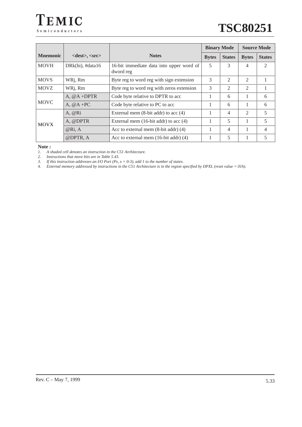

|                 |                                                                                                                                                |                                                       | <b>Binary Mode</b> |                |                             | <b>Source Mode</b> |
|-----------------|------------------------------------------------------------------------------------------------------------------------------------------------|-------------------------------------------------------|--------------------|----------------|-----------------------------|--------------------|
| <b>Mnemonic</b> | <dest>, <src&gt;< th=""><th><b>Notes</b></th><th><b>Bytes</b></th><th><b>States</b></th><th><b>Bytes</b></th><th><b>States</b></th></src&gt;<> | <b>Notes</b>                                          | <b>Bytes</b>       | <b>States</b>  | <b>Bytes</b>                | <b>States</b>      |
| <b>MOVH</b>     | DRk(hi), #data16                                                                                                                               | 16-bit immediate data into upper word of<br>dword reg | 5                  | 3              | 4                           | 2                  |
| <b>MOVS</b>     | WRj, Rm                                                                                                                                        | Byte reg to word reg with sign extension              | 3                  | 2              | $\mathfrak{D}$              |                    |
| <b>MOVZ</b>     | WRj, Rm                                                                                                                                        | Byte reg to word reg with zeros extension             | 3                  | $\mathfrak{D}$ | $\mathfrak{D}$              |                    |
|                 | A, $@A + DPTR$                                                                                                                                 | Code byte relative to DPTR to acc                     | $\mathbf{1}$       | 6              |                             | 6                  |
| <b>MOVC</b>     | A, $@A + PC$                                                                                                                                   | Code byte relative to PC to acc                       |                    | 6              |                             | 6                  |
|                 | $A$ , $@Ri$                                                                                                                                    | External mem $(8-bit addr)$ to acc $(4)$              |                    | 4              | $\mathcal{D}_{\mathcal{L}}$ | 5                  |
| <b>MOVX</b>     | A, @DPTR                                                                                                                                       | External mem $(16-bit addr)$ to acc $(4)$             |                    | 5              |                             | 5                  |
|                 | @Ri, A                                                                                                                                         | Acc to external mem $(8-bit addr)$ $(4)$              |                    | 4              |                             | 4                  |
|                 | @DPTR, A                                                                                                                                       | Acc to external mem $(16$ -bit addr) $(4)$            |                    | 5              |                             | 5                  |

#### **Note :**

*1. A shaded cell denotes an instruction in the C51 Architecture.*

*2. Instructions that move bits are in Table 5.43.* 

*3. If this instruction addresses an I/O Port (Px, x = 0-3), add 1 to the number of states.*

*4. External memory addressed by instructions in the C51 Architecture is in the region specified by DPXL (reset value = 01h).*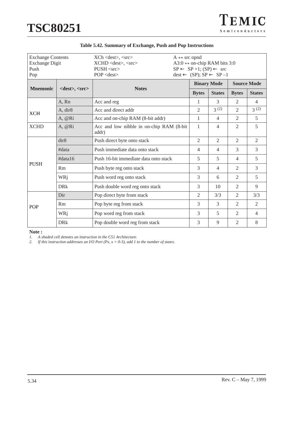| TEMIC          |
|----------------|
| Semiconductors |

| <b>Exchange Contents</b><br><b>Exchange Digit</b><br>Push<br>Pop |                            | $XCh <$ dest $>$ , $<$ src $>$<br>$A \leftrightarrow$ src opnd<br>A3:0 $\leftrightarrow$ on-chip RAM bits 3:0<br>XCHD <dest>, <src><br/><math>SP \leftarrow SP + 1</math>; <math>(SP) \leftarrow src</math><br/><math>PUSH &lt;</math>src<math>&gt;</math><br/><math>POP &lt;</math>dest<math>&gt;</math><br/><math>dest \leftarrow (SP); SP \leftarrow SP - 1</math></src></dest> |  |                                          |                |                |                |
|------------------------------------------------------------------|----------------------------|------------------------------------------------------------------------------------------------------------------------------------------------------------------------------------------------------------------------------------------------------------------------------------------------------------------------------------------------------------------------------------|--|------------------------------------------|----------------|----------------|----------------|
| <b>Mnemonic</b>                                                  | $<$ dest $>$ , $<$ src $>$ | <b>Notes</b>                                                                                                                                                                                                                                                                                                                                                                       |  | <b>Source Mode</b><br><b>Binary Mode</b> |                |                |                |
|                                                                  |                            |                                                                                                                                                                                                                                                                                                                                                                                    |  | <b>Bytes</b>                             | <b>States</b>  | <b>Bytes</b>   | <b>States</b>  |
|                                                                  | A, Rn                      | Acc and reg                                                                                                                                                                                                                                                                                                                                                                        |  | 1                                        | 3              | 2              | $\overline{4}$ |
| <b>XCH</b>                                                       | A, dir <sub>8</sub>        | Acc and direct addr                                                                                                                                                                                                                                                                                                                                                                |  | $\overline{2}$                           | 3(2)           | $\overline{2}$ | 3(2)           |
| A, @Ri                                                           |                            | Acc and on-chip RAM (8-bit addr)                                                                                                                                                                                                                                                                                                                                                   |  | 1                                        | $\overline{4}$ | 2              | 5              |
| <b>XCHD</b>                                                      | A, @Ri                     | Acc and low nibble in on-chip RAM (8-bit<br>addr)                                                                                                                                                                                                                                                                                                                                  |  | $\mathbf{1}$                             | $\overline{4}$ | 2              | 5              |
|                                                                  | dir8                       | Push direct byte onto stack                                                                                                                                                                                                                                                                                                                                                        |  | $\overline{2}$                           | $\overline{2}$ | $\overline{2}$ | $\overline{2}$ |
|                                                                  | #data                      | Push immediate data onto stack                                                                                                                                                                                                                                                                                                                                                     |  | $\overline{4}$                           | $\overline{4}$ | 3              | 3              |
|                                                                  | #data16                    | Push 16-bit immediate data onto stack                                                                                                                                                                                                                                                                                                                                              |  | 5                                        | 5              | $\overline{4}$ | 5              |
| <b>PUSH</b>                                                      | Rm                         | Push byte reg onto stack                                                                                                                                                                                                                                                                                                                                                           |  | 3                                        | $\overline{4}$ | 2              | 3              |
|                                                                  | WRj                        | Push word reg onto stack                                                                                                                                                                                                                                                                                                                                                           |  | 3                                        | 6              | 2              | 5              |
|                                                                  | <b>DR</b> k                | Push double word reg onto stack                                                                                                                                                                                                                                                                                                                                                    |  | 3                                        | 10             | $\mathfrak{D}$ | 9              |
|                                                                  | Dir                        | Pop direct byte from stack                                                                                                                                                                                                                                                                                                                                                         |  | $\overline{2}$                           | 3/3            | $\mathfrak{D}$ | 3/3            |
| <b>POP</b>                                                       | Rm                         | Pop byte reg from stack                                                                                                                                                                                                                                                                                                                                                            |  | 3                                        | 3              | 2              | $\overline{2}$ |
|                                                                  | WRj                        | Pop word reg from stack                                                                                                                                                                                                                                                                                                                                                            |  | 3                                        | $\overline{5}$ | 2              | $\overline{4}$ |
|                                                                  | <b>DRk</b>                 | Pop double word reg from stack                                                                                                                                                                                                                                                                                                                                                     |  | 3                                        | 9              | $\overline{2}$ | 8              |

**Note :**

*1. A shaded cell denotes an instruction in the C51 Architecture.*

*2. If this instruction addresses an I/O Port (Px, x = 0-3), add 1 to the number of states.*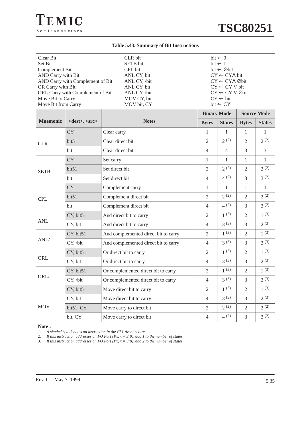#### **Table 5.43. Summary of Bit Instructions**

| Clear Bit<br>Set Bit<br>Complement Bit<br>AND Carry with Bit<br>AND Carry with Complement of Bit<br>OR Carry with Bit<br>ORL Carry with Complement of Bit<br>Move Bit to Carry<br>Move Bit from Carry |                     | CLR bit<br>SETB bit<br>CPL bit<br>ANL CY, bit<br>ANL CY, /bit<br>ANL CY, bit<br>ANL CY, /bit<br>MOV CY, bit<br>MOV bit, CY | $bit \leftarrow 0$<br>$bit \leftarrow 1$<br>$bit \leftarrow \emptyset$ bit<br>$CY \leftarrow CY\Lambda$ bit<br>CY ← CYA Øbit<br>$CY \leftarrow CY V$ bit<br>$CY \leftarrow CY \vee \emptyset$ bit<br>$CY \leftarrow bit$<br>$bit \leftarrow CY$ |                |                |                                     |
|-------------------------------------------------------------------------------------------------------------------------------------------------------------------------------------------------------|---------------------|----------------------------------------------------------------------------------------------------------------------------|-------------------------------------------------------------------------------------------------------------------------------------------------------------------------------------------------------------------------------------------------|----------------|----------------|-------------------------------------|
| <b>Mnemonic</b>                                                                                                                                                                                       | $<$ dest>, $<$ src> | <b>Notes</b>                                                                                                               | <b>Binary Mode</b><br><b>Bytes</b>                                                                                                                                                                                                              | <b>States</b>  | <b>Bytes</b>   | <b>Source Mode</b><br><b>States</b> |
|                                                                                                                                                                                                       | <b>CY</b>           | Clear carry                                                                                                                | $\mathbf{1}$                                                                                                                                                                                                                                    | $\mathbf{1}$   | 1              | $\mathbf{1}$                        |
|                                                                                                                                                                                                       | bit51               | Clear direct bit                                                                                                           | $\overline{2}$                                                                                                                                                                                                                                  | 2(2)           | $\overline{2}$ | 2(2)                                |
| <b>CLR</b>                                                                                                                                                                                            | bit                 | Clear direct bit                                                                                                           | $\overline{4}$                                                                                                                                                                                                                                  | $\overline{4}$ | 3              | 3                                   |
| <b>CY</b>                                                                                                                                                                                             |                     | Set carry                                                                                                                  | $\mathbf{1}$                                                                                                                                                                                                                                    | 1              | $\mathbf{1}$   | $\mathbf{1}$                        |
| <b>SETB</b>                                                                                                                                                                                           | bit51               | Set direct bit                                                                                                             | $\overline{2}$                                                                                                                                                                                                                                  | 2(2)           | $\overline{2}$ | 2(2)                                |
|                                                                                                                                                                                                       | bit                 | Set direct bit                                                                                                             | $\overline{4}$                                                                                                                                                                                                                                  | 4(2)           | 3              | 3(2)                                |
| <b>CPL</b>                                                                                                                                                                                            | <b>CY</b>           | Complement carry                                                                                                           | $\mathbf{1}$                                                                                                                                                                                                                                    | 1              | 1              | $\mathbf{1}$                        |
|                                                                                                                                                                                                       | bit51               | Complement direct bit                                                                                                      | $\mathfrak{2}$                                                                                                                                                                                                                                  | 2(2)           | 2              | 2(2)                                |
|                                                                                                                                                                                                       | bit                 | Complement direct bit                                                                                                      | $\overline{4}$                                                                                                                                                                                                                                  | 4(2)           | 3              | 3(2)                                |
|                                                                                                                                                                                                       | CY, bit51           | And direct bit to carry                                                                                                    | $\overline{2}$                                                                                                                                                                                                                                  | 1(3)           | $\mathfrak{2}$ | 1(3)                                |
| <b>ANL</b>                                                                                                                                                                                            | CY, bit             | And direct bit to carry                                                                                                    | $\overline{4}$                                                                                                                                                                                                                                  | $3^{(3)}$      | 3              | 2(3)                                |
|                                                                                                                                                                                                       | CY, bit51           | And complemented direct bit to carry                                                                                       | $\overline{2}$                                                                                                                                                                                                                                  | $1^{(3)}$      | $\overline{2}$ | $1^{(3)}$                           |
| ANL/                                                                                                                                                                                                  | CY, /bit            | And complemented direct bit to carry                                                                                       | $\overline{4}$                                                                                                                                                                                                                                  | 3(3)           | 3              | 2(3)                                |
|                                                                                                                                                                                                       | CY, bit51           | Or direct bit to carry                                                                                                     | $\overline{2}$                                                                                                                                                                                                                                  | 1(3)           | $\mathfrak{2}$ | 1(3)                                |
| ORL                                                                                                                                                                                                   | CY, bit             | Or direct bit to carry                                                                                                     | $\overline{4}$                                                                                                                                                                                                                                  | $3^{(3)}$      | 3              | 2(3)                                |
| ORL/                                                                                                                                                                                                  | CY, bit51           | Or complemented direct bit to carry                                                                                        | $\overline{2}$                                                                                                                                                                                                                                  | 1(3)           | $\overline{2}$ | 1(3)                                |
|                                                                                                                                                                                                       | CY, /bit            | Or complemented direct bit to carry                                                                                        | $\overline{4}$                                                                                                                                                                                                                                  | 3(3)           | $\mathfrak 3$  | $2\, (3)$                           |
|                                                                                                                                                                                                       | CY, bit51           | Move direct bit to carry                                                                                                   | $\overline{2}$                                                                                                                                                                                                                                  | $1^{(3)}$      | $\overline{2}$ | 1(3)                                |
| <b>MOV</b>                                                                                                                                                                                            | CY, bit             | Move direct bit to carry                                                                                                   | $\overline{4}$                                                                                                                                                                                                                                  | 3(3)           | $\mathfrak{Z}$ | 2(3)                                |
|                                                                                                                                                                                                       | bit51, CY           | Move carry to direct bit                                                                                                   | $\overline{2}$                                                                                                                                                                                                                                  | 2(2)           | $\overline{2}$ | 2(2)                                |
|                                                                                                                                                                                                       | bit, CY             | Move carry to direct bit                                                                                                   | $\overline{4}$                                                                                                                                                                                                                                  | 4(2)           | $\mathfrak{Z}$ | 3(2)                                |

**Note :**

*1. A shaded cell denotes an instruction in the C51 Architecture.*

*2. If this instruction addresses an I/O Port (Px, x = 3:0), add 1 to the number of states.*

*3. If this instruction addresses an I/O Port (Px, x = 3:0), add 2 to the number of states.*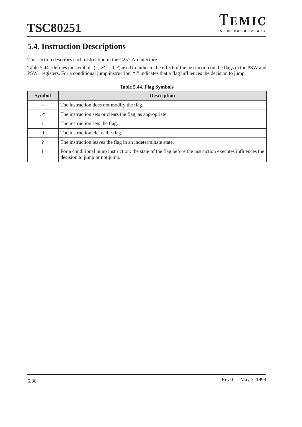## **5.4. Instruction Descriptions**

This section describes each instruction in the C251 Architecture.

Table 5.44. defines the symbols  $(-, \times, 1, 0, ?)$  used to indicate the effect of the instruction on the flags in the PSW and PSW1 registers. For a conditional jump instruction, "!" indicates that a flag influences the decision to jump.

| <b>Symbol</b> | <b>Description</b>                                                                                                                        |
|---------------|-------------------------------------------------------------------------------------------------------------------------------------------|
|               | The instruction does not modify the flag.                                                                                                 |
| ↙             | The instruction sets or clears the flag, as appropriate.                                                                                  |
|               | The instruction sets the flag.                                                                                                            |
| $\theta$      | The instruction clears the flag.                                                                                                          |
| 9             | The instruction leaves the flag in an indeterminate state.                                                                                |
|               | For a conditional jump instruction: the state of the flag before the instruction executes influences the<br>decision to jump or not jump. |

#### **Table 5.44. Flag Symbols**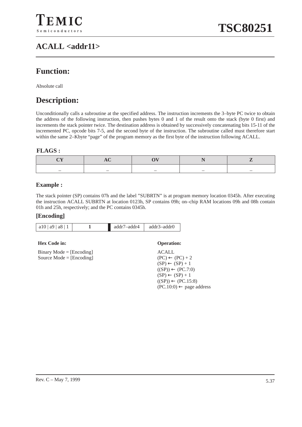## **ACALL <addr11>**

## **Function:**

Absolute call

## **Description:**

Unconditionally calls a subroutine at the specified address. The instruction increments the 3–byte PC twice to obtain the address of the following instruction, then pushes bytes 0 and 1 of the result onto the stack (byte 0 first) and increments the stack pointer twice. The destination address is obtained by successively concatenating bits 15-11 of the incremented PC, opcode bits 7-5, and the second byte of the instruction. The subroutine called must therefore start within the same 2–Kbyte "page" of the program memory as the first byte of the instruction following ACALL.

#### **FLAGS :**

|  | _ |  |
|--|---|--|

#### **Example :**

The stack pointer (SP) contains 07h and the label "SUBRTN" is at program memory location 0345h. After executing the instruction ACALL SUBRTN at location 0123h, SP contains 09h; on–chip RAM locations 09h and 08h contain 01h and 25h, respectively; and the PC contains 0345h.

#### **[Encoding]**

| a10   a9   a8 | addr7-addr4 | addr3-addr0 |
|---------------|-------------|-------------|
|               |             |             |

#### **Hex Code in: Operation:**

|  | $Binary Mode = [Encoding]$ |
|--|----------------------------|
|  | Source Mode = $[Encoding]$ |

ACALL  $(PC) \leftarrow (PC) + 2$  $(SP) \leftarrow (SP) + 1$  $((SP)) \leftarrow (PC.7:0)$  $(SP) \leftarrow (SP) + 1$  $((SP)) \leftarrow (PC.15:8)$  $(PC.10:0) \leftarrow$  page address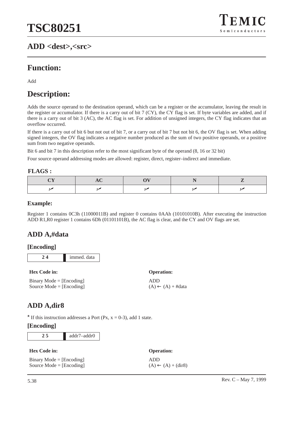## **ADD <dest>,<src>**



## **Function:**

Add

## **Description:**

Adds the source operand to the destination operand, which can be a register or the accumulator, leaving the result in the register or accumulator. If there is a carry out of bit 7 (CY), the CY flag is set. If byte variables are added, and if there is a carry out of bit 3 (AC), the AC flag is set. For addition of unsigned integers, the CY flag indicates that an overflow occurred.

If there is a carry out of bit 6 but not out of bit 7, or a carry out of bit 7 but not bit 6, the OV flag is set. When adding signed integers, the OV flag indicates a negative number produced as the sum of two positive operands, or a positive sum from two negative operands.

Bit 6 and bit 7 in this description refer to the most significant byte of the operand (8, 16 or 32 bit)

Four source operand addressing modes are allowed: register, direct, register–indirect and immediate.

#### **FLAGS :**

#### **Example:**

Register 1 contains 0C3h (11000011B) and register 0 contains 0AAh (10101010B). After executing the instruction ADD R1,R0 register 1 contains 6Dh (01101101B), the AC flag is clear, and the CY and OV flags are set.

## **ADD A,#data**

## **[Encoding]**

**2 4** immed. data

| <b>Hex Code in:</b>        | <b>Operation:</b>            |
|----------------------------|------------------------------|
| $Binary Mode = [Encoding]$ | ADD                          |
| Source Mode = $[Encoding]$ | $(A) \leftarrow (A) + #data$ |

## **ADD A,dir8**

 $\star$  If this instruction addresses a Port (Px, x = 0-3), add 1 state.

| <b>Hex Code in:</b>        | <b>Operation:</b>             |
|----------------------------|-------------------------------|
| $Binary Mode = [Encoding]$ | ADD                           |
| Source Mode $=$ [Encoding] | $(A) \leftarrow (A) + (dir8)$ |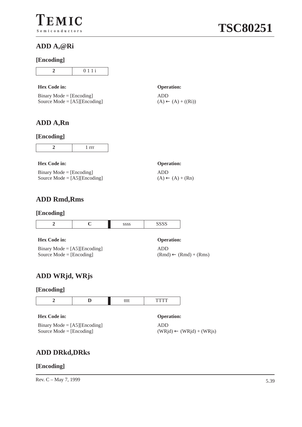## **ADD A,@Ri**

## **[Encoding]**

#### **Hex Code in: Operation:**

| $Binary Mode = [Encoding]$     |
|--------------------------------|
| Source Mode = $[AS][Encoding]$ |

ADD  $(A) \leftarrow (A) + ((Ri))$ 

## **ADD A,Rn**

#### **[Encoding]**

#### **Hex Code in: Operation:**

Binary Mode  $=$  [Encoding] Source Mode = [A5][Encoding]

## **ADD Rmd,Rms**

#### **[Encoding]**

#### **Hex Code in: Operation:**

| Binary Mode = $[A5][\text{Encoding}]$ |
|---------------------------------------|
| Source Mode = $[Encoding]$            |

ADD

 $(A) \leftarrow (A) + (Rn)$ 

ADD  $(Rmd) \leftarrow (Rmd) + (Rms)$ 

## **ADD WRjd, WRjs**

#### **[Encoding]**

|                     | tttt | rtti              |  |
|---------------------|------|-------------------|--|
| <b>Hex Code in:</b> |      | <b>Operation:</b> |  |

Binary Mode  $=$  [A5][Encoding] Source Mode  $=$  [Encoding]

## ADD  $(WRjd) \leftarrow (WRjd) + (WRjs)$

## **ADD DRkd,DRks**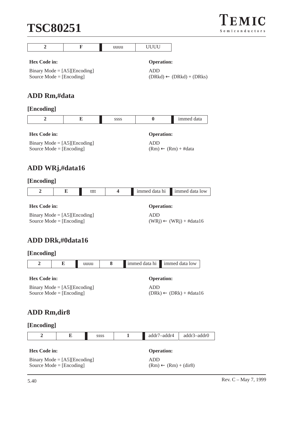| $\overline{2}$                                                | F | uuuu        | UUUU                                              |            |  |  |
|---------------------------------------------------------------|---|-------------|---------------------------------------------------|------------|--|--|
| <b>Hex Code in:</b>                                           |   |             | <b>Operation:</b>                                 |            |  |  |
|                                                               |   |             |                                                   |            |  |  |
| Binary Mode = $[A5]$ [Encoding]<br>Source Mode = $[Encoding]$ |   |             | <b>ADD</b><br>$(DRkd) \leftarrow (DRkd) + (DRks)$ |            |  |  |
|                                                               |   |             |                                                   |            |  |  |
|                                                               |   |             |                                                   |            |  |  |
| ADD Rm,#data                                                  |   |             |                                                   |            |  |  |
| [Encoding]                                                    |   |             |                                                   |            |  |  |
| $\overline{2}$                                                | E | <b>SSSS</b> | $\bf{0}$                                          | immed data |  |  |
| <b>Hex Code in:</b>                                           |   |             | <b>Operation:</b>                                 |            |  |  |
| Binary Mode = $[A5]$ [Encoding]                               |   |             | <b>ADD</b>                                        |            |  |  |
| Source Mode $=$ [Encoding]                                    |   |             | $(Rm) \leftarrow (Rm) + #data$                    |            |  |  |
|                                                               |   |             |                                                   |            |  |  |
| ADD WRj,#data16                                               |   |             |                                                   |            |  |  |
|                                                               |   |             |                                                   |            |  |  |

## **[Encoding]**

|  | $+ + +$<br>iii | ı hı<br>lata | 1mmpc<br>эw |
|--|----------------|--------------|-------------|
|  |                |              |             |

Binary Mode = [A5][Encoding] Source Mode = [Encoding]

ADD  $(WRj)$  ←  $(WRj)$  + #data16

**Operation:** 

## **ADD DRk,#0data16**

| [Encoding] |
|------------|
|------------|

| immed<br>h1<br>0W<br>тя.<br>$-1$ |
|----------------------------------|
|----------------------------------|

**Hex Code in: Operation:**

Binary Mode = [A5][Encoding] Source Mode = [Encoding]

ADD  $(DRk) \leftarrow (DRk) + #data16$ 

## **ADD Rm,dir8**

|                     | Е                                                                   | <b>SSSS</b> | addr7-addr4<br>addr3-addr0 |                                                             |  |  |  |
|---------------------|---------------------------------------------------------------------|-------------|----------------------------|-------------------------------------------------------------|--|--|--|
| <b>Hex Code in:</b> | Binary Mode = $[A5][\text{Encoding}]$<br>Source Mode = $[Encoding]$ |             |                            | <b>Operation:</b><br>ADD<br>$(Rm) \leftarrow (Rm) + (dir8)$ |  |  |  |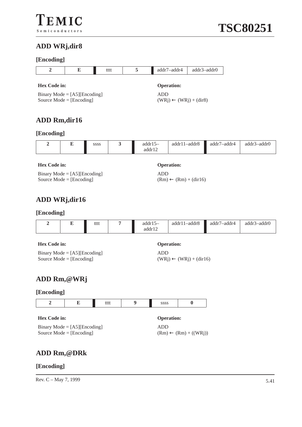## **[Encoding]**

| 121100                 |                                                                     |             |                                                 |                     |                                  |                 |                 |
|------------------------|---------------------------------------------------------------------|-------------|-------------------------------------------------|---------------------|----------------------------------|-----------------|-----------------|
| $\overline{2}$         | E                                                                   |             | tttt                                            | 5                   | addr7-addr4                      | addr3-addr0     |                 |
| <b>Hex Code in:</b>    |                                                                     |             |                                                 |                     | <b>Operation:</b>                |                 |                 |
|                        | Binary Mode = $[A5][\text{Encoding}]$<br>Source Mode = $[Encoding]$ |             | <b>ADD</b><br>$(WRj) \leftarrow (WRj) + (dir8)$ |                     |                                  |                 |                 |
|                        | <b>ADD Rm,dir16</b>                                                 |             |                                                 |                     |                                  |                 |                 |
| [Encoding]             |                                                                     |             |                                                 |                     |                                  |                 |                 |
| $\overline{2}$         | E                                                                   | SSSS        | 3                                               | $addr15-$<br>addr12 | addr11-addr8                     | addr7-addr4     | addr3-addr0     |
| <b>Hex Code in:</b>    |                                                                     |             |                                                 |                     | <b>Operation:</b>                |                 |                 |
|                        | Binary Mode = $[A5][\text{Encoding}]$<br>Source Mode = $[Encoding]$ |             |                                                 | <b>ADD</b>          | $(Rm) \leftarrow (Rm) + (dir16)$ |                 |                 |
|                        | ADD WRj,dir16                                                       |             |                                                 |                     |                                  |                 |                 |
| [Encoding]             |                                                                     |             |                                                 |                     |                                  |                 |                 |
| $\mathcal{D}_{\alpha}$ | E.                                                                  | <b>tttt</b> | 7                                               | addr $15-$          | $addr11 = addr8$                 | $addr7 = addr4$ | $addr^2 = addr$ |

|                     |  | tttt |  | $addr15-$<br>addr12 | $addr11 - addr8$ | addr7-addr4 | addr3–addr0 |
|---------------------|--|------|--|---------------------|------------------|-------------|-------------|
| <b>Hex Code in:</b> |  |      |  | <b>Operation:</b>   |                  |             |             |

| Binary Mode = $[A5][\text{Encoding}]$ |  |
|---------------------------------------|--|
| Source Mode = $[Encoding]$            |  |

ADD  $(WRj) \leftarrow (WRj) + (dir16)$ 

## **ADD Rm,@WRj**

## **[Encoding]**

## **Hex Code in: Operation:**

Binary Mode = [A5][Encoding] Source Mode = [Encoding]

ADD  $(Rm) \leftarrow (Rm) + ((WRj))$ 

## **ADD Rm,@DRk**

#### **[Encoding]**

Rev. C – May 7, 1999  $5.41$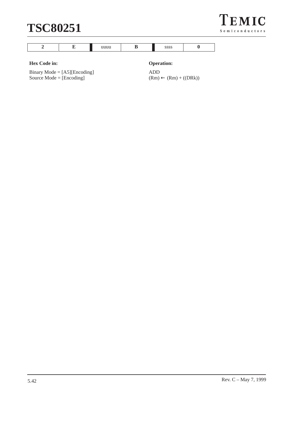



#### **Hex Code in: Operation:**

Binary Mode = [A5][Encoding] Source  $Mode = [Encoding]$ 

ADD  $(Rm) \leftarrow (Rm) + ((DRk))$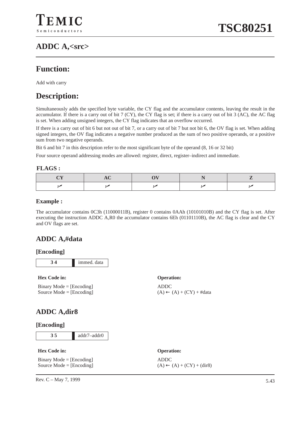## **ADDC A,<src>**

## **Function:**

Add with carry

## **Description:**

Simultaneously adds the specified byte variable, the CY flag and the accumulator contents, leaving the result in the accumulator. If there is a carry out of bit 7 (CY), the CY flag is set; if there is a carry out of bit 3 (AC), the AC flag is set. When adding unsigned integers, the CY flag indicates that an overflow occurred.

If there is a carry out of bit 6 but not out of bit 7, or a carry out of bit 7 but not bit 6, the OV flag is set. When adding signed integers, the OV flag indicates a negative number produced as the sum of two positive operands, or a positive sum from two negative operands.

Bit 6 and bit 7 in this description refer to the most significant byte of the operand (8, 16 or 32 bit)

Four source operand addressing modes are allowed: register, direct, register–indirect and immediate.

#### **FLAGS :**

## **Example :**

The accumulator contains 0C3h (11000011B), register 0 contains 0AAh (10101010B) and the CY flag is set. After executing the instruction ADDC A,R0 the accumulator contains 6Eh (01101110B), the AC flag is clear and the CY and OV flags are set.

ADDC

## **ADDC A,#data**

#### **[Encoding]**

| immed. data |
|-------------|

#### **Hex Code in: Operation:**

Binary Mode = [Encoding] Source Mode = [Encoding]

## **ADDC A,dir8**

#### **[Encoding]**

**3 5** addr7–addr0

#### **Hex Code in: Operation:**

Binary Mode = [Encoding] Source Mode = [Encoding]

## ADDC  $(A) \leftarrow (A) + (CY) + (dir8)$

 $(A) \leftarrow (A) + (CY) + #data$ 

Rev. C – May 7, 1999  $\frac{5.43}{\sqrt{10}}$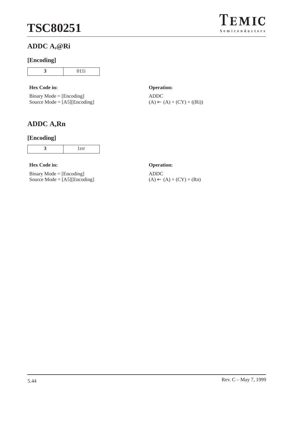## **ADDC A,@Ri**

### **[Encoding]**

**3** 011i

#### **Hex Code in: Operation:**

Binary Mode = [Encoding] Source Mode = [A5][Encoding]

## **ADDC A,Rn**

## **[Encoding]**

**Hex Code in: Operation:**

Binary Mode = [Encoding] Source Mode = [A5][Encoding]

ADDC  $(A) \leftarrow (A) + (CY) + ((Ri))$ 

ADDC  $(A) \leftarrow (A) + (CY) + (Rn)$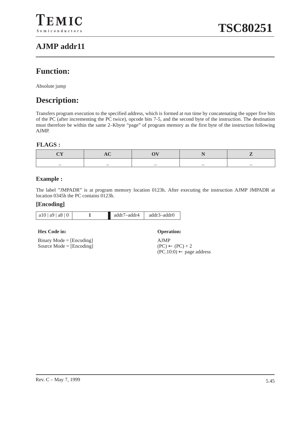## **AJMP addr11**

## **Function:**

Absolute jump

## **Description:**

Transfers program execution to the specified address, which is formed at run time by concatenating the upper five bits of the PC (after incrementing the PC twice), opcode bits 7-5, and the second byte of the instruction. The destination must therefore be within the same 2–Kbyte "page" of program memory as the first byte of the instruction following AJMP.

## **FLAGS :**

| – | _ | _ |
|---|---|---|

## **Example :**

The label "JMPADR" is at program memory location 0123h. After executing the instruction AJMP JMPADR at location 0345h the PC contains 0123h.

#### **[Encoding]**

| a10 a9 a8 0 | addr7–addr4 | addr3–addr0 |
|-------------|-------------|-------------|
|             |             |             |

#### **Hex Code in: Operation:**

Binary Mode = [Encoding] Source Mode = [Encoding]

AJMP  $(PC) \leftarrow (PC) + 2$  $(PC.10:0)$  ← page address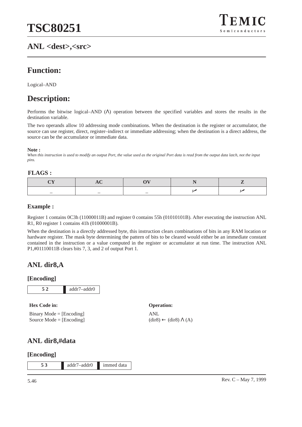## **ANL <dest>,<src>**



## **Function:**

Logical–AND

## **Description:**

Performs the bitwise logical–AND (Λ) operation between the specified variables and stores the results in the destination variable.

The two operands allow 10 addressing mode combinations. When the destination is the register or accumulator, the source can use register, direct, register–indirect or immediate addressing; when the destination is a direct address, the source can be the accumulator or immediate data.

#### **Note :**

*When this instruction is used to modify an output Port, the value used as the original Port data is read from the output data latch, not the input pins.*

#### **FLAGS :**

| _ | _ | _ |  |
|---|---|---|--|

#### **Example :**

Register 1 contains 0C3h (11000011B) and register 0 contains 55h (01010101B). After executing the instruction ANL R1, R0 register 1 contains 41h (01000001B).

When the destination is a directly addressed byte, this instruction clears combinations of bits in any RAM location or hardware register. The mask byte determining the pattern of bits to be cleared would either be an immediate constant contained in the instruction or a value computed in the register or accumulator at run time. The instruction ANL P1,#01110011B clears bits 7, 3, and 2 of output Port 1.

## **ANL dir8,A**

#### **[Encoding]**

**Hex Code in: Operation:**

Binary Mode = [Encoding] Source Mode = [Encoding] ANL

 $(\text{dir8}) \leftarrow (\text{dir8}) \Lambda (A)$ 

## **ANL dir8,#data**

#### **[Encoding]**

**5 3** addr7–addr0 immed data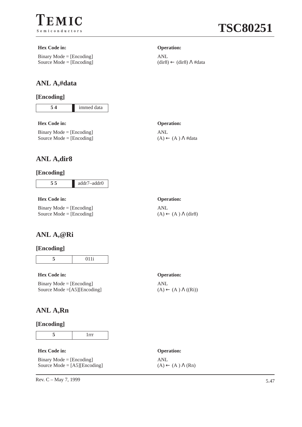

#### **Hex Code in: Operation:**

Binary Mode = [Encoding] Source Mode = [Encoding]

## **ANL A,#data**

### **[Encoding]**

**5 4** immed data

#### **Hex Code in: Operation:**

Binary Mode  $=$  [Encoding] Source Mode = [Encoding]

#### ANL

ANL

 $(A) \leftarrow (A) \Lambda \text{#data}$ 

 $(dir8) \leftarrow (dir8) \Lambda \# data$ 

## **ANL A,dir8**

## **[Encoding]**

| addr7-addr0 |
|-------------|
|             |

#### **Hex Code in: Operation:**

Binary Mode = [Encoding] Source Mode = [Encoding]

## ANL

 $(A) \leftarrow (A) \Lambda$  (dir8)

## **ANL A,@Ri**

#### **[Encoding]**

**5** 011i

#### **Hex Code in: Operation:**

Binary Mode = [Encoding] Source Mode =[A5][Encoding]

## **ANL A,Rn**

#### **[Encoding]**

**5** 1rrr

#### **Hex Code in: Operation:**

Binary Mode  $=$  [Encoding] Source Mode  $= [A5][\text{Encoding}]$ 

ANL

ANL  $(A) \leftarrow (A) \Lambda (Rn)$ 

 $(A) \leftarrow (A) \Lambda ((Ri))$ 

Rev. C – May 7, 1999  $5.47$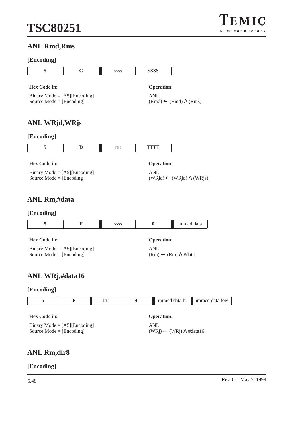

## **ANL Rmd,Rms**

## **[Encoding]**

| 5                                                                         | $\mathbf C$ | SSSS |   | <b>SSSS</b>                                               |               |       |
|---------------------------------------------------------------------------|-------------|------|---|-----------------------------------------------------------|---------------|-------|
| <b>Hex Code in:</b><br>Binary Mode = $[A5][\text{Encoding}]$              |             |      |   | <b>Operation:</b><br><b>ANL</b>                           |               |       |
| Source $Mode = [Encoding]$<br>ANL WRjd,WRjs                               |             |      |   | $(Rmd) \leftarrow (Rmd) \Lambda (Rms)$                    |               |       |
| [Encoding]                                                                |             |      |   |                                                           |               |       |
| 5                                                                         | D           | tttt |   | <b>TTTT</b>                                               |               |       |
| <b>Hex Code in:</b>                                                       |             |      |   | <b>Operation:</b>                                         |               |       |
| Binary Mode = $[A5][\text{Encoding}]$<br>Source Mode = $[Encoding]$       |             |      |   | <b>ANL</b><br>$(WRjd) \leftarrow (WRjd) \Lambda (WRjs)$   |               |       |
| ANL Rm,#data                                                              |             |      |   |                                                           |               |       |
| [Encoding]                                                                |             |      |   |                                                           |               |       |
| 5                                                                         | F           | SSSS |   | $\bf{0}$                                                  | immed data    |       |
| <b>Hex Code in:</b>                                                       |             |      |   | <b>Operation:</b>                                         |               |       |
| Binary Mode = $[A5][\text{Encoding}]$<br>Source Mode = $[Encoding]$       |             |      |   | <b>ANL</b><br>$(Rm) \leftarrow (Rm) \Lambda \text{#data}$ |               |       |
| ANL WRj,#data16                                                           |             |      |   |                                                           |               |       |
| [Encoding]                                                                |             |      |   |                                                           |               |       |
| 5                                                                         | E           | tttt | 4 |                                                           | immed data hi | immed |
| <b>Hex Code in:</b>                                                       |             |      |   | <b>Operation:</b>                                         |               |       |
| Binary Mode = $[A5][\text{Encoding}]$<br>Source Mode $=[\text{Encoding}]$ |             |      |   | ANL<br>$(WRj) \leftarrow (WRj) \Lambda \text{#data16}$    |               |       |

## **ANL Rm,dir8**

## **[Encoding]**

**1 E** immed data low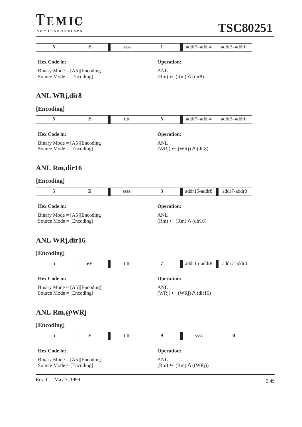



| 5                                     | E  | SSSS | 1                 | addr7-addr4                              | addr3-addr0 |  |  |
|---------------------------------------|----|------|-------------------|------------------------------------------|-------------|--|--|
| <b>Hex Code in:</b>                   |    |      | <b>Operation:</b> |                                          |             |  |  |
| Binary Mode = $[A5][\text{Encoding}]$ |    |      | <b>ANL</b>        |                                          |             |  |  |
| Source $Mode = [Encoding]$            |    |      |                   | $(Rm) \leftarrow (Rm) \Lambda$ (dir8)    |             |  |  |
|                                       |    |      |                   |                                          |             |  |  |
| <b>ANL WRj,dir8</b>                   |    |      |                   |                                          |             |  |  |
| [Encoding]                            |    |      |                   |                                          |             |  |  |
| 5                                     | E  | tttt | 5                 | addr7-addr4                              | addr3-addr0 |  |  |
| <b>Hex Code in:</b>                   |    |      | <b>Operation:</b> |                                          |             |  |  |
| Binary Mode = $[A5][\text{Encoding}]$ |    |      | <b>ANL</b>        |                                          |             |  |  |
| Source Mode = $[Encoding]$            |    |      |                   | $(WRj) \leftarrow (WRj) \Lambda (dir8)$  |             |  |  |
|                                       |    |      |                   |                                          |             |  |  |
| <b>ANL Rm,dir16</b>                   |    |      |                   |                                          |             |  |  |
| [Encoding]                            |    |      |                   |                                          |             |  |  |
| 5                                     | E  | SSSS | 3                 | addr15-addr8                             | addr7-addr0 |  |  |
| <b>Hex Code in:</b>                   |    |      | <b>Operation:</b> |                                          |             |  |  |
| Binary Mode = $[A5][\text{Encoding}]$ |    |      | <b>ANL</b>        |                                          |             |  |  |
| Source Mode = $[Encoding]$            |    |      |                   | $(Rm) \leftarrow (Rm) \Lambda (dir16)$   |             |  |  |
|                                       |    |      |                   |                                          |             |  |  |
| <b>ANL WRj,dir16</b>                  |    |      |                   |                                          |             |  |  |
| [Encoding]                            |    |      |                   |                                          |             |  |  |
| 5                                     | еE | tttt | 7                 | addr15-addr8                             | addr7-addr0 |  |  |
| <b>Hex Code in:</b>                   |    |      | <b>Operation:</b> |                                          |             |  |  |
| Binary Mode = $[A5][\text{Encoding}]$ |    |      | <b>ANL</b>        |                                          |             |  |  |
| Source Mode = $[Encoding]$            |    |      |                   | $(WRi) \leftarrow (WRi) \Lambda (dir16)$ |             |  |  |
|                                       |    |      |                   |                                          |             |  |  |
| ANL Rm,@WRj                           |    |      |                   |                                          |             |  |  |
| [Encoding]                            |    |      |                   |                                          |             |  |  |
| 5                                     | E  | tttt | 9                 | SSSS                                     | $\bf{0}$    |  |  |
| <b>Hex Code in:</b>                   |    |      | <b>Operation:</b> |                                          |             |  |  |
| Binary Mode = $[A5][\text{Encoding}]$ |    |      | <b>ANL</b>        |                                          |             |  |  |
| Source Mode = $[Encoding]$            |    |      |                   | $(Rm) \leftarrow (Rm) \Lambda ((WRj))$   |             |  |  |

Rev. C – May 7, 1999  $5.49$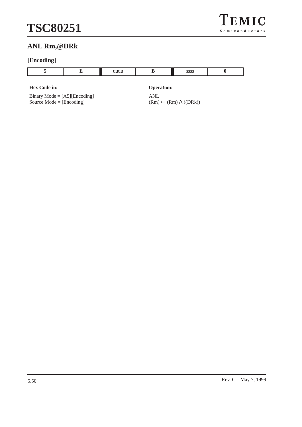

## **ANL Rm,@DRk**

## **[Encoding]**

#### **Hex Code in: Operation:**

Binary Mode = [A5][Encoding] Source  $Mode = [Encoding]$ 

ANL  $(Rm)$  ←  $(Rm)$  Λ ((DRk))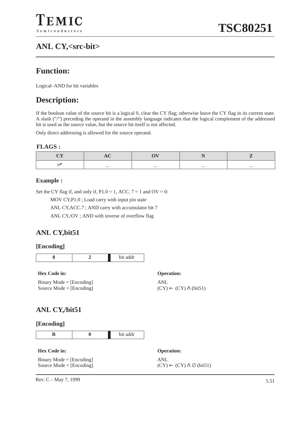## **ANL CY,<src-bit>**

## **Function:**

Logical–AND for bit variables

## **Description:**

If the boolean value of the source bit is a logical 0, clear the CY flag; otherwise leave the CY flag in its current state. A slash ("/") preceding the operand in the assembly language indicates that the logical complement of the addressed bit is used as the source value, but the source bit itself is not affected.

Only direct addressing is allowed for the source operand.

#### **FLAGS :**

## **Example :**

Set the CY flag if, and only if,  $P1.0 = 1$ , ACC.  $7 = 1$  and  $OV = 0$ :

MOV CY,P1.0 ; Load carry with input pin state

ANL CY,ACC.7 ; AND carry with accumulator bit 7

ANL CY,/OV ; AND with inverse of overflow flag

## **ANL CY,bit51**

#### **[Encoding]**



#### **Hex Code in: Operation:**

Binary Mode  $=$  [Encoding] Source Mode = [Encoding]

ANL  $(CY) \leftarrow (CY) \Lambda$  (bit51)

## **ANL CY,/bit51**

#### **[Encoding]**

**B 0** bit addr

#### **Hex Code in: Operation:**

Binary Mode = [Encoding] Source Mode = [Encoding] ANL  $(CY) \leftarrow (CY) \wedge \emptyset$  (bit51)

Rev. C – May 7, 1999  $5.51$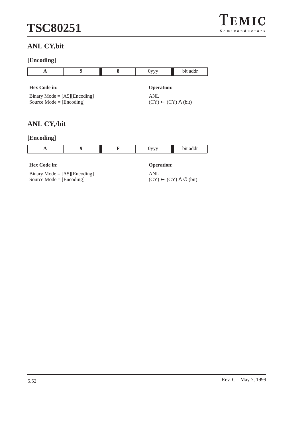

## **ANL CY,bit**

## **[Encoding]**

| $\mathbf A$                                                         | 9 | 8 | $0$ yyy                                            | bit addr |  |
|---------------------------------------------------------------------|---|---|----------------------------------------------------|----------|--|
| Hex Code in:                                                        |   |   | <b>Operation:</b>                                  |          |  |
| Binary Mode = $[A5][\text{Encoding}]$<br>Source Mode = $[Encoding]$ |   |   | <b>ANL</b><br>$(CY) \leftarrow (CY) \Lambda$ (bit) |          |  |
| <b>ANL CY,/bit</b>                                                  |   |   |                                                    |          |  |
| [Encoding]                                                          |   |   |                                                    |          |  |
| $\mathbf{A}$                                                        | 9 | F | $0$ yyy                                            | bit addr |  |
| <b>Hex Code in:</b>                                                 |   |   | <b>Operation:</b>                                  |          |  |
| Binary Mode = $[A5][\text{Encoding}]$                               |   |   | <b>ANL</b>                                         |          |  |

 $(CY) \leftarrow (CY) \wedge \emptyset$  (bit)

Binary Mode = [A5][Encoding] Source Mode = [Encoding]

5.52 Rev. C – May 7, 1999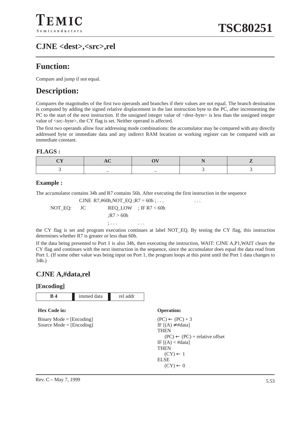## **CJNE <dest>,<src>,rel**

## **Function:**

Compare and jump if not equal.

## **Description:**

Compares the magnitudes of the first two operands and branches if their values are not equal. The branch destination is computed by adding the signed relative displacement in the last instruction byte to the PC, after incrementing the PC to the start of the next instruction. If the unsigned integer value of <dest–byte> is less than the unsigned integer value of <src–byte>, the CY flag is set. Neither operand is affected.

The first two operands allow four addressing mode combinations: the accumulator may be compared with any directly addressed byte or immediate data and any indirect RAM location or working register can be compared with an immediate constant.

#### **FLAGS :**

## **Example :**

The accumulator contains 34h and R7 contains 56h. After executing the first instruction in the sequence

CJNE R7,#60h, NOT\_EQ ; R7 = 60h ; ...  $\cdots$  ... NOT\_EQ: JC REQ\_LOW ; IF R7 < 60h ;R7 > 60h ; . . . . . .

the CY flag is set and program execution continues at label NOT\_EQ. By testing the CY flag, this instruction determines whether R7 is greater or less than 60h.

If the data being presented to Port 1 is also 34h, then executing the instruction, WAIT: CJNE A,P1,WAIT clears the CY flag and continues with the next instruction in the sequence, since the accumulator does equal the data read from Port 1. (If some other value was being input on Port 1, the program loops at this point until the Port 1 data changes to 34h.)

## **CJNE A,#data,rel**

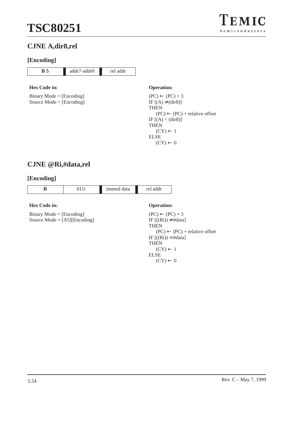

## **CJNE A,dir8,rel**

### **[Encoding]**

## **B 5** addr7-addr0 rel addr

## **Hex Code in: Operation:**

Binary Mode = [Encoding] Source Mode = [Encoding]

 $(PC) \leftarrow (PC) + 3$ IF  $[(A) \neq (dir8)]$ **THEN**  $(PC) \leftarrow (PC) +$  relative offset IF  $[(A) < (dir8)]$ THEN  $(CY) \leftarrow 1$ ELSE  $(CY) \leftarrow 0$ 

## **CJNE @Ri,#data,rel**

| B                                                                   | 011i | immed data | rel addr                                                                                                                                                                                                       |  |
|---------------------------------------------------------------------|------|------------|----------------------------------------------------------------------------------------------------------------------------------------------------------------------------------------------------------------|--|
|                                                                     |      |            |                                                                                                                                                                                                                |  |
| Hex Code in:                                                        |      |            | <b>Operation:</b>                                                                                                                                                                                              |  |
| $Binary Mode = [Encoding]$<br>Source Mode = $[A5][\text{Encoding}]$ |      |            | $(PC) \leftarrow (PC) + 3$<br>IF $[(Ri)) \neq #data]$<br><b>THEN</b><br>$(PC) \leftarrow (PC) +$ relative offset<br>IF $[(Ri)) < #data]$<br><b>THEN</b><br>$(CY) \leftarrow 1$<br>EL SE<br>$(CY) \leftarrow 0$ |  |
|                                                                     |      |            |                                                                                                                                                                                                                |  |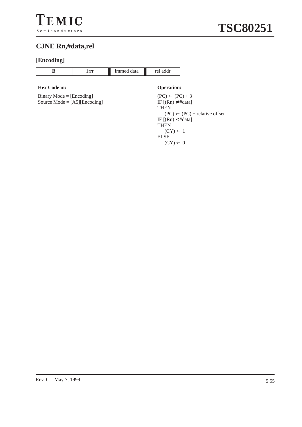## **CJNE Rn,#data,rel**

## **[Encoding]**

|  | 1mmed<br>lata<br>. | $-$<br>ch an<br>uu<br>. |
|--|--------------------|-------------------------|
|--|--------------------|-------------------------|

#### **Hex Code in: Operation:**

Binary Mode = [Encoding] Source Mode = [A5][Encoding]

 $(PC) \leftarrow (PC) + 3$ IF  $[(Rn) \neq #data]$ **THEN**  $(PC) \leftarrow (PC) +$  relative offset IF  $[(Rn) < #data]$ **THEN**  $(CY) \leftarrow 1$ ELSE  $(CY) \leftarrow 0$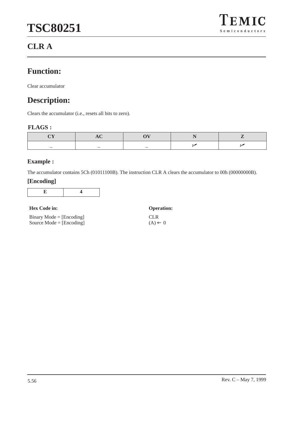## $\Gamma$ EMIC  $S$ e miconductors

## **CLR A**

## **Function:**

Clear accumulator

## **Description:**

Clears the accumulator (i.e., resets all bits to zero).

## **FLAGS :**

| _ | $\overline{\phantom{0}}$ |  |
|---|--------------------------|--|

## **Example :**

The accumulator contains 5Ch (01011100B). The instruction CLR A clears the accumulator to 00h (00000000B).

| <b>Hex Code in:</b>        | <b>Operation:</b>  |
|----------------------------|--------------------|
| $Binary Mode = [Encoding]$ | <b>CLR</b>         |
| Source Mode $=$ [Encoding] | $(A) \leftarrow 0$ |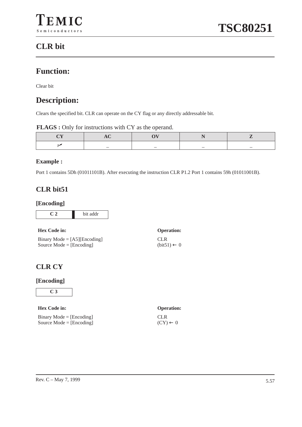## **CLR bit**

## **Function:**

Clear bit

## **Description:**

Clears the specified bit. CLR can operate on the CY flag or any directly addressable bit.

|  | <b>FLAGS</b> : Only for instructions with CY as the operand. |  |  |
|--|--------------------------------------------------------------|--|--|
|  |                                                              |  |  |

|  | _ |  |
|--|---|--|

## **Example :**

Port 1 contains 5Dh (01011101B). After executing the instruction CLR P1.2 Port 1 contains 59h (01011001B).

## **CLR bit51**

#### **[Encoding]**

| bit addr |
|----------|

| $\mathbf{11}$                         |
|---------------------------------------|
| Binary Mode = $[A5][\text{Encoding}]$ |
| Source Mode = $[Encoding]$            |

## **Hex Code in: Operation:** CLR  $(bit51) \leftarrow 0$

## **CLR CY**

#### **[Encoding]**



### **Hex Code in: Operation:**

|  | $Binary Mode = [Encoding]$ |
|--|----------------------------|
|  | Source Mode = $[Encoding]$ |

CLR  $(CY) \leftarrow 0$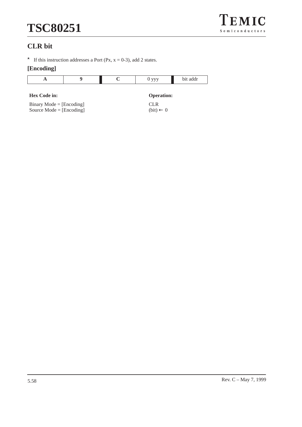

## **CLR bit**

 $\star$  If this instruction addresses a Port (Px, x = 0-3), add 2 states.

|                                                          |  | $0$ yyy                            | bit addr |
|----------------------------------------------------------|--|------------------------------------|----------|
| <b>Hex Code in:</b>                                      |  | <b>Operation:</b>                  |          |
| $Binary Mode = [Encoding]$<br>Source Mode = $[Encoding]$ |  | <b>CLR</b><br>$(bit) \leftarrow 0$ |          |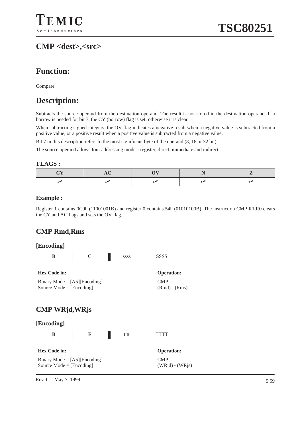## **CMP <dest>,<src>**

## **Function:**

Compare

## **Description:**

Subtracts the source operand from the destination operand. The result is not stored in the destination operand. If a borrow is needed for bit 7, the CY (borrow) flag is set; otherwise it is clear.

When subtracting signed integers, the OV flag indicates a negative result when a negative value is subtracted from a positive value, or a positive result when a positive value is subtracted from a negative value.

Bit 7 in this description refers to the most significant byte of the operand  $(8, 16 \text{ or } 32 \text{ bit})$ 

The source operand allows four addressing modes: register, direct, immediate and indirect.

#### **FLAGS :**

## **Example :**

Register 1 contains 0C9h (11001001B) and register 0 contains 54h (01010100B). The instruction CMP R1,R0 clears the CY and AC flags and sets the OV flag.

(Rmd) - (Rms)

## **CMP Rmd,Rms**

#### **[Encoding]**

|                                | <b>SSSS</b> | <b>SSSS</b>       |
|--------------------------------|-------------|-------------------|
| <b>Hex Code in:</b>            |             | <b>Operation:</b> |
| $Binarv Mode = [A5] [Encoder]$ |             |                   |

Binary Mode  $=$  [A5][Encoding] Source Mode = [Encoding]

## **CMP WRjd,WRjs**

#### **[Encoding]**

| <b>Hex Code in:</b>                   | <b>Operation:</b> |
|---------------------------------------|-------------------|
| Binary Mode = $[A5][\text{Encoding}]$ | <b>CMP</b>        |
| Source Mode $=$ [Encoding]            | $(WRid) - (WRis)$ |

Rev. C – May 7, 1999  $5.59$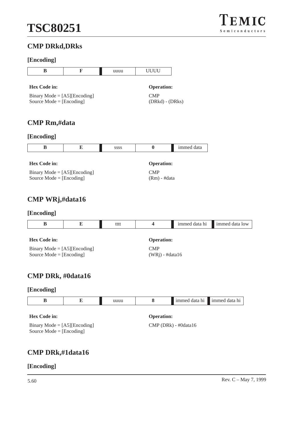

## **CMP DRkd,DRks**

## **[Encoding]**

| B                                                                                                | F | uuuu | <b>UUUU</b>                                   |            |
|--------------------------------------------------------------------------------------------------|---|------|-----------------------------------------------|------------|
| Hex Code in:<br>Binary Mode = $[A5][\text{Encoding}]$<br>Source Mode = $[Encoding]$              |   |      | <b>Operation:</b><br>CMP<br>$(DRkd) - (DRks)$ |            |
| <b>CMP Rm,#data</b><br>[Encoding]                                                                |   |      |                                               |            |
| B                                                                                                | E | SSSS | $\bf{0}$                                      | immed data |
| <b>Hex Code in:</b><br>Binary Mode = $[A5][\text{Encoding}]$<br>Source Mode $=[\text{Encoding}]$ |   |      | <b>Operation:</b><br>CMP<br>$(Rm)$ - #data    |            |
| CMP WRj,#data16                                                                                  |   |      |                                               |            |
| [Encoding]                                                                                       |   |      |                                               |            |

|  | tttt | immed data hi | immed data low |
|--|------|---------------|----------------|
|  |      |               |                |

| <b>Hex Code in:</b>                   | <b>Operation:</b> |
|---------------------------------------|-------------------|
| Binary Mode = $[A5][\text{Encoding}]$ | CMP               |
| Source Mode $=$ [Encoding]            | $(WRi)$ - #data16 |

## **CMP DRk, #0data16**

## **[Encoding]**

|                     |                   | uuuu |  |  | immed data hi immed data hi |
|---------------------|-------------------|------|--|--|-----------------------------|
|                     |                   |      |  |  |                             |
| <b>Hex Code in:</b> | <b>Operation:</b> |      |  |  |                             |

| ----- ------                          | $\sim$ possesses $\sim$ |
|---------------------------------------|-------------------------|
| Binary Mode = $[A5][\text{Encoding}]$ | $CMP(DRk) - #0data16$   |
| Source Mode $=$ [Encoding]            |                         |

## **CMP DRk,#1data16**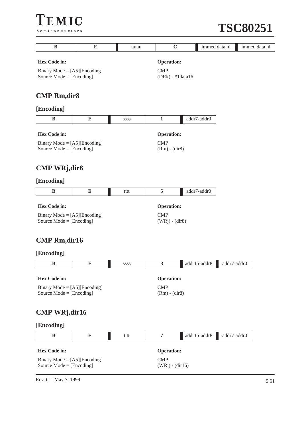

| B                                                                                          | E         | uuuu | $\mathbf C$                                           |  | immed data hi | immed data hi |
|--------------------------------------------------------------------------------------------|-----------|------|-------------------------------------------------------|--|---------------|---------------|
| <b>Hex Code in:</b><br>Binary Mode = $[A5][\text{Encoding}]$<br>Source Mode = $[Encoding]$ |           |      | <b>Operation:</b><br><b>CMP</b><br>$(DRk) - #1data16$ |  |               |               |
| <b>CMP Rm,dir8</b>                                                                         |           |      |                                                       |  |               |               |
| [Encoding]                                                                                 |           |      |                                                       |  |               |               |
| B                                                                                          | ${\bf E}$ | SSSS | $\mathbf{1}$                                          |  | addr7-addr0   |               |
| <b>Hex Code in:</b><br>Binary Mode = $[A5][\text{Encoding}]$<br>Source Mode = $[Encoding]$ |           |      | <b>Operation:</b><br><b>CMP</b><br>$(Rm) - (dir8)$    |  |               |               |
| <b>CMP WRj,dir8</b>                                                                        |           |      |                                                       |  |               |               |
| [Encoding]                                                                                 |           |      |                                                       |  |               |               |
| B                                                                                          | E         | tttt | 5                                                     |  | addr7-addr0   |               |
| <b>Hex Code in:</b>                                                                        |           |      | <b>Operation:</b>                                     |  |               |               |
| Binary Mode = $[A5][\text{Encoding}]$<br>Source Mode = $[Encoding]$                        |           |      | <b>CMP</b><br>$(WRj) - (dir8)$                        |  |               |               |
| <b>CMP Rm,dir16</b>                                                                        |           |      |                                                       |  |               |               |
| [Encoding]                                                                                 |           |      |                                                       |  |               |               |
| $\bf{B}$                                                                                   | E         | SSSS | $\overline{\mathbf{3}}$                               |  | addr15-addr8  | addr7-addr0   |
| Hex Code in:<br>Binary Mode = $[A5][\text{Encoding}]$<br>Source Mode = $[Encoding]$        |           |      | <b>Operation:</b><br><b>CMP</b><br>$(Rm) - (dir8)$    |  |               |               |
| <b>CMP WRj,dir16</b>                                                                       |           |      |                                                       |  |               |               |
| [Encoding]                                                                                 |           |      |                                                       |  |               |               |
| $\bf{B}$                                                                                   | ${\bf E}$ | tttt | $\overline{7}$                                        |  | addr15-addr8  | addr7-addr0   |
| Hex Code in:                                                                               |           |      | <b>Operation:</b>                                     |  |               |               |
| Binary Mode = $[A5][\text{Encoding}]$<br>Source Mode = [Encoding]                          |           |      | <b>CMP</b><br>$(WRj) - (dir16)$                       |  |               |               |

Rev. C – May 7, 1999  $5.61$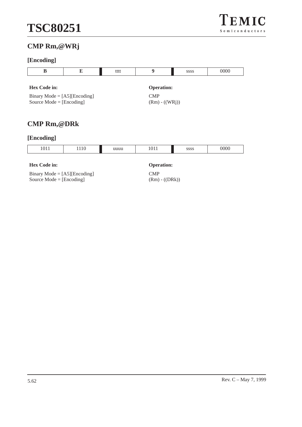## **CMP Rm,@WRj**

## **[Encoding]**

| В                                     | E | tttt       |                  | <b>SSSS</b>       | 0000 |  |  |
|---------------------------------------|---|------------|------------------|-------------------|------|--|--|
|                                       |   |            |                  |                   |      |  |  |
| <b>Hex Code in:</b>                   |   |            |                  | <b>Operation:</b> |      |  |  |
| Binary Mode = $[A5][\text{Encoding}]$ |   | <b>CMP</b> |                  |                   |      |  |  |
| Source Mode = $[Encoding]$            |   |            | $(Rm) - ((WRj))$ |                   |      |  |  |
|                                       |   |            |                  |                   |      |  |  |

## **CMP Rm,@DRk**

## **[Encoding]**

| 1011 | 1110 | uuuu | 1011 | SSSS | 0000 |
|------|------|------|------|------|------|
|      |      |      |      |      |      |

## **Hex Code in: Operation:**

| Binary Mode = $[A5][\text{Encoding}]$ |  |
|---------------------------------------|--|
| Source Mode $=$ [Encoding]            |  |

CMP (Rm) - ((DRk))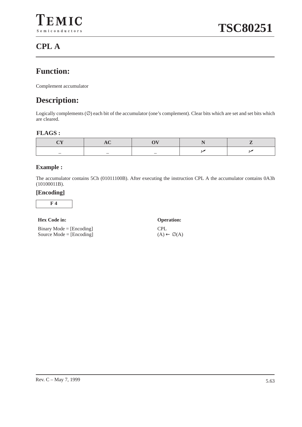## **CPL A**

## **Function:**

Complement accumulator

## **Description:**

Logically complements (∅) each bit of the accumulator (one's complement). Clear bits which are set and set bits which are cleared.

### **FLAGS :**

| _ | – |  |
|---|---|--|

## **Example :**

The accumulator contains 5Ch (01011100B). After executing the instruction CPL A the accumulator contains 0A3h (10100011B).

#### **[Encoding]**

**F 4**

#### **Hex Code in: Operation:**

Binary Mode  $=$  [Encoding] Source Mode = [Encoding] CPL  $(A) \leftarrow \emptyset$  $(A)$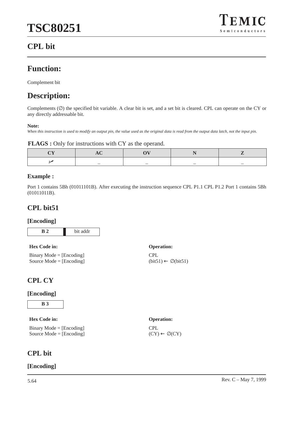

## **CPL bit**

## **Function:**

Complement bit

## **Description:**

Complements (∅) the specified bit variable. A clear bit is set, and a set bit is cleared. CPL can operate on the CY or any directly addressable bit.

#### **Note:**

*When this instruction is used to modify an output pin, the value used as the original data is read from the output data latch, not the input pin.*

#### **FLAGS :** Only for instructions with CY as the operand.

| _ |  |  |
|---|--|--|

#### **Example :**

Port 1 contains 5Bh (01011101B). After executing the instruction sequence CPL P1.1 CPL P1.2 Port 1 contains 5Bh (01011011B).

CPL

 $(CY) \leftarrow \emptyset$  $(CY)$ 

 $1)$ 

### **CPL bit51**

#### **[Encoding]**

| bit addr |
|----------|

| <b>Hex Code in:</b>        | <b>Operation:</b>                     |
|----------------------------|---------------------------------------|
| $Binary Mode = [Encoding]$ | CPL                                   |
| Source Mode $=$ [Encoding] | $(bit51) \leftarrow \emptyset (bit5)$ |

## **CPL CY**

#### **[Encoding]**

**B 3**

#### **Hex Code in: Operation:**

Binary Mode = [Encoding] Source Mode = [Encoding]

### **CPL bit**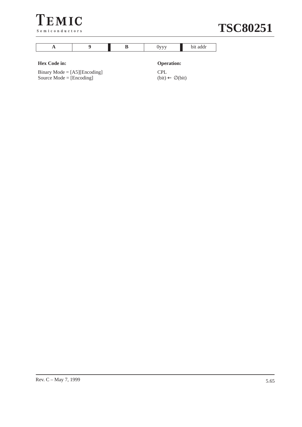



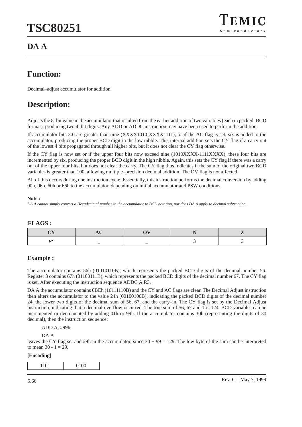## **DA A**

## **Function:**

Decimal–adjust accumulator for addition

## **Description:**

Adjusts the 8–bit value in the accumulator that resulted from the earlier addition of two variables (each in packed–BCD format), producing two 4–bit digits. Any ADD or ADDC instruction may have been used to perform the addition.

If accumulator bits 3:0 are greater than nine (XXXX1010-XXXX1111), or if the AC flag is set, six is added to the accumulator, producing the proper BCD digit in the low nibble. This internal addition sets the CY flag if a carry out of the lowest 4 bits propagated through all higher bits, but it does not clear the CY flag otherwise.

If the CY flag is now set or if the upper four bits now exceed nine (1010XXXX-1111XXXX), these four bits are incremented by six, producing the proper BCD digit in the high nibble. Again, this sets the CY flag if there was a carry out of the upper four bits, but does not clear the carry. The CY flag thus indicates if the sum of the original two BCD variables is greater than 100, allowing multiple–precision decimal addition. The OV flag is not affected.

All of this occurs during one instruction cycle. Essentially, this instruction performs the decimal conversion by adding 00h, 06h, 60h or 66h to the accumulator, depending on initial accumulator and PSW conditions.

#### **Note :**

*DA A cannot simply convert a Hexadecimal number in the accumulator to BCD notation, nor does DA A apply to decimal subtraction.*

#### **FLAGS :**

#### **Example :**

The accumulator contains 56h (01010110B), which represents the packed BCD digits of the decimal number 56. Register 3 contains 67h (01100111B), which represents the packed BCD digits of the decimal number 67. The CY flag is set. After executing the instruction sequence ADDC A,R3.

DA A the accumulator contains 0BEh (10111110B) and the CY and AC flags are clear. The Decimal Adjust instruction then alters the accumulator to the value 24h (00100100B), indicating the packed BCD digits of the decimal number 24, the lower two digits of the decimal sum of 56, 67, and the carry–in. The CY flag is set by the Decimal Adjust instruction, indicating that a decimal overflow occurred. The true sum of 56, 67 and 1 is 124. BCD variables can be incremented or decremented by adding 01h or 99h. If the accumulator contains 30h (representing the digits of 30 decimal), then the instruction sequence:

ADD A, #99h.

DA A

leaves the CY flag set and 29h in the accumulator, since  $30 + 99 = 129$ . The low byte of the sum can be interpreted to mean  $30 - 1 = 29$ .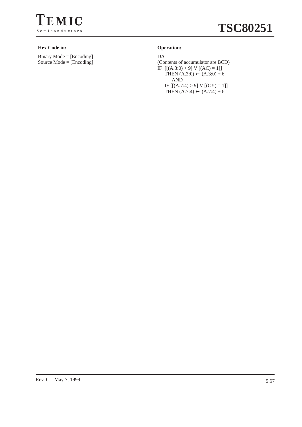

#### **Hex Code in: Operation:**

Binary Mode = [Encoding] Source Mode = [Encoding]

DA (Contents of accumulator are BCD) IF  $[[(A.3:0) > 9] V [(AC) = 1]]$ THEN  $(A.3:0) \leftarrow (A.3:0) + 6$ AND IF  $[[(A.7:4) > 9]$  V  $[ (CY) = 1 ]]$ THEN  $(A.7:4)$  ←  $(A.7:4) + 6$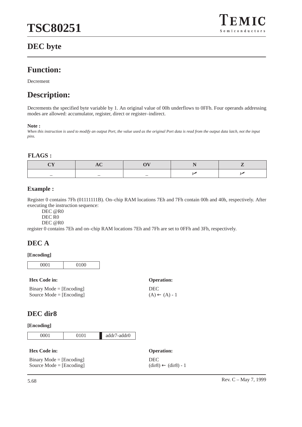## $EMIC$ Semiconductors

## **DEC byte**

## **Function:**

Decrement

## **Description:**

Decrements the specified byte variable by 1. An original value of 00h underflows to 0FFh. Four operands addressing modes are allowed: accumulator, register, direct or register–indirect.

#### **Note :**

*When this instruction is used to modify an output Port, the value used as the original Port data is read from the output data latch, not the input pins.*

#### **FLAGS :**

| _ |  |  |
|---|--|--|

#### **Example :**

Register 0 contains 7Fh (01111111B). On–chip RAM locations 7Eh and 7Fh contain 00h and 40h, respectively. After executing the instruction sequence:

DEC @R0

DEC R<sub>0</sub>

DEC @R0

register 0 contains 7Eh and on–chip RAM locations 7Eh and 7Fh are set to 0FFh and 3Fh, respectively.

## **DEC A**

#### **[Encoding]**

0001 0100

#### **Hex Code in: Operation:**

Binary Mode = [Encoding] Source Mode = [Encoding]

## DEC  $(A) \leftarrow (A) - 1$

### **DEC dir8**

| 0001 | addr7-addr0 |
|------|-------------|
|      |             |

| <b>Hex Code in:</b>        | <b>Operation:</b>                            |
|----------------------------|----------------------------------------------|
| $Binary Mode = [Encoding]$ | <b>DEC</b>                                   |
| Source Mode $=$ [Encoding] | $(\text{dir8}) \leftarrow (\text{dir8}) - 1$ |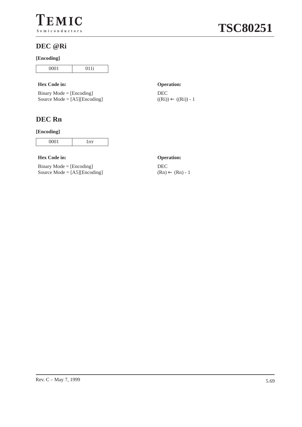

### **DEC @Ri**

#### **[Encoding]**

| 0001 |  |
|------|--|
| ັ    |  |

#### **Hex Code in: Operation:**

| $Binary Mode = [Encoding]$            |
|---------------------------------------|
| Source Mode = $[A5][\text{Encoding}]$ |

## **DEC Rn**

#### **[Encoding]**

|--|

#### **Hex Code in: Operation:**

Binary Mode = [Encoding] Source Mode = [A5][Encoding]

DEC  $((Ri)) \leftarrow ((Ri)) - 1$ 

DEC  $(Rn) \leftarrow (Rn) - 1$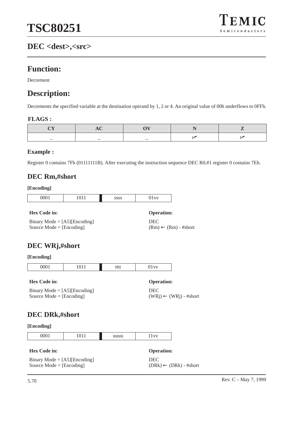## **DEC <dest>,<src>**

## **Function:**

Decrement

## **Description:**

Decrements the specified variable at the destination operand by 1, 2 or 4. An original value of 00h underflows to 0FFh.

#### **FLAGS :**

#### **Example :**

Register 0 contains 7Fh (01111111B). After executing the instruction sequence DEC R0,#1 register 0 contains 7Eh.

### **DEC Rm,#short**

#### **[Encoding]**

| <b>0001</b><br>vvv 1 | 0.11<br>1011 | 2000<br>,,,, | ----<br>ັ້ |
|----------------------|--------------|--------------|------------|

#### **Hex Code in: Operation:**

Binary Mode  $=$  [A5][Encoding] Source Mode = [Encoding]

# DEC

 $(Rm) \leftarrow (Rm)$  - #short

## **DEC WRj,#short**

#### **[Encoding]**

| 0001 | 711<br>.<br>ີ | tttt | $- - - -$<br>ັ້ |
|------|---------------|------|-----------------|

#### **Hex Code in: Operation:**

Binary Mode = [A5][Encoding] Source Mode = [Encoding]

DEC (WRj) ← (WRj) - #short

## **DEC DRk,#short**

| 1011 | ----<br> |
|------|----------|

| <b>Hex Code in:</b>                   | <b>Operation:</b>                 |
|---------------------------------------|-----------------------------------|
| Binary Mode = $[A5][\text{Encoding}]$ | DEC.                              |
| Source Mode $=$ [Encoding]            | $(DRk) \leftarrow (DRk)$ - #short |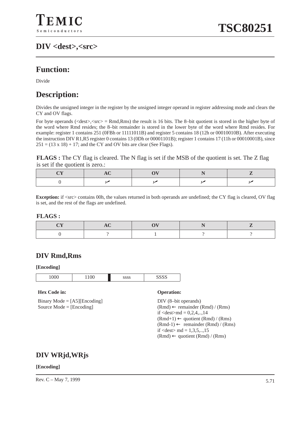## **DIV <dest>,<src>**

## **Function:**

Divide

## **Description:**

Divides the unsigned integer in the register by the unsigned integer operand in register addressing mode and clears the CY and OV flags.

For byte operands ( $\langle$ dest $\rangle$ , $\langle$ src $\rangle$  = Rmd,Rms) the result is 16 bits. The 8-bit quotient is stored in the higher byte of the word where Rmd resides; the 8–bit remainder is stored in the lower byte of the word where Rmd resides. For example: register 1 contains 251 (0FBh or 11111011B) and register 5 contains 18 (12h or 00010010B). After executing the instruction DIV R1,R5 register 0 contains 13 (0Dh or 00001101B); register 1 contains 17 (11h or 00010001B), since  $251 = (13 \times 18) + 17$ ; and the CY and OV bits are clear (See Flags).

**FLAGS**: The CY flag is cleared. The N flag is set if the MSB of the quotient is set. The Z flag is set if the quotient is zero.:

**Exception:** if  $\langle$ src $\rangle$  contains 00h, the values returned in both operands are undefined; the CY flag is cleared, OV flag is set, and the rest of the flags are undefined.

#### **FLAGS :**

### **DIV Rmd,Rms**

#### **[Encoding]**



#### **Hex Code in: Operation:**

Binary Mode = [A5][Encoding] Source Mode = [Encoding]

DIV (8–bit operands)  $(Rmd) \leftarrow$  remainder  $(Rmd) / (Rms)$ if  $\le$  dest $>$ md = 0,2,4,..,14  $(Rmd+1) \leftarrow$  quotient  $(Rmd) / (Rms)$  $(Rmd-1) \leftarrow$  remainder  $(Rmd) / (Rms)$ if  $\langle$  dest $>$ md = 1,3,5,..,15  $(Rmd) \leftarrow$  quotient  $(Rmd) / (Rms)$ 

### **DIV WRjd,WRjs**

#### **[Encoding]**

Rev. C – May 7, 1999  $5.71$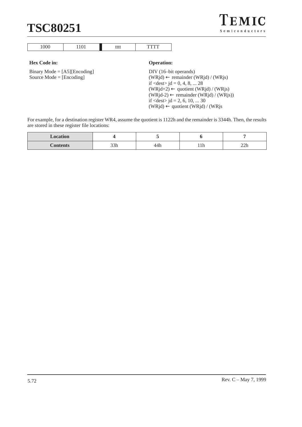# **TSC80251**

| TEMIC          |  |
|----------------|--|
| Semiconductors |  |

| $\sim$ $\sim$ | $\cdots$ | ---- | $\overline{\phantom{a}}$ |
|---------------|----------|------|--------------------------|

#### **Hex Code in: Operation:**

Binary Mode = [A5][Encoding] Source Mode = [Encoding]

DIV (16–bit operands) (WRjd) ← remainder (WRjd) / (WRjs) if  $\langle dest \rangle$  jd = 0, 4, 8, ... 28  $(WRjd+2) \leftarrow$  quotient  $(WRjd) / (WRjs)$  $(WRjd-2) \leftarrow$  remainder  $(WRjd) / (WRjs)$ if  $\langle \text{dest} \rangle$  jd = 2, 6, 10, ... 30  $(WRjd) \leftarrow$  quotient  $(WRjd) / (WRjs)$ 

For example, for a destination register WR4, assume the quotient is 1122h and the remainder is 3344h. Then, the results are stored in these register file locations:

| <b>Location</b> |                |   |                         |
|-----------------|----------------|---|-------------------------|
| $\sim$ and      | $\sim$<br>$ -$ | . | <br>$\sim$<br>$- - - -$ |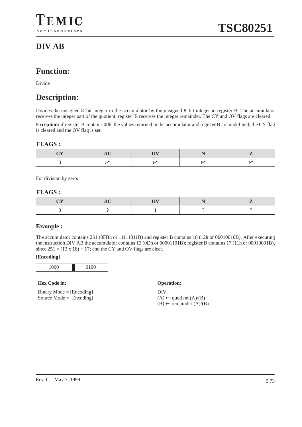## **DIV AB**

## **Function:**

Divide

## **Description:**

Divides the unsigned 8–bit integer in the accumulator by the unsigned 8–bit integer in register B. The accumulator receives the integer part of the quotient; register B receives the integer remainder. The CY and OV flags are cleared.

**Exception:** if register B contains 00h, the values returned in the accumulator and register B are undefined; the CY flag is cleared and the OV flag is set.

#### **FLAGS :**

For division by zero**:**

#### **FLAGS :**

#### **Example :**

The accumulator contains 251 (0FBh or 11111011B) and register B contains 18 (12h or 00010010B). After executing the instruction DIV AB the accumulator contains 13 (0Dh or 00001101B); register B contains 17 (11h or 00010001B), since  $251 = (13 \times 18) + 17$ ; and the CY and OV flags are clear.

#### **[Encoding]**

1000 0100

#### **Hex Code in: Operation:**

Binary Mode  $=$  [Encoding] Source Mode = [Encoding]

DIV  $(A) \leftarrow$  quotient  $(A)/(B)$ (B) ← remainder (A)/(B)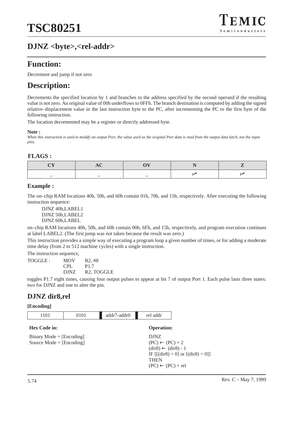## **DJNZ <byte>,<rel-addr>**

## **Function:**

Decrement and jump if not zero

## **Description:**

Decrements the specified location by 1 and branches to the address specified by the second operand if the resulting value is not zero. An original value of 00h underflows to 0FFh. The branch destination is computed by adding the signed relative–displacement value in the last instruction byte to the PC, after incrementing the PC to the first byte of the following instruction.

The location decremented may be a register or directly addressed byte.

#### **Note :**

*When this instruction is used to modify an output Port, the value used as the original Port data is read from the output data latch, not the input pins.*

#### **FLAGS :**

#### **Example :**

The on–chip RAM locations 40h, 50h, and 60h contain 01h, 70h, and 15h, respectively. After executing the following instruction sequence:

DJNZ 40h,LABEL1 DJNZ 50h,LABEL2 DJNZ 60h,LABEL

on–chip RAM locations 40h, 50h, and 60h contain 00h, 6Fh, and 15h, respectively, and program execution continues at label LABEL2. (The first jump was not taken because the result was zero.)

This instruction provides a simple way of executing a program loop a given number of times, or for adding a moderate time delay (from 2 to 512 machine cycles) with a single instruction.

The instruction sequence,

| TOGGLE : | MOV         | R2,#8                   |
|----------|-------------|-------------------------|
|          | CPL.        | P <sub>1.7</sub>        |
|          | <b>DJNZ</b> | R <sub>2</sub> , TOGGLE |

toggles P1.7 eight times, causing four output pulses to appear at bit 7 of output Port 1. Each pulse lasts three states: two for DJNZ and one to alter the pin.

### **DJNZ dir8,rel**

| 1101                                                     | 0101 | addr7-addr0 | rel addr                                                                                                                                 |                                     |
|----------------------------------------------------------|------|-------------|------------------------------------------------------------------------------------------------------------------------------------------|-------------------------------------|
| <b>Hex Code in:</b>                                      |      |             | <b>Operation:</b>                                                                                                                        |                                     |
| $Binary Mode = [Encoding]$<br>Source Mode = $[Encoding]$ |      |             | <b>DJNZ</b><br>$(PC) \leftarrow (PC) + 2$<br>$\text{(dir8)} \leftarrow \text{(dir8)} - 1$<br><b>THEN</b><br>$(PC) \leftarrow (PC) + rel$ | IF $[(dir8) > 0]$ or $[(dir8) < 0]$ |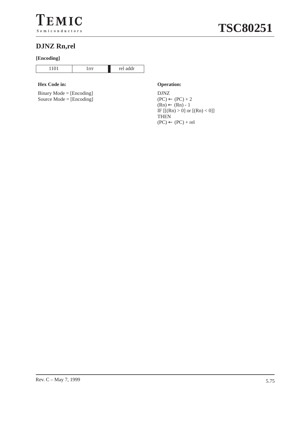

## **DJNZ Rn,rel**

#### **[Encoding]**

| $\sim$ | . |
|--------|---|

#### **Hex Code in: Operation:**

Binary Mode = [Encoding] Source Mode  $=$  [Encoding]

DJNZ  $(PC) \leftarrow (PC) + 2$  $(Rn) \leftarrow (Rn) - 1$ IF  $[[(Rn) > 0]$  or  $[(Rn) < 0]]$ THEN  $(PC) \leftarrow (PC) + rel$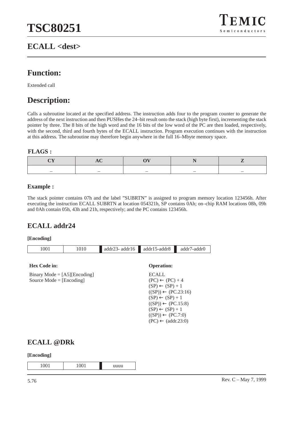## **ECALL <dest>**



## **Function:**

Extended call

## **Description:**

Calls a subroutine located at the specified address. The instruction adds four to the program counter to generate the address of the next instruction and then PUSHes the 24–bit result onto the stack (high byte first), incrementing the stack pointer by three. The 8 bits of the high word and the 16 bits of the low word of the PC are then loaded, respectively, with the second, third and fourth bytes of the ECALL instruction. Program execution continues with the instruction at this address. The subroutine may therefore begin anywhere in the full 16–Mbyte memory space.

#### **FLAGS :**

#### **Example :**

The stack pointer contains 07h and the label "SUBRTN" is assigned to program memory location 123456h. After executing the instruction ECALL SUBRTN at location 054321h, SP contains 0Ah; on–chip RAM locations 08h, 09h and 0Ah contain 05h, 43h and 21h, respectively; and the PC contains 123456h.

### **ECALL addr24**

#### **[Encoding]**



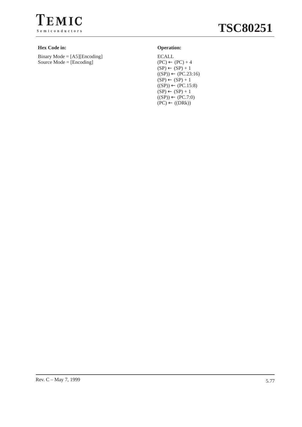

#### **Hex Code in: Operation:**

Binary Mode = [A5][Encoding] Source Mode = [Encoding]

ECALL  $(PC) \leftarrow (PC) + 4$  $(SP) \leftarrow (SP) + 1$  $((SP)) \leftarrow (PC.23:16)$  $(SP) \leftarrow (SP) + 1$  $((SP)) \leftarrow (PC.15:8)$  $(SP) \leftarrow (SP) + 1$  $((SP)) \leftarrow (PC.7:0)$  $(PC) \leftarrow ((DRk))$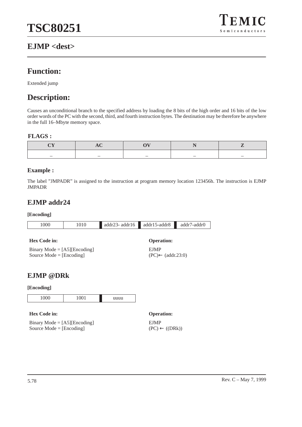## **EJMP <dest>**



## **Function:**

Extended jump

## **Description:**

Causes an unconditional branch to the specified address by loading the 8 bits of the high order and 16 bits of the low order words of the PC with the second, third, and fourth instruction bytes. The destination may be therefore be anywhere in the full 16–Mbyte memory space.

#### **FLAGS :**

#### **Example :**

The label "JMPADR" is assigned to the instruction at program memory location 123456h. The instruction is EJMP JMPADR

EJMP

(PC)← (addr.23:0)

### **EJMP addr24**

#### **[Encoding]**

|  | 000 |  | addr16<br>23.5<br>addr2. | addr15-addr8 | <sup>7</sup> -addr0<br>addr7 |
|--|-----|--|--------------------------|--------------|------------------------------|
|--|-----|--|--------------------------|--------------|------------------------------|

#### **Hex Code in: Operation:**

Binary Mode = [A5][Encoding] Source Mode = [Encoding]

### **EJMP @DRk**

#### **[Encoding]**

| $\Omega$<br>∼<br>◡ | 0.01<br>1001 | iuuu<br>. |
|--------------------|--------------|-----------|

#### **Hex Code in: Operation:**

Binary Mode = [A5][Encoding] Source Mode = [Encoding]

EJMP  $(PC) \leftarrow ((DRk))$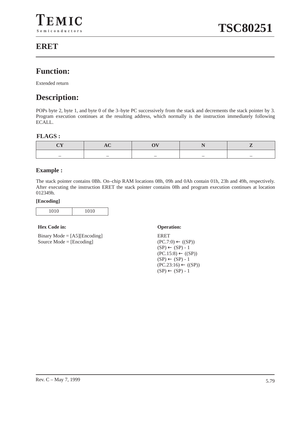## **Function:**

Extended return

## **Description:**

POPs byte 2, byte 1, and byte 0 of the 3–byte PC successively from the stack and decrements the stack pointer by 3. Program execution continues at the resulting address, which normally is the instruction immediately following ECALL.

#### **FLAGS :**

#### **Example :**

The stack pointer contains 0Bh. On–chip RAM locations 08h, 09h and 0Ah contain 01h, 23h and 49h, respectively. After executing the instruction ERET the stack pointer contains 08h and program execution continues at location 012349h.

#### **[Encoding]**

|--|

#### **Hex Code in: Operation:**

Binary Mode  $=$  [A5][Encoding] Source Mode  $=$  [Encoding]

ERET  $(PC.7:0) \leftarrow ((SP))$  $(SP) \leftarrow (SP) - 1$  $(PC.15:8) \leftarrow ((SP))$  $(SP) \leftarrow (SP) - 1$  $(PC.23:16) \leftarrow ((SP))$  $(SP) \leftarrow (SP) - 1$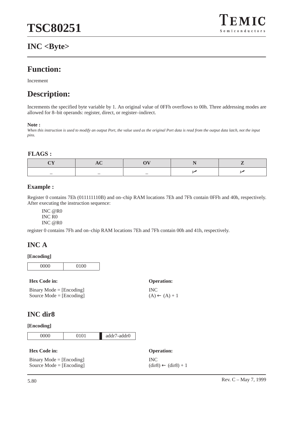## **INC <Byte>**



## **Function:**

Increment

## **Description:**

Increments the specified byte variable by 1. An original value of 0FFh overflows to 00h. Three addressing modes are allowed for 8–bit operands: register, direct, or register–indirect.

#### **Note :**

*When this instruction is used to modify an output Port, the value used as the original Port data is read from the output data latch, not the input pins.*

#### **FLAGS :**

#### **Example :**

Register 0 contains 7Eh (011111110B) and on–chip RAM locations 7Eh and 7Fh contain 0FFh and 40h, respectively. After executing the instruction sequence:

INC @R0 INC R0 INC @R0

register 0 contains 7Fh and on–chip RAM locations 7Eh and 7Fh contain 00h and 41h, respectively.

## **INC A**

#### **[Encoding]**

0000 0100

#### **Hex Code in: Operation:**

Binary Mode = [Encoding] Source Mode = [Encoding]

## INC  $(A) \leftarrow (A) + 1$

### **INC dir8**

| [Encoding] |
|------------|
|------------|

|  | 0000 | 0101 | addr7-addr0 |
|--|------|------|-------------|
|--|------|------|-------------|

| <b>Hex Code in:</b>        | <b>Operation:</b>                            |
|----------------------------|----------------------------------------------|
| $Binary Mode = [Encoding]$ | <b>INC</b>                                   |
| Source Mode $=$ [Encoding] | $(\text{dir8}) \leftarrow (\text{dir8}) + 1$ |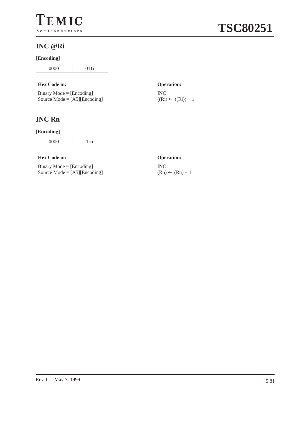### **INC @Ri**

#### **[Encoding]**

| 0000 | $\Omega$ 1<br>1 |
|------|-----------------|

#### **Hex Code in: Operation:**

| $Binary Mode = [Encoding]$            |
|---------------------------------------|
| Source Mode = $[A5][\text{Encoding}]$ |

## **INC Rn**

#### **[Encoding]**

|--|--|

#### **Hex Code in: Operation:**

Binary Mode = [Encoding] Source Mode = [A5][Encoding]

INC  $((Ri) \leftarrow ((Ri)) + 1)$ 

INC  $(Rn) \leftarrow (Rn) + 1$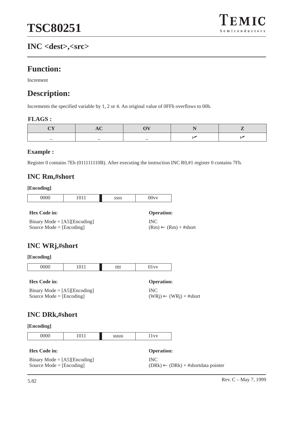## **INC <dest>,<src>**

## **Function:**

Increment

## **Description:**

Increments the specified variable by 1, 2 or 4. An original value of 0FFh overflows to 00h.

#### **FLAGS :**

INC

#### **Example :**

Register 0 contains 7Eh (011111110B). After executing the instruction INC R0,#1 register 0 contains 7Fh.

### **INC Rm,#short**

#### **[Encoding]**

| 0000<br>vvv | 1011 | ,000 | $\sim$ $\sim$<br>$\sim -$<br>JUV' |
|-------------|------|------|-----------------------------------|
|             |      |      |                                   |

#### **Hex Code in: Operation:**

Binary Mode  $=$  [A5][Encoding] Source Mode = [Encoding]

## **INC WRj,#short**

#### **[Encoding]**

| 000 | 711<br>1011 | tttt | $- - - -$<br>ັ້ |
|-----|-------------|------|-----------------|

#### **Hex Code in: Operation:**

Binary Mode = [A5][Encoding] Source Mode = [Encoding]

INC  $(WRj) \leftarrow (WRj) + #short$ 

 $(Rm) \leftarrow (Rm) + # short$ 

### **INC DRk,#short**

|  | 1011 | iuuu | ----<br> |
|--|------|------|----------|

| <b>Hex Code in:</b>                   | <b>Operation:</b>                                     |
|---------------------------------------|-------------------------------------------------------|
| Binary Mode = $[A5][\text{Encoding}]$ | INC.                                                  |
| Source Mode $=$ [Encoding]            | $(DRk) \leftarrow (DRk) + # \text{shortdata pointer}$ |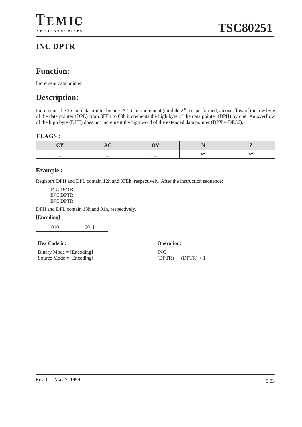## **INC DPTR**

## **Function:**

Increment data pointer

## **Description:**

Increments the 16–bit data pointer by one. A 16–bit increment (modulo  $2^{16}$ ) is performed; an overflow of the low byte of the data pointer (DPL) from 0FFh to 00h increments the high byte of the data pointer (DPH) by one. An overflow of the high byte (DPH) does not increment the high word of the extended data pointer ( $DPX = DRS6$ ).

#### **FLAGS :**

#### **Example :**

Registers DPH and DPL contain 12h and 0FEh, respectively. After the instruction sequence:

INC DPTR INC DPTR INC DPTR

DPH and DPL contain 13h and 01h, respectively.

#### **[Encoding]**

| M.<br>$\sim$ . |
|----------------|
|----------------|

#### **Hex Code in: Operation:**

Binary Mode = [Encoding] Source Mode = [Encoding]

INC  $(DPTR) \leftarrow (DPTR) + 1$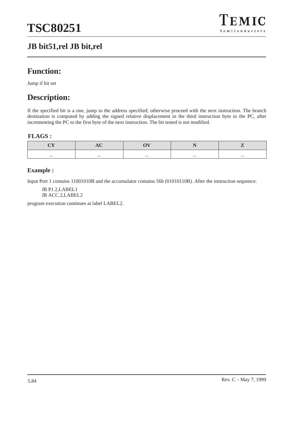## **JB bit51,rel JB bit,rel**



## **Function:**

Jump if bit set

## **Description:**

If the specified bit is a one, jump to the address specified; otherwise proceed with the next instruction. The branch destination is computed by adding the signed relative displacement in the third instruction byte to the PC, after incrementing the PC to the first byte of the next instruction. The bit tested is not modified.

#### **FLAGS :**

#### **Example :**

Input Port 1 contains 11001010B and the accumulator contains 56h (01010110B). After the instruction sequence:

JB P1.2,LABEL1 JB ACC.2,LABEL2

program execution continues at label LABEL2.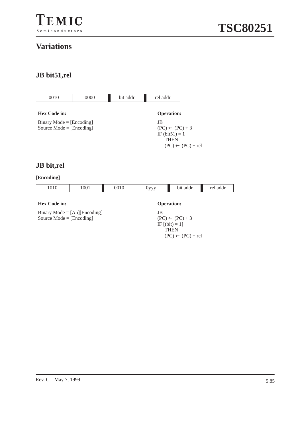

## **Variations**

## **JB bit51,rel**



## **JB bit,rel**

| 1010                | 1001                                                     | 0010 | $0$ yyy | bit addr                     | rel addr |  |
|---------------------|----------------------------------------------------------|------|---------|------------------------------|----------|--|
| <b>Hex Code in:</b> |                                                          |      |         |                              |          |  |
|                     | <b>Operation:</b>                                        |      |         |                              |          |  |
|                     | Binary Mode = $[A5][\text{Encoding}]$<br>JB              |      |         |                              |          |  |
|                     | Source Mode = $[Encoding]$<br>$(PC) \leftarrow (PC) + 3$ |      |         |                              |          |  |
| IF $[(bit) = 1]$    |                                                          |      |         |                              |          |  |
|                     |                                                          |      |         | <b>THEN</b>                  |          |  |
|                     |                                                          |      |         | $(PC) \leftarrow (PC) + rel$ |          |  |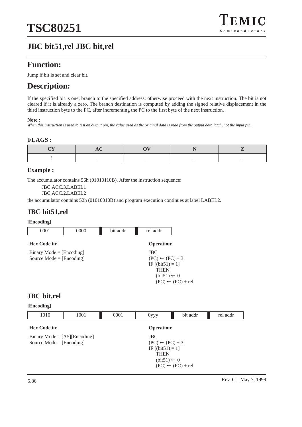## **JBC bit51,rel JBC bit,rel**

## **Function:**

Jump if bit is set and clear bit.

## **Description:**

If the specified bit is one, branch to the specified address; otherwise proceed with the next instruction. The bit is not cleared if it is already a zero. The branch destination is computed by adding the signed relative displacement in the third instruction byte to the PC, after incrementing the PC to the first byte of the next instruction.

#### **Note :**

*When this instruction is used to test an output pin, the value used as the original data is read from the output data latch, not the input pin.*

#### **FLAGS :**

| _ |  |  |
|---|--|--|

#### **Example :**

The accumulator contains 56h (01010110B). After the instruction sequence:

JBC ACC.3,LABEL1

JBC ACC.2,LABEL2

the accumulator contains 52h (01010010B) and program execution continues at label LABEL2.

### **JBC bit51,rel**

#### **[Encoding]**

| 0001                                                     | 0000 | bit addr | rel addr                                                                                                                                  |
|----------------------------------------------------------|------|----------|-------------------------------------------------------------------------------------------------------------------------------------------|
| <b>Hex Code in:</b>                                      |      |          | <b>Operation:</b>                                                                                                                         |
| $Binary Mode = [Encoding]$<br>Source Mode = $[Encoding]$ |      |          | $_{\rm JBC}$<br>$(PC) \leftarrow (PC) + 3$<br>IF $[(bit51) = 1]$<br><b>THEN</b><br>$(bit51) \leftarrow 0$<br>$(PC) \leftarrow (PC) + rel$ |

### **JBC bit,rel**

| 1010                                                                | 1001 | 0001 | $0$ yyy                                                                                                   | bit addr                     | rel addr |
|---------------------------------------------------------------------|------|------|-----------------------------------------------------------------------------------------------------------|------------------------------|----------|
| <b>Hex Code in:</b>                                                 |      |      | <b>Operation:</b>                                                                                         |                              |          |
| Binary Mode = $[A5][\text{Encoding}]$<br>Source Mode = $[Encoding]$ |      |      | $_{\rm JBC}$<br>$(PC) \leftarrow (PC) + 3$<br>IF $[(bit51) = 1]$<br><b>THEN</b><br>$(bit51) \leftarrow 0$ | $(PC) \leftarrow (PC) + rel$ |          |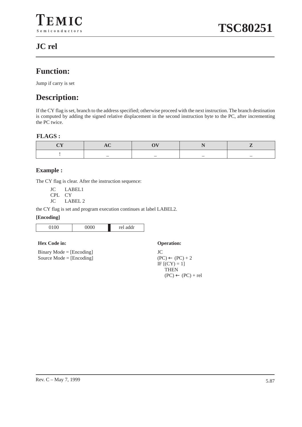## **JC rel**

## **Function:**

Jump if carry is set

## **Description:**

If the CY flag is set, branch to the address specified; otherwise proceed with the next instruction. The branch destination is computed by adding the signed relative displacement in the second instruction byte to the PC, after incrementing the PC twice.

#### **FLAGS :**

| _ | _ |  |
|---|---|--|

#### **Example :**

The CY flag is clear. After the instruction sequence:

JC LABEL1 CPL CY

JC LABEL 2

the CY flag is set and program execution continues at label LABEL2.

#### **[Encoding]**

| 100 | $\sim$ $\sim$ $\sim$<br>◡ | $\sim$<br>idr<br>r۵l<br>$\sim$ $\sim$ $\sim$ $\sim$ |
|-----|---------------------------|-----------------------------------------------------|

#### **Hex Code in: Operation:**

Binary Mode = [Encoding] Source Mode = [Encoding]

JC  $(PC) \leftarrow (PC) + 2$ IF  $[ (CY) = 1]$ THEN  $(PC) \leftarrow (PC) + rel$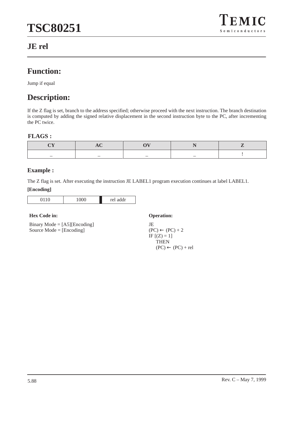

## **JE rel**

## **Function:**

Jump if equal

## **Description:**

If the Z flag is set, branch to the address specified; otherwise proceed with the next instruction. The branch destination is computed by adding the signed relative displacement in the second instruction byte to the PC, after incrementing the PC twice.

#### **FLAGS :**

| _ | _ |  |  |
|---|---|--|--|

#### **Example :**

The Z flag is set. After executing the instruction JE LABEL1 program execution continues at label LABEL1.

#### **[Encoding]**

| $\sim$ | ◡<br>$\checkmark$<br>ັ | ddr<br>ro l<br> |
|--------|------------------------|-----------------|

#### **Hex Code in: Operation:**

Binary Mode = [A5][Encoding] Source Mode = [Encoding]

JE  $(PC) \leftarrow (PC) + 2$ IF  $[(Z) = 1]$ **THEN**  $(PC) \leftarrow (PC) + rel$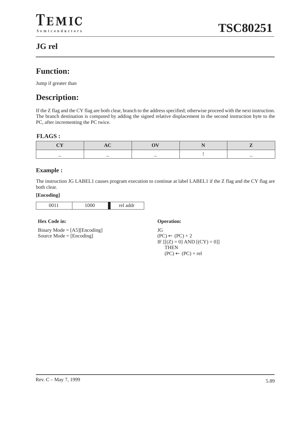## **JG rel**

## **Function:**

Jump if greater than

## **Description:**

If the Z flag and the CY flag are both clear, branch to the address specified; otherwise proceed with the next instruction. The branch destination is computed by adding the signed relative displacement in the second instruction byte to the PC, after incrementing the PC twice.

#### **FLAGS :**

| _ | _ |  |
|---|---|--|

#### **Example :**

The instruction JG LABEL1 causes program execution to continue at label LABEL1 if the Z flag and the CY flag are both clear.

#### **[Encoding]**

| ╰<br>∼<br>. . | ٠<br>مما<br><br>--- |
|---------------|---------------------|
|               |                     |

#### **Hex Code in: Operation:**

Binary Mode = [A5][Encoding] Source Mode = [Encoding]

JG  $(PC) \leftarrow (PC) + 2$ IF  $[[(Z) = 0]$  AND  $[(CY) = 0]]$ **THEN**  $(PC) \leftarrow (PC) + rel$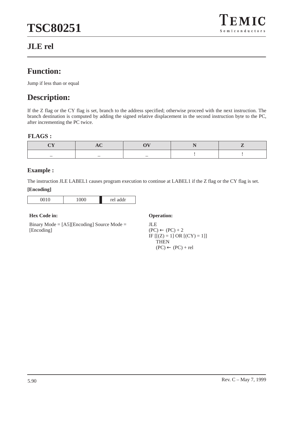## **JLE rel**



## **Function:**

Jump if less than or equal

## **Description:**

If the Z flag or the CY flag is set, branch to the address specified; otherwise proceed with the next instruction. The branch destination is computed by adding the signed relative displacement in the second instruction byte to the PC, after incrementing the PC twice.

#### **FLAGS :**

| _ |  |  |
|---|--|--|

#### **Example :**

The instruction JLE LABEL1 causes program execution to continue at LABEL1 if the Z flag or the CY flag is set.

#### **[Encoding]**

| 010 | ገበ<br>ັ<br>$\checkmark$<br>$\sim$ | addr<br>r۵l |
|-----|-----------------------------------|-------------|

#### **Hex Code in: Operation:**

Binary Mode = [A5][Encoding] Source Mode = [Encoding]

#### JLE  $(PC) \leftarrow (PC) + 2$ IF  $[(Z) = 1] OR [(CY) = 1]$ **THEN**  $(PC) \leftarrow (PC) + rel$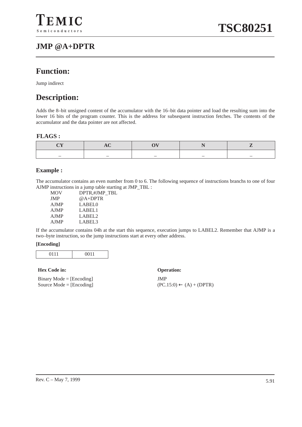## **JMP @A+DPTR**

## **Function:**

Jump indirect

## **Description:**

Adds the 8–bit unsigned content of the accumulator with the 16–bit data pointer and load the resulting sum into the lower 16 bits of the program counter. This is the address for subsequent instruction fetches. The contents of the accumulator and the data pointer are not affected.

#### **FLAGS :**

|  | _ |  |
|--|---|--|

#### **Example :**

The accumulator contains an even number from 0 to 6. The following sequence of instructions branchs to one of four AJMP instructions in a jump table starting at JMP\_TBL :

| <b>MOV</b>  | DPTR.#JMP TBL |
|-------------|---------------|
| <b>JMP</b>  | $@A+DPTR$     |
| <b>AJMP</b> | LABEL0        |
| <b>AJMP</b> | LABEL1        |
| <b>AJMP</b> | LABEL2        |
| <b>AJMP</b> | LABEL3        |
|             |               |

If the accumulator contains 04h at the start this sequence, execution jumps to LABEL2. Remember that AJMP is a two–byte instruction, so the jump instructions start at every other address.

#### **[Encoding]**

| 0.111 | 0011<br>-- |
|-------|------------|
|-------|------------|

#### **Hex Code in: Operation:**

Binary Mode = [Encoding] Source Mode = [Encoding]

JMP  $(PC.15:0) \leftarrow (A) + (DPTR)$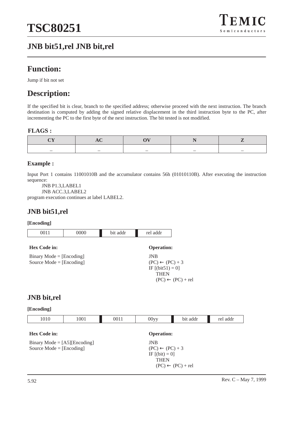

## **JNB bit51,rel JNB bit,rel**

## **Function:**

Jump if bit not set

## **Description:**

If the specified bit is clear, branch to the specified address; otherwise proceed with the next instruction. The branch destination is computed by adding the signed relative displacement in the third instruction byte to the PC, after incrementing the PC to the first byte of the next instruction. The bit tested is not modified.

#### **FLAGS :**

| _ | _ | _ | _ |  |
|---|---|---|---|--|

#### **Example :**

Input Port 1 contains 11001010B and the accumulator contains 56h (01010110B). After executing the instruction sequence:

JNB P1.3,LABEL1

JNB ACC.3,LABEL2

program execution continues at label LABEL2.

### **JNB bit51,rel**

#### **[Encoding]**

| 0011                                                     | 0000 | bit addr | rel addr                                                          |
|----------------------------------------------------------|------|----------|-------------------------------------------------------------------|
| Hex Code in:                                             |      |          | <b>Operation:</b>                                                 |
| $Binary Mode = [Encoding]$<br>Source Mode = $[Encoding]$ |      |          | <b>JNB</b><br>$(PC) \leftarrow (PC) + 3$                          |
|                                                          |      |          | IF $[(bit51) = 0]$<br><b>THEN</b><br>$(PC) \leftarrow (PC) + rel$ |

### **JNB bit,rel**

| 1010                                                                | 1001 | 0011 | $00$ yy                                                                     | bit addr                     | rel addr |
|---------------------------------------------------------------------|------|------|-----------------------------------------------------------------------------|------------------------------|----------|
| <b>Hex Code in:</b>                                                 |      |      | <b>Operation:</b>                                                           |                              |          |
| Binary Mode = $[A5][\text{Encoding}]$<br>Source Mode = $[Encoding]$ |      |      | <b>JNB</b><br>$(PC) \leftarrow (PC) + 3$<br>IF $[(bit) = 0]$<br><b>THEN</b> | $(PC) \leftarrow (PC) + rel$ |          |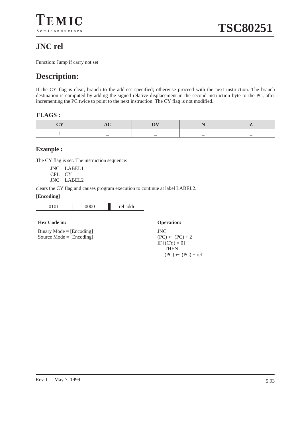## **JNC rel**

Function: Jump if carry not set

## **Description:**

If the CY flag is clear, branch to the address specified; otherwise proceed with the next instruction. The branch destination is computed by adding the signed relative displacement in the second instruction byte to the PC, after incrementing the PC twice to point to the next instruction. The CY flag is not modified.

#### **FLAGS :**

#### **Example :**

The CY flag is set. The instruction sequence:

JNC LABEL1 CPL CY

JNC LABEL2

clears the CY flag and causes program execution to continue at label LABEL2.

#### **[Encoding]**

| $\sim$ $\sim$<br>ີ | ٠<br>. |
|--------------------|--------|

#### **Hex Code in: Operation:**

Binary Mode = [Encoding] Source Mode = [Encoding]

JNC  $(PC) \leftarrow (PC) + 2$ IF  $[$ (CY) = 0] THEN  $(PC) \leftarrow (PC) + rel$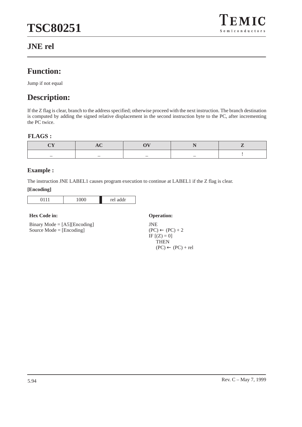

## **JNE rel**

## **Function:**

Jump if not equal

## **Description:**

If the Z flag is clear, branch to the address specified; otherwise proceed with the next instruction. The branch destination is computed by adding the signed relative displacement in the second instruction byte to the PC, after incrementing the PC twice.

#### **FLAGS :**

| _ | _ |  |  |
|---|---|--|--|

#### **Example :**

The instruction JNE LABEL1 causes program execution to continue at LABEL1 if the Z flag is clear.

#### **[Encoding]**

| ັ<br>ັ | ddr<br>r۵l<br>--- |
|--------|-------------------|

#### **Hex Code in: Operation:**

Binary Mode = [A5][Encoding] Source Mode = [Encoding]

JNE  $(PC) \leftarrow (PC) + 2$ IF  $[(Z) = 0]$ **THEN**  $(PC) \leftarrow (PC) + rel$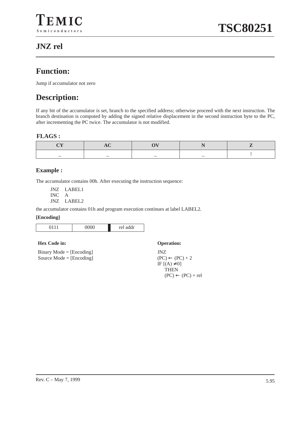## **JNZ rel**

## **Function:**

Jump if accumulator not zero

## **Description:**

If any bit of the accumulator is set, branch to the specified address; otherwise proceed with the next instruction. The branch destination is computed by adding the signed relative displacement in the second instruction byte to the PC, after incrementing the PC twice. The accumulator is not modified.

#### **FLAGS :**

#### **Example :**

The accumulator contains 00h. After executing the instruction sequence:

JNZ LABEL1 INC A JNZ LABEL2

the accumulator contains 01h and program execution continues at label LABEL2.

#### **[Encoding]**

| . .<br> | $\sim$ $\sim$ $\sim$<br>ັ | ٠<br>$r\alpha$<br>ch an<br>$191$ www. |
|---------|---------------------------|---------------------------------------|

#### **Hex Code in: Operation:**

Binary Mode = [Encoding] Source Mode = [Encoding]

JNZ  $(PC) \leftarrow (PC) + 2$ IF  $[(A) \neq 0]$ THEN  $(PC) \leftarrow (PC) + rel$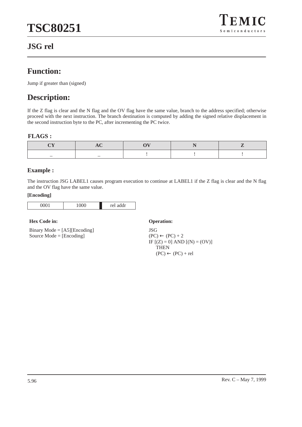## $EMIC$  $S$ e miconductors

## **JSG rel**

## **Function:**

Jump if greater than (signed)

## **Description:**

If the Z flag is clear and the N flag and the OV flag have the same value, branch to the address specified; otherwise proceed with the next instruction. The branch destination is computed by adding the signed relative displacement in the second instruction byte to the PC, after incrementing the PC twice.

#### **FLAGS :**

### **Example :**

The instruction JSG LABEL1 causes program execution to continue at LABEL1 if the Z flag is clear and the N flag and the OV flag have the same value.

#### **[Encoding]**

| $\sim$ $\sim$ $\sim$ $\sim$ | ັ | $\overline{\phantom{a}}$<br>-- -<br>۰.<br>∼<br>$\ddot{\phantom{0}}$<br><br>____ |
|-----------------------------|---|---------------------------------------------------------------------------------|
|                             |   |                                                                                 |

#### **Hex Code in: Operation:**

Binary Mode = [A5][Encoding] Source Mode = [Encoding]

JSG  $(PC) \leftarrow (PC) + 2$ IF  $[(Z) = 0]$  AND  $[(N) = (OV)]$ **THEN**  $(PC) \leftarrow (PC) + rel$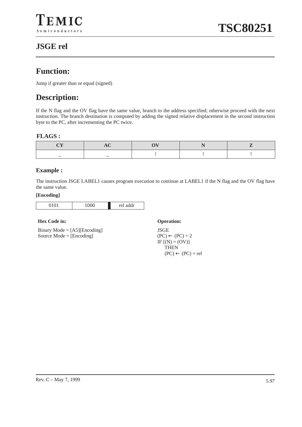## **JSGE rel**

## **Function:**

Jump if greater than or equal (signed)

## **Description:**

If the N flag and the OV flag have the same value, branch to the address specified; otherwise proceed with the next instruction. The branch destination is computed by adding the signed relative displacement in the second instruction byte to the PC, after incrementing the PC twice.

#### **FLAGS :**

#### **Example :**

The instruction JSGE LABEL1 causes program execution to continue at LABEL1 if the N flag and the OV flag have the same value.

#### **[Encoding]**

| $\sim$ $\sim$ | ∼<br>∼<br>. . | $\mathbf{I}$<br>٠<br>مما<br><br>--- |
|---------------|---------------|-------------------------------------|
|               |               |                                     |

#### **Hex Code in: Operation:**

Binary Mode = [A5][Encoding] Source Mode = [Encoding]

JSGE  $(PC) \leftarrow (PC) + 2$  $IF [(N) = (OV)]$ **THEN**  $(PC) \leftarrow (PC) + rel$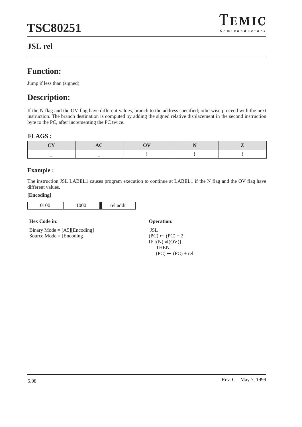## **JSL rel**



## **Function:**

Jump if less than (signed)

## **Description:**

If the N flag and the OV flag have different values, branch to the address specified; otherwise proceed with the next instruction. The branch destination is computed by adding the signed relative displacement in the second instruction byte to the PC, after incrementing the PC twice.

#### **FLAGS :**

| _ | _ |  |  |
|---|---|--|--|

#### **Example :**

The instruction JSL LABEL1 causes program execution to continue at LABEL1 if the N flag and the OV flag have different values.

#### **[Encoding]**

| $\sim$ $\sim$ | ۰<br>◡ | $\bullet$<br>$\overline{a}$<br>-<br>- |
|---------------|--------|---------------------------------------|
|               |        |                                       |

#### **Hex Code in: Operation:**

Binary Mode = [A5][Encoding] Source Mode = [Encoding]

 JSL  $(PC) \leftarrow (PC) + 2$ IF  $[(N) \neq (OV)]$ **THEN**  $(PC) \leftarrow (PC) + rel$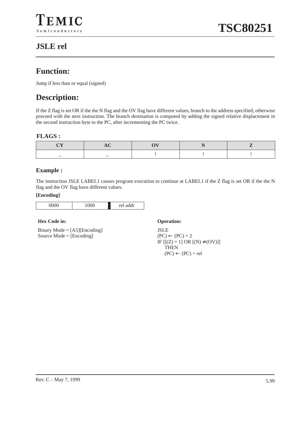## **JSLE rel**

## **Function:**

Jump if less than or equal (signed)

## **Description:**

If the Z flag is set OR if the the N flag and the OV flag have different values, branch to the address specified; otherwise proceed with the next instruction. The branch destination is computed by adding the signed relative displacement in the second instruction byte to the PC, after incrementing the PC twice.

#### **FLAGS :**

#### **Example :**

The instruction JSLE LABEL1 causes program execution to continue at LABEL1 if the Z flag is set OR if the the N flag and the OV flag have different values.

#### **[Encoding]**

| $\sim$ $\sim$<br>. .<br>∼ | ັ<br>∼<br>∽ | . .<br>مملك |
|---------------------------|-------------|-------------|
|                           |             |             |

#### **Hex Code in: Operation:**

Binary Mode = [A5][Encoding] Source Mode = [Encoding]

JSLE  $(PC) \leftarrow (PC) + 2$ IF [[(Z) = 1] OR [(N) ≠ (OV)]] **THEN**  $(PC) \leftarrow (PC) + rel$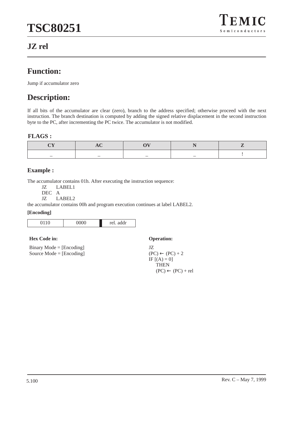

### **JZ rel**

### **Function:**

Jump if accumulator zero

## **Description:**

If all bits of the accumulator are clear (zero), branch to the address specified; otherwise proceed with the next instruction. The branch destination is computed by adding the signed relative displacement in the second instruction byte to the PC, after incrementing the PC twice. The accumulator is not modified.

#### **FLAGS :**

#### **Example :**

The accumulator contains 01h. After executing the instruction sequence:<br>
JZ LABEL1

LABEL1

DEC A

JZ LABEL2

the accumulator contains 00h and program execution continues at label LABEL2.

#### **[Encoding]**

| <u>UUUU</u><br>v<br>ັ | addr<br>rel. |
|-----------------------|--------------|

#### **Hex Code in: Operation:**

Binary Mode = [Encoding] Source Mode = [Encoding]

JZ  $(PC) \leftarrow (PC) + 2$ IF  $[(A) = 0]$ **THEN**  $(PC) \leftarrow (PC) + rel$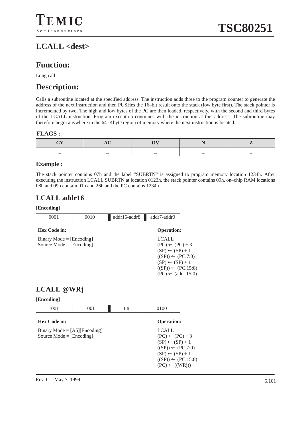## **LCALL <dest>**

### **Function:**

Long call

### **Description:**

Calls a subroutine located at the specified address. The instruction adds three to the program counter to generate the address of the next instruction and then PUSHes the 16–bit result onto the stack (low byte first). The stack pointer is incremented by two. The high and low bytes of the PC are then loaded, respectively, with the second and third bytes of the LCALL instruction. Program execution continues with the instruction at this address. The subroutine may therefore begin anywhere in the 64–Kbyte region of memory where the next instruction is located.

#### **FLAGS :**

|  | _ | _ |  |
|--|---|---|--|

#### **Example :**

The stack pointer contains 07h and the label "SUBRTN" is assigned to program memory location 1234h. After executing the instruction LCALL SUBRTN at location 0123h, the stack pointer contains 09h, on–chip RAM locations 08h and 09h contain 01h and 26h and the PC contains 1234h.

### **LCALL addr16**

#### **[Encoding]**

| 0001                                                     | 0010 | addr15-addr8 | addr7-addr0                                                                                                                                                                                              |
|----------------------------------------------------------|------|--------------|----------------------------------------------------------------------------------------------------------------------------------------------------------------------------------------------------------|
| <b>Hex Code in:</b>                                      |      |              | <b>Operation:</b>                                                                                                                                                                                        |
| $Binary Mode = [Encoding]$<br>Source Mode $=$ [Encoding] |      |              | <b>LCALL</b><br>$(PC) \leftarrow (PC) + 3$<br>$(SP) \leftarrow (SP) + 1$<br>$((SP)) \leftarrow (PC.7:0)$<br>$(SP) \leftarrow (SP) + 1$<br>$((SP)) \leftarrow (PC.15.8)$<br>$(PC) \leftarrow (addr.15:0)$ |

### **LCALL @WRj**

| 1001                                                                | 1001 | tttt | 0100                                                                                                                                                                                                 |
|---------------------------------------------------------------------|------|------|------------------------------------------------------------------------------------------------------------------------------------------------------------------------------------------------------|
| <b>Hex Code in:</b>                                                 |      |      | <b>Operation:</b>                                                                                                                                                                                    |
| Binary Mode = $[A5][\text{Encoding}]$<br>Source Mode = $[Encoding]$ |      |      | <b>LCALL</b><br>$(PC) \leftarrow (PC) + 3$<br>$(SP) \leftarrow (SP) + 1$<br>$((SP)) \leftarrow (PC.7:0)$<br>$(SP) \leftarrow (SP) + 1$<br>$((SP)) \leftarrow (PC.15.8)$<br>$(PC) \leftarrow ((WRi))$ |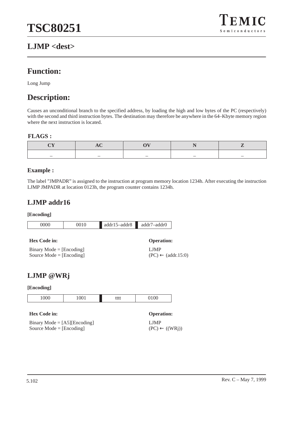### **LJMP <dest>**



### **Function:**

Long Jump

### **Description:**

Causes an unconditional branch to the specified address, by loading the high and low bytes of the PC (respectively) with the second and third instruction bytes. The destination may therefore be anywhere in the 64–Kbyte memory region where the next instruction is located.

#### **FLAGS :**

#### **Example :**

The label "JMPADR" is assigned to the instruction at program memory location 1234h. After executing the instruction LJMP JMPADR at location 0123h, the program counter contains 1234h.

**Operation:** 

 $(PC) \leftarrow (addr.15:0)$ 

LJMP

### **LJMP addr16**

#### **[Encoding]**

| 0000 | 2010 | $addr15 - addr8$ | addr7-addr0 |
|------|------|------------------|-------------|
|      |      |                  |             |

| $Binary Mode = [Encoding]$ |  |
|----------------------------|--|
| Source Mode $=$ [Encoding] |  |

| LJMP @WRj |
|-----------|
|           |

| 1000 | 1001 | tttt | $100^{-1}$<br>ັ້ |
|------|------|------|------------------|

| <b>Hex Code in:</b>                   | <b>Operation:</b>         |
|---------------------------------------|---------------------------|
| Binary Mode = $[A5][\text{Encoding}]$ | LJMP                      |
| Source Mode $=$ [Encoding]            | $(PC) \leftarrow ((WRi))$ |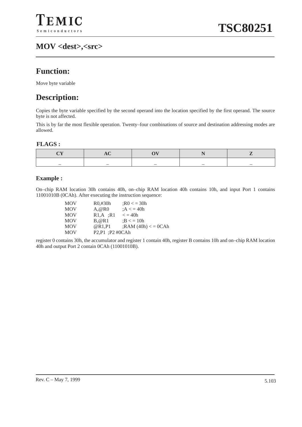## **MOV <dest>,<src>**

## **Function:**

Move byte variable

### **Description:**

Copies the byte variable specified by the second operand into the location specified by the first operand. The source byte is not affected.

This is by far the most flexible operation. Twenty–four combinations of source and destination addressing modes are allowed.

#### **FLAGS :**

|  | _ | _ |
|--|---|---|

#### **Example :**

On–chip RAM location 30h contains 40h, on–chip RAM location 40h contains 10h, and input Port 1 contains 11001010B (0CAh). After executing the instruction sequence:

| <b>MOV</b> | $R0, \#30h$     | $:R0 \le 30h$          |
|------------|-----------------|------------------------|
| <b>MOV</b> | A.@R0           | : A < 40h              |
| <b>MOV</b> | $R1.A$ : R1     | $\epsilon = 40h$       |
| <b>MOV</b> | B.@R1           | : $B < 10h$            |
| <b>MOV</b> | @R1.P1          | $;$ RAM $(40h) < 0CAh$ |
| <b>MOV</b> | P2,P1 ;P2 #0CAh |                        |

register 0 contains 30h, the accumulator and register 1 contain 40h, register B contains 10h and on–chip RAM location 40h and output Port 2 contain 0CAh (11001010B).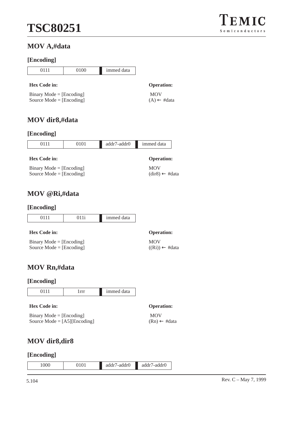## $\Gamma$ EMIC  $S$ e miconductors

### **MOV A,#data**

#### **[Encoding]**

|                            | 0111                | 0100 | immed data                    |                   |
|----------------------------|---------------------|------|-------------------------------|-------------------|
|                            | <b>Hex Code in:</b> |      |                               | <b>Operation:</b> |
| $Binary Mode = [Encoding]$ |                     |      |                               | <b>MOV</b>        |
| Source Mode $=$ [Encoding] |                     |      | $(A) \leftarrow \text{#data}$ |                   |

### **MOV dir8,#data**

### **[Encoding]**

| 0111                                                     | 0101 | addr7-addr0 | immed data                              |
|----------------------------------------------------------|------|-------------|-----------------------------------------|
| <b>Hex Code in:</b>                                      |      |             | <b>Operation:</b>                       |
| $Binary Mode = [Encoding]$<br>Source Mode = $[Encoding]$ |      |             | <b>MOV</b><br>$(dir8) \leftarrow #data$ |

### **MOV @Ri,#data**

#### **[Encoding]**

|  | immed data |
|--|------------|

| <b>Hex Code in:</b>        | <b>Operation:</b>                       |
|----------------------------|-----------------------------------------|
| $Binary Mode = [Encoding]$ | <b>MOV</b>                              |
| Source Mode $=$ [Encoding] | $((\text{Ri})) \leftarrow \text{#data}$ |

### **MOV Rn,#data**

| [Encoding]                                                          |       |            |                                       |
|---------------------------------------------------------------------|-------|------------|---------------------------------------|
| 0111                                                                | 1 rrr | immed data |                                       |
| Hex Code in:                                                        |       |            | <b>Operation:</b>                     |
| $Binary Mode = [Encoding]$<br>Source Mode = $[A5][\text{Encoding}]$ |       |            | <b>MOV</b><br>$(Rn) \leftarrow #data$ |

### **MOV dir8,dir8**

| 1000<br>$\Omega$<br>addr<br>addr').<br>/-addr()<br>addr<br>◡<br>.<br>and the contract of |
|------------------------------------------------------------------------------------------|
|------------------------------------------------------------------------------------------|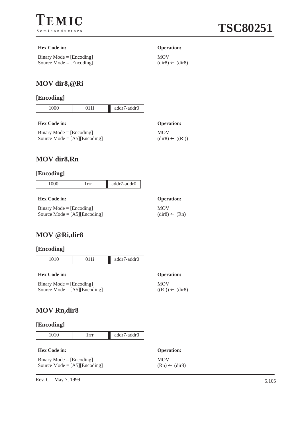

#### **Hex Code in: Operation:**

Binary Mode = [Encoding] Source Mode = [Encoding]

MOV  $\text{(dir8)} \leftarrow \text{(dir8)}$ 

### **MOV dir8,@Ri**

#### **[Encoding]**

| ◡<br>∼ | . .<br>--- | $\Gamma$ |
|--------|------------|----------|
|        |            |          |

#### **Hex Code in: Operation:**

Binary Mode = [Encoding] Source Mode = [A5][Encoding] MOV

 $(dir8) \leftarrow ((Ri))$ 

### **MOV dir8,Rn**

#### **[Encoding]**

|--|

#### **Hex Code in: Operation:**

Binary Mode  $=$  [Encoding] Source Mode = [A5][Encoding]

### **MOV @Ri,dir8**

#### **[Encoding]**

1010 011i addr7-addr0

#### **Hex Code in: Operation:**

Binary Mode = [Encoding] Source Mode = [A5][Encoding] MOV

 $((\text{Ri})) \leftarrow (\text{dir8})$ 

MOV

 $\text{(dir8)} \leftarrow \text{(Rn)}$ 

### **MOV Rn,dir8**

#### **[Encoding]**

1010 1rrr addr7-addr0

| <b>Hex Code in:</b>                   | <b>Operation:</b>        |
|---------------------------------------|--------------------------|
| $Binary Mode = [Encoding]$            | <b>MOV</b>               |
| Source Mode = $[A5][\text{Encoding}]$ | $(Rn) \leftarrow (dir8)$ |

Rev. C – May 7, 1999  $5.105$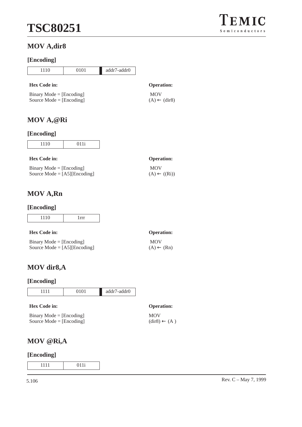### **MOV A,dir8**

### **[Encoding]**

| 1110                                                     | 0101                                  | addr7-addr0 |                   |
|----------------------------------------------------------|---------------------------------------|-------------|-------------------|
| <b>Hex Code in:</b>                                      |                                       |             | <b>Operation:</b> |
| $Binary Mode = [Encoding]$<br>Source Mode $=$ [Encoding] | <b>MOV</b><br>$(A) \leftarrow (dir8)$ |             |                   |

### **MOV A,@Ri**

### **[Encoding]**

| $\sim$ | . |
|--------|---|
|        |   |
|        |   |

| <b>Hex Code in:</b>                   | <b>Operation:</b>       |
|---------------------------------------|-------------------------|
| $Binary Mode = [Encoding]$            | <b>MOV</b>              |
| Source Mode = $[A5][\text{Encoding}]$ | $(A) \leftarrow ((Ri))$ |

## **MOV A,Rn**

#### **[Encoding]**

| Ÿ |  |
|---|--|

| <b>Hex Code in:</b>                   | <b>Operation:</b>     |
|---------------------------------------|-----------------------|
| $Binary Mode = [Encoding]$            | <b>MOV</b>            |
| Source Mode = $[A5][\text{Encoding}]$ | $(A) \leftarrow (Rn)$ |

### **MOV dir8,A**

### **[Encoding]**

| 1111                     | 0101 | addr7-addr0 |
|--------------------------|------|-------------|
| Hex Code in:             |      |             |
| $Ring Model - [Encoder]$ |      |             |

| $Binary Mode = [Encoding]$ |  |
|----------------------------|--|
| Source Mode $=$ [Encoding] |  |

#### **Operation:** MOV  $\text{(dir8)} \leftarrow (A)$

### **MOV @Ri,A**

#### **[Encoding]**

1111 011i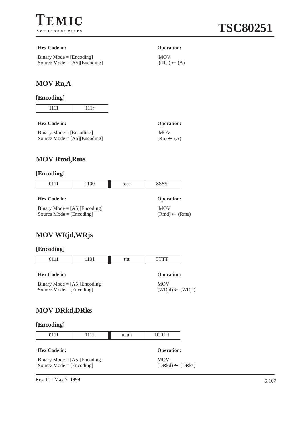

#### **Hex Code in: Operation:**

Binary Mode = [Encoding] Source Mode = [A5][Encoding]

 MOV  $(Rn) \leftarrow (A)$ 

 MOV  $((Ri)) \leftarrow (A)$ 

### **MOV Rn,A**

### **[Encoding]**

#### **Hex Code in: Operation:**

| $Binary Mode = [Encoding]$            |  |
|---------------------------------------|--|
| Source Mode = $[A5][\text{Encoding}]$ |  |

### **MOV Rmd,Rms**

#### **[Encoding]**

| 0111                                                                | 1100 | <b>SSSS</b> | <b>SSSS</b>                            |
|---------------------------------------------------------------------|------|-------------|----------------------------------------|
| <b>Hex Code in:</b>                                                 |      |             | <b>Operation:</b>                      |
| Binary Mode = $[A5][\text{Encoding}]$<br>Source Mode = $[Encoding]$ |      |             | <b>MOV</b><br>$(Rmd) \leftarrow (Rms)$ |

### **MOV WRjd,WRjs**

#### **[Encoding]**

| 0111                                                                | 1101 | tttt | <b>TTTT</b>                              |  |
|---------------------------------------------------------------------|------|------|------------------------------------------|--|
| Hex Code in:                                                        |      |      | <b>Operation:</b>                        |  |
| Binary Mode = $[A5][\text{Encoding}]$<br>Source Mode = $[Encoding]$ |      |      | <b>MOV</b><br>$(WRid) \leftarrow (WRjs)$ |  |

### **MOV DRkd,DRks**

| [Encoding] |
|------------|
|------------|

|--|--|--|

|  | <b>Hex Code in:</b> |  |
|--|---------------------|--|
|--|---------------------|--|

**Operation:** MOV

Binary Mode = [A5][Encoding] Source Mode  $=$  [Encoding]

 $(DRkd) \leftarrow (DRks)$ 

Rev. C – May 7, 1999  $5.107$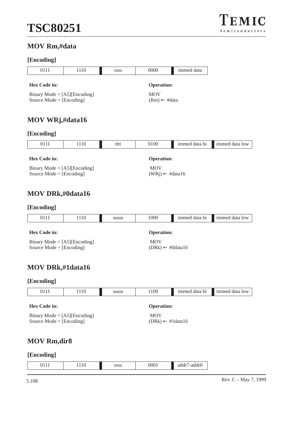

### **MOV Rm,#data**

### **[Encoding]**

| 0111                                                                      | 1110 | SSSS | 0000                                      | immed data    |                |
|---------------------------------------------------------------------------|------|------|-------------------------------------------|---------------|----------------|
| Hex Code in:                                                              |      |      | <b>Operation:</b>                         |               |                |
| Binary Mode = $[A5][\text{Encoding}]$<br>Source $Mode = [Encoding]$       |      |      | <b>MOV</b><br>$(Rm) \leftarrow #data$     |               |                |
| <b>MOV WRj,#data16</b>                                                    |      |      |                                           |               |                |
| [Encoding]                                                                |      |      |                                           |               |                |
| 0111                                                                      | 1110 | tttt | 0100                                      | immed data hi | immed data low |
| Hex Code in:                                                              |      |      | <b>Operation:</b>                         |               |                |
| Binary Mode = $[A5][\text{Encoding}]$<br>Source Mode $=[\text{Encoding}]$ |      |      | <b>MOV</b><br>$(WRj) \leftarrow #data16$  |               |                |
| <b>MOV DRk,#0data16</b>                                                   |      |      |                                           |               |                |
| [Encoding]                                                                |      |      |                                           |               |                |
| 0111                                                                      | 1110 | uuuu | 1000                                      | immed data hi | immed data low |
| <b>Hex Code in:</b>                                                       |      |      | <b>Operation:</b>                         |               |                |
| Binary Mode = $[A5][\text{Encoding}]$<br>Source Mode = $[Encoding]$       |      |      | <b>MOV</b><br>$(DRk) \leftarrow #0data16$ |               |                |
| <b>MOV DRk,#1data16</b>                                                   |      |      |                                           |               |                |
| [Encoding]                                                                |      |      |                                           |               |                |
| 0111                                                                      | 1110 | uuuu | 1100                                      | immed data hi | immed data low |
| <b>Hex Code in:</b>                                                       |      |      | <b>Operation:</b>                         |               |                |
| $\mathbf{D}^*$ . $\mathbf{M}$ . 1. FA CHE, 1. . 1                         |      |      | $\sqrt{10}$                               |               |                |

Binary Mode = [A5][Encoding] Source Mode = [Encoding]

### MOV  $(DRk)$  ← #1data16

### **MOV Rm,dir8**

|  | $\overline{a}$<br>$\mathbf{A}$<br>. | 111 Q | 0000<br>5555 | በበበ1<br>◡<br>$\sim$ 1 | المعاص<br>'-auuiv<br>uces |
|--|-------------------------------------|-------|--------------|-----------------------|---------------------------|
|--|-------------------------------------|-------|--------------|-----------------------|---------------------------|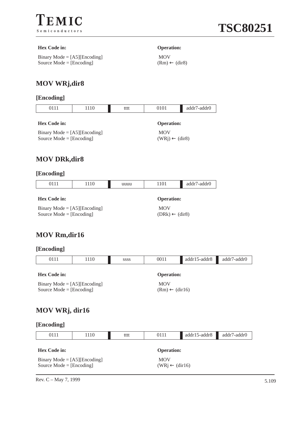

#### **Hex Code in: Operation:**

Binary Mode = [A5][Encoding] Source Mode = [Encoding]

 MOV  $(Rm) \leftarrow (dir8)$ 

### **MOV WRj,dir8**

### **[Encoding]**

| 0111                | 110 | tttt | 0101              | addr7-addr0 |
|---------------------|-----|------|-------------------|-------------|
| <b>Hex Code in:</b> |     |      | <b>Operation:</b> |             |

Binary Mode = [A5][Encoding] Source Mode = [Encoding]

 MOV  $(WRj) \leftarrow (dir8)$ 

 $(DRk) \leftarrow (dir8)$ 

### **MOV DRk,dir8**

#### **[Encoding]**

| 0111                                  | 1110 | uuuu | 1101              | addr7-addr0 |
|---------------------------------------|------|------|-------------------|-------------|
| <b>Hex Code in:</b>                   |      |      | <b>Operation:</b> |             |
| Binary Mode = $[A5][\text{Encoding}]$ |      |      | <b>MOV</b>        |             |

Source Mode = [Encoding]

### **MOV Rm,dir16**

#### **[Encoding]**

| 0111           | 1110                                                                                                           | <b>SSSS</b> | 0011              | addr15-addr8 | addr7-addr0 |  |
|----------------|----------------------------------------------------------------------------------------------------------------|-------------|-------------------|--------------|-------------|--|
| Hex Code in:   |                                                                                                                |             | <b>Operation:</b> |              |             |  |
|                | <b>MOV</b><br>Binary Mode = $[A5][\text{Encoding}]$<br>Source Mode = $[Encoding]$<br>$(Rm) \leftarrow (dir16)$ |             |                   |              |             |  |
| MOV WRj, dir16 |                                                                                                                |             |                   |              |             |  |
| [Encoding]     |                                                                                                                |             |                   |              |             |  |
| 0111           | 1110                                                                                                           | tttt        | 0111              | addr15-addr8 | addr7-addr0 |  |

| <b>Hex Code in:</b>                   | <b>Operation:</b>         |
|---------------------------------------|---------------------------|
| Binary Mode = $[A5][\text{Encoding}]$ | <b>MOV</b>                |
| Source Mode $=$ [Encoding]            | $(WRi \leftarrow (dir16)$ |

Rev. C – May 7, 1999 5.109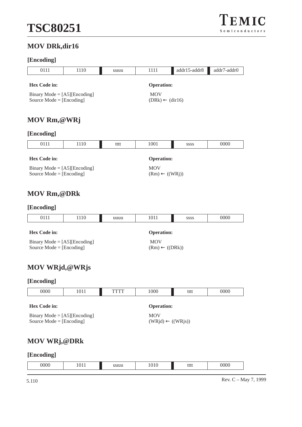### **MOV DRk,dir16**

### **[Encoding]**

| --------- <u>-</u>                                                                                                   |                                                                     |      |                                          |                           |             |  |  |
|----------------------------------------------------------------------------------------------------------------------|---------------------------------------------------------------------|------|------------------------------------------|---------------------------|-------------|--|--|
| 0111                                                                                                                 | 1110                                                                | uuuu | 1111                                     | addr15-addr8              | addr7-addr0 |  |  |
| Hex Code in:                                                                                                         |                                                                     |      | <b>Operation:</b>                        |                           |             |  |  |
|                                                                                                                      | Binary Mode = $[A5][\text{Encoding}]$<br>Source Mode = $[Encoding]$ |      | <b>MOV</b><br>$(DRk) \leftarrow (dir16)$ |                           |             |  |  |
| MOV Rm, @WRj                                                                                                         |                                                                     |      |                                          |                           |             |  |  |
| [Encoding]                                                                                                           |                                                                     |      |                                          |                           |             |  |  |
| 0111                                                                                                                 | 1110                                                                | tttt | 1001                                     | SSSS                      | 0000        |  |  |
| Hex Code in:                                                                                                         |                                                                     |      | <b>Operation:</b>                        |                           |             |  |  |
| <b>MOV</b><br>Binary Mode = $[A5][\text{Encoding}]$<br>$(Rm) \leftarrow ((WRj))$<br>Source Mode $=[\text{Encoding}]$ |                                                                     |      |                                          |                           |             |  |  |
| <b>MOV Rm,@DRk</b>                                                                                                   |                                                                     |      |                                          |                           |             |  |  |
| [Encoding]                                                                                                           |                                                                     |      |                                          |                           |             |  |  |
| 0111                                                                                                                 | 1110                                                                | uuuu | 1011                                     | <b>SSSS</b>               | 0000        |  |  |
| Hex Code in:                                                                                                         |                                                                     |      | <b>Operation:</b>                        |                           |             |  |  |
| Binary Mode = $[A5][\text{Encoding}]$<br>Source Mode = $[Encoding]$                                                  |                                                                     |      | <b>MOV</b>                               | $(Rm) \leftarrow ((DRk))$ |             |  |  |

### **MOV WRjd,@WRjs**

### **[Encoding]**

| 0000                                                                | 1011 | TTTT | 1000                                       | tttt | 0000 |
|---------------------------------------------------------------------|------|------|--------------------------------------------|------|------|
| Hex Code in:                                                        |      |      | <b>Operation:</b>                          |      |      |
| Binary Mode = $[A5][\text{Encoding}]$<br>Source Mode = $[Encoding]$ |      |      | <b>MOV</b><br>$(WRid) \leftarrow ((WRjs))$ |      |      |

### **MOV WRj,@DRk**

|  | 0000 | $ -$ | uuuu | 10<br>ື | tttt | 0000 |
|--|------|------|------|---------|------|------|
|--|------|------|------|---------|------|------|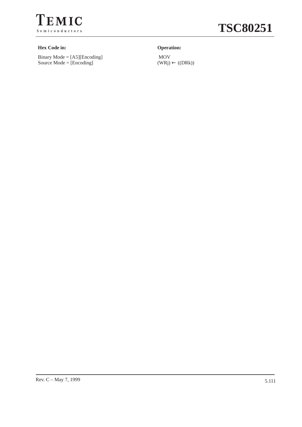

# **TSC80251**

#### **Hex Code in: Operation:**

Binary Mode = [A5][Encoding] Source Mode = [Encoding]

 MOV  $(WRj) \leftarrow ((DRk))$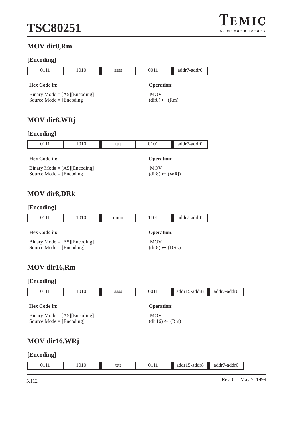

### **MOV dir8,Rm**

### **[Encoding]**

| 0111                                                                      | 1010 | SSSS | 0011                                                  | addr7-addr0 |  |
|---------------------------------------------------------------------------|------|------|-------------------------------------------------------|-------------|--|
|                                                                           |      |      |                                                       |             |  |
| <b>Hex Code in:</b>                                                       |      |      | <b>Operation:</b>                                     |             |  |
| Binary Mode = $[A5][\text{Encoding}]$<br>Source Mode $=[\text{Encoding}]$ |      |      | <b>MOV</b><br>$\text{(dir8)} \leftarrow \text{(Rm)}$  |             |  |
| MOV dir8, WRj                                                             |      |      |                                                       |             |  |
| [Encoding]                                                                |      |      |                                                       |             |  |
| 0111                                                                      | 1010 | tttt | 0101                                                  | addr7-addr0 |  |
|                                                                           |      |      |                                                       |             |  |
| <b>Hex Code in:</b>                                                       |      |      | <b>Operation:</b>                                     |             |  |
| Binary Mode = $[A5][\text{Encoding}]$<br>Source Mode $=[\text{Encoding}]$ |      |      | <b>MOV</b><br>$\text{(dir8)} \leftarrow \text{(WRj)}$ |             |  |
| <b>MOV</b> dir8, DRk                                                      |      |      |                                                       |             |  |
| [Encoding]                                                                |      |      |                                                       |             |  |
| 0111                                                                      | 1010 | uuuu | 1101                                                  | addr7-addr0 |  |
|                                                                           |      |      |                                                       |             |  |
| <b>Hex Code in:</b>                                                       |      |      | <b>Operation:</b>                                     |             |  |
| Binary Mode = $[A5][\text{Encoding}]$<br>Source Mode $=[\text{Encoding}]$ |      |      | <b>MOV</b><br>$\text{(dir8)} \leftarrow \text{(DRk)}$ |             |  |
| MOV dir16,Rm                                                              |      |      |                                                       |             |  |
| [Encoding]                                                                |      |      |                                                       |             |  |

| 0111                                                                | 1010 | <b>SSSS</b> | 0011                      | addr15-addr8 | addr7-addr0 |
|---------------------------------------------------------------------|------|-------------|---------------------------|--------------|-------------|
| <b>Hex Code in:</b>                                                 |      |             | <b>Operation:</b>         |              |             |
| Binary Mode = $[A5][\text{Encoding}]$<br>Source Mode = $[Encoding]$ |      |             | $(dir16) \leftarrow (Rm)$ |              |             |

### **MOV dir16,WRj**

|--|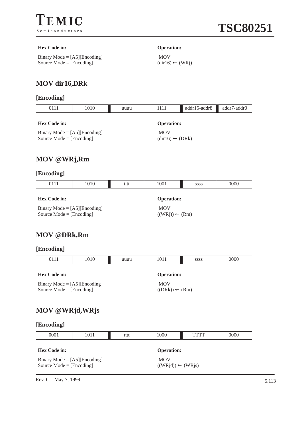

#### **Hex Code in: Operation:**

Binary Mode = [A5][Encoding] Source Mode = [Encoding]

 MOV  $(dir16) \leftarrow (WRj)$ 

### **MOV dir16,DRk**

### **[Encoding]**

| 0111                | 1010 | uuuu              | 1111 | $addr15-addr8$ | addr7-addr0 |
|---------------------|------|-------------------|------|----------------|-------------|
|                     |      |                   |      |                |             |
| <b>Hex Code in:</b> |      | <b>Operation:</b> |      |                |             |

Binary Mode = [A5][Encoding] Source Mode = [Encoding]

 MOV  $(dir16) \leftarrow (DRk)$ 

### **MOV @WRj,Rm**

#### **[Encoding]**

| 0111                                                                | 1010 | tttt | 1001                                    | <b>SSSS</b> | 0000 |
|---------------------------------------------------------------------|------|------|-----------------------------------------|-------------|------|
| <b>Hex Code in:</b>                                                 |      |      | <b>Operation:</b>                       |             |      |
| Binary Mode = $[A5][\text{Encoding}]$<br>Source Mode = $[Encoding]$ |      |      | <b>MOV</b><br>$((WRj)) \leftarrow (Rm)$ |             |      |

**MOV @DRk,Rm**

#### **[Encoding]**

| 0111                                                                | 1010 | uuuu | 1011                                    | SSSS | 0000 |
|---------------------------------------------------------------------|------|------|-----------------------------------------|------|------|
| <b>Hex Code in:</b>                                                 |      |      | <b>Operation:</b>                       |      |      |
| Binary Mode = $[A5][\text{Encoding}]$<br>Source Mode = $[Encoding]$ |      |      | <b>MOV</b><br>$((DRk)) \leftarrow (Rm)$ |      |      |

### **MOV @WRjd,WRjs**

| [Encoding] |
|------------|
|------------|

| 0001                                                                | 1011 | tttt | 1000                                       | TTTT              | 0000 |  |
|---------------------------------------------------------------------|------|------|--------------------------------------------|-------------------|------|--|
| <b>Hex Code in:</b>                                                 |      |      |                                            | <b>Operation:</b> |      |  |
| Binary Mode = $[A5][\text{Encoding}]$<br>Source Mode = $[Encoding]$ |      |      | <b>MOV</b><br>$((WRid)) \leftarrow (WRjs)$ |                   |      |  |

Rev. C – May 7, 1999  $5.113$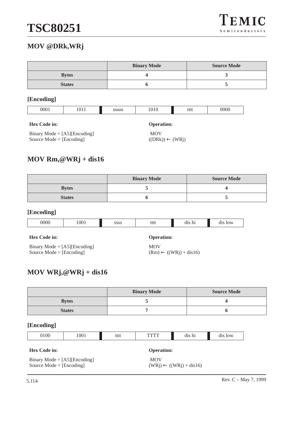# **TSC80251**

### **MOV @DRk,WRj**

|               | <b>Binary Mode</b> | <b>Source Mode</b> |
|---------------|--------------------|--------------------|
| <b>Bytes</b>  |                    |                    |
| <b>States</b> |                    |                    |

### **[Encoding]**

| )00<br>0000<br>.<br>--------<br>JUJ<br>uu<br>. |
|------------------------------------------------|
|------------------------------------------------|

#### **Hex Code in: Operation:**

|                                                                     | <b>MOV</b>                 |
|---------------------------------------------------------------------|----------------------------|
| Binary Mode = $[A5][\text{Encoding}]$<br>Source Mode $=$ [Encoding] | $((DRk)) \leftarrow (WRj)$ |
|                                                                     |                            |

### **MOV Rm,@WRj + dis16**

|               | <b>Binary Mode</b> | <b>Source Mode</b> |
|---------------|--------------------|--------------------|
| <b>Bytes</b>  |                    |                    |
| <b>States</b> |                    |                    |

### **[Encoding]**

| 0000<br>00 <sub>1</sub><br>0.000<br>iii<br>.<br><br>$\alpha_{\rm 1D}$<br>----<br>--- | --- |
|--------------------------------------------------------------------------------------|-----|

#### **Hex Code in: Operation:**

Binary Mode = [A5][Encoding] Source Mode = [Encoding]

MOV  $(Rm) \leftarrow ((WRj) + dis16)$ 

### **MOV WRj,@WRj + dis16**

|               | <b>Binary Mode</b> | <b>Source Mode</b> |
|---------------|--------------------|--------------------|
| <b>Bytes</b>  |                    |                    |
| <b>States</b> |                    |                    |

| 0100 | 1001 | tttt | <b>TVT</b><br>. . | dis hi | . .<br>dis low |
|------|------|------|-------------------|--------|----------------|
|      |      |      |                   |        |                |

| <b>Hex Code in:</b>                   | <b>Operation:</b>                  |
|---------------------------------------|------------------------------------|
| Binary Mode = $[A5][\text{Encoding}]$ | <b>MOV</b>                         |
| Source Mode $=$ [Encoding]            | $(WRi) \leftarrow ((WRi) + dis16)$ |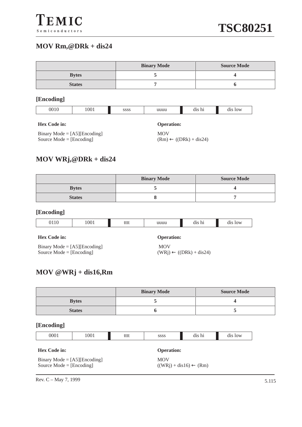### **MOV Rm,@DRk + dis24**

|               | <b>Binary Mode</b> | <b>Source Mode</b> |
|---------------|--------------------|--------------------|
| <b>Bytes</b>  |                    |                    |
| <b>States</b> |                    |                    |

#### **[Encoding]**

| )01 | 1001 | ,,,,<br>בורורו<br> | uuuu<br>------- | h.<br>. .<br>чіэ ш | $\Omega$ |
|-----|------|--------------------|-----------------|--------------------|----------|

#### **Hex Code in: Operation:**

Binary Mode = [A5][Encoding] Source Mode = [Encoding]

MOV  $(Rm) \leftarrow ((DRk) + dis24)$ 

### **MOV WRj,@DRk + dis24**

|               | <b>Binary Mode</b> | <b>Source Mode</b> |
|---------------|--------------------|--------------------|
| <b>Bytes</b>  |                    |                    |
| <b>States</b> |                    |                    |

#### **[Encoding]**

| 1 U | 001 | $+ + + +$<br>iitt | ------ | $\cdot$<br>$_{\rm dis}$<br>in.<br>ш | 10W<br>d1S |
|-----|-----|-------------------|--------|-------------------------------------|------------|

#### **Hex Code in: Operation:**

Binary Mode = [A5][Encoding] Source  $Mode = [Encoding]$ 

 MOV  $(WRj) \leftarrow ((DRk) + dis24)$ 

### **MOV @WRj + dis16,Rm**

|               | <b>Binary Mode</b> | <b>Source Mode</b> |
|---------------|--------------------|--------------------|
| <b>Bytes</b>  |                    |                    |
| <b>States</b> |                    | ັ                  |

#### **[Encoding]**

| 0001                | 1001 | tttt | <b>SSSS</b>       | dis hi | dis low |
|---------------------|------|------|-------------------|--------|---------|
|                     |      |      |                   |        |         |
| <b>Hex Code in:</b> |      |      | <b>Operation:</b> |        |         |

| $Binary Mode = [A5][Encoding]$ | <b>MOV</b>                        |
|--------------------------------|-----------------------------------|
| Source Mode = $[Encoding]$     | $((WRj) + dis16) \leftarrow (Rm)$ |

Rev. C – May 7, 1999  $5.115$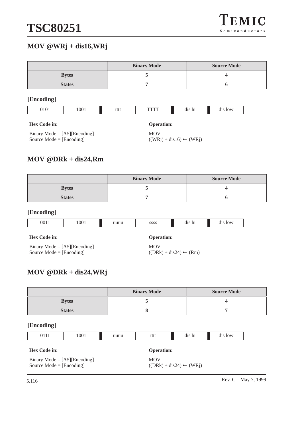### **MOV @WRj + dis16,WRj**

|               | <b>Binary Mode</b> | <b>Source Mode</b> |
|---------------|--------------------|--------------------|
| <b>Bytes</b>  |                    |                    |
| <b>States</b> |                    |                    |

#### **[Encoding]**

| 1001<br>101 | tttt |  | dis hi | 0W |
|-------------|------|--|--------|----|
|-------------|------|--|--------|----|

#### **Hex Code in: Operation:**

Binary Mode = [A5][Encoding] Source Mode = [Encoding]

MOV  $((WRj) + dis16) \leftarrow (WRj)$ 

### **MOV @DRk + dis24,Rm**

|               | <b>Binary Mode</b> | <b>Source Mode</b> |
|---------------|--------------------|--------------------|
| <b>Bytes</b>  |                    |                    |
| <b>States</b> |                    |                    |

#### **[Encoding]**

| 00 <sup>1</sup> | 100 <sub>1</sub> | ------- | 0000<br>9999<br>---- | ь<br>$\cdots$<br>u. | $\sim$<br>$\mathbf{v}$ |
|-----------------|------------------|---------|----------------------|---------------------|------------------------|

#### **Hex Code in: Operation:**

Binary Mode = [A5][Encoding] Source  $Mode = [Encoding]$ 

MOV  $((DRk) + dis24) \leftarrow (Rm)$ 

### **MOV @DRk + dis24,WRj**

|               | <b>Binary Mode</b> | <b>Source Mode</b> |
|---------------|--------------------|--------------------|
| <b>Bytes</b>  |                    |                    |
| <b>States</b> |                    |                    |

#### **[Encoding]**

|  |  | 1001 | uuuu | tttt | dis hi | $\bigcap$<br>10 W<br>ulə |
|--|--|------|------|------|--------|--------------------------|
|--|--|------|------|------|--------|--------------------------|

| <b>Hex Code in:</b>                   | <b>Operation:</b> |
|---------------------------------------|-------------------|
| Binary Mode = $[A5][\text{Encoding}]$ | MOV               |

Source Mode = [Encoding]

MOV

 $((DRk) + dis24) \leftarrow (WRj)$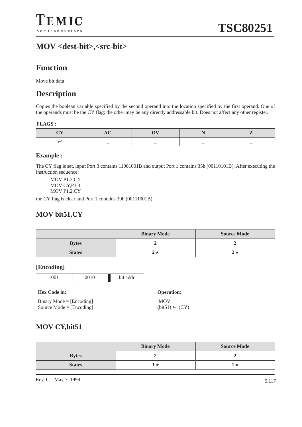### **MOV <dest-bit>,<src-bit>**

## **Function**

Move bit data

### **Description**

Copies the boolean variable specified by the second operand into the location specified by the first operand. One of the operands must be the CY flag; the other may be any directly addressable bit. Does not affect any other register.

#### **FLAGS :**

| $\sim$ | $\sim$ | $\overline{\phantom{a}}$ | $\sim$ |
|--------|--------|--------------------------|--------|

#### **Example :**

The CY flag is set, input Port 3 contains 11001001B and output Port 1 contains 35h (00110101B). After executing the instruction sequence:

MOV P1.3,CY MOV CY,P3.3 MOV P1.2,CY

the CY flag is clear and Port 1 contains 39h (00111001B).

### **MOV bit51,CY**

|               | <b>Binary Mode</b> | <b>Source Mode</b> |
|---------------|--------------------|--------------------|
| <b>Bytes</b>  |                    |                    |
| <b>States</b> |                    |                    |

#### **[Encoding]**



#### **Hex Code in:**

| $Binary Mode = [Encoding]$ |
|----------------------------|
| Source Mode = $[Encoding]$ |

| <b>Operation:</b>         |
|---------------------------|
| <b>MOV</b>                |
| $(bit51) \leftarrow (CY)$ |

### **MOV CY,bit51**

|               | <b>Binary Mode</b> | <b>Source Mode</b> |
|---------------|--------------------|--------------------|
| <b>Bytes</b>  |                    |                    |
| <b>States</b> |                    |                    |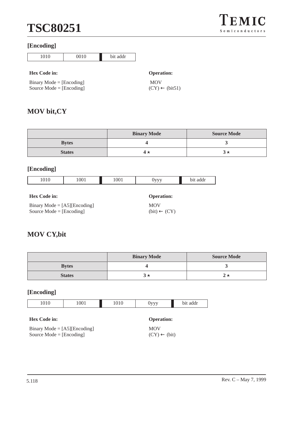# **TSC80251**

#### **[Encoding]**



#### **Hex Code in: Operation:**

Binary Mode = [Encoding] Source Mode = [Encoding]

# MOV

 $(CY) \leftarrow (bit51)$ 

### **MOV bit,CY**

|               | <b>Binary Mode</b> | <b>Source Mode</b> |
|---------------|--------------------|--------------------|
| <b>Bytes</b>  |                    |                    |
| <b>States</b> |                    |                    |

### **[Encoding]**

| 1010                                  | 1001 | 1001 | <b>OVVV</b>       | bit addr |
|---------------------------------------|------|------|-------------------|----------|
|                                       |      |      |                   |          |
| <b>Hex Code in:</b>                   |      |      | <b>Operation:</b> |          |
| Binary Mode = $[A5][\text{Encoding}]$ |      |      | <b>MOV</b>        |          |

# **MOV CY,bit**

Source Mode = [Encoding]

|               | <b>Binary Mode</b> | <b>Source Mode</b> |
|---------------|--------------------|--------------------|
| <b>Bytes</b>  |                    |                    |
| <b>States</b> |                    |                    |

### **[Encoding]**

| 1010 | 1001 | U1U | <b>TITITI</b><br>- - - | анн |
|------|------|-----|------------------------|-----|

#### **Hex Code in: Operation:**

| Binary Mode = $[A5][\text{Encoding}]$ |  |
|---------------------------------------|--|
| Source Mode $=$ [Encoding]            |  |

# MOV

 $(bit) \leftarrow (CY)$ 

 $(CY) \leftarrow (bit)$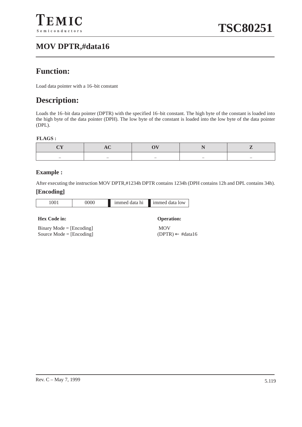## **MOV DPTR,#data16**

### **Function:**

Load data pointer with a 16–bit constant

### **Description:**

Loads the 16–bit data pointer (DPTR) with the specified 16–bit constant. The high byte of the constant is loaded into the high byte of the data pointer (DPH). The low byte of the constant is loaded into the low byte of the data pointer (DPL).

#### **FLAGS :**

|  | $\overline{\phantom{a}}$ |  |
|--|--------------------------|--|

#### **Example :**

After executing the instruction MOV DPTR,#1234h DPTR contains 1234h (DPH contains 12h and DPL contains 34h).

#### **[Encoding]**

| 001 | 0000 | immed data hi | immed data low |
|-----|------|---------------|----------------|

#### **Hex Code in: Operation:**

Binary Mode = [Encoding] Source Mode = [Encoding]

 MOV (DPTR) ← #data16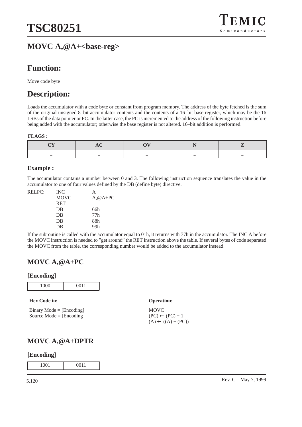

### **Function:**

Move code byte

## **Description:**

Loads the accumulator with a code byte or constant from program memory. The address of the byte fetched is the sum of the original unsigned 8–bit accumulator contents and the contents of a 16–bit base register, which may be the 16 LSBs of the data pointer or PC. In the latter case, the PC is incremented to the address of the following instruction before being added with the accumulator; otherwise the base register is not altered. 16–bit addition is performed.

#### **FLAGS :**

| $\sim$ | $\sim$ | $\overline{\phantom{a}}$ | - | $\overline{\phantom{a}}$ |
|--------|--------|--------------------------|---|--------------------------|

#### **Example :**

The accumulator contains a number between 0 and 3. The following instruction sequence translates the value in the accumulator to one of four values defined by the DB (define byte) directive.

| RELPC: | <b>INC</b>  | А          |
|--------|-------------|------------|
|        | <b>MOVC</b> | $A, @A+PC$ |
|        | <b>RET</b>  |            |
|        | DB          | 66h        |
|        | DB          | 77h        |
|        | DB          | 88h        |
|        | DB          | 99h        |
|        |             |            |

If the subroutine is called with the accumulator equal to 01h, it returns with 77h in the accumulator. The INC A before the MOVC instruction is needed to "get around" the RET instruction above the table. If several bytes of code separated the MOVC from the table, the corresponding number would be added to the accumulator instead.

### **MOVC A,@A+PC**

#### **[Encoding]**

| 1000 | 0011 |
|------|------|
|      |      |

**Hex Code in: Operation:**

Binary Mode = [Encoding] Source Mode = [Encoding]

MOVC  $(PC) \leftarrow (PC) + 1$  $(A) \leftarrow ((A) + (PC))$ 

### **MOVC A,@A+DPTR**

#### **[Encoding]**

1001 0011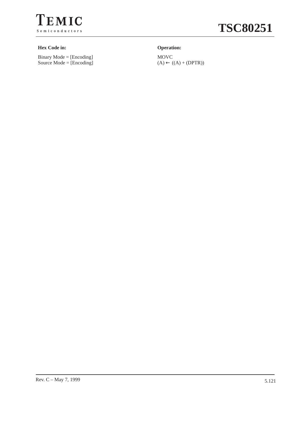

# **TSC80251**

#### **Hex Code in: Operation:**

Binary Mode = [Encoding] Source Mode = [Encoding]

MOVC  $(A) \leftarrow ((A) + (DPTR))$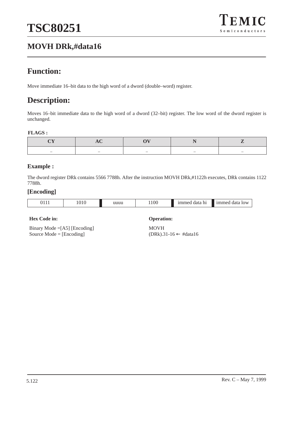## **MOVH DRk,#data16**

## **Function:**

Move immediate 16–bit data to the high word of a dword (double–word) register.

## **Description:**

Moves 16–bit immediate data to the high word of a dword (32–bit) register. The low word of the dword register is unchanged.

#### **FLAGS :**

| $\overline{\phantom{a}}$ | $\sim$ | $\overline{\phantom{a}}$ | $\overline{\phantom{a}}$ | $-$ |
|--------------------------|--------|--------------------------|--------------------------|-----|

#### **Example :**

The dword register DRk contains 5566 7788h. After the instruction MOVH DRk,#1122h executes, DRk contains 1122 7788h.

#### **[Encoding]**

| $\overline{a}$<br>).<br> | . . | nnuu | 1100<br>$  -$ | $\ln$ | $\epsilon$<br>$\cdot$ ) $\mathsf{W}'$ |
|--------------------------|-----|------|---------------|-------|---------------------------------------|
|--------------------------|-----|------|---------------|-------|---------------------------------------|

#### **Hex Code in: Operation:**

Binary Mode =[A5] [Encoding] Source Mode = [Encoding]

MOVH (DRk).31-16 ← #data16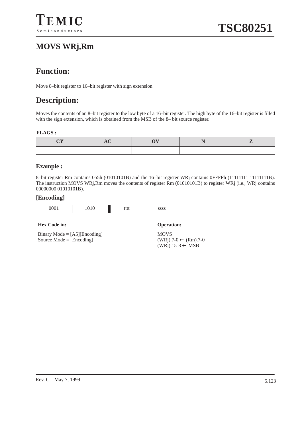## **MOVS WRj,Rm**

## **Function:**

Move 8–bit register to 16–bit register with sign extension

## **Description:**

Moves the contents of an 8–bit register to the low byte of a 16–bit register. The high byte of the 16–bit register is filled with the sign extension, which is obtained from the MSB of the 8– bit source register.

#### **FLAGS :**

| $\sim$ | $\sim$ | $\overline{\phantom{a}}$ | $\overline{\phantom{a}}$ |
|--------|--------|--------------------------|--------------------------|

#### **Example :**

8–bit register Rm contains 055h (01010101B) and the 16–bit register WRj contains 0FFFFh (11111111 11111111B). The instruction MOVS WRj,Rm moves the contents of register Rm (01010101B) to register WRj (i.e., WRj contains 00000000 01010101B).

#### **[Encoding]**

| 100 <sup>1</sup><br>╯ | ີ<br><b>.</b><br>$\tilde{\phantom{a}}$ | 14.4.4<br>iii | 000c<br>ാാാ |
|-----------------------|----------------------------------------|---------------|-------------|

#### **Hex Code in: Operation:**

Binary Mode = [A5][Encoding] Source Mode = [Encoding]

**MOVS**  $(WRj).7-0 \leftarrow (Rm).7-0$  $(WRj).15-8 \leftarrow MSB$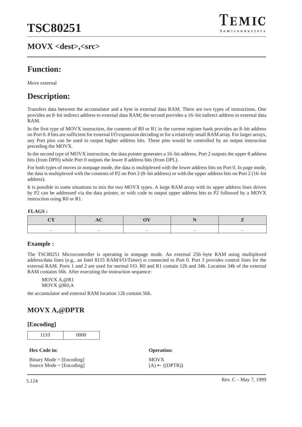### **MOVX <dest>,<src>**



### **Function:**

Move external

### **Description:**

Transfers data between the accumulator and a byte in external data RAM. There are two types of instructions. One provides an 8–bit indirect address to external data RAM; the second provides a 16–bit indirect address to external data RAM.

In the first type of MOVX instruction, the contents of R0 or R1 in the current register bank provides an 8–bit address on Port 0. 8 bits are sufficient for external I/O expansion decoding or for a relatively small RAM array. For larger arrays, any Port pins can be used to output higher address bits. These pins would be controlled by an output instruction preceding the MOVX.

In the second type of MOVX instruction, the data pointer generates a 16–bit address. Port 2 outputs the upper 8 address bits (from DPH) while Port 0 outputs the lower 8 address bits (from DPL).

For both types of moves in nonpage mode, the data is multiplexed with the lower address bits on Port 0. In page mode, the data is multiplexed with the contents of P2 on Port 2 (8–bit address) or with the upper address bits on Port 2 (16–bit address).

It is possible in some situations to mix the two MOVX types. A large RAM array with its upper address lines driven by P2 can be addressed via the data pointer, or with code to output upper address bits to P2 followed by a MOVX instruction using R0 or R1.

#### **FLAGS :**

| $\overline{\phantom{a}}$ | $\overline{\phantom{a}}$ | $\overline{\phantom{a}}$ | $\overline{\phantom{a}}$ |  |
|--------------------------|--------------------------|--------------------------|--------------------------|--|

#### **Example :**

The TSC80251 Microcontroller is operating in nonpage mode. An external 256–byte RAM using multiplexed address/data lines (e.g., an Intel 8155 RAM/I/O/Timer) is connected to Port 0. Port 3 provides control lines for the external RAM. Ports 1 and 2 are used for normal I/O. R0 and R1 contain 12h and 34h. Location 34h of the external RAM contains 56h. After executing the instruction sequence:

MOVX A,@R1 MOVX @R0,A

the accumulator and external RAM location 12h contain 56h.

### **MOVX A,@DPTR**

#### **[Encoding]**

1110 0000

**Hex Code in: Operation:**

Binary Mode = [Encoding] Source Mode = [Encoding]

**MOVX**  $(A) \leftarrow ((DPTR))$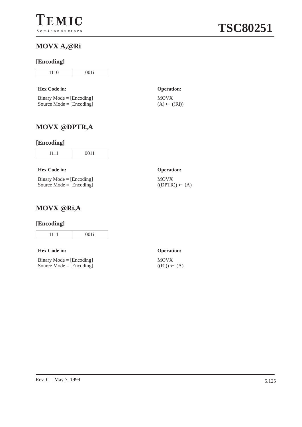### **MOVX A,@Ri**

#### **[Encoding]**

| 10 | 001i |
|----|------|
|    |      |

#### **Hex Code in: Operation:**

Binary Mode = [Encoding] Source Mode = [Encoding]

MOVX  $(A) \leftarrow ((Ri))$ 

### **MOVX @DPTR,A**

### **[Encoding]**

| _ |
|---|

#### **Hex Code in: Operation:**

|  | $Binary Mode = [Encoding]$ |
|--|----------------------------|
|  | Source Mode = $[Encoding]$ |

### MOVX  $((DPTR)) \leftarrow (A)$

### **MOVX @Ri,A**

#### **[Encoding]**

| $001$ :<br>`M<br>$\overline{\phantom{a}}$ |
|-------------------------------------------|

#### **Hex Code in: Operation:**

|  | Binary Mode = $[Encoding]$ |
|--|----------------------------|
|  | Source Mode = $[Encoding]$ |

# MOVX

 $((Ri)) \leftarrow (A)$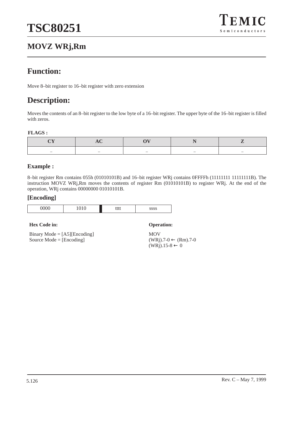## **MOVZ WRj,Rm**



### **Function:**

Move 8–bit register to 16–bit register with zero extension

### **Description:**

Moves the contents of an 8–bit register to the low byte of a 16–bit register. The upper byte of the 16–bit register is filled with zeros.

#### **FLAGS :**

| $\overline{\phantom{a}}$ | $\sim$ | $\overline{\phantom{a}}$ | $\sim$ | $\overline{\phantom{a}}$ |
|--------------------------|--------|--------------------------|--------|--------------------------|

#### **Example :**

8–bit register Rm contains 055h (01010101B) and 16–bit register WRj contains 0FFFFh (11111111 11111111B). The instruction MOVZ WRj,Rm moves the contents of register Rm (01010101B) to register WRj. At the end of the operation, WRj contains 00000000 01010101B.

#### **[Encoding]**

#### **Hex Code in: Operation:**

Binary Mode = [A5][Encoding] Source Mode = [Encoding]

MOV  $(WRj).7-0 \leftarrow (Rm).7-0$  $(WRj).15-8 \leftarrow 0$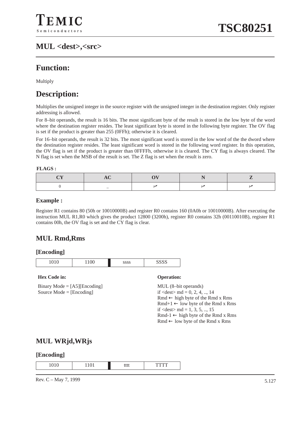## **MUL <dest>,<src>**

## **Function:**

Multiply

### **Description:**

Multiplies the unsigned integer in the source register with the unsigned integer in the destination register. Only register addressing is allowed.

For 8–bit operands, the result is 16 bits. The most significant byte of the result is stored in the low byte of the word where the destination register resides. The least significant byte is stored in the following byte register. The OV flag is set if the product is greater than 255 (0FFh); otherwise it is cleared.

For 16–bit operands, the result is 32 bits. The most significant word is stored in the low word of the the dword where the destination register resides. The least significant word is stored in the following word register. In this operation, the OV flag is set if the product is greater than 0FFFFh, otherwise it is cleared. The CY flag is always cleared. The N flag is set when the MSB of the result is set. The Z flag is set when the result is zero.

#### **FLAGS :**

#### **Example :**

Register R1 contains 80 (50h or 10010000B) and register R0 contains 160 (0A0h or 10010000B). After executing the instruction MUL R1,R0 which gives the product 12800 (3200h), register R0 contains 32h (00110010B), register R1 contains 00h, the OV flag is set and the CY flag is clear.

### **MUL Rmd,Rms**

#### **[Encoding]**

| ∼<br>ີ<br>$\overline{\phantom{a}}$ | $\alpha$ $\alpha$ |
|------------------------------------|-------------------|

#### **Hex Code in: Operation:**

Binary Mode  $=$  [A5][Encoding] Source Mode = [Encoding]

MUL (8–bit operands) if  $\langle$  dest $>$ md = 0, 2, 4, .., 14 Rmd ← high byte of the Rmd x Rms  $Rmd+1 \leftarrow low$  byte of the Rmd x Rms if  $\langle dest \rangle$  md = 1, 3, 5, .., 15  $Rmd-1 \leftarrow$  high byte of the Rmd x Rms Rmd ← low byte of the Rmd x Rms

### **MUL WRjd,WRjs**

#### **[Encoding]**

| $\sim$ $\sim$ | .<br>しししし |  |
|---------------|-----------|--|

Rev. C – May 7, 1999  $\frac{5.127}{2.5.127}$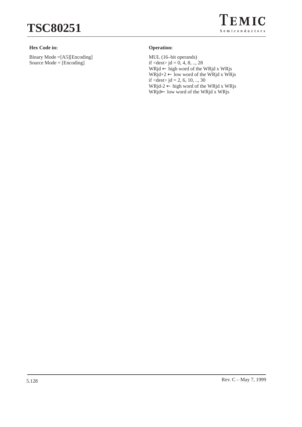

#### **Hex Code in: Operation:**

Binary Mode =[A5][Encoding] Source Mode = [Encoding]

MUL (16–bit operands) if  $\langle dest \rangle$  jd = 0, 4, 8, .., 28 WRjd ← high word of the WRjd x WRjs  $WRjd+2 \leftarrow low$  word of the WRjd x WRjs if  $\langle dest \rangle$  jd = 2, 6, 10, .., 30 WRjd-2  $\leftarrow$  high word of the WRjd x WRjs WRjd← low word of the WRjd x WRjs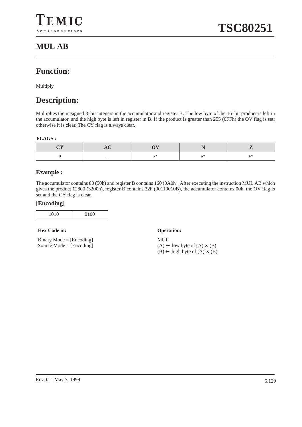### **Function:**

Multiply

## **Description:**

Multiplies the unsigned 8–bit integers in the accumulator and register B. The low byte of the 16–bit product is left in the accumulator, and the high byte is left in register in B. If the product is greater than 255 (0FFh) the OV flag is set; otherwise it is clear. The CY flag is always clear.

#### **FLAGS :**

#### **Example :**

The accumulator contains 80 (50h) and register B contains 160 (0A0h). After executing the instruction MUL AB which gives the product 12800 (3200h), register B contains 32h (00110010B), the accumulator contains 00h, the OV flag is set and the CY flag is clear.

#### **[Encoding]**

| 0.10 | 0.100 |
|------|-------|
|      |       |

#### **Hex Code in: Operation:**

Binary Mode = [Encoding] Source Mode = [Encoding]

MUL  $(A) \leftarrow$  low byte of  $(A) X (B)$  $(B) \leftarrow$  high byte of  $(A) X (B)$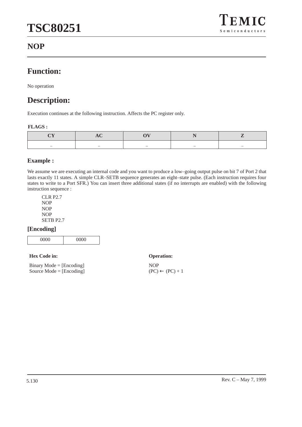### **NOP**

## **Function:**

No operation

### **Description:**

Execution continues at the following instruction. Affects the PC register only.

#### **FLAGS :**

| - | $\sim$ | $\overline{\phantom{a}}$ | $\sim$ |
|---|--------|--------------------------|--------|

#### **Example :**

We assume we are executing an internal code and you want to produce a low–going output pulse on bit 7 of Port 2 that lasts exactly 11 states. A simple CLR–SETB sequence generates an eight–state pulse. (Each instruction requires four states to write to a Port SFR.) You can insert three additional states (if no interrupts are enabled) with the following instruction sequence :

CLR P2.7 NOP NOP NOP SETB P2.7

#### **[Encoding]**

|--|

#### **Hex Code in: Operation:**

| $Binary Mode = [Encoding]$ |  |
|----------------------------|--|
| Source Mode = $[Encoding]$ |  |

NOP  $(PC) \leftarrow (PC) + 1$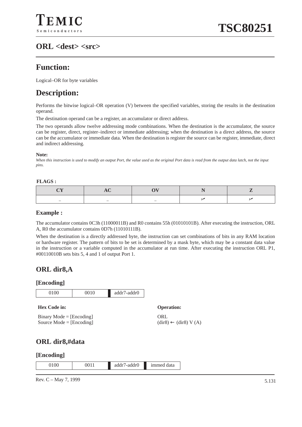### **Function:**

Logical–OR for byte variables

### **Description:**

Performs the bitwise logical–OR operation (V) between the specified variables, storing the results in the destination operand.

The destination operand can be a register, an accumulator or direct address.

The two operands allow twelve addressing mode combinations. When the destination is the accumulator, the source can be register, direct, register–indirect or immediate addressing; when the destination is a direct address, the source can be the accumulator or immediate data. When the destination is register the source can be register, immediate, direct and indirect addressing.

**Note:**

*When this instruction is used to modify an output Port, the value used as the original Port data is read from the output data latch, not the input pins.*

#### **FLAGS :**

| $\overline{\phantom{a}}$ | $\overline{\phantom{a}}$ | $\overline{\phantom{a}}$ |  |
|--------------------------|--------------------------|--------------------------|--|

#### **Example :**

The accumulator contains 0C3h (11000011B) and R0 contains 55h (01010101B). After executing the instruction, ORL A, R0 the accumulator contains 0D7h (11010111B).

When the destination is a directly addressed byte, the instruction can set combinations of bits in any RAM location or hardware register. The pattern of bits to be set is determined by a mask byte, which may be a constant data value in the instruction or a variable computed in the accumulator at run time. After executing the instruction ORL P1, #00110010B sets bits 5, 4 and 1 of output Port 1.

### **ORL dir8,A**

#### **[Encoding]**



#### **[Encoding]**

|  | 0100 | 0011 | /-addr0<br>addr/ | data<br>1mmed |
|--|------|------|------------------|---------------|
|--|------|------|------------------|---------------|

Rev. C – May 7, 1999  $\frac{5.131}{2.5.131}$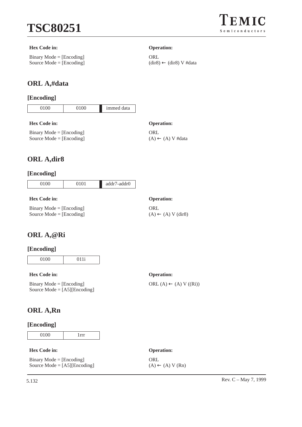

#### **Hex Code in: Operation:**

Binary Mode = [Encoding] Source Mode = [Encoding]

### **ORL A,#data**

#### **[Encoding]**

| 0100 | 0100 | immed data |
|------|------|------------|
|      |      |            |

#### **Hex Code in: Operation:**

Binary Mode = [Encoding] Source Mode = [Encoding]

### **ORL A,dir8**

#### **[Encoding]**

| 1.0 <sub>1</sub><br>$\sim$ $\sim$<br>◡ |
|----------------------------------------|
|----------------------------------------|

#### **Hex Code in: Operation:**

Binary Mode  $=$  [Encoding] Source Mode = [Encoding]

#### **ORL**  $(A) \leftarrow (A) V (dir 8)$

ORL  $(A) \leftarrow (A) V ((Ri))$ 

**ORL** 

ORL

 $(A) \leftarrow (A) V$ #data

(dir8) ← (dir8) V #data

### **ORL A,@Ri**

#### **[Encoding]**

0100 011i

#### **Hex Code in: Operation:**

Binary Mode = [Encoding] Source Mode = [A5][Encoding]

## **ORL A,Rn**

#### **[Encoding]**

0100 1rrr

#### **Hex Code in: Operation:**

Binary Mode = [Encoding] Source Mode  $=$  [A5][Encoding]

**ORL**  $(A) \leftarrow (A) V (Rn)$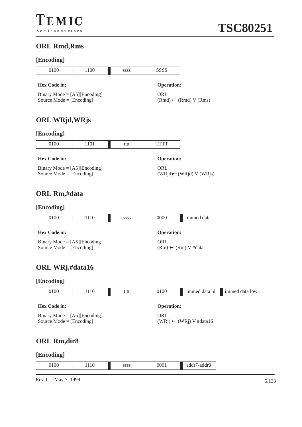## **ORL Rmd,Rms**

### **[Encoding]**

| $L$ mcoumer                                                         |      |             |                                           |                                  |                |
|---------------------------------------------------------------------|------|-------------|-------------------------------------------|----------------------------------|----------------|
| 0100                                                                | 1100 | <b>SSSS</b> | <b>SSSS</b>                               |                                  |                |
| <b>Hex Code in:</b>                                                 |      |             | <b>Operation:</b>                         |                                  |                |
| Binary Mode = $[A5][\text{Encoding}]$<br>Source Mode = $[Encoding]$ |      |             | ORL                                       | $(Rmd) \leftarrow (Rmd) V (Rms)$ |                |
| <b>ORL WRjd, WRjs</b>                                               |      |             |                                           |                                  |                |
| [Encoding]                                                          |      |             |                                           |                                  |                |
| 0100                                                                | 1101 | tttt        | <b>TTTT</b>                               |                                  |                |
| <b>Hex Code in:</b>                                                 |      |             | <b>Operation:</b>                         |                                  |                |
| Binary Mode = $[A5][\text{Encoding}]$<br>Source Mode = $[Encoding]$ |      |             | ORL                                       | (WRjd)←(WRjd) V (WRjs)           |                |
| <b>ORL Rm,#data</b>                                                 |      |             |                                           |                                  |                |
| [Encoding]                                                          |      |             |                                           |                                  |                |
| 0100                                                                | 1110 | SSSS        | 0000                                      | immed data                       |                |
| <b>Hex Code in:</b>                                                 |      |             | <b>Operation:</b>                         |                                  |                |
| Binary Mode = $[A5][\text{Encoding}]$<br>Source Mode = $[Encoding]$ |      |             | ORL<br>$(Rm) \leftarrow (Rm) V$ #data     |                                  |                |
| ORL WRj,#data16                                                     |      |             |                                           |                                  |                |
| [Encoding]                                                          |      |             |                                           |                                  |                |
| 0100                                                                | 1110 | tttt        | 0100                                      | immed data hi                    | immed data low |
| <b>Hex Code in:</b>                                                 |      |             | <b>Operation:</b>                         |                                  |                |
| Binary Mode = $[A5][\text{Encoding}]$<br>Source Mode = $[Encoding]$ |      |             | ORL<br>$(WRj) \leftarrow (WRj) V #data16$ |                                  |                |
| <b>ORL Rm,dir8</b>                                                  |      |             |                                           |                                  |                |
| [Encoding]                                                          |      |             |                                           |                                  |                |
| 0100                                                                | 1110 | SSSS        | 0001                                      | addr7-addr0                      |                |
|                                                                     |      |             |                                           |                                  |                |

Rev. C – May 7, 1999 5.133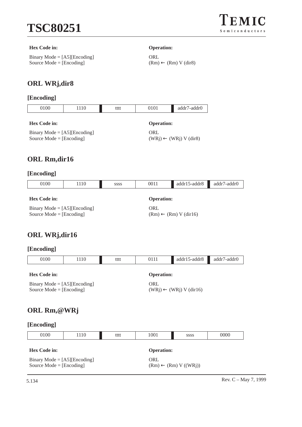

#### **Hex Code in: Operation:**

Binary Mode = [A5][Encoding] Source Mode = [Encoding]

**ORL**  $(Rm) ← (Rm) V (dir8)$ 

### **ORL WRj,dir8**

### **[Encoding]**

| 0100                              | 110                        | tttt | 0101                 | addr7-addr0 |  |  |  |
|-----------------------------------|----------------------------|------|----------------------|-------------|--|--|--|
| Hex Code in:<br><b>Operation:</b> |                            |      |                      |             |  |  |  |
| $\mathbf{r}$<br>$\cdots$          | <b>CA FILD</b><br>$\cdots$ |      | $\sim$ $\sim$ $\sim$ |             |  |  |  |

Binary Mode = [A5][Encoding] Source Mode = [Encoding]

ORL

 $(WRj) \leftarrow (WRj) V (dir8)$ 

### **ORL Rm,dir16**

#### **[Encoding]**

| 0100<br>1110<br><b>SSSS</b>                                         |  |                   | 0011 | $addr15-addr8$<br>addr7-addr0    |  |  |  |
|---------------------------------------------------------------------|--|-------------------|------|----------------------------------|--|--|--|
| <b>Hex Code in:</b>                                                 |  | <b>Operation:</b> |      |                                  |  |  |  |
| Binary Mode = $[A5][\text{Encoding}]$<br>Source Mode $=$ [Encoding] |  |                   | ORL  | $(Rm) \leftarrow (Rm) V (dir16)$ |  |  |  |

### **ORL WRj,dir16**

| 0100                                                                | 1110 | tttt                                      | 0111              | $addr15-addr8$ | addr7-addr0 |  |  |
|---------------------------------------------------------------------|------|-------------------------------------------|-------------------|----------------|-------------|--|--|
| Hex Code in:                                                        |      |                                           | <b>Operation:</b> |                |             |  |  |
| Binary Mode = $[A5][\text{Encoding}]$<br>Source Mode = $[Encoding]$ |      | ORL<br>$(WRj) \leftarrow (WRj) V (dir16)$ |                   |                |             |  |  |
| ORL Rm, @WRj                                                        |      |                                           |                   |                |             |  |  |

| 0100                                                                | 1110 | tttt | 1001 | <b>SSSS</b>                      | 0000 |  |  |
|---------------------------------------------------------------------|------|------|------|----------------------------------|------|--|--|
| <b>Hex Code in:</b>                                                 |      |      |      | <b>Operation:</b>                |      |  |  |
| Binary Mode = $[A5][\text{Encoding}]$<br>Source Mode = $[Encoding]$ |      |      | ORL  | $(Rm) \leftarrow (Rm) V ((WRj))$ |      |  |  |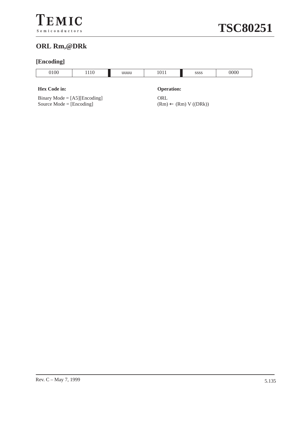### **ORL Rm,@DRk**

### **[Encoding]**

| 00 | $\overline{\phantom{a}}$<br>110 | uuuu | . | 0000<br>აააა | 0000 |
|----|---------------------------------|------|---|--------------|------|
|    |                                 |      |   |              |      |

#### **Hex Code in: Operation:**

Binary Mode = [A5][Encoding] Source Mode = [Encoding]

**ORL**  $(Rm) \leftarrow (Rm) V ((DRk))$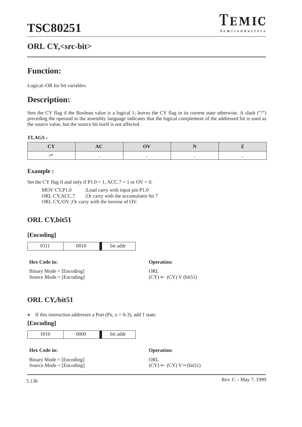# **ORL CY,<src-bit>**



# **Function:**

Logical–OR for bit variables

# **Description:**

Sets the CY flag if the Boolean value is a logical 1; leaves the CY flag in its current state otherwise. A slash ("/") preceding the operand in the assembly language indicates that the logical complement of the addressed bit is used as the source value, but the source bit itself is not affected.

#### **FLAGS :**

|  | - |  |
|--|---|--|

#### **Example :**

Set the CY flag if and only if  $P1.0 = 1$ , ACC.7 = 1 or OV = 0.

| MOV CY.P1.0    | ; Load carry with input pin P1.0              |
|----------------|-----------------------------------------------|
| ORL CY, ACC. 7 | ;Or carry with the accumulator bit 7          |
|                | ORL CY,/OV ; Or carry with the inverse of OV. |

# **ORL CY,bit51**

#### **[Encoding]**

| 0010 | addr<br>hit |
|------|-------------|

**Hex Code in: Operation:**

Binary Mode = [Encoding] Source Mode = [Encoding]

**ORL**  $(CY) \leftarrow (CY) V (bit51)$ 

# **ORL CY,/bit51**

 $\star$  If this instruction addresses a Port (Px, x = 0-3), add 1 state.

|--|

| <b>Hex Code in:</b>        | <b>Operation:</b>                            |
|----------------------------|----------------------------------------------|
| $Binary Mode = [Encoding]$ | ORL                                          |
| Source Mode $=$ [Encoding] | $(CY) \leftarrow (CY) V \rightarrow (bit51)$ |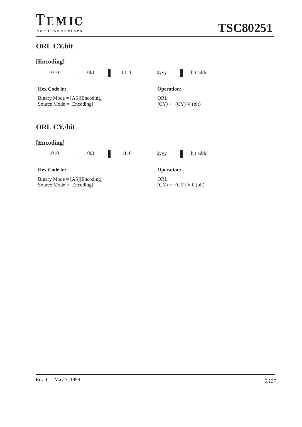# **ORL CY,bit**

# **[Encoding]**

| 1010                                                                                                                                                     | 1001 | 0111 | $0$ yyy | bit addr |
|----------------------------------------------------------------------------------------------------------------------------------------------------------|------|------|---------|----------|
| <b>Hex Code in:</b><br><b>Operation:</b><br>ORL<br>Binary Mode = $[A5][\text{Encoding}]$<br>Source Mode = $[Encoding]$<br>$(CY) \leftarrow (CY) V (bit)$ |      |      |         |          |
| <b>ORL CY,/bit</b>                                                                                                                                       |      |      |         |          |
| [Encoding]                                                                                                                                               |      |      |         |          |
| 1010                                                                                                                                                     | 1001 | 1110 | 0yyy    | bit addr |

| 1010                                                     | 1001 |                   | bit addr |  |
|----------------------------------------------------------|------|-------------------|----------|--|
|                                                          |      |                   |          |  |
| <b>Hex Code in:</b>                                      |      | <b>Operation:</b> |          |  |
| $\mathbf{D}^*$ . $\mathbf{M}$ is the set of $\mathbf{L}$ |      | $\bigcap$         |          |  |

Binary Mode = [A5][Encoding] Source Mode = [Encoding]

ORL  $(CY) \leftarrow (CY) V 0$  (bit)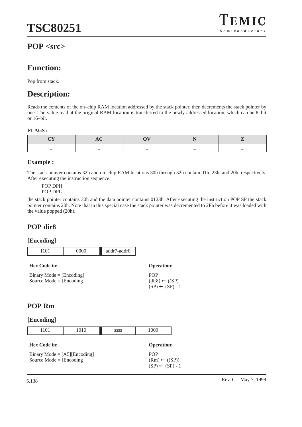

# **POP <src>**

# **Function:**

Pop from stack.

# **Description:**

Reads the contents of the on–chip RAM location addressed by the stack pointer, then decrements the stack pointer by one. The value read at the original RAM location is transferred to the newly addressed location, which can be 8–bit or 16–bit.

#### **FLAGS :**

|  | $\overline{\phantom{a}}$ | $\overline{\phantom{a}}$ | $\overline{\phantom{a}}$ |
|--|--------------------------|--------------------------|--------------------------|

## **Example :**

The stack pointer contains 32h and on–chip RAM locations 30h through 32h contain 01h, 23h, and 20h, respectively. After executing the instruction sequence:

POP DPH POP DPL

the stack pointer contains 30h and the data pointer contains 0123h. After executing the instruction POP SP the stack pointer contains 20h. Note that in this special case the stack pointer was decremented to 2Fh before it was loaded with the value popped (20h).

# **POP dir8**

## **[Encoding]**



| <b>Hex Code in:</b>        | <b>Operation:</b>                                              |
|----------------------------|----------------------------------------------------------------|
| $Binary Mode = [Encoding]$ | <b>POP</b>                                                     |
| Source Mode $=$ [Encoding] | $(\text{dir8}) \leftarrow ((SP)$<br>$(SP) \leftarrow (SP) - 1$ |

# **POP Rm**

| 1101                                                                | 1010 | <b>SSSS</b> | 1000                                                                 |
|---------------------------------------------------------------------|------|-------------|----------------------------------------------------------------------|
| Hex Code in:                                                        |      |             | <b>Operation:</b>                                                    |
| Binary Mode = $[A5][\text{Encoding}]$<br>Source Mode = $[Encoding]$ |      |             | <b>POP</b><br>$(Rm) \leftarrow ((SP))$<br>$(SP) \leftarrow (SP) - 1$ |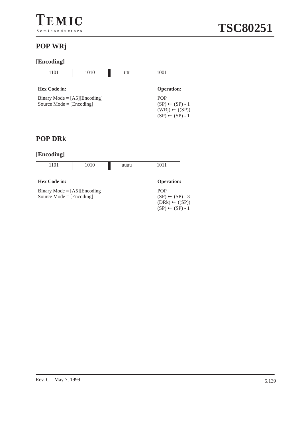# **POP WRj**

# **[Encoding]**

| 1101                | 1010 | tttt | 1001              |
|---------------------|------|------|-------------------|
|                     |      |      |                   |
| <b>Hex Code in:</b> |      |      | <b>Operation:</b> |

| Binary Mode = $[A5][\text{Encoding}]$ |
|---------------------------------------|
| Source Mode = $[Encoding]$            |

| <b>Operation:</b>          |
|----------------------------|
| <b>POP</b>                 |
| $(SP) \leftarrow (SP) - 1$ |
| $(WRj) \leftarrow ((SP))$  |
| $(SP) \leftarrow (SP) - 1$ |

# **POP DRk**

| 1101<br>1101 | 010<br>1010 | uuuu | 91 <sub>1</sub> |
|--------------|-------------|------|-----------------|
|              |             |      |                 |

| <b>Hex Code in:</b>                   | <b>Operation:</b>                                       |
|---------------------------------------|---------------------------------------------------------|
| Binary Mode = $[A5][\text{Encoding}]$ | <b>POP</b>                                              |
| Source Mode $=$ [Encoding]            | $(SP) \leftarrow (SP) - 3$<br>$(DRk) \leftarrow ((SP))$ |
|                                       | $(SP) \leftarrow (SP) - 1$                              |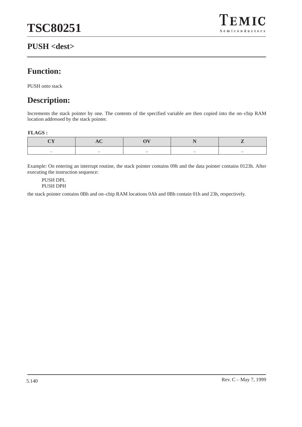# **PUSH <dest>**



# **Function:**

PUSH onto stack

# **Description:**

Increments the stack pointer by one. The contents of the specified variable are then copied into the on–chip RAM location addressed by the stack pointer.

#### **FLAGS :**

| $\sim$ | - | - |  |
|--------|---|---|--|

Example: On entering an interrupt routine, the stack pointer contains 09h and the data pointer contains 0123h. After executing the instruction sequence:

PUSH DPL PUSH DPH

the stack pointer contains 0Bh and on–chip RAM locations 0Ah and 0Bh contain 01h and 23h, respectively.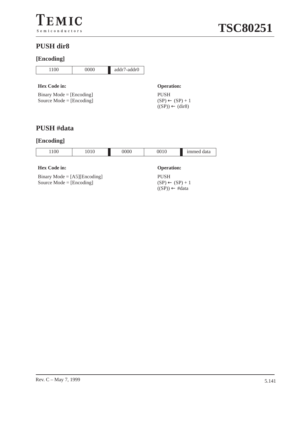# **PUSH dir8**

# **[Encoding]**

| 1100                                                     | 0000 | addr7-addr0 |                                                                         |
|----------------------------------------------------------|------|-------------|-------------------------------------------------------------------------|
| Hex Code in:                                             |      |             | <b>Operation:</b>                                                       |
| $Binary Mode = [Encoding]$<br>Source Mode = $[Encoding]$ |      |             | <b>PUSH</b><br>$(SP) \leftarrow (SP) + 1$<br>$((SP)) \leftarrow (dir8)$ |
|                                                          |      |             |                                                                         |

# **PUSH #data**

# **[Encoding]**



## Binary Mode = [A5][Encoding] Source Mode = [Encoding]

PUSH

 $(SP) \leftarrow (SP) + 1$  $((SP)) \leftarrow #data$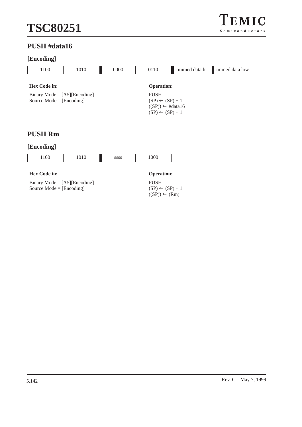# **PUSH #data16**

# **[Encoding]**

| 1100                                                                | 1010 | 0000                                      | 0110              | immed data hi | immed data low |
|---------------------------------------------------------------------|------|-------------------------------------------|-------------------|---------------|----------------|
| <b>Hex Code in:</b>                                                 |      |                                           | <b>Operation:</b> |               |                |
| Binary Mode = $[A5][\text{Encoding}]$<br>Source Mode = $[Encoding]$ |      | <b>PUSH</b><br>$(SP) \leftarrow (SP) + 1$ |                   |               |                |

# **PUSH Rm**

#### **[Encoding]**

| 1100 | 010 | SSSS | 1000 |
|------|-----|------|------|
|      |     |      |      |

#### **Hex Code in: Operation:**

Binary Mode = [A5][Encoding] Source  $Mode = [Encoding]$ 

PUSH  $(SP) \leftarrow (SP) + 1$  $((SP)) \leftarrow (Rm)$ 

 $((SP)) \leftarrow #data16$  $(SP) \leftarrow (SP) + 1$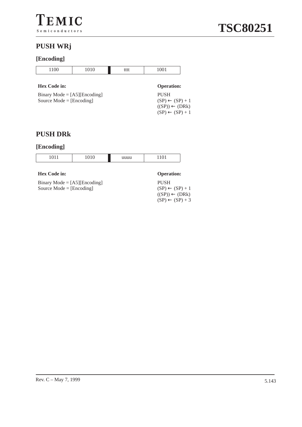# **[Encoding]**

| $\cap$<br>11 <sub>00</sub> | $1 \cap$<br>1010 | tttt | $\Omega$ 1<br>100 T |
|----------------------------|------------------|------|---------------------|
|                            |                  |      |                     |

## **Hex Code in: Operation:**

| Binary Mode = $[A5][\text{Encoding}]$ |
|---------------------------------------|
| Source Mode = $[Encoding]$            |

# **PUSH DRk**

#### **[Encoding]**

| .<br>1.11 | ິ | <br>1.101 |
|-----------|---|-----------|

#### **Hex Code in: Operation:**

Binary Mode = [A5][Encoding] Source Mode = [Encoding]

| <b>PUSH</b>                |
|----------------------------|
| $(SP) \leftarrow (SP) + 1$ |
| $((SP)) \leftarrow (DRk)$  |
| $(SP) \leftarrow (SP) + 3$ |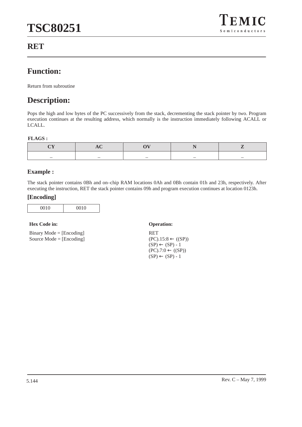

# **RET**

# **Function:**

Return from subroutine

# **Description:**

Pops the high and low bytes of the PC successively from the stack, decrementing the stack pointer by two. Program execution continues at the resulting address, which normally is the instruction immediately following ACALL or LCALL.

#### **FLAGS :**

#### **Example :**

The stack pointer contains 0Bh and on–chip RAM locations 0Ah and 0Bh contain 01h and 23h, respectively. After executing the instruction, RET the stack pointer contains 09h and program execution continues at location 0123h.

#### **[Encoding]**

#### **Hex Code in: Operation:**

Binary Mode = [Encoding] Source Mode = [Encoding]

RET  $(PC).15:8 \leftarrow ((SP))$  $(SP) \leftarrow (SP) - 1$  $(PC).7:0 \leftarrow ((SP))$  $(SP) \leftarrow (SP) - 1$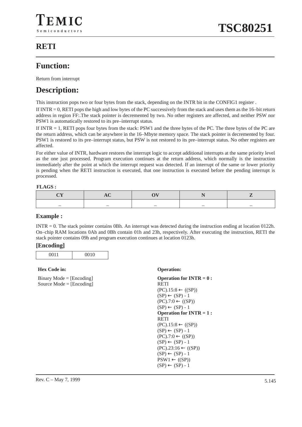# **RETI**

# **Function:**

Return from interrupt

# **Description:**

This instruction pops two or four bytes from the stack, depending on the INTR bit in the CONFIG1 register .

If  $\text{INTER} = 0$ , RETI pops the high and low bytes of the PC successively from the stack and uses them as the 16–bit return address in region FF:.The stack pointer is decremented by two. No other registers are affected, and neither PSW nor PSW1 is automatically restored to its pre–interrupt status.

If INTR = 1, RETI pops four bytes from the stack: PSW1 and the three bytes of the PC. The three bytes of the PC are the return address, which can be anywhere in the 16–Mbyte memory space. The stack pointer is decremented by four. PSW1 is restored to its pre–interrupt status, but PSW is not restored to its pre–interrupt status. No other registers are affected.

For either value of INTR, hardware restores the interrupt logic to accept additional interrupts at the same priority level as the one just processed. Program execution continues at the return address, which normally is the instruction immediately after the point at which the interrupt request was detected. If an interrupt of the same or lower priority is pending when the RETI instruction is executed, that one instruction is executed before the pending interrupt is processed.

#### **FLAGS :**

| _ |  | __ | _____ |
|---|--|----|-------|

#### **Example :**

INTR  $= 0$ . The stack pointer contains 0Bh. An interrupt was detected during the instruction ending at location 0122h. On–chip RAM locations 0Ah and 0Bh contain 01h and 23h, respectively. After executing the instruction, RETI the stack pointer contains 09h and program execution continues at location 0123h.

#### **[Encoding]**

| 0011 | 0010 |
|------|------|

#### **Hex Code in: Operation:**

Binary Mode = [Encoding] Source Mode = [Encoding]

```
Operation for INTR = 0 :
RETI
(PC).15:8 \leftarrow (SP)(SP) \leftarrow (SP) - 1(PC).7:0 \leftarrow (SP)(SP) \leftarrow (SP) - 1Operation for INTR = 1 : 
RETI
(PC).15:8 \leftarrow ((SP))(SP) \leftarrow (SP) - 1(PC).7:0 \leftarrow (SP)(SP) \leftarrow (SP) - 1(PC).23:16 \leftarrow ((SP))(SP) \leftarrow (SP) - 1PSW1 \leftarrow ((SP))(SP) \leftarrow (SP) - 1
```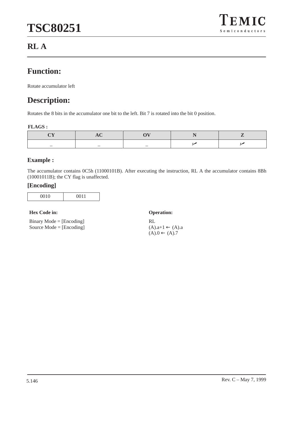

# **RL A**

# **Function:**

Rotate accumulator left

# **Description:**

Rotates the 8 bits in the accumulator one bit to the left. Bit 7 is rotated into the bit 0 position.

#### **FLAGS :**

| _ | $-$ | $-$ |  |
|---|-----|-----|--|

#### **Example :**

The accumulator contains 0C5h (11000101B). After executing the instruction, RL A the accumulator contains 8Bh (10001011B); the CY flag is unaffected.

#### **[Encoding]**

#### **Hex Code in: Operation:**

Binary Mode = [Encoding] Source Mode = [Encoding]

RL  $(A).a+1 \leftarrow (A).a$  $(A).0 \leftarrow (A).7$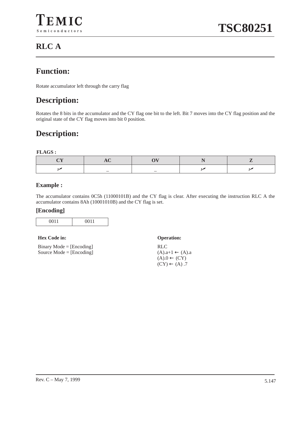# **Function:**

Rotate accumulator left through the carry flag

# **Description:**

Rotates the 8 bits in the accumulator and the CY flag one bit to the left. Bit 7 moves into the CY flag position and the original state of the CY flag moves into bit 0 position.

# **Description:**

#### **FLAGS :**

## **Example :**

The accumulator contains 0C5h (11000101B) and the CY flag is clear. After executing the instruction RLC A the accumulator contains 8Ah (10001010B) and the CY flag is set.

#### **[Encoding]**

| 0011 | $\bigcap$ 11 |
|------|--------------|
|      |              |

#### **Hex Code in: Operation:**

Binary Mode = [Encoding] Source Mode = [Encoding]

RLC  $(A).a+1 \leftarrow (A).a$  $(A).0 \leftarrow (CY)$  $(CY) \leftarrow (A) .7$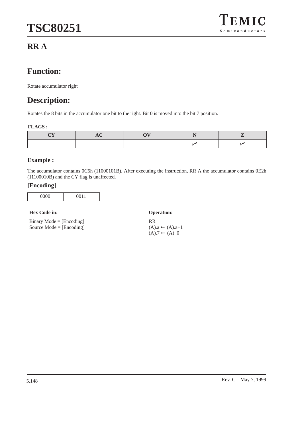

# **RR A**

# **Function:**

Rotate accumulator right

# **Description:**

Rotates the 8 bits in the accumulator one bit to the right. Bit 0 is moved into the bit 7 position.

#### **FLAGS :**

| _ | _ | _ |  |
|---|---|---|--|

# **Example :**

The accumulator contains 0C5h (11000101B). After executing the instruction, RR A the accumulator contains 0E2h (11100010B) and the CY flag is unaffected.

#### **[Encoding]**

| 0000 | 0011 |
|------|------|
|      |      |

#### **Hex Code in: Operation:**

Binary Mode = [Encoding] Source Mode = [Encoding]

RR  $(A).a \leftarrow (A).a+1$  $(A).7 \leftarrow (A).0$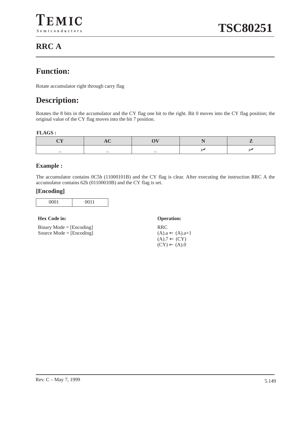# **RRC A**

# **Function:**

Rotate accumulator right through carry flag

# **Description:**

Rotates the 8 bits in the accumulator and the CY flag one bit to the right. Bit 0 moves into the CY flag position; the original value of the CY flag moves into the bit 7 position.

#### **FLAGS :**

|  | $-$ |  |
|--|-----|--|

#### **Example :**

The accumulator contains 0C5h (11000101B) and the CY flag is clear. After executing the instruction RRC A the accumulator contains 62h (01100010B) and the CY flag is set.

#### **[Encoding]**

| - -<br>.<br>ີ<br>- |
|--------------------|
|--------------------|

#### **Hex Code in: Operation:**

Binary Mode = [Encoding] Source Mode = [Encoding]

RRC  $(A).a \leftarrow (A).a+1$  $(A).7 \leftarrow (CY)$  $(CY) \leftarrow (A).0$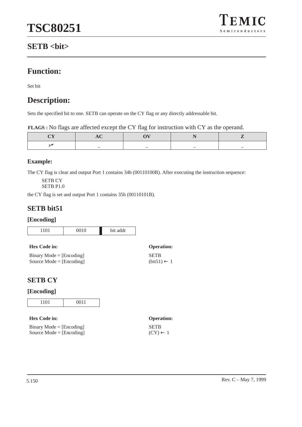

# **SETB <bit>**

# **Function:**

Set bit

# **Description:**

Sets the specified bit to one. SETB can operate on the CY flag or any directly addressable bit.

|  | FLAGS : No flags are affected except the CY flag for instruction with CY as the operand. |
|--|------------------------------------------------------------------------------------------|
|  |                                                                                          |

| _ | _ | _ |  |
|---|---|---|--|

# **Example:**

The CY flag is clear and output Port 1 contains 34h (00110100B). After executing the instruction sequence:

SETB CY

SETB P1.0

the CY flag is set and output Port 1 contains 35h (00110101B).

# **SETB bit51**

## **[Encoding]**

| $\sim$ $\sim$ $\sim$<br>٠<br>٠ |
|--------------------------------|
|--------------------------------|

| <b>Hex Code in:</b>        | <b>Operation:</b>      |
|----------------------------|------------------------|
| $Binary Mode = [Encoding]$ | <b>SETB</b>            |
| Source Mode $=$ [Encoding] | $(bit51) \leftarrow 1$ |

# **SETB CY**

| -- | $\sim$ 4<br>1.101 | 0011 |
|----|-------------------|------|
|----|-------------------|------|

| <b>Hex Code in:</b>        | <b>Operation:</b>   |
|----------------------------|---------------------|
| $Binary Mode = [Encoding]$ | <b>SETB</b>         |
| Source Mode $=$ [Encoding] | $(CY) \leftarrow 1$ |

| <b>Operation:</b>   |  |
|---------------------|--|
| SETB                |  |
| $(CY) \leftarrow 1$ |  |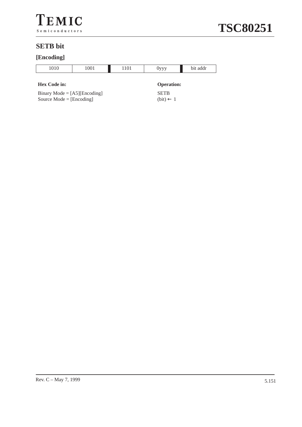



# **SETB bit**

# **[Encoding]**

| $\sim$<br>ν<br>.<br>`<br>.<br>$\mathbf{U}$<br>ັ<br>∼<br>--<br>. . |  |  |  |
|-------------------------------------------------------------------|--|--|--|
|                                                                   |  |  |  |

#### **Hex Code in: Operation:**

Binary Mode = [A5][Encoding] Source Mode  $=$  [Encoding]

**SETB**  $(bit) \leftarrow 1$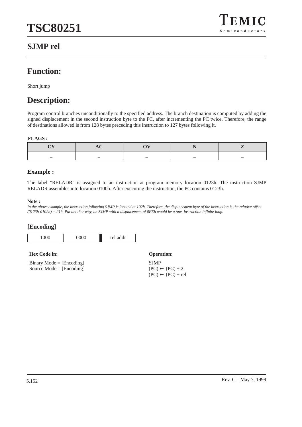

# **SJMP rel**

# **Function:**

Short jump

# **Description:**

Program control branches unconditionally to the specified address. The branch destination is computed by adding the signed displacement in the second instruction byte to the PC, after incrementing the PC twice. Therefore, the range of destinations allowed is from 128 bytes preceding this instruction to 127 bytes following it.

#### **FLAGS :**

#### **Example :**

The label "RELADR" is assigned to an instruction at program memory location 0123h. The instruction SJMP RELADR assembles into location 0100h. After executing the instruction, the PC contains 0123h.

#### **Note :**

*In the above example, the instruction following SJMP is located at 102h. Therefore, the displacement byte of the instruction is the relative offset (0123h-0102h) = 21h. Put another way, an SJMP with a displacement of 0FEh would be a one–instruction infinite loop.*



| <b>Hex Code in:</b>                                      | <b>Operation:</b>                         |
|----------------------------------------------------------|-------------------------------------------|
| $Binary Mode = [Encoding]$<br>Source Mode $=$ [Encoding] | <b>SIMP</b><br>$(PC) \leftarrow (PC) + 2$ |
|                                                          | $(PC) \leftarrow (PC) + rel$              |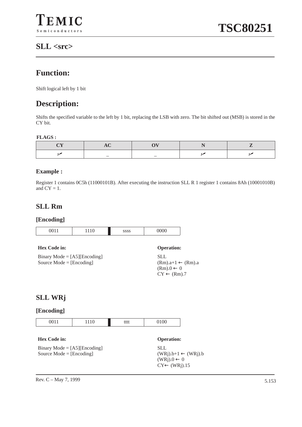# **SLL <src>**

# **Function:**

Shift logical left by 1 bit

# **Description:**

Shifts the specified variable to the left by 1 bit, replacing the LSB with zero. The bit shifted out (MSB) is stored in the CY bit.

#### **FLAGS :**

#### **Example :**

Register 1 contains 0C5h (11000101B). After executing the instruction SLL R 1 register 1 contains 8Ah (10001010B) and  $CY = 1$ .

# **SLL Rm**

## **[Encoding]**



Binary Mode  $= [A5][\text{Encoding}]$ Source Mode = [Encoding]

SLL  $(WRj)$ .b+1  $\leftarrow (WRj)$ .b  $(WRj)$ .0  $\leftarrow$  0 CY← (WRj).15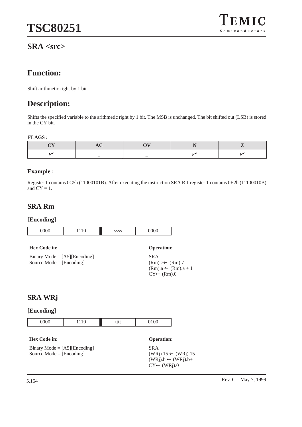

# **SRA <src>**

# **Function:**

Shift arithmetic right by 1 bit

# **Description:**

Shifts the specified variable to the arithmetic right by 1 bit. The MSB is unchanged. The bit shifted out (LSB) is stored in the CY bit.

#### **FLAGS :**

## **Example :**

Register 1 contains 0C5h (11000101B). After executing the instruction SRA R 1 register 1 contains 0E2h (11100010B) and  $CY = 1$ .

# **SRA Rm**

## **[Encoding]**

| 1110 |
|------|
|------|

#### **Hex Code in: Operation:**

Binary Mode = [A5][Encoding] Source Mode = [Encoding]

SRA (Rm).7← (Rm).7  $(Rm).a \leftarrow (Rm).a + 1$  $CY \leftarrow (Rm).0$ 

# **SRA WRj**

## **[Encoding]**



#### **Hex Code in: Operation:**

Binary Mode  $=$  [A5][Encoding] Source Mode = [Encoding]

SRA  $(WRj).15 \leftarrow (WRj).15$  $(WRj).b \leftarrow (WRj).b+1$  $CY \leftarrow (WRj).0$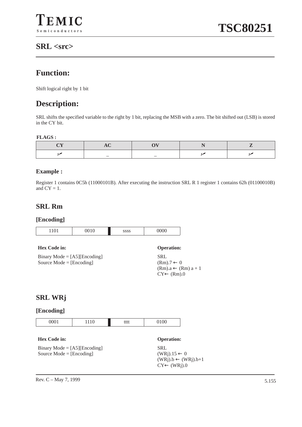# **SRL <src>**

# **Function:**

Shift logical right by 1 bit

# **Description:**

SRL shifts the specified variable to the right by 1 bit, replacing the MSB with a zero. The bit shifted out (LSB) is stored in the CY bit.

#### **FLAGS :**

|  | _ |  |
|--|---|--|

#### **Example :**

Register 1 contains 0C5h (11000101B). After executing the instruction SRL R 1 register 1 contains 62h (01100010B) and  $CY = 1$ .

# **SRL Rm**

#### **[Encoding]**

| 1101                                                                                  | 0010 | <b>SSSS</b> | 0000                                                                                           |  |
|---------------------------------------------------------------------------------------|------|-------------|------------------------------------------------------------------------------------------------|--|
| <b>Hex Code in:</b>                                                                   |      |             | <b>Operation:</b>                                                                              |  |
| Binary Mode = $[A5][\text{Encoding}]$<br>Source Mode $=$ [Encoding]<br><b>SRL WRj</b> |      |             | <b>SRL</b><br>$(Rm) \rightarrow 0$<br>$(Rm).a \leftarrow (Rm) a + 1$<br>$CY \leftarrow (Rm).0$ |  |
| [Encoding]                                                                            |      |             |                                                                                                |  |
| 0001                                                                                  | 1110 | tttt        | 0100                                                                                           |  |
| <b>Hex Code in:</b>                                                                   |      |             | <b>Operation:</b>                                                                              |  |
| <b>SRL</b><br>Binary Mode = $[A5][\text{Encoding}]$                                   |      |             |                                                                                                |  |

Source Mode = [Encoding]

SRL  $(WRj).15 \leftarrow 0$  $(WRj).b \leftarrow (WRj).b+1$  $CY \leftarrow (WRj).0$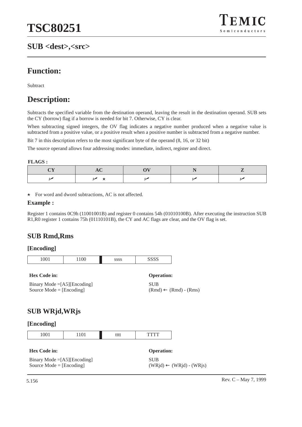# **SUB <dest>,<src>**



# **Function:**

Subtract

# **Description:**

Subtracts the specified variable from the destination operand, leaving the result in the destination operand. SUB sets the CY (borrow) flag if a borrow is needed for bit 7. Otherwise, CY is clear.

When subtracting signed integers, the OV flag indicates a negative number produced when a negative value is subtracted from a positive value, or a positive result when a positive number is subtracted from a negative number.

Bit 7 in this description refers to the most significant byte of the operand (8, 16, or 32 bit)

The source operand allows four addressing modes: immediate, indirect, register and direct.

**FLAGS :**

 $\star$  For word and dword subtractions, AC is not affected.

#### **Example :**

Register 1 contains 0C9h (11001001B) and register 0 contains 54h (01010100B). After executing the instruction SUB R1,R0 register 1 contains 75h (01110101B), the CY and AC flags are clear, and the OV flag is set.

# **SUB Rmd,Rms**

#### **[Encoding]**

| 0 <sub>0</sub> 1<br>$\sim$<br><u>.</u> | $\Omega$<br>◡<br> | 0000 | $\sim$ $\sim$ $\sim$<br>້ |
|----------------------------------------|-------------------|------|---------------------------|

**Hex Code in: Operation:**

SUB  $(Rmd) \leftarrow (Rmd) - (Rms)$ 

# **SUB WRjd,WRjs**

Binary Mode =[A5][Encoding] Source Mode = [Encoding]

| 0.01                 | 1101 | tt1 | T. |
|----------------------|------|-----|----|
| $\sim$ $\sim$ $\sim$ |      | uu  |    |

| <b>Hex Code in:</b>                  | <b>Operation:</b>                   |
|--------------------------------------|-------------------------------------|
| Binary Mode $=[A5][\text{Encoding}]$ | <b>SUB</b>                          |
| Source Mode $=$ [Encoding]           | $(WRid) \leftarrow (WRid) - (WRis)$ |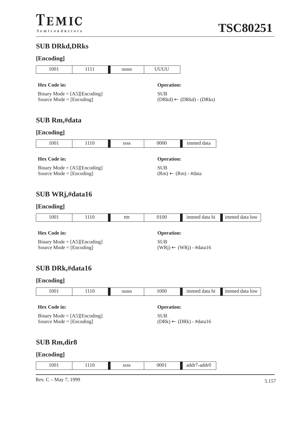# **SUB DRkd,DRks**

# **[Encoding]**

| ------ <del>----</del> -                                                                         |      |      |                                                                   |                                     |                |  |
|--------------------------------------------------------------------------------------------------|------|------|-------------------------------------------------------------------|-------------------------------------|----------------|--|
| 1001                                                                                             | 1111 | uuuu | <b>UUUU</b>                                                       |                                     |                |  |
| <b>Hex Code in:</b><br>Binary Mode = $[A5][\text{Encoding}]$<br>Source $Mode = [Encoding]$       |      |      | <b>Operation:</b><br><b>SUB</b>                                   | $(DRkd) \leftarrow (DRkd) - (DRks)$ |                |  |
| SUB Rm,#data                                                                                     |      |      |                                                                   |                                     |                |  |
| [Encoding]                                                                                       |      |      |                                                                   |                                     |                |  |
| 1001                                                                                             | 1110 | SSSS | 0000                                                              | immed data                          |                |  |
| <b>Hex Code in:</b><br>Binary Mode = $[A5][\text{Encoding}]$<br>Source Mode $=[\text{Encoding}]$ |      |      | <b>Operation:</b><br><b>SUB</b><br>$(Rm) \leftarrow (Rm) - #data$ |                                     |                |  |
| SUB WRj,#data16<br>[Encoding]                                                                    |      |      |                                                                   |                                     |                |  |
| 1001                                                                                             | 1110 | tttt | 0100                                                              | immed data hi                       | immed data low |  |
| <b>Hex Code in:</b><br>Binary Mode = $[A5][\text{Encoding}]$<br>Source Mode = $[Encoding]$       |      |      | <b>Operation:</b><br><b>SUB</b>                                   | $(WRj) \leftarrow (WRj)$ - #data16  |                |  |
| SUB DRk,#data16                                                                                  |      |      |                                                                   |                                     |                |  |
| [Encoding]                                                                                       |      |      |                                                                   |                                     |                |  |
| 1001                                                                                             | 1110 | uuuu | 1000                                                              | immed data hi                       | immed data low |  |
| <b>Hex Code in:</b><br>Binary Mode = $[A5][\text{Encoding}]$<br>Source Mode = $[Encoding]$       |      |      | <b>Operation:</b><br><b>SUB</b>                                   | $(DRk) \leftarrow (DRk) - #data16$  |                |  |
| <b>SUB Rm,dir8</b>                                                                               |      |      |                                                                   |                                     |                |  |
| [Encoding]                                                                                       |      |      |                                                                   |                                     |                |  |
| 1001                                                                                             | 1110 | SSSS | 0001                                                              | addr7-addr0                         |                |  |

Rev. C – May 7, 1999  $5.157$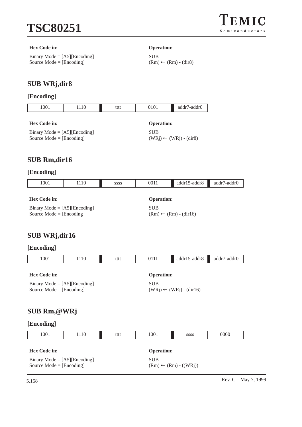

#### **Hex Code in: Operation:**

Binary Mode = [A5][Encoding] Source Mode = [Encoding]

SUB  $(Rm) \leftarrow (Rm) - (dir8)$ 

# **SUB WRj,dir8**

#### **[Encoding]**

| 1001         | 110 | tttt | 0101              | addr7-addr0 |
|--------------|-----|------|-------------------|-------------|
| Hex Code in: |     |      | <b>Operation:</b> |             |

Binary Mode  $=$  [A5][Encoding] Source Mode = [Encoding]

SUB

 $(WRj)$  ←  $(WRj)$  -  $dir8)$ 

# **SUB Rm,dir16**

# **[Encoding]**

| 1001                                  | 1110 | <b>SSSS</b> | 0011              | $addr15-addr8$                   | addr7-addr0 |  |
|---------------------------------------|------|-------------|-------------------|----------------------------------|-------------|--|
|                                       |      |             |                   |                                  |             |  |
| <b>Hex Code in:</b>                   |      |             | <b>Operation:</b> |                                  |             |  |
| Binary Mode = $[A5][\text{Encoding}]$ |      |             | <b>SUB</b>        |                                  |             |  |
| Source Mode $=$ [Encoding]            |      |             |                   | $(Rm) \leftarrow (Rm) - (dir16)$ |             |  |

# **SUB WRj,dir16**

| 1001                                                                | 1110 | tttt | 0111                                             | $addr15-addr8$ | addr7-addr0 |  |
|---------------------------------------------------------------------|------|------|--------------------------------------------------|----------------|-------------|--|
| Hex Code in:                                                        |      |      | <b>Operation:</b>                                |                |             |  |
| Binary Mode = $[A5][\text{Encoding}]$<br>Source Mode = $[Encoding]$ |      |      | <b>SUB</b><br>$(WRj) \leftarrow (WRj) - (dir16)$ |                |             |  |
| SUB Rm,@WRj                                                         |      |      |                                                  |                |             |  |
| [Encoding]                                                          |      |      |                                                  |                |             |  |

| 1001                                                                                                                  | 1110 | tttt | 1001 | <b>SSSS</b>       | 0000 |  |  |  |
|-----------------------------------------------------------------------------------------------------------------------|------|------|------|-------------------|------|--|--|--|
|                                                                                                                       |      |      |      |                   |      |  |  |  |
| <b>Hex Code in:</b>                                                                                                   |      |      |      | <b>Operation:</b> |      |  |  |  |
| Binary Mode = $[A5][\text{Encoding}]$<br><b>SUB</b><br>Source Mode = $[Encoding]$<br>$(Rm) \leftarrow (Rm) - ((WRj))$ |      |      |      |                   |      |  |  |  |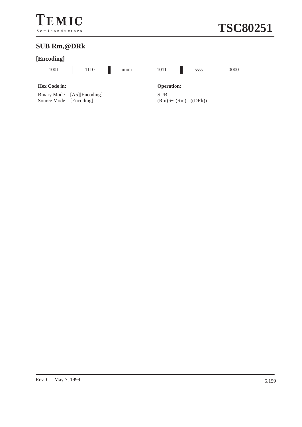# **SUB Rm,@DRk**

# **[Encoding]**

| 1110<br>აააა<br>. | 1001 | uuuu | 0000 | 0000 |
|-------------------|------|------|------|------|

#### **Hex Code in: Operation:**

Binary Mode = [A5][Encoding] Source Mode  $=$  [Encoding]

SUB  $(Rm) \leftarrow (Rm) - ((DRk))$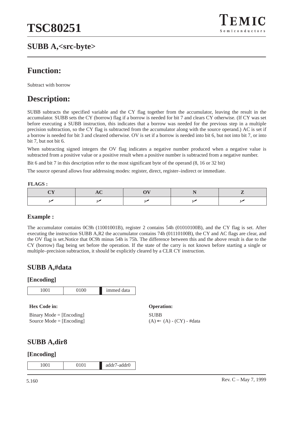# **SUBB A,<src-byte>**



# **Function:**

Subtract with borrow

# **Description:**

SUBB subtracts the specified variable and the CY flag together from the accumulator, leaving the result in the accumulator. SUBB sets the CY (borrow) flag if a borrow is needed for bit 7 and clears CY otherwise. (If CY was set before executing a SUBB instruction, this indicates that a borrow was needed for the previous step in a multiple precision subtraction, so the CY flag is subtracted from the accumulator along with the source operand.) AC is set if a borrow is needed for bit 3 and cleared otherwise. OV is set if a borrow is needed into bit 6, but not into bit 7, or into bit 7, but not bit 6.

When subtracting signed integers the OV flag indicates a negative number produced when a negative value is subtracted from a positive value or a positive result when a positive number is subtracted from a negative number.

Bit 6 and bit 7 in this description refer to the most significant byte of the operand (8, 16 or 32 bit)

The source operand allows four addressing modes: register, direct, register–indirect or immediate.

#### **FLAGS :**

#### **Example :**

The accumulator contains 0C9h (11001001B), register 2 contains 54h (01010100B), and the CY flag is set. After executing the instruction SUBB A,R2 the accumulator contains 74h (01110100B), the CY and AC flags are clear, and the OV flag is set.Notice that 0C9h minus 54h is 75h. The difference between this and the above result is due to the CY (borrow) flag being set before the operation. If the state of the carry is not known before starting a single or multiple–precision subtraction, it should be explicitly cleared by a CLR CY instruction.

## **SUBB A,#data**

#### **[Encoding]**

| v<br>$\tilde{}$ | immed<br>data |
|-----------------|---------------|

#### **Hex Code in: Operation:**

| $Binary Mode = [Encoding]$ |
|----------------------------|
| Source Mode $=$ [Encoding] |

```
SUBB
(A) ← (A) - (CY) - #data
```
# **SUBB A,dir8**

| 1001<br>$\sim$<br>-- -<br>$-211111$<br>, , , , |
|------------------------------------------------|
|------------------------------------------------|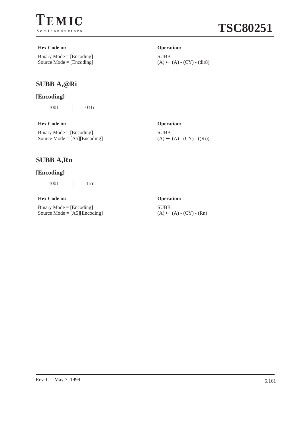

# **TSC80251**

#### **Hex Code in: Operation:**

Binary Mode = [Encoding] Source Mode = [Encoding]

# **SUBB A,@Ri**

## **[Encoding]**

1001 011i

#### **Hex Code in: Operation:**

Binary Mode = [Encoding] Source Mode = [A5][Encoding]

SUBB

SUBB  $(A) \leftarrow (A) - (CY) - ((Ri))$ 

 $(A) \leftarrow (A) - (CY) - (dir8)$ 

# **SUBB A,Rn**

#### **[Encoding]**

|  | . |  |
|--|---|--|
|--|---|--|

#### **Hex Code in: Operation:**

Binary Mode = [Encoding] Source Mode = [A5][Encoding]

# SUBB

 $(A) \leftarrow (A) - (CY) - (Rn)$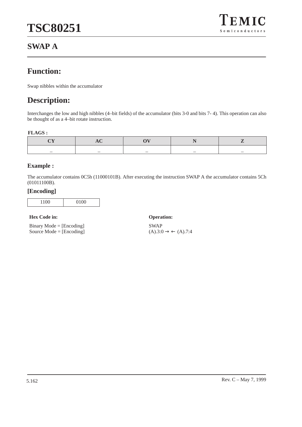# **TSC80251**



# **SWAP A**

# **Function:**

Swap nibbles within the accumulator

# **Description:**

Interchanges the low and high nibbles (4–bit fields) of the accumulator (bits 3-0 and bits 7- 4). This operation can also be thought of as a 4–bit rotate instruction.

#### **FLAGS :**

| _ |  |  |
|---|--|--|

#### **Example :**

The accumulator contains 0C5h (11000101B). After executing the instruction SWAP A the accumulator contains 5Ch (01011100B).

#### **[Encoding]**

|--|

#### **Hex Code in: Operation:**

Binary Mode  $=$  [Encoding] Source Mode = [Encoding]

SWAP  $(A).3:0 \rightarrow \leftarrow (A).7:4$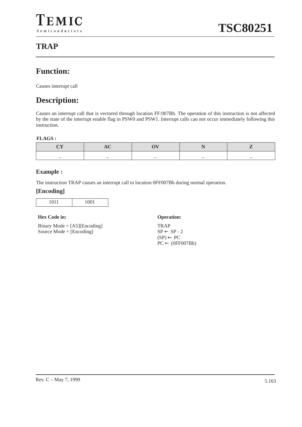# **TRAP**

# **Function:**

Causes interrupt call

# **Description:**

Causes an interrupt call that is vectored through location FF:007Bh. The operation of this instruction is not affected by the state of the interrupt enable flag in PSW0 and PSW1. Interrupt calls can not occur immediately following this instruction.

#### **FLAGS :**

## **Example :**

The instruction TRAP causes an interrupt call to location 0FF007Bh during normal operation.

#### **[Encoding]**

| $\sim$ $\sim$<br>. .<br>∽ |
|---------------------------|
|---------------------------|

#### **Hex Code in: Operation:**

Binary Mode  $=$  [A5][Encoding] Source Mode = [Encoding]

TRAP  $SP \leftarrow SP - 2$  $(SP) \leftarrow PC$  $PC \leftarrow (0FF007Bh)$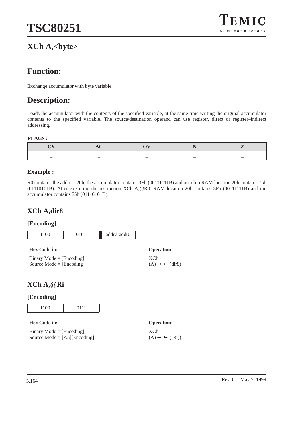# **XCh A,<byte>**



# **Function:**

Exchange accumulator with byte variable

# **Description:**

Loads the accumulator with the contents of the specified variable, at the same time writing the original accumulator contents to the specified variable. The source/destination operand can use register, direct or register–indirect addressing.

#### **FLAGS :**

#### **Example :**

R0 contains the address 20h, the accumulator contains 3Fh (00111111B) and on–chip RAM location 20h contains 75h (01110101B). After executing the instruction XCh A,@R0. RAM location 20h contains 3Fh (00111111B) and the accumulator contains 75h (01110101B).

# **XCh A,dir8**

#### **[Encoding]**

| 1100                                                     | 0101 | addr7-addr0 |                                            |
|----------------------------------------------------------|------|-------------|--------------------------------------------|
| <b>Hex Code in:</b>                                      |      |             | <b>Operation:</b>                          |
| $Binary Mode = [Encoding]$<br>Source Mode $=$ [Encoding] |      |             | XCh<br>$(A) \rightarrow \leftarrow (dir8)$ |

# **XCh A,@Ri**

## **[Encoding]**

| $\sim$ $\sim$ | 0.4.4                    |
|---------------|--------------------------|
| - -           | $\overline{\phantom{0}}$ |

#### **Hex Code in: Operation:**

| $Binary Mode = [Encoding]$     |
|--------------------------------|
| Source Mode = $[AS][Encoding]$ |

XCh

 $(A) \rightarrow \leftarrow ((Ri))$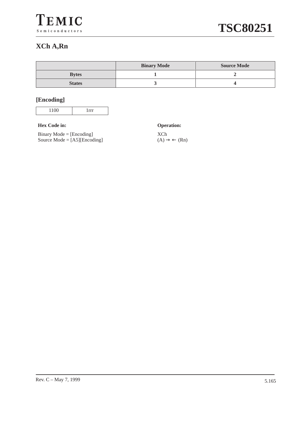# **XCh A,Rn**

|               | <b>Binary Mode</b> | <b>Source Mode</b> |
|---------------|--------------------|--------------------|
| <b>Bytes</b>  |                    |                    |
| <b>States</b> |                    |                    |

# **[Encoding]**

#### **Hex Code in: Operation:**

Binary Mode = [Encoding] Source Mode = [A5][Encoding]

XCh  $(A) \rightarrow \leftarrow (Rn)$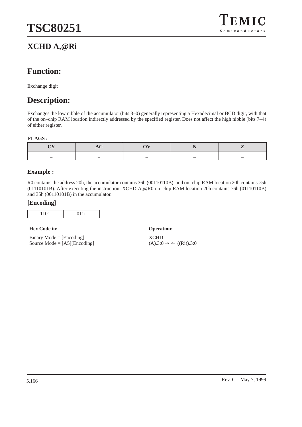# **XCHD A,@Ri**



# **Function:**

Exchange digit

# **Description:**

Exchanges the low nibble of the accumulator (bits 3–0) generally representing a Hexadecimal or BCD digit, with that of the on–chip RAM location indirectly addressed by the specified register. Does not affect the high nibble (bits 7–4) of either register.

#### **FLAGS :**

| _ | _ |  |
|---|---|--|

#### **Example :**

R0 contains the address 20h, the accumulator contains 36h (00110110B), and on–chip RAM location 20h contains 75h (01110101B). After executing the instruction, XCHD A,@R0 on–chip RAM location 20h contains 76h (01110110B) and 35h (00110101B) in the accumulator.

#### **[Encoding]**

|--|

#### **Hex Code in: Operation:**

Binary Mode = [Encoding] Source Mode  $= [A5][\text{Encoding}]$ 

XCHD  $(A).3:0 \rightarrow \leftarrow ((Ri)).3:0$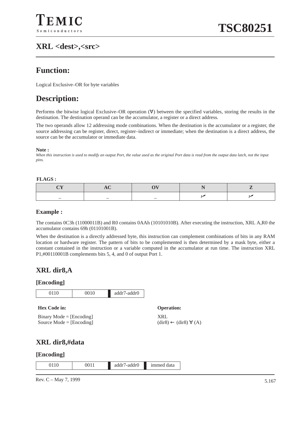# **XRL <dest>,<src>**

# **Function:**

Logical Exclusive–OR for byte variables

# **Description:**

Performs the bitwise logical Exclusive–OR operation (∀) between the specified variables, storing the results in the destination. The destination operand can be the accumulator, a register or a direct address.

The two operands allow 12 addressing mode combinations. When the destination is the accumulator or a register, the source addressing can be register, direct, register–indirect or immediate; when the destination is a direct address, the source can be the accumulator or immediate data.

#### **Note :**

*When this instruction is used to modify an output Port, the value used as the original Port data is read from the output data latch, not the input pins.*

#### **FLAGS :**

| _ | $\overline{\phantom{0}}$ |  |
|---|--------------------------|--|

#### **Example :**

The contains 0C3h (11000011B) and R0 contains 0AAh (10101010B). After executing the instruction, XRL A,R0 the accumulator contains 69h (01101001B).

When the destination is a directly addressed byte, this instruction can complement combinations of bits in any RAM location or hardware register. The pattern of bits to be complemented is then determined by a mask byte, either a constant contained in the instruction or a variable computed in the accumulator at run time. The instruction XRL P1,#00110001B complements bits 5, 4, and 0 of output Port 1.

# **XRL dir8,A**

#### **[Encoding]**



#### **[Encoding]**

|--|

Rev. C – May 7, 1999  $\frac{5.167}{2.567}$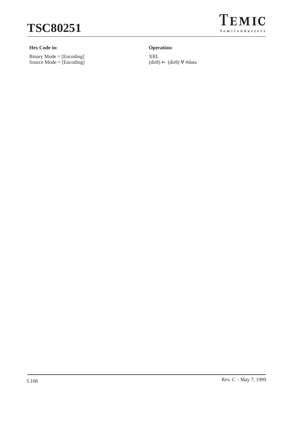

#### **Hex Code in: Operation:**

Binary Mode = [Encoding] Source Mode = [Encoding]



XRL (dir8) ← (dir8) ∀ #data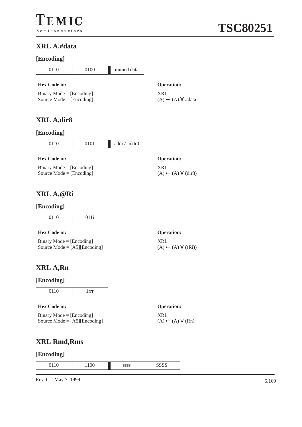# **XRL A,#data**

#### **[Encoding]**

0 0100 immed data

#### **Hex Code in: Operation:**

Binary Mode  $=$  [Encoding] Source Mode = [Encoding]

# **XRL A,dir8**

#### **[Encoding]**

| 0110 | 0101 | addr7-addr0 |
|------|------|-------------|
|      |      |             |

#### **Hex Code in: Operation:**

Binary Mode  $=$  [Encoding] Source Mode = [Encoding]

# **XRL A,@Ri**

#### **[Encoding]**

| 0110 | $0.11$ : |
|------|----------|

#### **Hex Code in: Operation:**

| $Binary Mode = [Encoding]$     |
|--------------------------------|
| Source Mode = $[AS][Encoding]$ |

# **XRL A,Rn**

#### **[Encoding]**

| 0110 |  |
|------|--|

#### **Hex Code in: Operation:**

Binary Mode = [Encoding] Source Mode = [A5][Encoding]

# **XRL Rmd,Rms**

#### **[Encoding]**

|--|

Rev. C – May 7, 1999  $5.169$ 

# **TSC80251**

XRL  $(A) \leftarrow (A) \forall \# data$ 

XRL  $(A) \leftarrow (A) \forall (dir8)$ 

# XRL

 $(A) \leftarrow (A) \forall ((Ri))$ 



XRL  $(A) \leftarrow (A) \forall (Rn)$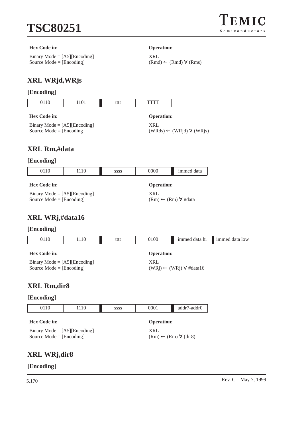

#### **Hex Code in: Operation:**

Binary Mode = [A5][Encoding] Source Mode = [Encoding]

XRL  $(Rmd) \leftarrow (Rmd) \; \forall \; (Rms)$ 

# **XRL WRjd,WRjs**

# **[Encoding]**

| 0110                                                                | 1101 | tttt | TTTT                                                          |  |
|---------------------------------------------------------------------|------|------|---------------------------------------------------------------|--|
| <b>Hex Code in:</b>                                                 |      |      | <b>Operation:</b>                                             |  |
| Binary Mode = $[A5][\text{Encoding}]$<br>Source Mode = $[Encoding]$ |      |      | <b>XRL</b><br>$(WRds) \leftarrow (WRjd) \; \forall \; (WRjs)$ |  |

# **XRL Rm,#data**

## **[Encoding]**

| 0110                                                                | 1110 | <b>SSSS</b> | 0000                                        | immed data |
|---------------------------------------------------------------------|------|-------------|---------------------------------------------|------------|
| Hex Code in:                                                        |      |             | <b>Operation:</b>                           |            |
| Binary Mode = $[A5][\text{Encoding}]$<br>Source Mode = $[Encoding]$ |      |             | XRL<br>$(Rm) \leftarrow (Rm) \forall #data$ |            |

# **XRL WRj,#data16**

## **[Encoding]**

| 0110                                                                | 1110 | tttt | 0100                                           | immed data hi | immed data low |
|---------------------------------------------------------------------|------|------|------------------------------------------------|---------------|----------------|
| Hex Code in:                                                        |      |      | <b>Operation:</b>                              |               |                |
| Binary Mode = $[A5][\text{Encoding}]$<br>Source Mode = $[Encoding]$ |      | XRL  | $(WRj) \leftarrow (WRj) \; \forall \; #data16$ |               |                |

# **XRL Rm,dir8**

## **[Encoding]**

| 0110                                                                                | 1110 | <b>SSSS</b> | 0001                                                                            | addr7-addr0 |
|-------------------------------------------------------------------------------------|------|-------------|---------------------------------------------------------------------------------|-------------|
| Hex Code in:<br>Binary Mode = $[A5][\text{Encoding}]$<br>Source Mode = $[Encoding]$ |      |             | <b>Operation:</b><br><b>XRL</b><br>$(Rm) \leftarrow (Rm) \; \forall \; (dir 8)$ |             |

# **XRL WRj,dir8**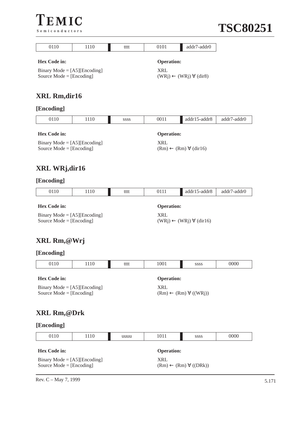



| Semiconductors                                                      |      |                                                            |                                                |                                              | TDCC        |
|---------------------------------------------------------------------|------|------------------------------------------------------------|------------------------------------------------|----------------------------------------------|-------------|
| 0110                                                                | 1110 | tttt                                                       | 0101                                           | addr7-addr0                                  |             |
| <b>Hex Code in:</b>                                                 |      |                                                            | <b>Operation:</b>                              |                                              |             |
| Binary Mode = $[A5][\text{Encoding}]$<br>Source Mode = $[Encoding]$ |      | <b>XRL</b>                                                 | $(WRj) \leftarrow (WRj) \; \forall \; (dir8)$  |                                              |             |
| XRL Rm,dir16                                                        |      |                                                            |                                                |                                              |             |
| [Encoding]                                                          |      |                                                            |                                                |                                              |             |
| 0110                                                                | 1110 | SSSS                                                       | 0011                                           | addr15-addr8                                 | addr7-addr0 |
| <b>Hex Code in:</b>                                                 |      |                                                            |                                                | <b>Operation:</b>                            |             |
| Binary Mode = $[A5][\text{Encoding}]$<br>Source Mode = $[Encoding]$ |      |                                                            | <b>XRL</b>                                     | $(Rm) \leftarrow (Rm) \; \forall \; (dir16)$ |             |
| XRL WRj,dir16                                                       |      |                                                            |                                                |                                              |             |
| [Encoding]                                                          |      |                                                            |                                                |                                              |             |
| 0110                                                                | 1110 | tttt                                                       | 0111                                           | addr15-addr8                                 | addr7-addr0 |
| <b>Hex Code in:</b>                                                 |      |                                                            | <b>Operation:</b>                              |                                              |             |
| Binary Mode = $[A5][\text{Encoding}]$<br>Source Mode = $[Encoding]$ |      | <b>XRL</b>                                                 | $(WRj) \leftarrow (WRj) \; \forall \; (dir16)$ |                                              |             |
| XRL Rm,@Wrj                                                         |      |                                                            |                                                |                                              |             |
| [Encoding]                                                          |      |                                                            |                                                |                                              |             |
| 0110                                                                | 1110 | tttt                                                       | 1001                                           | SSSS                                         | 0000        |
| Hex Code in:                                                        |      |                                                            | <b>Operation:</b>                              |                                              |             |
| Binary Mode = $[A5][\text{Encoding}]$<br>Source Mode = $[Encoding]$ |      | <b>XRL</b><br>$(Rm) \leftarrow (Rm) \; \forall \; ((WRj))$ |                                                |                                              |             |
| XRL Rm,@Drk                                                         |      |                                                            |                                                |                                              |             |
| [Encoding]                                                          |      |                                                            |                                                |                                              |             |
| 0110                                                                | 1110 | uuuu                                                       | 1011                                           | SSSS                                         | 0000        |
| Hex Code in:                                                        |      |                                                            | <b>Operation:</b>                              |                                              |             |
|                                                                     |      |                                                            |                                                |                                              |             |

Binary Mode = [A5][Encoding] Source Mode = [Encoding] XRL  $(Rm) \leftarrow (Rm) \; \forall \; ((DRk))$ 

Rev. C – May 7, 1999  $5.171$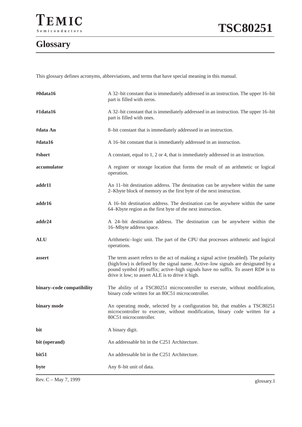## **Glossary**

This glossary defines acronyms, abbreviations, and terms that have special meaning in this manual.

| #0data16                  | A 32-bit constant that is immediately addressed in an instruction. The upper 16-bit<br>part is filled with zeros.                                                                                                                                                                                               |
|---------------------------|-----------------------------------------------------------------------------------------------------------------------------------------------------------------------------------------------------------------------------------------------------------------------------------------------------------------|
| #1data16                  | A 32-bit constant that is immediately addressed in an instruction. The upper 16-bit<br>part is filled with ones.                                                                                                                                                                                                |
| #data An                  | 8-bit constant that is immediately addressed in an instruction.                                                                                                                                                                                                                                                 |
| #data16                   | A 16-bit constant that is immediately addressed in an instruction.                                                                                                                                                                                                                                              |
| #short                    | A constant, equal to 1, 2 or 4, that is immediately addressed in an instruction.                                                                                                                                                                                                                                |
| accumulator               | A register or storage location that forms the result of an arithmetic or logical<br>operation.                                                                                                                                                                                                                  |
| addr11                    | An 11-bit destination address. The destination can be anywhere within the same<br>2–Kbyte block of memory as the first byte of the next instruction.                                                                                                                                                            |
| addr16                    | A 16-bit destination address. The destination can be anywhere within the same<br>64–Kbyte region as the first byte of the next instruction.                                                                                                                                                                     |
| addr24                    | A 24-bit destination address. The destination can be anywhere within the<br>16-Mbyte address space.                                                                                                                                                                                                             |
| <b>ALU</b>                | Arithmetic-logic unit. The part of the CPU that processes arithmetic and logical<br>operations.                                                                                                                                                                                                                 |
| assert                    | The term assert refers to the act of making a signal active (enabled). The polarity<br>(high/low) is defined by the signal name. Active-low signals are designated by a<br>pound symbol (#) suffix; active-high signals have no suffix. To assert RD# is to<br>drive it low; to assert ALE is to drive it high. |
| binary-code compatibility | The ability of a TSC80251 microcontroller to execute, without modification,<br>binary code written for an 80C51 microcontroller.                                                                                                                                                                                |
| binary mode               | An operating mode, selected by a configuration bit, that enables a TSC80251<br>microcontroller to execute, without modification, binary code written for a<br>80C51 microcontroller.                                                                                                                            |
| bit                       | A binary digit.                                                                                                                                                                                                                                                                                                 |
| bit (operand)             | An addressable bit in the C251 Architecture.                                                                                                                                                                                                                                                                    |
| bit51                     | An addressable bit in the C251 Architecture.                                                                                                                                                                                                                                                                    |
| byte                      | Any 8-bit unit of data.                                                                                                                                                                                                                                                                                         |

Rev. C – May 7, 1999 glossary.1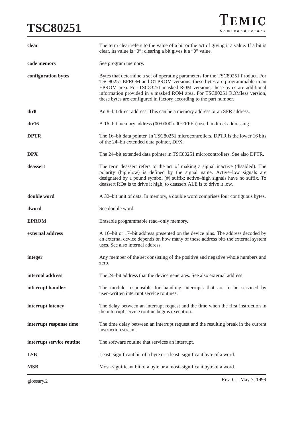## **TSC80251**

| clear                     | The term clear refers to the value of a bit or the act of giving it a value. If a bit is<br>clear, its value is "0"; clearing a bit gives it a "0" value.                                                                                                                                                                                                                                 |
|---------------------------|-------------------------------------------------------------------------------------------------------------------------------------------------------------------------------------------------------------------------------------------------------------------------------------------------------------------------------------------------------------------------------------------|
| code memory               | See program memory.                                                                                                                                                                                                                                                                                                                                                                       |
| configuration bytes       | Bytes that determine a set of operating parameters for the TSC80251 Product. For<br>TSC80251 EPROM and OTPROM versions, these bytes are programmable in an<br>EPROM area. For TSC83251 masked ROM versions, these bytes are additional<br>information provided in a masked ROM area. For TSC80251 ROMless version,<br>these bytes are configured in factory according to the part number. |
| dir <sub>8</sub>          | An 8-bit direct address. This can be a memory address or an SFR address.                                                                                                                                                                                                                                                                                                                  |
| dir16                     | A 16-bit memory address (00:0000h-00:FFFFh) used in direct addressing.                                                                                                                                                                                                                                                                                                                    |
| <b>DPTR</b>               | The 16-bit data pointer. In TSC80251 microcontrollers, DPTR is the lower 16 bits<br>of the 24-bit extended data pointer, DPX.                                                                                                                                                                                                                                                             |
| <b>DPX</b>                | The 24-bit extended data pointer in TSC80251 microcontrollers. See also DPTR.                                                                                                                                                                                                                                                                                                             |
| deassert                  | The term deassert refers to the act of making a signal inactive (disabled). The<br>polarity (high/low) is defined by the signal name. Active-low signals are<br>designated by a pound symbol (#) suffix; active-high signals have no suffix. To<br>deassert RD# is to drive it high; to deassert ALE is to drive it low.                                                                  |
| double word               | A 32-bit unit of data. In memory, a double word comprises four contiguous bytes.                                                                                                                                                                                                                                                                                                          |
| dword                     | See double word.                                                                                                                                                                                                                                                                                                                                                                          |
| <b>EPROM</b>              | Erasable programmable read-only memory.                                                                                                                                                                                                                                                                                                                                                   |
| external address          | A 16-bit or 17-bit address presented on the device pins. The address decoded by<br>an external device depends on how many of these address bits the external system<br>uses. See also internal address.                                                                                                                                                                                   |
| integer                   | Any member of the set consisting of the positive and negative whole numbers and<br>zero.                                                                                                                                                                                                                                                                                                  |
| internal address          | The 24-bit address that the device generates. See also external address.                                                                                                                                                                                                                                                                                                                  |
| interrupt handler         | The module responsible for handling interrupts that are to be serviced by<br>user-written interrupt service routines.                                                                                                                                                                                                                                                                     |
| interrupt latency         | The delay between an interrupt request and the time when the first instruction in<br>the interrupt service routine begins execution.                                                                                                                                                                                                                                                      |
| interrupt response time   | The time delay between an interrupt request and the resulting break in the current<br>instruction stream.                                                                                                                                                                                                                                                                                 |
| interrupt service routine | The software routine that services an interrupt.                                                                                                                                                                                                                                                                                                                                          |
| <b>LSB</b>                | Least-significant bit of a byte or a least-significant byte of a word.                                                                                                                                                                                                                                                                                                                    |
| <b>MSB</b>                | Most-significant bit of a byte or a most-significant byte of a word.                                                                                                                                                                                                                                                                                                                      |

glossary.2 Rev. C – May 7, 1999